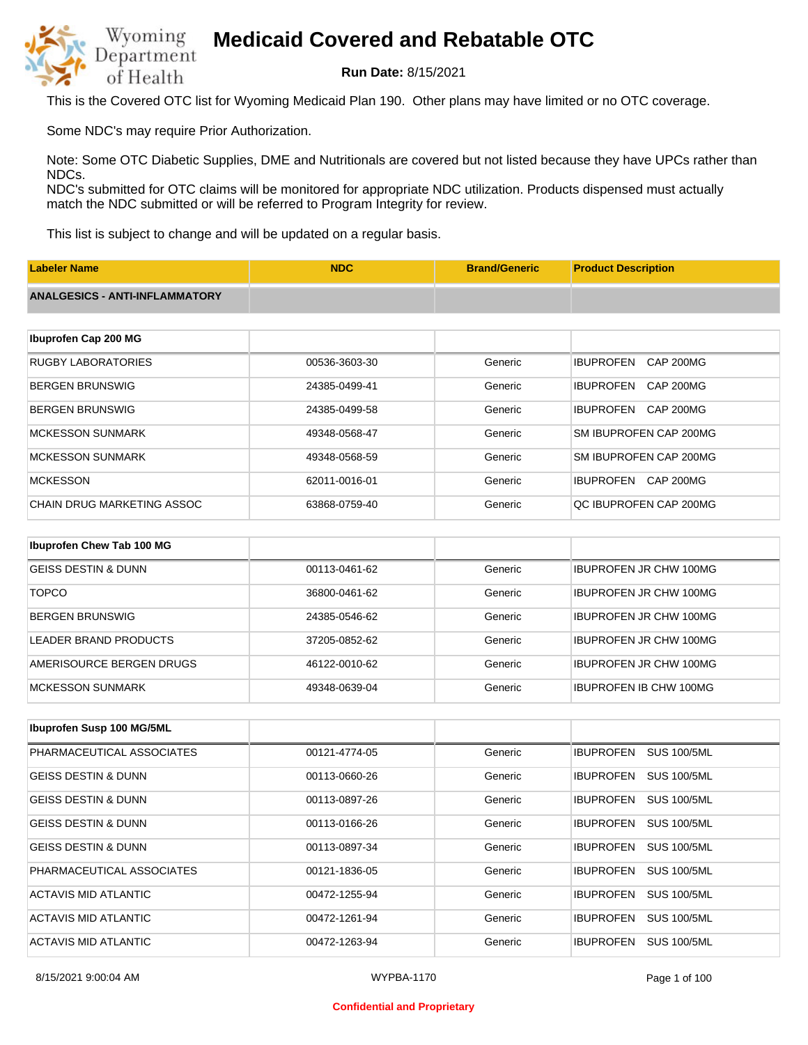

**Run Date:** 8/15/2021

This is the Covered OTC list for Wyoming Medicaid Plan 190. Other plans may have limited or no OTC coverage.

Some NDC's may require Prior Authorization.

Note: Some OTC Diabetic Supplies, DME and Nutritionals are covered but not listed because they have UPCs rather than NDCs.

NDC's submitted for OTC claims will be monitored for appropriate NDC utilization. Products dispensed must actually match the NDC submitted or will be referred to Program Integrity for review.

This list is subject to change and will be updated on a regular basis.

| <b>Labeler Name</b>                   | <b>NDC</b>    | <b>Brand/Generic</b> | <b>Product Description</b>           |
|---------------------------------------|---------------|----------------------|--------------------------------------|
| <b>ANALGESICS - ANTI-INFLAMMATORY</b> |               |                      |                                      |
|                                       |               |                      |                                      |
| Ibuprofen Cap 200 MG                  |               |                      |                                      |
| <b>RUGBY LABORATORIES</b>             | 00536-3603-30 | Generic              | <b>IBUPROFEN</b><br><b>CAP 200MG</b> |
| <b>BERGEN BRUNSWIG</b>                | 24385-0499-41 | Generic              | <b>IBUPROFEN</b><br>CAP 200MG        |
| <b>BERGEN BRUNSWIG</b>                | 24385-0499-58 | Generic              | <b>IBUPROFEN</b><br>CAP 200MG        |
| <b>MCKESSON SUNMARK</b>               | 49348-0568-47 | Generic              | SM IBUPROFEN CAP 200MG               |
| <b>MCKESSON SUNMARK</b>               | 49348-0568-59 | Generic              | SM IBUPROFEN CAP 200MG               |
| <b>MCKESSON</b>                       | 62011-0016-01 | Generic              | <b>IBUPROFEN</b><br>CAP 200MG        |
| <b>CHAIN DRUG MARKETING ASSOC</b>     | 63868-0759-40 | Generic              | QC IBUPROFEN CAP 200MG               |
|                                       |               |                      |                                      |
| Ibuprofen Chew Tab 100 MG             |               |                      |                                      |
| <b>GEISS DESTIN &amp; DUNN</b>        | 00113-0461-62 | Generic              | <b>IBUPROFEN JR CHW 100MG</b>        |
| <b>TOPCO</b>                          | 36800-0461-62 | Generic              | <b>IBUPROFEN JR CHW 100MG</b>        |

| IBERGEN BRUNSWIG         | 24385-0546-62 | Generic | <b>IBUPROFEN JR CHW 100MG</b> |
|--------------------------|---------------|---------|-------------------------------|
| LEADER BRAND PRODUCTS    | 37205-0852-62 | Generic | <b>IBUPROFEN JR CHW 100MG</b> |
| AMERISOURCE BERGEN DRUGS | 46122-0010-62 | Generic | <b>IBUPROFEN JR CHW 100MG</b> |
| MCKESSON SUNMARK         | 49348-0639-04 | Generic | <b>IBUPROFEN IB CHW 100MG</b> |

| Ibuprofen Susp 100 MG/5ML      |               |         |                                        |
|--------------------------------|---------------|---------|----------------------------------------|
| PHARMACEUTICAL ASSOCIATES      | 00121-4774-05 | Generic | <b>IBUPROFEN</b><br><b>SUS 100/5ML</b> |
| <b>GEISS DESTIN &amp; DUNN</b> | 00113-0660-26 | Generic | <b>SUS 100/5ML</b><br><b>IBUPROFEN</b> |
| <b>GEISS DESTIN &amp; DUNN</b> | 00113-0897-26 | Generic | <b>SUS 100/5ML</b><br><b>IBUPROFEN</b> |
| <b>GEISS DESTIN &amp; DUNN</b> | 00113-0166-26 | Generic | <b>SUS 100/5ML</b><br><b>IBUPROFEN</b> |
| <b>GEISS DESTIN &amp; DUNN</b> | 00113-0897-34 | Generic | <b>IBUPROFEN</b><br><b>SUS 100/5ML</b> |
| PHARMACEUTICAL ASSOCIATES      | 00121-1836-05 | Generic | <b>IBUPROFEN</b><br><b>SUS 100/5ML</b> |
| ACTAVIS MID ATLANTIC           | 00472-1255-94 | Generic | <b>SUS 100/5ML</b><br><b>IBUPROFEN</b> |
| ACTAVIS MID ATLANTIC           | 00472-1261-94 | Generic | <b>SUS 100/5ML</b><br><b>IBUPROFEN</b> |
| <b>ACTAVIS MID ATLANTIC</b>    | 00472-1263-94 | Generic | <b>IBUPROFEN</b><br><b>SUS 100/5ML</b> |

#### **Confidential and Proprietary**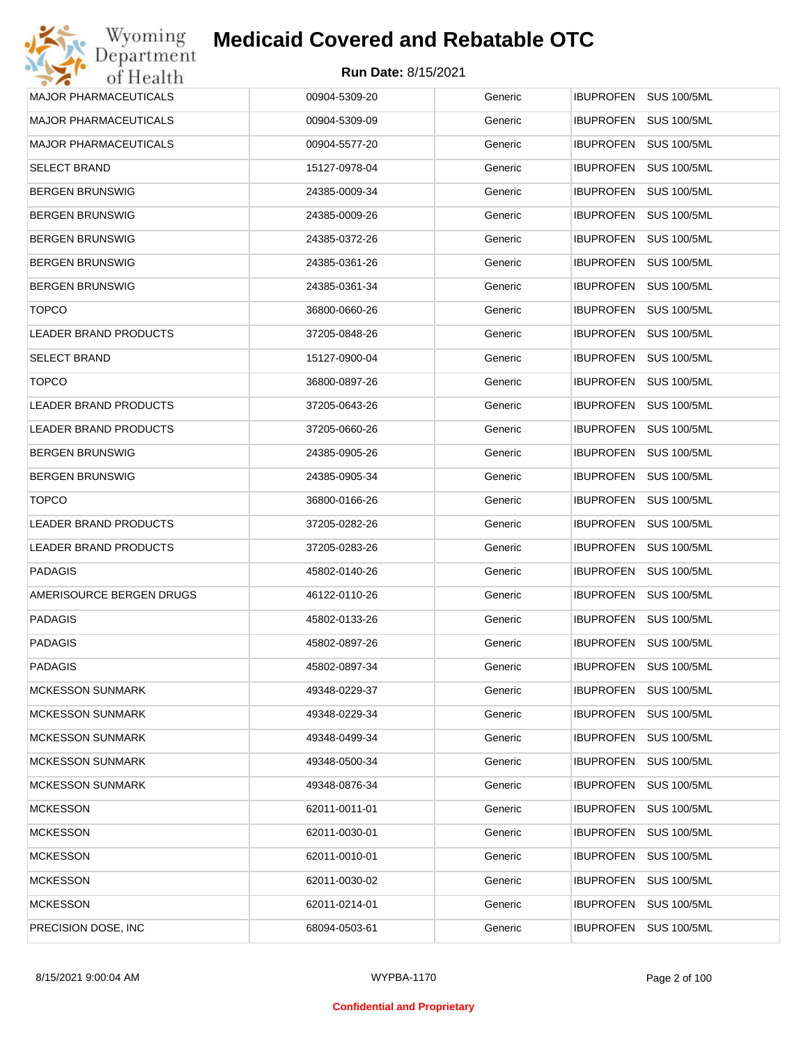| Wyoming                      | <b>Medicaid Covered and Rebatable OTC</b> |         |                                        |
|------------------------------|-------------------------------------------|---------|----------------------------------------|
| Department<br>of Health      | <b>Run Date: 8/15/2021</b>                |         |                                        |
| <b>MAJOR PHARMACEUTICALS</b> | 00904-5309-20                             | Generic | <b>IBUPROFEN</b><br><b>SUS 100/5ML</b> |
| <b>MAJOR PHARMACEUTICALS</b> | 00904-5309-09                             | Generic | <b>IBUPROFEN</b><br><b>SUS 100/5ML</b> |
| <b>MAJOR PHARMACEUTICALS</b> | 00904-5577-20                             | Generic | <b>SUS 100/5ML</b><br><b>IBUPROFEN</b> |
| <b>SELECT BRAND</b>          | 15127-0978-04                             | Generic | <b>IBUPROFEN</b><br><b>SUS 100/5ML</b> |
| <b>BERGEN BRUNSWIG</b>       | 24385-0009-34                             | Generic | <b>SUS 100/5ML</b><br><b>IBUPROFEN</b> |
| <b>BERGEN BRUNSWIG</b>       | 24385-0009-26                             | Generic | <b>IBUPROFEN</b><br><b>SUS 100/5ML</b> |
| <b>BERGEN BRUNSWIG</b>       | 24385-0372-26                             | Generic | <b>SUS 100/5ML</b><br><b>IBUPROFEN</b> |
| <b>BERGEN BRUNSWIG</b>       | 24385-0361-26                             | Generic | <b>IBUPROFEN</b><br><b>SUS 100/5ML</b> |
| <b>BERGEN BRUNSWIG</b>       | 24385-0361-34                             | Generic | <b>SUS 100/5ML</b><br><b>IBUPROFEN</b> |
| <b>TOPCO</b>                 | 36800-0660-26                             | Generic | <b>IBUPROFEN</b><br><b>SUS 100/5ML</b> |
| <b>LEADER BRAND PRODUCTS</b> | 37205-0848-26                             | Generic | <b>SUS 100/5ML</b><br><b>IBUPROFEN</b> |
| <b>SELECT BRAND</b>          | 15127-0900-04                             | Generic | <b>IBUPROFEN</b><br><b>SUS 100/5ML</b> |
| <b>TOPCO</b>                 | 36800-0897-26                             | Generic | <b>SUS 100/5ML</b><br><b>IBUPROFEN</b> |
| <b>LEADER BRAND PRODUCTS</b> | 37205-0643-26                             | Generic | <b>IBUPROFEN</b><br><b>SUS 100/5ML</b> |
| LEADER BRAND PRODUCTS        | 37205-0660-26                             | Generic | <b>SUS 100/5ML</b><br><b>IBUPROFEN</b> |
| <b>BERGEN BRUNSWIG</b>       | 24385-0905-26                             | Generic | <b>IBUPROFEN</b><br><b>SUS 100/5ML</b> |
| <b>BERGEN BRUNSWIG</b>       | 24385-0905-34                             | Generic | <b>SUS 100/5ML</b><br><b>IBUPROFEN</b> |
| <b>TOPCO</b>                 | 36800-0166-26                             | Generic | <b>IBUPROFEN</b><br><b>SUS 100/5ML</b> |
| <b>LEADER BRAND PRODUCTS</b> | 37205-0282-26                             | Generic | <b>IBUPROFEN</b><br><b>SUS 100/5ML</b> |
| LEADER BRAND PRODUCTS        | 37205-0283-26                             | Generic | <b>IBUPROFEN</b><br><b>SUS 100/5ML</b> |
| <b>PADAGIS</b>               | 45802-0140-26                             | Generic | <b>SUS 100/5ML</b><br><b>IBUPROFEN</b> |
| AMERISOURCE BERGEN DRUGS     | 46122-0110-26                             | Generic | IBUPROFEN SUS 100/5ML                  |
| <b>PADAGIS</b>               | 45802-0133-26                             | Generic | IBUPROFEN SUS 100/5ML                  |
| <b>PADAGIS</b>               | 45802-0897-26                             | Generic | <b>IBUPROFEN</b><br><b>SUS 100/5ML</b> |
| <b>PADAGIS</b>               | 45802-0897-34                             | Generic | <b>IBUPROFEN</b><br><b>SUS 100/5ML</b> |
| <b>MCKESSON SUNMARK</b>      | 49348-0229-37                             | Generic | <b>SUS 100/5ML</b><br><b>IBUPROFEN</b> |
| <b>MCKESSON SUNMARK</b>      | 49348-0229-34                             | Generic | <b>IBUPROFEN</b><br><b>SUS 100/5ML</b> |
| <b>MCKESSON SUNMARK</b>      | 49348-0499-34                             | Generic | <b>SUS 100/5ML</b><br><b>IBUPROFEN</b> |
| <b>MCKESSON SUNMARK</b>      | 49348-0500-34                             | Generic | <b>IBUPROFEN</b><br><b>SUS 100/5ML</b> |
| <b>MCKESSON SUNMARK</b>      | 49348-0876-34                             | Generic | <b>IBUPROFEN</b><br><b>SUS 100/5ML</b> |
| <b>MCKESSON</b>              | 62011-0011-01                             | Generic | <b>IBUPROFEN</b><br><b>SUS 100/5ML</b> |
| <b>MCKESSON</b>              | 62011-0030-01                             | Generic | <b>IBUPROFEN</b><br><b>SUS 100/5ML</b> |
| <b>MCKESSON</b>              | 62011-0010-01                             | Generic | <b>IBUPROFEN</b><br><b>SUS 100/5ML</b> |
| <b>MCKESSON</b>              | 62011-0030-02                             | Generic | <b>IBUPROFEN</b><br><b>SUS 100/5ML</b> |
| <b>MCKESSON</b>              | 62011-0214-01                             | Generic | <b>SUS 100/5ML</b><br><b>IBUPROFEN</b> |
| PRECISION DOSE, INC          | 68094-0503-61                             | Generic | <b>SUS 100/5ML</b><br><b>IBUPROFEN</b> |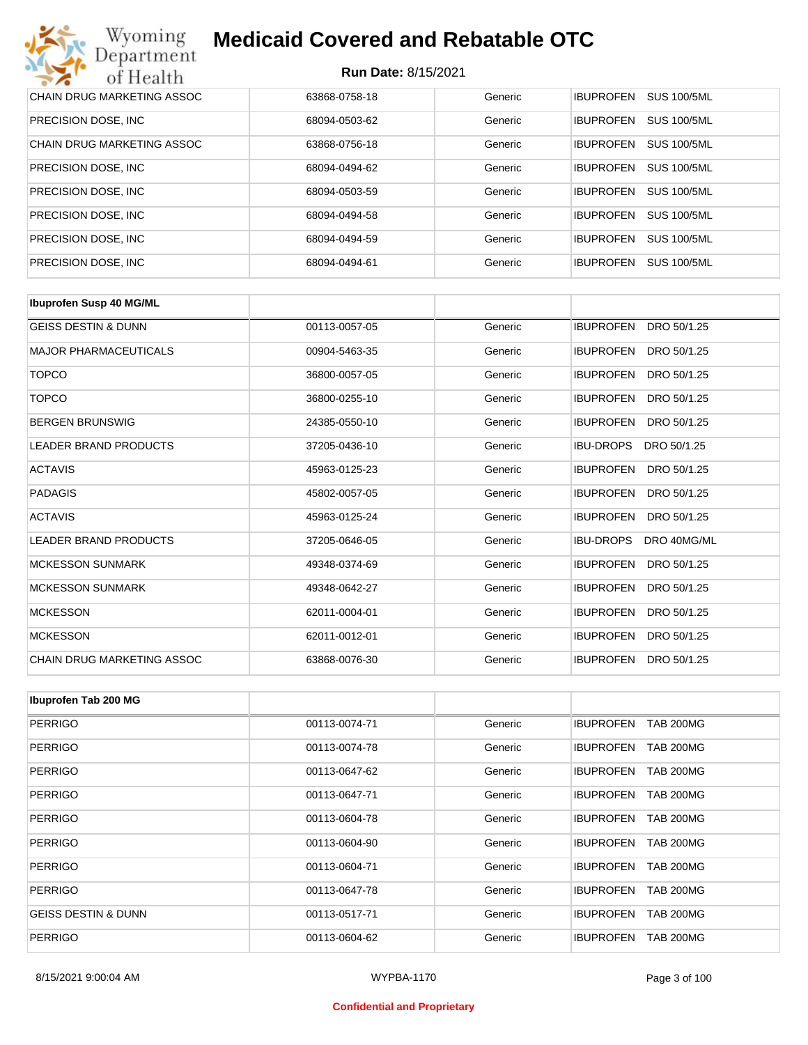| Wyoming<br><b>Medicaid Covered and Rebatable OTC</b><br>Department |                            |         |                  |                    |  |  |
|--------------------------------------------------------------------|----------------------------|---------|------------------|--------------------|--|--|
| of Health                                                          | <b>Run Date: 8/15/2021</b> |         |                  |                    |  |  |
| <b>CHAIN DRUG MARKETING ASSOC</b>                                  | 63868-0758-18              | Generic | <b>IBUPROFEN</b> | <b>SUS 100/5ML</b> |  |  |
| PRECISION DOSE, INC.                                               | 68094-0503-62              | Generic | <b>IBUPROFEN</b> | <b>SUS 100/5ML</b> |  |  |
| CHAIN DRUG MARKETING ASSOC                                         | 63868-0756-18              | Generic | <b>IBUPROFEN</b> | <b>SUS 100/5ML</b> |  |  |
| PRECISION DOSE, INC.                                               | 68094-0494-62              | Generic | <b>IBUPROFEN</b> | <b>SUS 100/5ML</b> |  |  |
| PRECISION DOSE, INC.                                               | 68094-0503-59              | Generic | <b>IBUPROFEN</b> | <b>SUS 100/5ML</b> |  |  |
| PRECISION DOSE, INC.                                               | 68094-0494-58              | Generic | <b>IBUPROFEN</b> | <b>SUS 100/5ML</b> |  |  |
| PRECISION DOSE, INC.                                               | 68094-0494-59              | Generic | <b>IBUPROFEN</b> | <b>SUS 100/5ML</b> |  |  |
| PRECISION DOSE, INC.                                               | 68094-0494-61              | Generic | <b>IBUPROFEN</b> | <b>SUS 100/5ML</b> |  |  |

| <b>Ibuprofen Susp 40 MG/ML</b> |               |         |                                 |
|--------------------------------|---------------|---------|---------------------------------|
| <b>GEISS DESTIN &amp; DUNN</b> | 00113-0057-05 | Generic | <b>IBUPROFEN</b><br>DRO 50/1.25 |
| <b>MAJOR PHARMACEUTICALS</b>   | 00904-5463-35 | Generic | <b>IBUPROFEN</b><br>DRO 50/1.25 |
| <b>TOPCO</b>                   | 36800-0057-05 | Generic | <b>IBUPROFEN</b><br>DRO 50/1.25 |
| <b>TOPCO</b>                   | 36800-0255-10 | Generic | <b>IBUPROFEN</b><br>DRO 50/1.25 |
| <b>BERGEN BRUNSWIG</b>         | 24385-0550-10 | Generic | <b>IBUPROFEN</b><br>DRO 50/1.25 |
| <b>LEADER BRAND PRODUCTS</b>   | 37205-0436-10 | Generic | <b>IBU-DROPS</b><br>DRO 50/1.25 |
| <b>ACTAVIS</b>                 | 45963-0125-23 | Generic | <b>IBUPROFEN</b><br>DRO 50/1.25 |
| <b>PADAGIS</b>                 | 45802-0057-05 | Generic | <b>IBUPROFEN</b><br>DRO 50/1.25 |
| <b>ACTAVIS</b>                 | 45963-0125-24 | Generic | <b>IBUPROFEN</b><br>DRO 50/1.25 |
| <b>LEADER BRAND PRODUCTS</b>   | 37205-0646-05 | Generic | <b>IBU-DROPS</b><br>DRO 40MG/ML |
| <b>MCKESSON SUNMARK</b>        | 49348-0374-69 | Generic | <b>IBUPROFEN</b><br>DRO 50/1.25 |
| <b>MCKESSON SUNMARK</b>        | 49348-0642-27 | Generic | <b>IBUPROFEN</b><br>DRO 50/1.25 |
| <b>MCKESSON</b>                | 62011-0004-01 | Generic | <b>IBUPROFEN</b><br>DRO 50/1.25 |
| <b>MCKESSON</b>                | 62011-0012-01 | Generic | <b>IBUPROFEN</b><br>DRO 50/1.25 |
| CHAIN DRUG MARKETING ASSOC     | 63868-0076-30 | Generic | <b>IBUPROFEN</b><br>DRO 50/1.25 |

| Ibuprofen Tab 200 MG           |               |         |                                      |
|--------------------------------|---------------|---------|--------------------------------------|
| <b>PERRIGO</b>                 | 00113-0074-71 | Generic | <b>IBUPROFEN</b><br><b>TAB 200MG</b> |
| <b>PERRIGO</b>                 | 00113-0074-78 | Generic | <b>TAB 200MG</b><br><b>IBUPROFEN</b> |
| <b>PERRIGO</b>                 | 00113-0647-62 | Generic | <b>IBUPROFEN</b><br><b>TAB 200MG</b> |
| <b>PERRIGO</b>                 | 00113-0647-71 | Generic | <b>TAB 200MG</b><br><b>IBUPROFEN</b> |
| <b>PERRIGO</b>                 | 00113-0604-78 | Generic | <b>IBUPROFEN</b><br><b>TAB 200MG</b> |
| <b>PERRIGO</b>                 | 00113-0604-90 | Generic | <b>IBUPROFEN</b><br><b>TAB 200MG</b> |
| <b>PERRIGO</b>                 | 00113-0604-71 | Generic | <b>IBUPROFEN</b><br><b>TAB 200MG</b> |
| <b>PERRIGO</b>                 | 00113-0647-78 | Generic | <b>IBUPROFEN</b><br><b>TAB 200MG</b> |
| <b>GEISS DESTIN &amp; DUNN</b> | 00113-0517-71 | Generic | <b>IBUPROFEN</b><br><b>TAB 200MG</b> |
| <b>PERRIGO</b>                 | 00113-0604-62 | Generic | <b>IBUPROFEN</b><br><b>TAB 200MG</b> |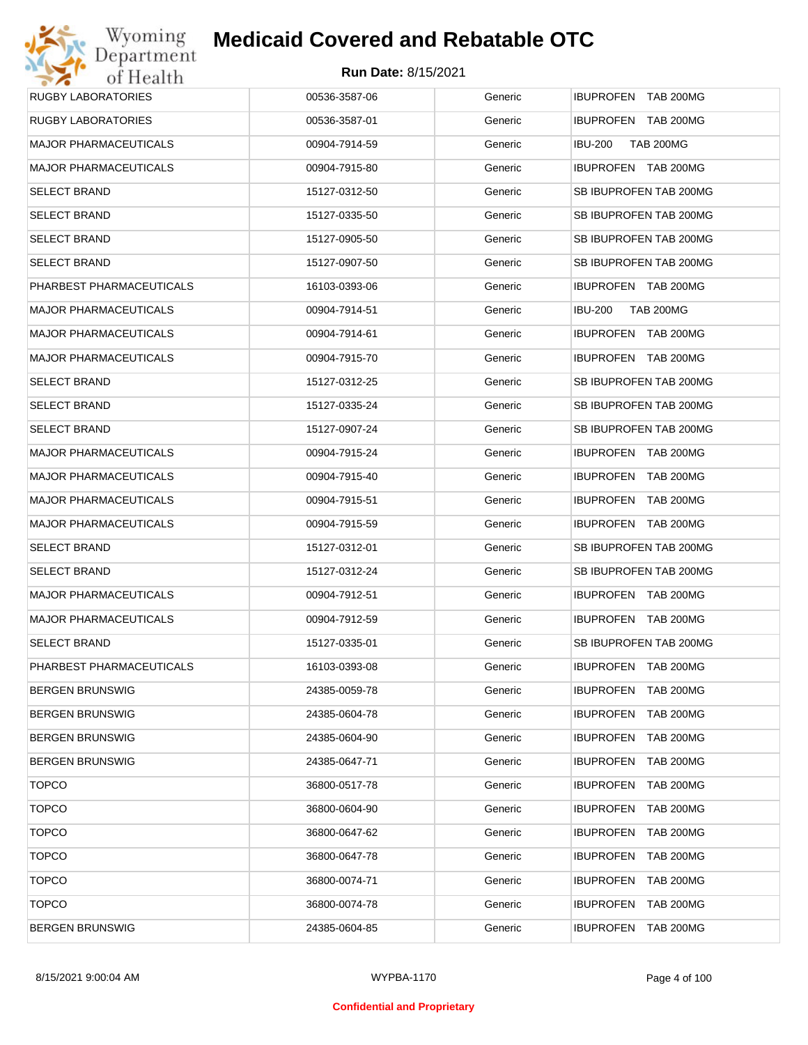| Wyoming                      | <b>Medicaid Covered and Rebatable OTC</b> |         |                                      |
|------------------------------|-------------------------------------------|---------|--------------------------------------|
| Department<br>of Health      | <b>Run Date: 8/15/2021</b>                |         |                                      |
| <b>RUGBY LABORATORIES</b>    | 00536-3587-06                             | Generic | IBUPROFEN TAB 200MG                  |
| <b>RUGBY LABORATORIES</b>    | 00536-3587-01                             | Generic | IBUPROFEN TAB 200MG                  |
| <b>MAJOR PHARMACEUTICALS</b> | 00904-7914-59                             | Generic | <b>IBU-200</b><br><b>TAB 200MG</b>   |
| <b>MAJOR PHARMACEUTICALS</b> | 00904-7915-80                             | Generic | IBUPROFEN TAB 200MG                  |
| <b>SELECT BRAND</b>          | 15127-0312-50                             | Generic | SB IBUPROFEN TAB 200MG               |
| <b>SELECT BRAND</b>          | 15127-0335-50                             | Generic | SB IBUPROFEN TAB 200MG               |
| <b>SELECT BRAND</b>          | 15127-0905-50                             | Generic | SB IBUPROFEN TAB 200MG               |
| <b>SELECT BRAND</b>          | 15127-0907-50                             | Generic | SB IBUPROFEN TAB 200MG               |
| PHARBEST PHARMACEUTICALS     | 16103-0393-06                             | Generic | IBUPROFEN TAB 200MG                  |
| <b>MAJOR PHARMACEUTICALS</b> | 00904-7914-51                             | Generic | <b>IBU-200</b><br><b>TAB 200MG</b>   |
| <b>MAJOR PHARMACEUTICALS</b> | 00904-7914-61                             | Generic | IBUPROFEN TAB 200MG                  |
| <b>MAJOR PHARMACEUTICALS</b> | 00904-7915-70                             | Generic | IBUPROFEN TAB 200MG                  |
| <b>SELECT BRAND</b>          | 15127-0312-25                             | Generic | SB IBUPROFEN TAB 200MG               |
| <b>SELECT BRAND</b>          | 15127-0335-24                             | Generic | SB IBUPROFEN TAB 200MG               |
| <b>SELECT BRAND</b>          | 15127-0907-24                             | Generic | SB IBUPROFEN TAB 200MG               |
| <b>MAJOR PHARMACEUTICALS</b> | 00904-7915-24                             | Generic | IBUPROFEN TAB 200MG                  |
| <b>MAJOR PHARMACEUTICALS</b> | 00904-7915-40                             | Generic | IBUPROFEN TAB 200MG                  |
| <b>MAJOR PHARMACEUTICALS</b> | 00904-7915-51                             | Generic | IBUPROFEN TAB 200MG                  |
| <b>MAJOR PHARMACEUTICALS</b> | 00904-7915-59                             | Generic | IBUPROFEN TAB 200MG                  |
| <b>SELECT BRAND</b>          | 15127-0312-01                             | Generic | SB IBUPROFEN TAB 200MG               |
| <b>SELECT BRAND</b>          | 15127-0312-24                             | Generic | SB IBUPROFEN TAB 200MG               |
| <b>MAJOR PHARMACEUTICALS</b> | 00904-7912-51                             | Generic | IBUPROFEN TAB 200MG                  |
| <b>MAJOR PHARMACEUTICALS</b> | 00904-7912-59                             | Generic | IBUPROFEN TAB 200MG                  |
| <b>SELECT BRAND</b>          | 15127-0335-01                             | Generic | SB IBUPROFEN TAB 200MG               |
| PHARBEST PHARMACEUTICALS     | 16103-0393-08                             | Generic | IBUPROFEN TAB 200MG                  |
| <b>BERGEN BRUNSWIG</b>       | 24385-0059-78                             | Generic | IBUPROFEN TAB 200MG                  |
| <b>BERGEN BRUNSWIG</b>       | 24385-0604-78                             | Generic | <b>IBUPROFEN</b><br><b>TAB 200MG</b> |
| <b>BERGEN BRUNSWIG</b>       | 24385-0604-90                             | Generic | <b>IBUPROFEN</b><br><b>TAB 200MG</b> |
| <b>BERGEN BRUNSWIG</b>       | 24385-0647-71                             | Generic | <b>IBUPROFEN</b><br><b>TAB 200MG</b> |
| <b>TOPCO</b>                 | 36800-0517-78                             | Generic | <b>IBUPROFEN</b><br>TAB 200MG        |
| <b>TOPCO</b>                 | 36800-0604-90                             | Generic | <b>IBUPROFEN</b><br>TAB 200MG        |
| <b>TOPCO</b>                 | 36800-0647-62                             | Generic | <b>IBUPROFEN</b><br>TAB 200MG        |
| <b>TOPCO</b>                 | 36800-0647-78                             | Generic | <b>IBUPROFEN</b><br>TAB 200MG        |
| <b>TOPCO</b>                 | 36800-0074-71                             | Generic | <b>IBUPROFEN</b><br>TAB 200MG        |
| <b>TOPCO</b>                 | 36800-0074-78                             | Generic | <b>IBUPROFEN</b><br>TAB 200MG        |
| <b>BERGEN BRUNSWIG</b>       | 24385-0604-85                             | Generic | <b>IBUPROFEN</b><br><b>TAB 200MG</b> |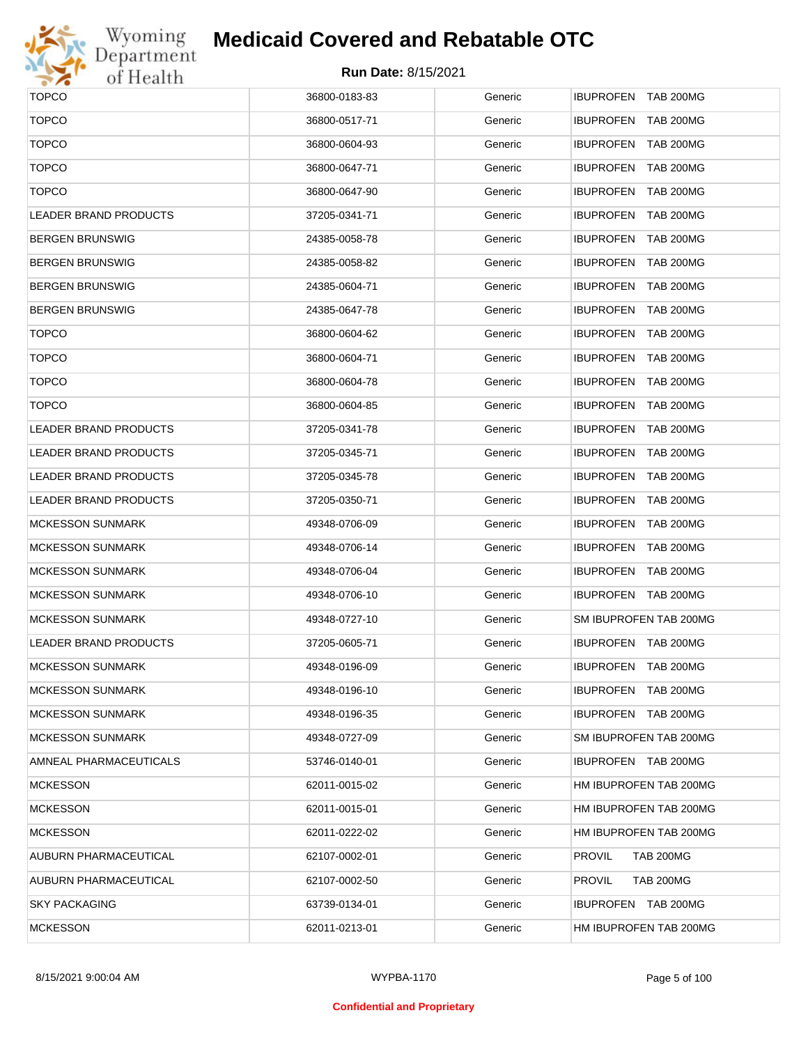

| <b>TOPCO</b>                 | 36800-0183-83 | Generic | IBUPROFEN TAB 200MG               |
|------------------------------|---------------|---------|-----------------------------------|
| <b>TOPCO</b>                 | 36800-0517-71 | Generic | IBUPROFEN TAB 200MG               |
| <b>TOPCO</b>                 | 36800-0604-93 | Generic | <b>IBUPROFEN TAB 200MG</b>        |
| <b>TOPCO</b>                 | 36800-0647-71 | Generic | IBUPROFEN TAB 200MG               |
| <b>TOPCO</b>                 | 36800-0647-90 | Generic | IBUPROFEN TAB 200MG               |
| LEADER BRAND PRODUCTS        | 37205-0341-71 | Generic | IBUPROFEN TAB 200MG               |
| BERGEN BRUNSWIG              | 24385-0058-78 | Generic | IBUPROFEN TAB 200MG               |
| BERGEN BRUNSWIG              | 24385-0058-82 | Generic | IBUPROFEN TAB 200MG               |
| BERGEN BRUNSWIG              | 24385-0604-71 | Generic | IBUPROFEN TAB 200MG               |
| BERGEN BRUNSWIG              | 24385-0647-78 | Generic | IBUPROFEN TAB 200MG               |
| <b>TOPCO</b>                 | 36800-0604-62 | Generic | IBUPROFEN TAB 200MG               |
| <b>TOPCO</b>                 | 36800-0604-71 | Generic | IBUPROFEN TAB 200MG               |
| <b>TOPCO</b>                 | 36800-0604-78 | Generic | IBUPROFEN TAB 200MG               |
| <b>TOPCO</b>                 | 36800-0604-85 | Generic | IBUPROFEN TAB 200MG               |
| <b>LEADER BRAND PRODUCTS</b> | 37205-0341-78 | Generic | IBUPROFEN TAB 200MG               |
| <b>LEADER BRAND PRODUCTS</b> | 37205-0345-71 | Generic | IBUPROFEN TAB 200MG               |
| LEADER BRAND PRODUCTS        | 37205-0345-78 | Generic | IBUPROFEN TAB 200MG               |
| LEADER BRAND PRODUCTS        | 37205-0350-71 | Generic | IBUPROFEN TAB 200MG               |
| <b>MCKESSON SUNMARK</b>      | 49348-0706-09 | Generic | IBUPROFEN TAB 200MG               |
| <b>MCKESSON SUNMARK</b>      | 49348-0706-14 | Generic | IBUPROFEN TAB 200MG               |
| <b>MCKESSON SUNMARK</b>      | 49348-0706-04 | Generic | IBUPROFEN TAB 200MG               |
| <b>MCKESSON SUNMARK</b>      | 49348-0706-10 | Generic | IBUPROFEN TAB 200MG               |
| <b>MCKESSON SUNMARK</b>      | 49348-0727-10 | Generic | SM IBUPROFEN TAB 200MG            |
| <b>LEADER BRAND PRODUCTS</b> | 37205-0605-71 | Generic | IBUPROFEN TAB 200MG               |
| <b>MCKESSON SUNMARK</b>      | 49348-0196-09 | Generic | <b>IBUPROFEN TAB 200MG</b>        |
| MCKESSON SUNMARK             | 49348-0196-10 | Generic | IBUPROFEN TAB 200MG               |
| <b>MCKESSON SUNMARK</b>      | 49348-0196-35 | Generic | IBUPROFEN TAB 200MG               |
| <b>MCKESSON SUNMARK</b>      | 49348-0727-09 | Generic | SM IBUPROFEN TAB 200MG            |
| AMNEAL PHARMACEUTICALS       | 53746-0140-01 | Generic | IBUPROFEN TAB 200MG               |
| <b>MCKESSON</b>              | 62011-0015-02 | Generic | HM IBUPROFEN TAB 200MG            |
| <b>MCKESSON</b>              | 62011-0015-01 | Generic | HM IBUPROFEN TAB 200MG            |
| <b>MCKESSON</b>              | 62011-0222-02 | Generic | HM IBUPROFEN TAB 200MG            |
| AUBURN PHARMACEUTICAL        | 62107-0002-01 | Generic | <b>PROVIL</b><br><b>TAB 200MG</b> |
| AUBURN PHARMACEUTICAL        | 62107-0002-50 | Generic | <b>PROVIL</b><br><b>TAB 200MG</b> |
| SKY PACKAGING                | 63739-0134-01 | Generic | IBUPROFEN TAB 200MG               |
| MCKESSON                     | 62011-0213-01 | Generic | HM IBUPROFEN TAB 200MG            |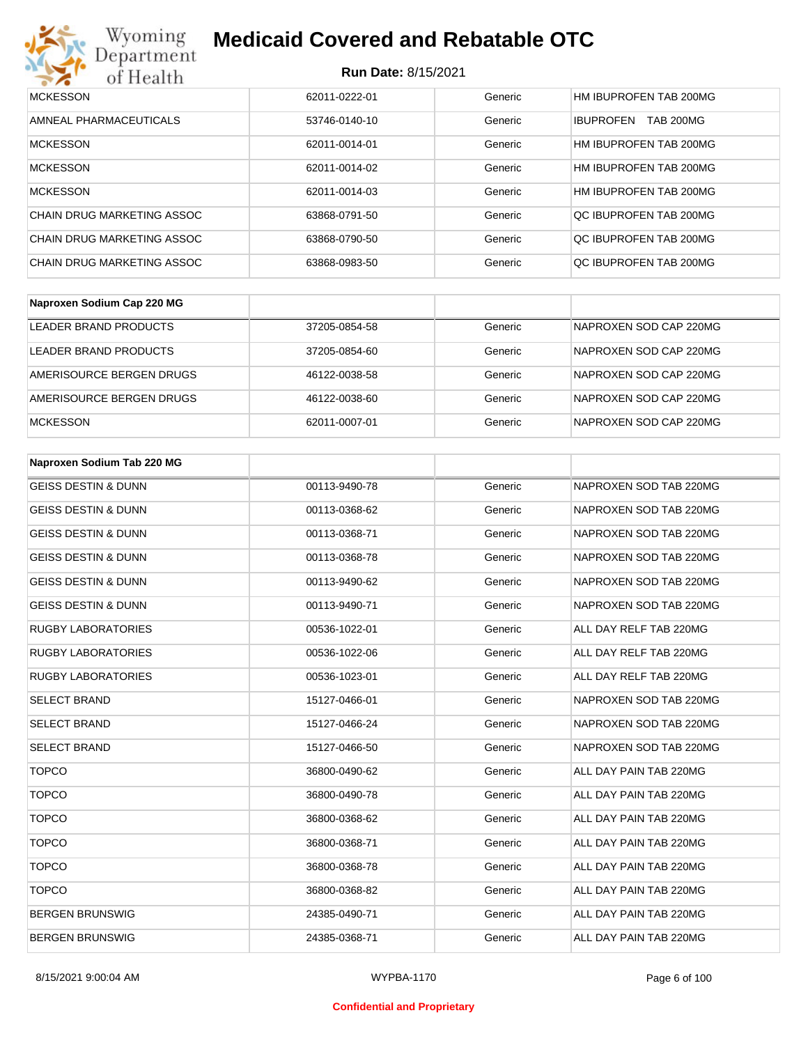

| <b>MCKESSON</b>            | 62011-0222-01 | Generic | HM IBUPROFEN TAB 200MG               |
|----------------------------|---------------|---------|--------------------------------------|
| AMNEAL PHARMACEUTICALS     | 53746-0140-10 | Generic | <b>TAB 200MG</b><br><b>IBUPROFEN</b> |
| <b>MCKESSON</b>            | 62011-0014-01 | Generic | HM IBUPROFEN TAB 200MG               |
| <b>MCKESSON</b>            | 62011-0014-02 | Generic | HM IBUPROFEN TAB 200MG               |
| <b>MCKESSON</b>            | 62011-0014-03 | Generic | HM IBUPROFEN TAB 200MG               |
| CHAIN DRUG MARKETING ASSOC | 63868-0791-50 | Generic | OC IBUPROFEN TAB 200MG               |
| CHAIN DRUG MARKETING ASSOC | 63868-0790-50 | Generic | OC IBUPROFEN TAB 200MG               |
| CHAIN DRUG MARKETING ASSOC | 63868-0983-50 | Generic | OC IBUPROFEN TAB 200MG               |

| Naproxen Sodium Cap 220 MG |               |         |                        |
|----------------------------|---------------|---------|------------------------|
| LEADER BRAND PRODUCTS      | 37205-0854-58 | Generic | NAPROXEN SOD CAP 220MG |
| LEADER BRAND PRODUCTS      | 37205-0854-60 | Generic | NAPROXEN SOD CAP 220MG |
| AMERISOURCE BERGEN DRUGS   | 46122-0038-58 | Generic | NAPROXEN SOD CAP 220MG |
| AMERISOURCE BERGEN DRUGS   | 46122-0038-60 | Generic | NAPROXEN SOD CAP 220MG |
| <b>MCKESSON</b>            | 62011-0007-01 | Generic | NAPROXEN SOD CAP 220MG |

| Naproxen Sodium Tab 220 MG     |               |         |                        |
|--------------------------------|---------------|---------|------------------------|
| <b>GEISS DESTIN &amp; DUNN</b> | 00113-9490-78 | Generic | NAPROXEN SOD TAB 220MG |
| <b>GEISS DESTIN &amp; DUNN</b> | 00113-0368-62 | Generic | NAPROXEN SOD TAB 220MG |
| <b>GEISS DESTIN &amp; DUNN</b> | 00113-0368-71 | Generic | NAPROXEN SOD TAB 220MG |
| <b>GEISS DESTIN &amp; DUNN</b> | 00113-0368-78 | Generic | NAPROXEN SOD TAB 220MG |
| <b>GEISS DESTIN &amp; DUNN</b> | 00113-9490-62 | Generic | NAPROXEN SOD TAB 220MG |
| <b>GEISS DESTIN &amp; DUNN</b> | 00113-9490-71 | Generic | NAPROXEN SOD TAB 220MG |
| <b>RUGBY LABORATORIES</b>      | 00536-1022-01 | Generic | ALL DAY RELF TAB 220MG |
| <b>RUGBY LABORATORIES</b>      | 00536-1022-06 | Generic | ALL DAY RELF TAB 220MG |
| <b>RUGBY LABORATORIES</b>      | 00536-1023-01 | Generic | ALL DAY RELF TAB 220MG |
| <b>SELECT BRAND</b>            | 15127-0466-01 | Generic | NAPROXEN SOD TAB 220MG |
| <b>SELECT BRAND</b>            | 15127-0466-24 | Generic | NAPROXEN SOD TAB 220MG |
| <b>SELECT BRAND</b>            | 15127-0466-50 | Generic | NAPROXEN SOD TAB 220MG |
| <b>TOPCO</b>                   | 36800-0490-62 | Generic | ALL DAY PAIN TAB 220MG |
| <b>TOPCO</b>                   | 36800-0490-78 | Generic | ALL DAY PAIN TAB 220MG |
| <b>TOPCO</b>                   | 36800-0368-62 | Generic | ALL DAY PAIN TAB 220MG |
| <b>TOPCO</b>                   | 36800-0368-71 | Generic | ALL DAY PAIN TAB 220MG |
| <b>TOPCO</b>                   | 36800-0368-78 | Generic | ALL DAY PAIN TAB 220MG |
| <b>TOPCO</b>                   | 36800-0368-82 | Generic | ALL DAY PAIN TAB 220MG |
| <b>BERGEN BRUNSWIG</b>         | 24385-0490-71 | Generic | ALL DAY PAIN TAB 220MG |
| <b>BERGEN BRUNSWIG</b>         | 24385-0368-71 | Generic | ALL DAY PAIN TAB 220MG |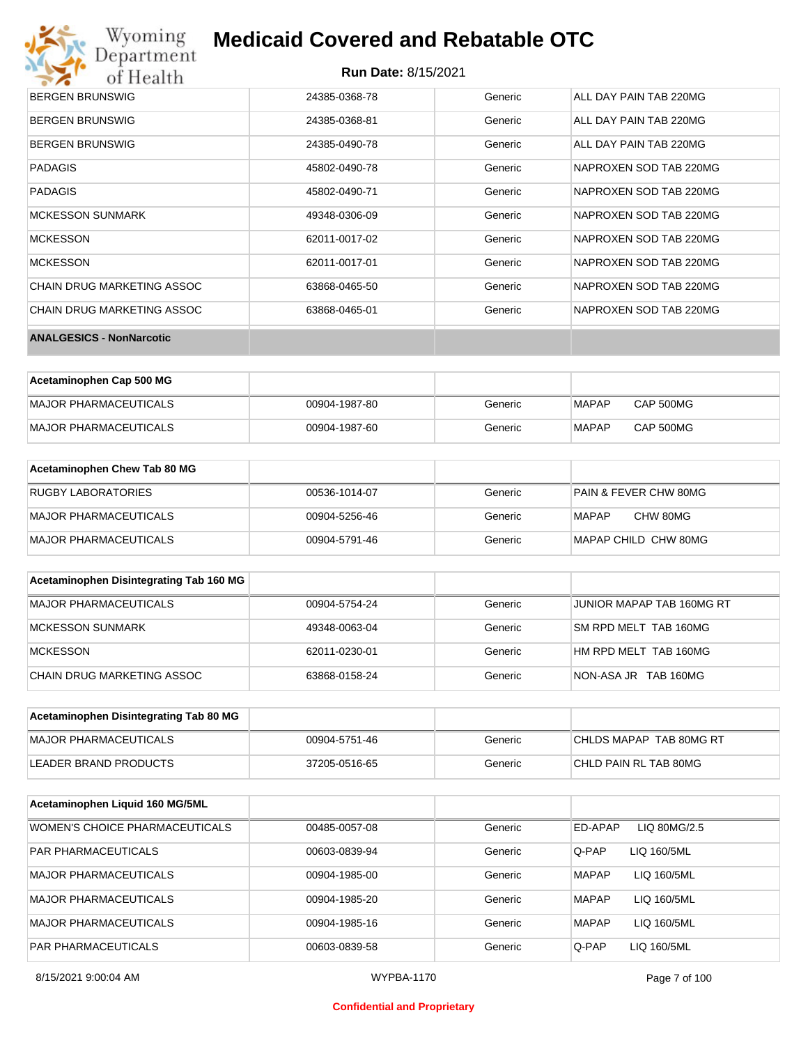

| <b>BERGEN BRUNSWIG</b>            | 24385-0368-78 | Generic | ALL DAY PAIN TAB 220MG |
|-----------------------------------|---------------|---------|------------------------|
| <b>BERGEN BRUNSWIG</b>            | 24385-0368-81 | Generic | ALL DAY PAIN TAB 220MG |
| <b>BERGEN BRUNSWIG</b>            | 24385-0490-78 | Generic | ALL DAY PAIN TAB 220MG |
| <b>PADAGIS</b>                    | 45802-0490-78 | Generic | NAPROXEN SOD TAB 220MG |
| <b>PADAGIS</b>                    | 45802-0490-71 | Generic | NAPROXEN SOD TAB 220MG |
| <b>MCKESSON SUNMARK</b>           | 49348-0306-09 | Generic | NAPROXEN SOD TAB 220MG |
| <b>MCKESSON</b>                   | 62011-0017-02 | Generic | NAPROXEN SOD TAB 220MG |
| <b>MCKESSON</b>                   | 62011-0017-01 | Generic | NAPROXEN SOD TAB 220MG |
| <b>CHAIN DRUG MARKETING ASSOC</b> | 63868-0465-50 | Generic | NAPROXEN SOD TAB 220MG |
| <b>CHAIN DRUG MARKETING ASSOC</b> | 63868-0465-01 | Generic | NAPROXEN SOD TAB 220MG |
| <b>ANALGESICS - NonNarcotic</b>   |               |         |                        |

| Acetaminophen Cap 500 MG |               |         |              |           |
|--------------------------|---------------|---------|--------------|-----------|
| MAJOR PHARMACEUTICALS    | 00904-1987-80 | Generic | MAPAP        | CAP 500MG |
| MAJOR PHARMACEUTICALS    | 00904-1987-60 | Generic | <b>MAPAP</b> | CAP 500MG |

| Acetaminophen Chew Tab 80 MG |               |         |                                  |
|------------------------------|---------------|---------|----------------------------------|
| <b>RUGBY LABORATORIES</b>    | 00536-1014-07 | Generic | <b>PAIN &amp; FEVER CHW 80MG</b> |
| MAJOR PHARMACEUTICALS        | 00904-5256-46 | Generic | CHW 80MG<br>MAPAP                |
| MAJOR PHARMACEUTICALS        | 00904-5791-46 | Generic | MAPAP CHILD CHW 80MG             |

| Acetaminophen Disintegrating Tab 160 MG |               |         |                           |
|-----------------------------------------|---------------|---------|---------------------------|
| MAJOR PHARMACEUTICALS                   | 00904-5754-24 | Generic | JUNIOR MAPAP TAB 160MG RT |
| MCKESSON SUNMARK                        | 49348-0063-04 | Generic | SM RPD MELT TAB 160MG     |
| <b>IMCKESSON</b>                        | 62011-0230-01 | Generic | HM RPD MELT TAB 160MG     |
| ICHAIN DRUG MARKETING ASSOC             | 63868-0158-24 | Generic | NON-ASA JR TAB 160MG      |

| Acetaminophen Disintegrating Tab 80 MG |               |         |                         |
|----------------------------------------|---------------|---------|-------------------------|
| IMAJOR PHARMACEUTICALS                 | 00904-5751-46 | Generic | CHLDS MAPAP TAB 80MG RT |
| LEADER BRAND PRODUCTS                  | 37205-0516-65 | Generic | CHLD PAIN RL TAB 80MG   |

| Acetaminophen Liquid 160 MG/5ML |               |         |                             |
|---------------------------------|---------------|---------|-----------------------------|
| WOMEN'S CHOICE PHARMACEUTICALS  | 00485-0057-08 | Generic | ED-APAP<br>LIQ 80MG/2.5     |
| <b>PAR PHARMACEUTICALS</b>      | 00603-0839-94 | Generic | Q-PAP<br>LIQ 160/5ML        |
| MAJOR PHARMACEUTICALS           | 00904-1985-00 | Generic | <b>MAPAP</b><br>LIQ 160/5ML |
| MAJOR PHARMACEUTICALS           | 00904-1985-20 | Generic | LIQ 160/5ML<br><b>MAPAP</b> |
| MAJOR PHARMACEUTICALS           | 00904-1985-16 | Generic | LIQ 160/5ML<br><b>MAPAP</b> |
| <b>PAR PHARMACEUTICALS</b>      | 00603-0839-58 | Generic | Q-PAP<br>LIQ 160/5ML        |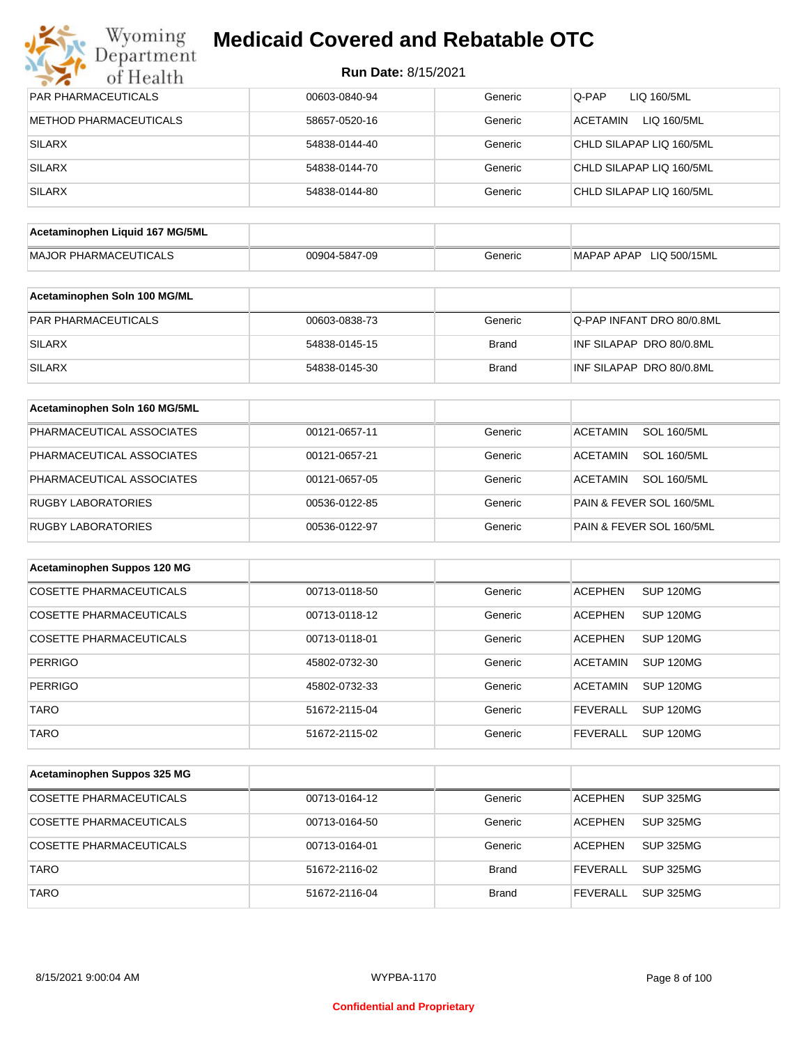| Wyoming<br>Department           | <b>Medicaid Covered and Rebatable OTC</b> |              |                                         |
|---------------------------------|-------------------------------------------|--------------|-----------------------------------------|
| of Health                       | <b>Run Date: 8/15/2021</b>                |              |                                         |
| <b>PAR PHARMACEUTICALS</b>      | 00603-0840-94                             | Generic      | Q-PAP<br>LIQ 160/5ML                    |
| METHOD PHARMACEUTICALS          | 58657-0520-16                             | Generic      | <b>ACETAMIN</b><br>LIQ 160/5ML          |
| <b>SILARX</b>                   | 54838-0144-40                             | Generic      | CHLD SILAPAP LIQ 160/5ML                |
| <b>SILARX</b>                   | 54838-0144-70                             | Generic      | CHLD SILAPAP LIQ 160/5ML                |
| <b>SILARX</b>                   | 54838-0144-80                             | Generic      | CHLD SILAPAP LIQ 160/5ML                |
| Acetaminophen Liquid 167 MG/5ML |                                           |              |                                         |
| <b>MAJOR PHARMACEUTICALS</b>    | 00904-5847-09                             | Generic      | MAPAP APAP LIQ 500/15ML                 |
| Acetaminophen Soln 100 MG/ML    |                                           |              |                                         |
| PAR PHARMACEUTICALS             | 00603-0838-73                             | Generic      | Q-PAP INFANT DRO 80/0.8ML               |
| <b>SILARX</b>                   | 54838-0145-15                             | <b>Brand</b> | INF SILAPAP DRO 80/0.8ML                |
| <b>SILARX</b>                   | 54838-0145-30                             | <b>Brand</b> | INF SILAPAP DRO 80/0.8ML                |
| Acetaminophen Soln 160 MG/5ML   |                                           |              |                                         |
| PHARMACEUTICAL ASSOCIATES       | 00121-0657-11                             | Generic      | <b>ACETAMIN</b><br><b>SOL 160/5ML</b>   |
| PHARMACEUTICAL ASSOCIATES       | 00121-0657-21                             | Generic      | <b>ACETAMIN</b><br><b>SOL 160/5ML</b>   |
| PHARMACEUTICAL ASSOCIATES       | 00121-0657-05                             | Generic      | ACETAMIN<br><b>SOL 160/5ML</b>          |
| <b>RUGBY LABORATORIES</b>       | 00536-0122-85                             | Generic      | PAIN & FEVER SOL 160/5ML                |
| <b>RUGBY LABORATORIES</b>       | 00536-0122-97                             | Generic      | PAIN & FEVER SOL 160/5ML                |
| Acetaminophen Suppos 120 MG     |                                           |              |                                         |
| <b>COSETTE PHARMACEUTICALS</b>  | 00713-0118-50                             | Generic      | <b>ACEPHEN</b><br><b>SUP 120MG</b>      |
| <b>COSETTE PHARMACEUTICALS</b>  | 00713-0118-12                             | Generic      | <b>ACEPHEN</b><br>SUP 120MG             |
| <b>COSETTE PHARMACEUTICALS</b>  | 00713-0118-01                             | Generic      | <b>ACEPHEN</b><br>SUP 120MG             |
| <b>PERRIGO</b>                  | 45802-0732-30                             | Generic      | <b>ACETAMIN</b><br>SUP <sub>120MG</sub> |
| <b>PERRIGO</b>                  | 45802-0732-33                             | Generic      | <b>ACETAMIN</b><br><b>SUP 120MG</b>     |

| Acetaminophen Suppos 325 MG    |               |              |                |                  |
|--------------------------------|---------------|--------------|----------------|------------------|
| COSETTE PHARMACEUTICALS        | 00713-0164-12 | Generic      | <b>ACEPHEN</b> | <b>SUP 325MG</b> |
| COSETTE PHARMACEUTICALS        | 00713-0164-50 | Generic      | <b>ACEPHEN</b> | <b>SUP 325MG</b> |
| <b>COSETTE PHARMACEUTICALS</b> | 00713-0164-01 | Generic      | <b>ACEPHEN</b> | <b>SUP 325MG</b> |
| <b>TARO</b>                    | 51672-2116-02 | <b>Brand</b> | FEVERALL       | <b>SUP 325MG</b> |
| <b>TARO</b>                    | 51672-2116-04 | <b>Brand</b> | FEVERALL       | <b>SUP 325MG</b> |

TARO **120MG** 51672-2115-04 Generic FEVERALL SUP 120MG TARO **120MG** 51672-2115-02 Generic FEVERALL SUP 120MG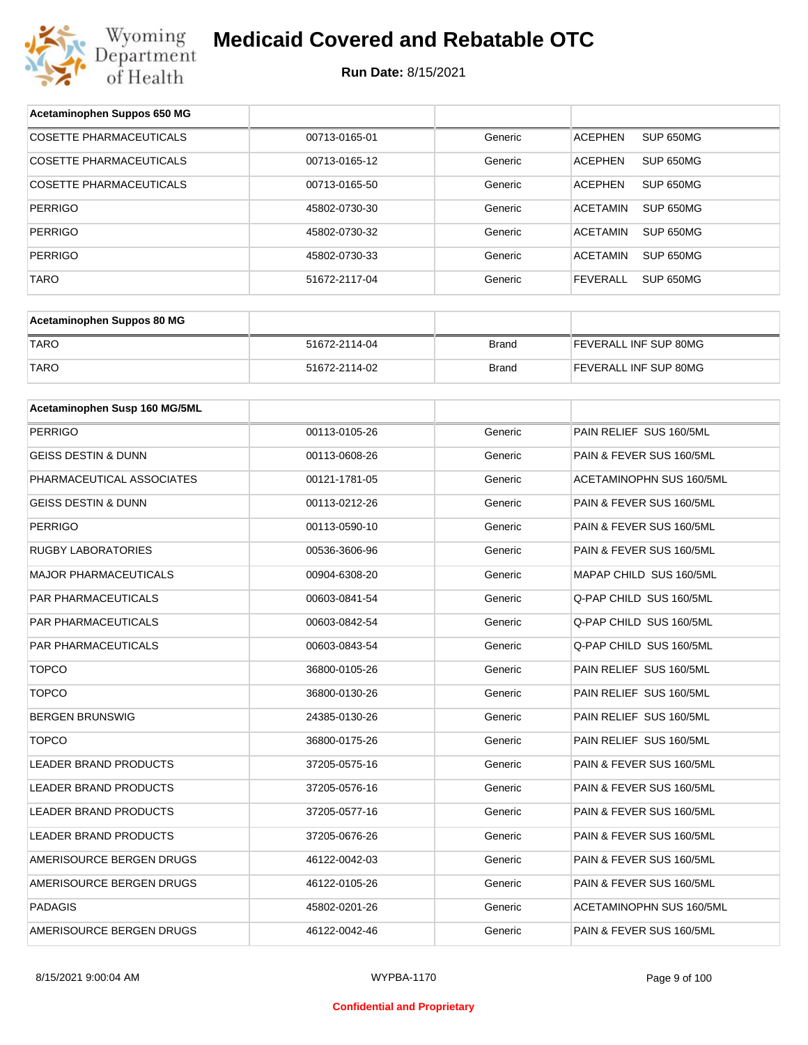

| Acetaminophen Suppos 650 MG    |               |              |                                     |  |
|--------------------------------|---------------|--------------|-------------------------------------|--|
| <b>COSETTE PHARMACEUTICALS</b> | 00713-0165-01 | Generic      | <b>ACEPHEN</b><br>SUP 650MG         |  |
| COSETTE PHARMACEUTICALS        | 00713-0165-12 | Generic      | <b>ACEPHEN</b><br>SUP 650MG         |  |
| COSETTE PHARMACEUTICALS        | 00713-0165-50 | Generic      | <b>ACEPHEN</b><br>SUP 650MG         |  |
| <b>PERRIGO</b>                 | 45802-0730-30 | Generic      | <b>ACETAMIN</b><br><b>SUP 650MG</b> |  |
| <b>PERRIGO</b>                 | 45802-0730-32 | Generic      | <b>ACETAMIN</b><br>SUP 650MG        |  |
| <b>PERRIGO</b>                 | 45802-0730-33 | Generic      | <b>ACETAMIN</b><br><b>SUP 650MG</b> |  |
| <b>TARO</b>                    | 51672-2117-04 | Generic      | <b>FEVERALL</b><br><b>SUP 650MG</b> |  |
|                                |               |              |                                     |  |
| Acetaminophen Suppos 80 MG     |               |              |                                     |  |
| <b>TARO</b>                    | 51672-2114-04 | <b>Brand</b> | FEVERALL INF SUP 80MG               |  |
| <b>TARO</b>                    | 51672-2114-02 | <b>Brand</b> | FEVERALL INF SUP 80MG               |  |
| Acetaminophen Susp 160 MG/5ML  |               |              |                                     |  |
|                                |               |              | PAIN RELIEF SUS 160/5ML             |  |
| <b>PERRIGO</b>                 | 00113-0105-26 | Generic      |                                     |  |
| <b>GEISS DESTIN &amp; DUNN</b> | 00113-0608-26 | Generic      | PAIN & FEVER SUS 160/5ML            |  |
| PHARMACEUTICAL ASSOCIATES      | 00121-1781-05 | Generic      | ACETAMINOPHN SUS 160/5ML            |  |
| GEISS DESTIN & DUNN            | 00113-0212-26 | Generic      | PAIN & FEVER SUS 160/5ML            |  |
| <b>PERRIGO</b>                 | 00113-0590-10 | Generic      | PAIN & FEVER SUS 160/5ML            |  |
| <b>RUGBY LABORATORIES</b>      | 00536-3606-96 | Generic      | PAIN & FEVER SUS 160/5ML            |  |
| <b>MAJOR PHARMACEUTICALS</b>   | 00904-6308-20 | Generic      | MAPAP CHILD SUS 160/5ML             |  |
| PAR PHARMACEUTICALS            | 00603-0841-54 | Generic      | Q-PAP CHILD SUS 160/5ML             |  |
| PAR PHARMACEUTICALS            | 00603-0842-54 | Generic      | Q-PAP CHILD SUS 160/5ML             |  |
| PAR PHARMACEUTICALS            | 00603-0843-54 | Generic      | Q-PAP CHILD SUS 160/5ML             |  |
| <b>TOPCO</b>                   | 36800-0105-26 | Generic      | PAIN RELIEF SUS 160/5ML             |  |
| <b>TOPCO</b>                   | 36800-0130-26 | Generic      | PAIN RELIEF SUS 160/5ML             |  |
| <b>BERGEN BRUNSWIG</b>         | 24385-0130-26 | Generic      | PAIN RELIEF SUS 160/5ML             |  |
| <b>TOPCO</b>                   | 36800-0175-26 | Generic      | PAIN RELIEF SUS 160/5ML             |  |
| LEADER BRAND PRODUCTS          | 37205-0575-16 | Generic      | PAIN & FEVER SUS 160/5ML            |  |
| LEADER BRAND PRODUCTS          | 37205-0576-16 | Generic      | PAIN & FEVER SUS 160/5ML            |  |
| LEADER BRAND PRODUCTS          | 37205-0577-16 | Generic      | PAIN & FEVER SUS 160/5ML            |  |
| LEADER BRAND PRODUCTS          | 37205-0676-26 | Generic      | PAIN & FEVER SUS 160/5ML            |  |
| AMERISOURCE BERGEN DRUGS       | 46122-0042-03 | Generic      | PAIN & FEVER SUS 160/5ML            |  |
| AMERISOURCE BERGEN DRUGS       | 46122-0105-26 | Generic      | PAIN & FEVER SUS 160/5ML            |  |
| PADAGIS                        | 45802-0201-26 | Generic      | ACETAMINOPHN SUS 160/5ML            |  |
| AMERISOURCE BERGEN DRUGS       | 46122-0042-46 | Generic      | PAIN & FEVER SUS 160/5ML            |  |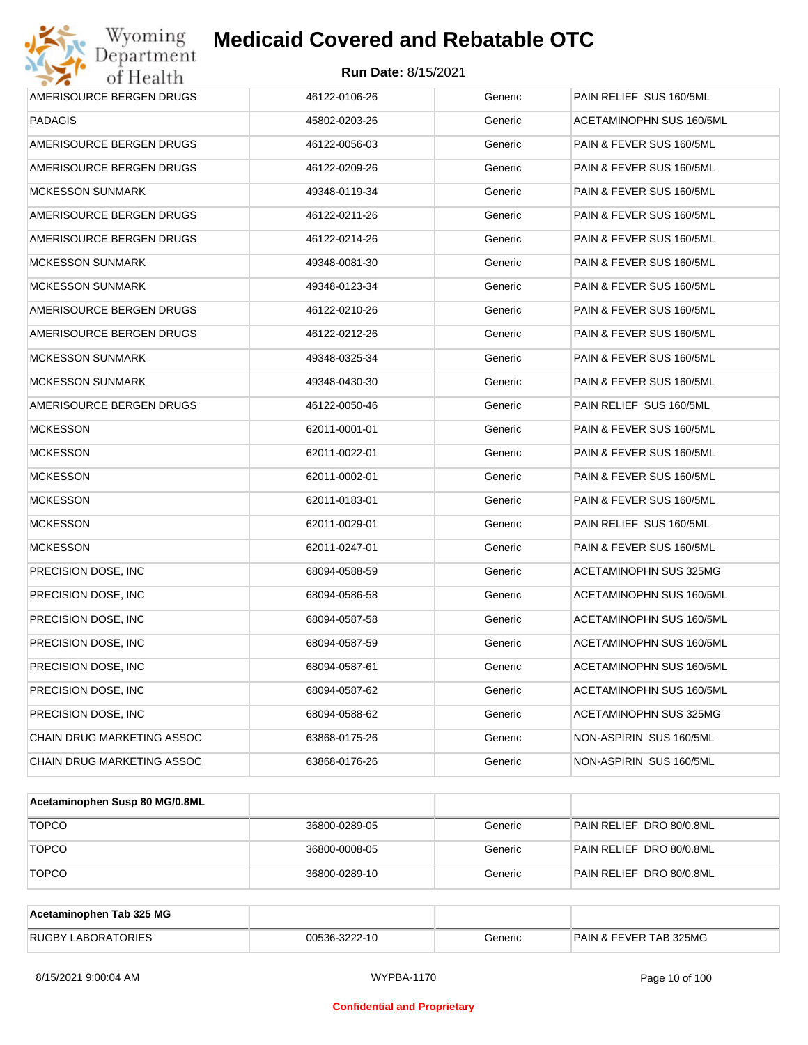| Wyoming<br>Department                   | <b>Medicaid Covered and Rebatable OTC</b> |         |                                 |  |
|-----------------------------------------|-------------------------------------------|---------|---------------------------------|--|
| <b>Run Date: 8/15/2021</b><br>of Health |                                           |         |                                 |  |
| AMERISOURCE BERGEN DRUGS                | 46122-0106-26                             | Generic | PAIN RELIEF SUS 160/5ML         |  |
| <b>PADAGIS</b>                          | 45802-0203-26                             | Generic | ACETAMINOPHN SUS 160/5ML        |  |
| AMERISOURCE BERGEN DRUGS                | 46122-0056-03                             | Generic | PAIN & FEVER SUS 160/5ML        |  |
| AMERISOURCE BERGEN DRUGS                | 46122-0209-26                             | Generic | PAIN & FEVER SUS 160/5ML        |  |
| <b>MCKESSON SUNMARK</b>                 | 49348-0119-34                             | Generic | PAIN & FEVER SUS 160/5ML        |  |
| AMERISOURCE BERGEN DRUGS                | 46122-0211-26                             | Generic | PAIN & FEVER SUS 160/5ML        |  |
| AMERISOURCE BERGEN DRUGS                | 46122-0214-26                             | Generic | PAIN & FEVER SUS 160/5ML        |  |
| <b>MCKESSON SUNMARK</b>                 | 49348-0081-30                             | Generic | PAIN & FEVER SUS 160/5ML        |  |
| <b>MCKESSON SUNMARK</b>                 | 49348-0123-34                             | Generic | PAIN & FEVER SUS 160/5ML        |  |
| AMERISOURCE BERGEN DRUGS                | 46122-0210-26                             | Generic | PAIN & FEVER SUS 160/5ML        |  |
| AMERISOURCE BERGEN DRUGS                | 46122-0212-26                             | Generic | PAIN & FEVER SUS 160/5ML        |  |
| <b>MCKESSON SUNMARK</b>                 | 49348-0325-34                             | Generic | PAIN & FEVER SUS 160/5ML        |  |
| <b>MCKESSON SUNMARK</b>                 | 49348-0430-30                             | Generic | PAIN & FEVER SUS 160/5ML        |  |
| AMERISOURCE BERGEN DRUGS                | 46122-0050-46                             | Generic | PAIN RELIEF SUS 160/5ML         |  |
| <b>MCKESSON</b>                         | 62011-0001-01                             | Generic | PAIN & FEVER SUS 160/5ML        |  |
| <b>MCKESSON</b>                         | 62011-0022-01                             | Generic | PAIN & FEVER SUS 160/5ML        |  |
| <b>MCKESSON</b>                         | 62011-0002-01                             | Generic | PAIN & FEVER SUS 160/5ML        |  |
| <b>MCKESSON</b>                         | 62011-0183-01                             | Generic | PAIN & FEVER SUS 160/5ML        |  |
| <b>MCKESSON</b>                         | 62011-0029-01                             | Generic | PAIN RELIEF SUS 160/5ML         |  |
| <b>MCKESSON</b>                         | 62011-0247-01                             | Generic | PAIN & FEVER SUS 160/5ML        |  |
| PRECISION DOSE, INC                     | 68094-0588-59                             | Generic | ACETAMINOPHN SUS 325MG          |  |
| PRECISION DOSE, INC                     | 68094-0586-58                             | Generic | <b>ACETAMINOPHN SUS 160/5ML</b> |  |
| PRECISION DOSE, INC                     | 68094-0587-58                             | Generic | <b>ACETAMINOPHN SUS 160/5ML</b> |  |
| PRECISION DOSE, INC                     | 68094-0587-59                             | Generic | ACETAMINOPHN SUS 160/5ML        |  |
| PRECISION DOSE, INC                     | 68094-0587-61                             | Generic | ACETAMINOPHN SUS 160/5ML        |  |
| PRECISION DOSE, INC                     | 68094-0587-62                             | Generic | ACETAMINOPHN SUS 160/5ML        |  |
| PRECISION DOSE, INC                     | 68094-0588-62                             | Generic | ACETAMINOPHN SUS 325MG          |  |
| CHAIN DRUG MARKETING ASSOC              | 63868-0175-26                             | Generic | NON-ASPIRIN SUS 160/5ML         |  |
| CHAIN DRUG MARKETING ASSOC              | 63868-0176-26                             | Generic | NON-ASPIRIN SUS 160/5ML         |  |

| Acetaminophen Susp 80 MG/0.8ML |               |         |                          |
|--------------------------------|---------------|---------|--------------------------|
| <b>TOPCO</b>                   | 36800-0289-05 | Generic | PAIN RELIEF DRO 80/0.8ML |
| <b>TOPCO</b>                   | 36800-0008-05 | Generic | PAIN RELIEF DRO 80/0.8ML |
| <b>TOPCO</b>                   | 36800-0289-10 | Generic | PAIN RELIEF DRO 80/0.8ML |

| Acetaminophen Tab 325 MG  |               |         |                                   |
|---------------------------|---------------|---------|-----------------------------------|
| <b>RUGBY LABORATORIES</b> | 00536-3222-10 | Generic | <b>PAIN &amp; FEVER TAB 325MG</b> |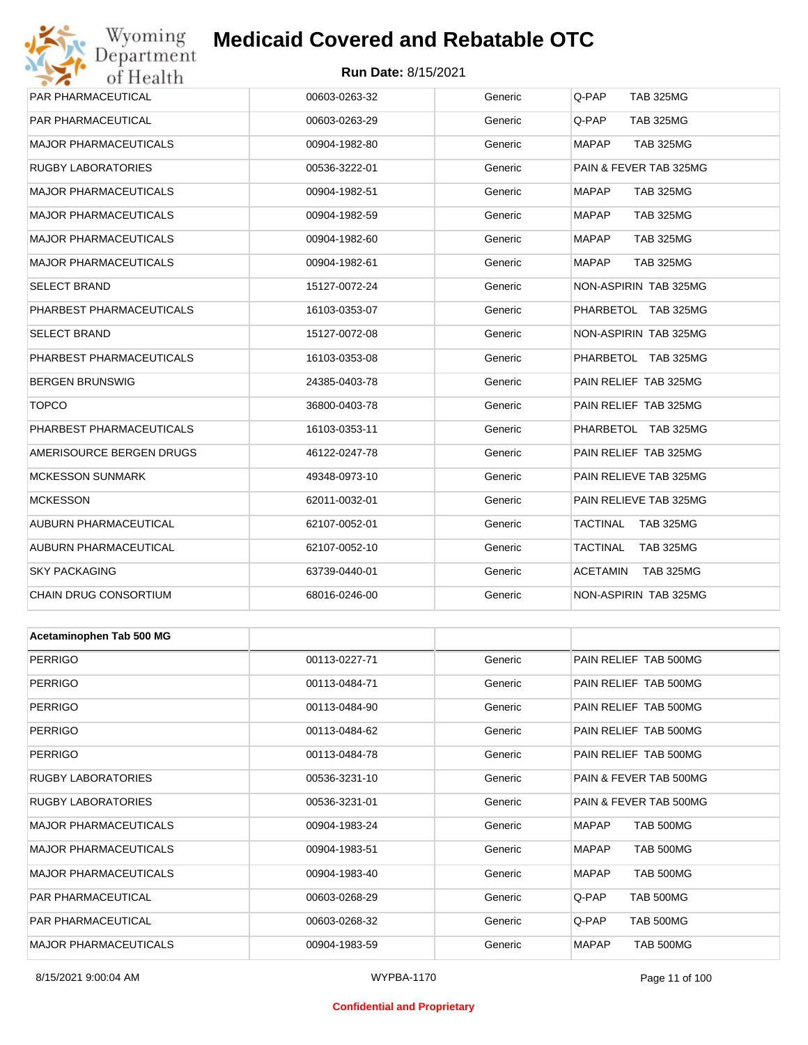## Wyoming<br>Department<br>of Health **Medicaid Covered and Rebatable OTC**

#### **Run Date:** 8/15/2021

| PAR PHARMACEUTICAL           | 00603-0263-32 | Generic | Q-PAP<br><b>TAB 325MG</b>           |
|------------------------------|---------------|---------|-------------------------------------|
| PAR PHARMACEUTICAL           | 00603-0263-29 | Generic | Q-PAP<br><b>TAB 325MG</b>           |
| MAJOR PHARMACEUTICALS        | 00904-1982-80 | Generic | <b>MAPAP</b><br><b>TAB 325MG</b>    |
| RUGBY LABORATORIES           | 00536-3222-01 | Generic | PAIN & FEVER TAB 325MG              |
| MAJOR PHARMACEUTICALS        | 00904-1982-51 | Generic | <b>MAPAP</b><br><b>TAB 325MG</b>    |
| MAJOR PHARMACEUTICALS        | 00904-1982-59 | Generic | <b>MAPAP</b><br><b>TAB 325MG</b>    |
| <b>MAJOR PHARMACEUTICALS</b> | 00904-1982-60 | Generic | <b>MAPAP</b><br><b>TAB 325MG</b>    |
| <b>MAJOR PHARMACEUTICALS</b> | 00904-1982-61 | Generic | <b>MAPAP</b><br><b>TAB 325MG</b>    |
| <b>SELECT BRAND</b>          | 15127-0072-24 | Generic | NON-ASPIRIN TAB 325MG               |
| PHARBEST PHARMACEUTICALS     | 16103-0353-07 | Generic | PHARBETOL TAB 325MG                 |
| <b>SELECT BRAND</b>          | 15127-0072-08 | Generic | NON-ASPIRIN TAB 325MG               |
| PHARBEST PHARMACEUTICALS     | 16103-0353-08 | Generic | PHARBETOL TAB 325MG                 |
| BERGEN BRUNSWIG              | 24385-0403-78 | Generic | PAIN RELIEF TAB 325MG               |
| <b>TOPCO</b>                 | 36800-0403-78 | Generic | PAIN RELIEF TAB 325MG               |
| PHARBEST PHARMACEUTICALS     | 16103-0353-11 | Generic | PHARBETOL TAB 325MG                 |
| AMERISOURCE BERGEN DRUGS     | 46122-0247-78 | Generic | PAIN RELIEF TAB 325MG               |
| <b>MCKESSON SUNMARK</b>      | 49348-0973-10 | Generic | PAIN RELIEVE TAB 325MG              |
| MCKESSON                     | 62011-0032-01 | Generic | PAIN RELIEVE TAB 325MG              |
| AUBURN PHARMACEUTICAL        | 62107-0052-01 | Generic | TACTINAL<br><b>TAB 325MG</b>        |
| AUBURN PHARMACEUTICAL        | 62107-0052-10 | Generic | TACTINAL<br><b>TAB 325MG</b>        |
| <b>SKY PACKAGING</b>         | 63739-0440-01 | Generic | <b>ACETAMIN</b><br><b>TAB 325MG</b> |
| CHAIN DRUG CONSORTIUM        | 68016-0246-00 | Generic | NON-ASPIRIN TAB 325MG               |
|                              |               |         |                                     |
| Acetaminophen Tab 500 MG     |               |         |                                     |
| <b>PERRIGO</b>               | 00113-0227-71 | Generic | PAIN RELIEF TAB 500MG               |
| <b>PERRIGO</b>               | 00113-0484-71 | Generic | PAIN RELIEF TAB 500MG               |
| PERRIGO                      | 00113-0484-90 | Generic | PAIN RELIEF TAB 500MG               |
| <b>PERRIGO</b>               | 00113-0484-62 | Generic | PAIN RELIEF TAB 500MG               |
| <b>PERRIGO</b>               | 00113-0484-78 | Generic | PAIN RELIEF TAB 500MG               |
| RUGBY LABORATORIES           | 00536-3231-10 | Generic | PAIN & FEVER TAB 500MG              |
| <b>RUGBY LABORATORIES</b>    | 00536-3231-01 | Generic | PAIN & FEVER TAB 500MG              |
| MAJOR PHARMACEUTICALS        | 00904-1983-24 | Generic | <b>MAPAP</b><br>TAB 500MG           |
| MAJOR PHARMACEUTICALS        | 00904-1983-51 | Generic | <b>MAPAP</b><br>TAB 500MG           |
| MAJOR PHARMACEUTICALS        | 00904-1983-40 | Generic | <b>MAPAP</b><br>TAB 500MG           |
| PAR PHARMACEUTICAL           | 00603-0268-29 | Generic | Q-PAP<br>TAB 500MG                  |
| PAR PHARMACEUTICAL           | 00603-0268-32 | Generic | Q-PAP<br><b>TAB 500MG</b>           |
| MAJOR PHARMACEUTICALS        | 00904-1983-59 | Generic | MAPAP<br>TAB 500MG                  |
|                              |               |         |                                     |

#### **Confidential and Proprietary**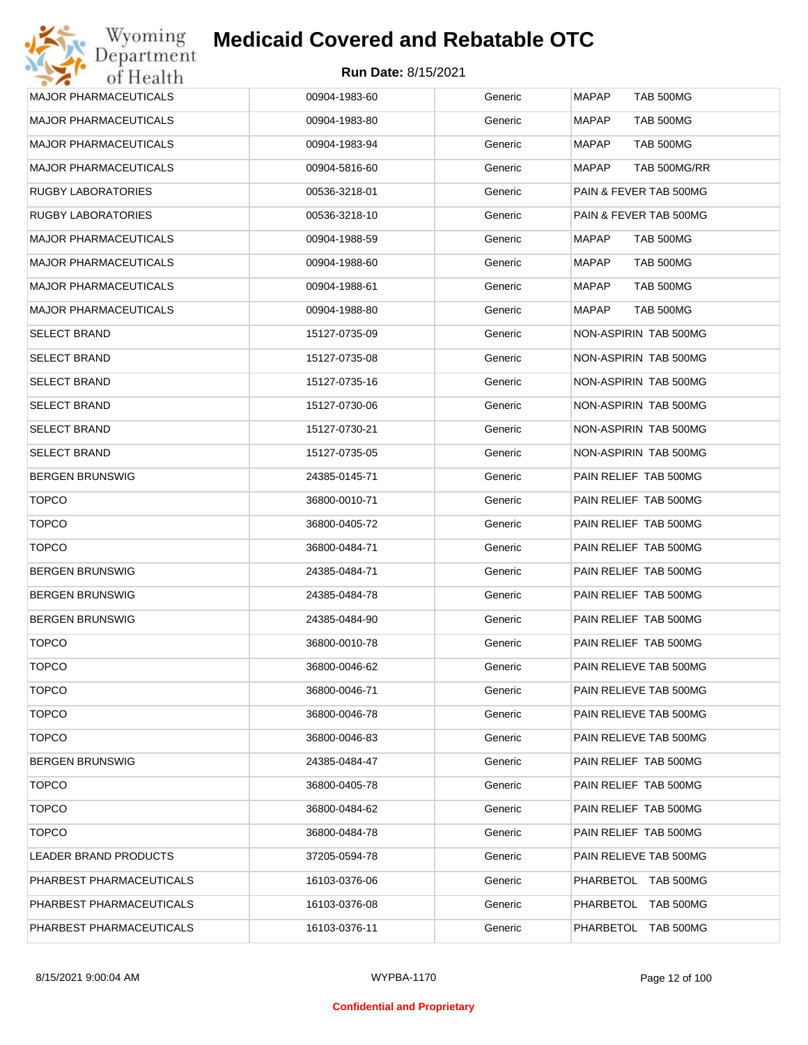|                              | 00904-1983-60 |         | <b>TAB 500MG</b>                 |
|------------------------------|---------------|---------|----------------------------------|
| <b>MAJOR PHARMACEUTICALS</b> |               | Generic | MAPAP                            |
| <b>MAJOR PHARMACEUTICALS</b> | 00904-1983-80 | Generic | <b>MAPAP</b><br><b>TAB 500MG</b> |
| <b>MAJOR PHARMACEUTICALS</b> | 00904-1983-94 | Generic | MAPAP<br>TAB 500MG               |
| <b>MAJOR PHARMACEUTICALS</b> | 00904-5816-60 | Generic | <b>MAPAP</b><br>TAB 500MG/RR     |
| <b>RUGBY LABORATORIES</b>    | 00536-3218-01 | Generic | PAIN & FEVER TAB 500MG           |
| RUGBY LABORATORIES           | 00536-3218-10 | Generic | PAIN & FEVER TAB 500MG           |
| <b>MAJOR PHARMACEUTICALS</b> | 00904-1988-59 | Generic | MAPAP<br>TAB 500MG               |
| <b>MAJOR PHARMACEUTICALS</b> | 00904-1988-60 | Generic | MAPAP<br>TAB 500MG               |
| <b>MAJOR PHARMACEUTICALS</b> | 00904-1988-61 | Generic | MAPAP<br>TAB 500MG               |
| <b>MAJOR PHARMACEUTICALS</b> | 00904-1988-80 | Generic | <b>MAPAP</b><br>TAB 500MG        |
| <b>SELECT BRAND</b>          | 15127-0735-09 | Generic | NON-ASPIRIN TAB 500MG            |
| <b>SELECT BRAND</b>          | 15127-0735-08 | Generic | NON-ASPIRIN TAB 500MG            |
| <b>SELECT BRAND</b>          | 15127-0735-16 | Generic | NON-ASPIRIN TAB 500MG            |
| <b>SELECT BRAND</b>          | 15127-0730-06 | Generic | NON-ASPIRIN TAB 500MG            |
| <b>SELECT BRAND</b>          | 15127-0730-21 | Generic | NON-ASPIRIN TAB 500MG            |
| <b>SELECT BRAND</b>          | 15127-0735-05 | Generic | NON-ASPIRIN TAB 500MG            |
| <b>BERGEN BRUNSWIG</b>       | 24385-0145-71 | Generic | PAIN RELIEF TAB 500MG            |
| <b>TOPCO</b>                 | 36800-0010-71 | Generic | PAIN RELIEF TAB 500MG            |
| <b>TOPCO</b>                 | 36800-0405-72 | Generic | PAIN RELIEF TAB 500MG            |
| <b>TOPCO</b>                 | 36800-0484-71 | Generic | PAIN RELIEF TAB 500MG            |
| <b>BERGEN BRUNSWIG</b>       | 24385-0484-71 | Generic | PAIN RELIEF TAB 500MG            |
| <b>BERGEN BRUNSWIG</b>       | 24385-0484-78 | Generic | PAIN RELIEF TAB 500MG            |
| <b>BERGEN BRUNSWIG</b>       | 24385-0484-90 | Generic | PAIN RELIEF TAB 500MG            |
| <b>TOPCO</b>                 | 36800-0010-78 | Generic | PAIN RELIEF TAB 500MG            |
| <b>TOPCO</b>                 | 36800-0046-62 | Generic | PAIN RELIEVE TAB 500MG           |
| <b>TOPCO</b>                 | 36800-0046-71 | Generic | PAIN RELIEVE TAB 500MG           |
| <b>TOPCO</b>                 | 36800-0046-78 | Generic | PAIN RELIEVE TAB 500MG           |
| <b>TOPCO</b>                 | 36800-0046-83 | Generic | PAIN RELIEVE TAB 500MG           |
| <b>BERGEN BRUNSWIG</b>       | 24385-0484-47 | Generic | PAIN RELIEF TAB 500MG            |
| <b>TOPCO</b>                 | 36800-0405-78 | Generic | PAIN RELIEF TAB 500MG            |
| <b>TOPCO</b>                 | 36800-0484-62 | Generic | PAIN RELIEF TAB 500MG            |
| <b>TOPCO</b>                 | 36800-0484-78 | Generic | PAIN RELIEF TAB 500MG            |
| LEADER BRAND PRODUCTS        | 37205-0594-78 | Generic | PAIN RELIEVE TAB 500MG           |
| PHARBEST PHARMACEUTICALS     | 16103-0376-06 | Generic | PHARBETOL TAB 500MG              |
| PHARBEST PHARMACEUTICALS     | 16103-0376-08 | Generic | PHARBETOL TAB 500MG              |
| PHARBEST PHARMACEUTICALS     | 16103-0376-11 | Generic | PHARBETOL TAB 500MG              |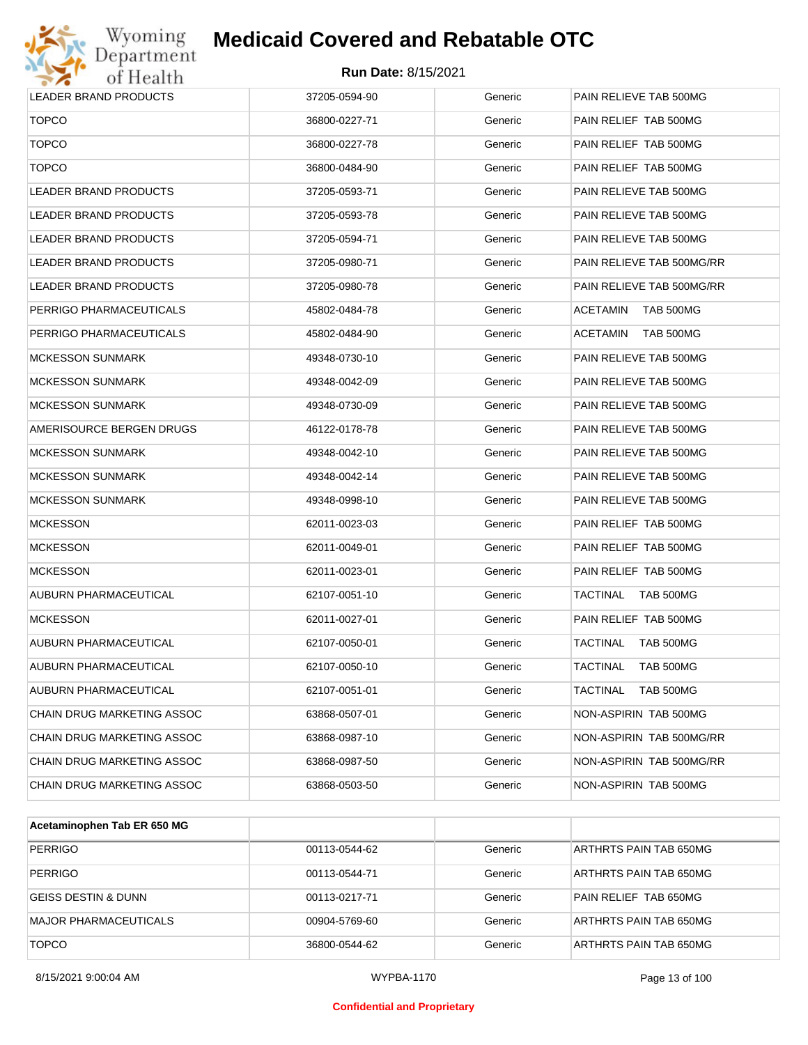

| LEADER BRAND PRODUCTS        | 37205-0594-90 | Generic | PAIN RELIEVE TAB 500MG       |
|------------------------------|---------------|---------|------------------------------|
| <b>TOPCO</b>                 | 36800-0227-71 | Generic | PAIN RELIEF TAB 500MG        |
| <b>TOPCO</b>                 | 36800-0227-78 | Generic | PAIN RELIEF TAB 500MG        |
| <b>TOPCO</b>                 | 36800-0484-90 | Generic | PAIN RELIEF TAB 500MG        |
| LEADER BRAND PRODUCTS        | 37205-0593-71 | Generic | PAIN RELIEVE TAB 500MG       |
| LEADER BRAND PRODUCTS        | 37205-0593-78 | Generic | PAIN RELIEVE TAB 500MG       |
| LEADER BRAND PRODUCTS        | 37205-0594-71 | Generic | PAIN RELIEVE TAB 500MG       |
| <b>LEADER BRAND PRODUCTS</b> | 37205-0980-71 | Generic | PAIN RELIEVE TAB 500MG/RR    |
| LEADER BRAND PRODUCTS        | 37205-0980-78 | Generic | PAIN RELIEVE TAB 500MG/RR    |
| PERRIGO PHARMACEUTICALS      | 45802-0484-78 | Generic | TAB 500MG<br>ACETAMIN        |
| PERRIGO PHARMACEUTICALS      | 45802-0484-90 | Generic | <b>ACETAMIN</b><br>TAB 500MG |
| <b>MCKESSON SUNMARK</b>      | 49348-0730-10 | Generic | PAIN RELIEVE TAB 500MG       |
| <b>MCKESSON SUNMARK</b>      | 49348-0042-09 | Generic | PAIN RELIEVE TAB 500MG       |
| <b>MCKESSON SUNMARK</b>      | 49348-0730-09 | Generic | PAIN RELIEVE TAB 500MG       |
| AMERISOURCE BERGEN DRUGS     | 46122-0178-78 | Generic | PAIN RELIEVE TAB 500MG       |
| <b>MCKESSON SUNMARK</b>      | 49348-0042-10 | Generic | PAIN RELIEVE TAB 500MG       |
| <b>MCKESSON SUNMARK</b>      | 49348-0042-14 | Generic | PAIN RELIEVE TAB 500MG       |
| <b>MCKESSON SUNMARK</b>      | 49348-0998-10 | Generic | PAIN RELIEVE TAB 500MG       |
| <b>MCKESSON</b>              | 62011-0023-03 | Generic | PAIN RELIEF TAB 500MG        |
| <b>MCKESSON</b>              | 62011-0049-01 | Generic | PAIN RELIEF TAB 500MG        |
| <b>MCKESSON</b>              | 62011-0023-01 | Generic | PAIN RELIEF TAB 500MG        |
| AUBURN PHARMACEUTICAL        | 62107-0051-10 | Generic | TACTINAL<br>TAB 500MG        |
| <b>MCKESSON</b>              | 62011-0027-01 | Generic | PAIN RELIEF TAB 500MG        |
| AUBURN PHARMACEUTICAL        | 62107-0050-01 | Generic | TACTINAL<br>TAB 500MG        |
| AUBURN PHARMACEUTICAL        | 62107-0050-10 | Generic | <b>TACTINAL</b><br>TAB 500MG |
| AUBURN PHARMACEUTICAL        | 62107-0051-01 | Generic | <b>TACTINAL</b><br>TAB 500MG |
| CHAIN DRUG MARKETING ASSOC   | 63868-0507-01 | Generic | NON-ASPIRIN TAB 500MG        |
| CHAIN DRUG MARKETING ASSOC   | 63868-0987-10 | Generic | NON-ASPIRIN TAB 500MG/RR     |
| CHAIN DRUG MARKETING ASSOC   | 63868-0987-50 | Generic | NON-ASPIRIN TAB 500MG/RR     |
| CHAIN DRUG MARKETING ASSOC   | 63868-0503-50 | Generic | NON-ASPIRIN TAB 500MG        |

| Acetaminophen Tab ER 650 MG    |               |         |                        |
|--------------------------------|---------------|---------|------------------------|
| <b>PERRIGO</b>                 | 00113-0544-62 | Generic | ARTHRTS PAIN TAB 650MG |
| <b>PERRIGO</b>                 | 00113-0544-71 | Generic | ARTHRTS PAIN TAB 650MG |
| <b>GEISS DESTIN &amp; DUNN</b> | 00113-0217-71 | Generic | PAIN RELIEF TAB 650MG  |
| <b>MAJOR PHARMACEUTICALS</b>   | 00904-5769-60 | Generic | ARTHRTS PAIN TAB 650MG |
| <b>TOPCO</b>                   | 36800-0544-62 | Generic | ARTHRTS PAIN TAB 650MG |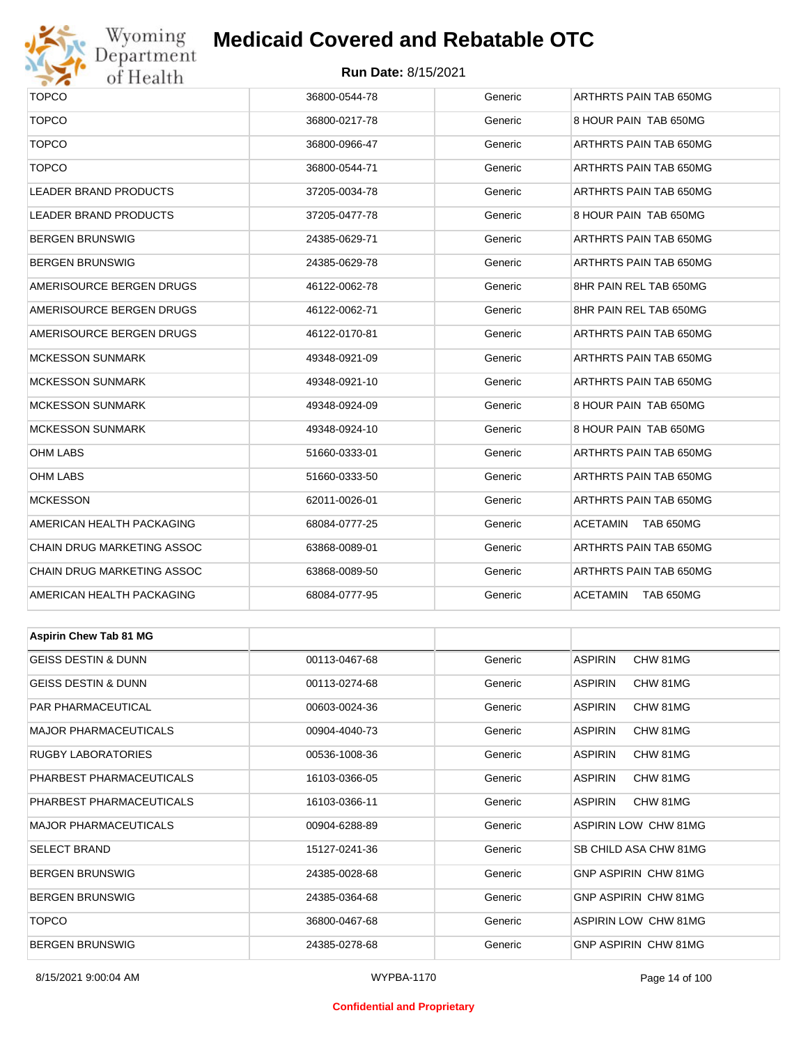

## Wyoming<br>Department<br>of Health

## **Medicaid Covered and Rebatable OTC**

#### **Run Date:** 8/15/2021

| $\bullet$ $\bullet$<br><b>OT TEOGETH</b> |               |         |                              |  |  |
|------------------------------------------|---------------|---------|------------------------------|--|--|
| <b>TOPCO</b>                             | 36800-0544-78 | Generic | ARTHRTS PAIN TAB 650MG       |  |  |
| <b>TOPCO</b>                             | 36800-0217-78 | Generic | 8 HOUR PAIN TAB 650MG        |  |  |
| <b>TOPCO</b>                             | 36800-0966-47 | Generic | ARTHRTS PAIN TAB 650MG       |  |  |
| <b>TOPCO</b>                             | 36800-0544-71 | Generic | ARTHRTS PAIN TAB 650MG       |  |  |
| LEADER BRAND PRODUCTS                    | 37205-0034-78 | Generic | ARTHRTS PAIN TAB 650MG       |  |  |
| LEADER BRAND PRODUCTS                    | 37205-0477-78 | Generic | 8 HOUR PAIN TAB 650MG        |  |  |
| <b>BERGEN BRUNSWIG</b>                   | 24385-0629-71 | Generic | ARTHRTS PAIN TAB 650MG       |  |  |
| <b>BERGEN BRUNSWIG</b>                   | 24385-0629-78 | Generic | ARTHRTS PAIN TAB 650MG       |  |  |
| AMERISOURCE BERGEN DRUGS                 | 46122-0062-78 | Generic | 8HR PAIN REL TAB 650MG       |  |  |
| AMERISOURCE BERGEN DRUGS                 | 46122-0062-71 | Generic | 8HR PAIN REL TAB 650MG       |  |  |
| AMERISOURCE BERGEN DRUGS                 | 46122-0170-81 | Generic | ARTHRTS PAIN TAB 650MG       |  |  |
| <b>MCKESSON SUNMARK</b>                  | 49348-0921-09 | Generic | ARTHRTS PAIN TAB 650MG       |  |  |
| <b>MCKESSON SUNMARK</b>                  | 49348-0921-10 | Generic | ARTHRTS PAIN TAB 650MG       |  |  |
| <b>MCKESSON SUNMARK</b>                  | 49348-0924-09 | Generic | 8 HOUR PAIN TAB 650MG        |  |  |
| <b>MCKESSON SUNMARK</b>                  | 49348-0924-10 | Generic | 8 HOUR PAIN TAB 650MG        |  |  |
| <b>OHM LABS</b>                          | 51660-0333-01 | Generic | ARTHRTS PAIN TAB 650MG       |  |  |
| <b>OHM LABS</b>                          | 51660-0333-50 | Generic | ARTHRTS PAIN TAB 650MG       |  |  |
| <b>MCKESSON</b>                          | 62011-0026-01 | Generic | ARTHRTS PAIN TAB 650MG       |  |  |
| AMERICAN HEALTH PACKAGING                | 68084-0777-25 | Generic | <b>ACETAMIN</b><br>TAB 650MG |  |  |
| CHAIN DRUG MARKETING ASSOC               | 63868-0089-01 | Generic | ARTHRTS PAIN TAB 650MG       |  |  |
| CHAIN DRUG MARKETING ASSOC               | 63868-0089-50 | Generic | ARTHRTS PAIN TAB 650MG       |  |  |
| AMERICAN HEALTH PACKAGING                | 68084-0777-95 | Generic | ACETAMIN<br>TAB 650MG        |  |  |
|                                          |               |         |                              |  |  |
| <b>Aspirin Chew Tab 81 MG</b>            |               |         |                              |  |  |
| <b>GEISS DESTIN &amp; DUNN</b>           | 00113-0467-68 | Generic | <b>ASPIRIN</b><br>CHW 81MG   |  |  |
| GEISS DESTIN & DUNN                      | 00113-0274-68 | Generic | <b>ASPIRIN</b><br>CHW 81MG   |  |  |
| PAR PHARMACEUTICAL                       | 00603-0024-36 | Generic | <b>ASPIRIN</b><br>CHW 81MG   |  |  |
| <b>MAJOR PHARMACEUTICALS</b>             | 00904-4040-73 | Generic | ASPIRIN<br>CHW 81MG          |  |  |
| <b>RUGBY LABORATORIES</b>                | 00536-1008-36 | Generic | <b>ASPIRIN</b><br>CHW 81MG   |  |  |
| PHARBEST PHARMACEUTICALS                 | 16103-0366-05 | Generic | ASPIRIN<br>CHW 81MG          |  |  |
| PHARBEST PHARMACEUTICALS                 | 16103-0366-11 | Generic | ASPIRIN<br>CHW 81MG          |  |  |
| <b>MAJOR PHARMACEUTICALS</b>             | 00904-6288-89 | Generic | ASPIRIN LOW CHW 81MG         |  |  |
| <b>SELECT BRAND</b>                      | 15127-0241-36 | Generic | SB CHILD ASA CHW 81MG        |  |  |
| <b>BERGEN BRUNSWIG</b>                   | 24385-0028-68 | Generic | GNP ASPIRIN CHW 81MG         |  |  |
| <b>BERGEN BRUNSWIG</b>                   | 24385-0364-68 | Generic | GNP ASPIRIN CHW 81MG         |  |  |

TOPCO 36800-0467-68 Generic ASPIRIN LOW CHW 81MG BERGEN BRUNSWIG 24385-0278-68 Generic GNP ASPIRIN CHW 81MG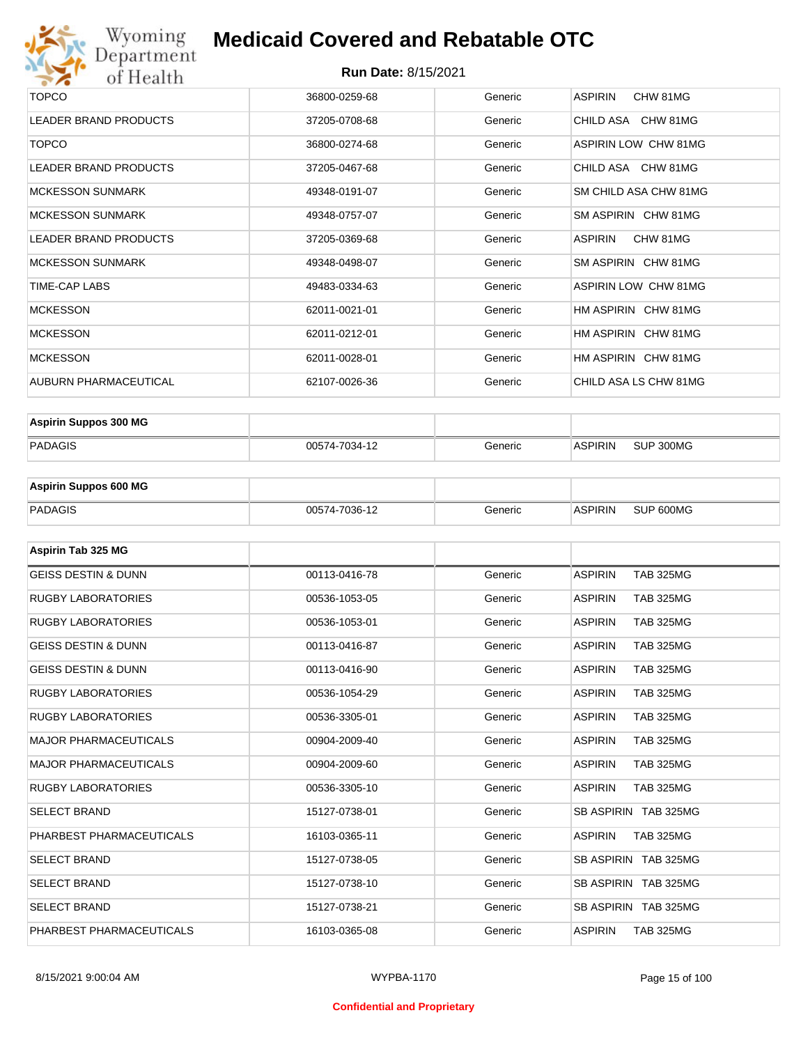

| <b>TOPCO</b>                 | 36800-0259-68 | Generic | <b>ASPIRIN</b><br>CHW 81MG |
|------------------------------|---------------|---------|----------------------------|
| <b>LEADER BRAND PRODUCTS</b> | 37205-0708-68 | Generic | CHILD ASA CHW 81MG         |
| <b>TOPCO</b>                 | 36800-0274-68 | Generic | ASPIRIN LOW CHW 81MG       |
| LEADER BRAND PRODUCTS        | 37205-0467-68 | Generic | CHILD ASA CHW 81MG         |
| <b>MCKESSON SUNMARK</b>      | 49348-0191-07 | Generic | SM CHILD ASA CHW 81MG      |
| <b>MCKESSON SUNMARK</b>      | 49348-0757-07 | Generic | SM ASPIRIN CHW 81MG        |
| <b>LEADER BRAND PRODUCTS</b> | 37205-0369-68 | Generic | ASPIRIN<br>CHW 81MG        |
| <b>MCKESSON SUNMARK</b>      | 49348-0498-07 | Generic | SM ASPIRIN CHW 81MG        |
| TIME-CAP LABS                | 49483-0334-63 | Generic | ASPIRIN LOW CHW 81MG       |
| <b>MCKESSON</b>              | 62011-0021-01 | Generic | HM ASPIRIN CHW 81MG        |
| <b>MCKESSON</b>              | 62011-0212-01 | Generic | HM ASPIRIN CHW 81MG        |
| <b>MCKESSON</b>              | 62011-0028-01 | Generic | HM ASPIRIN CHW 81MG        |
| AUBURN PHARMACEUTICAL        | 62107-0026-36 | Generic | CHILD ASA LS CHW 81MG      |

| <b>Aspirin Suppos 300 MG</b> |               |         |                |           |
|------------------------------|---------------|---------|----------------|-----------|
| PADAGIS                      | 00574-7034-12 | Generic | <b>ASPIRIN</b> | SUP 300MG |

| <b>Aspirin Suppos 600 MG</b> |               |         |         |           |
|------------------------------|---------------|---------|---------|-----------|
| PADAGIS                      | 00574-7036-12 | Generic | ASPIRIN | SUP 600MG |

| Aspirin Tab 325 MG             |               |         |                                    |
|--------------------------------|---------------|---------|------------------------------------|
| <b>GEISS DESTIN &amp; DUNN</b> | 00113-0416-78 | Generic | <b>ASPIRIN</b><br><b>TAB 325MG</b> |
| <b>RUGBY LABORATORIES</b>      | 00536-1053-05 | Generic | <b>ASPIRIN</b><br><b>TAB 325MG</b> |
| <b>RUGBY LABORATORIES</b>      | 00536-1053-01 | Generic | <b>ASPIRIN</b><br><b>TAB 325MG</b> |
| <b>GEISS DESTIN &amp; DUNN</b> | 00113-0416-87 | Generic | <b>TAB 325MG</b><br><b>ASPIRIN</b> |
| <b>GEISS DESTIN &amp; DUNN</b> | 00113-0416-90 | Generic | <b>ASPIRIN</b><br><b>TAB 325MG</b> |
| <b>RUGBY LABORATORIES</b>      | 00536-1054-29 | Generic | <b>ASPIRIN</b><br><b>TAB 325MG</b> |
| <b>RUGBY LABORATORIES</b>      | 00536-3305-01 | Generic | <b>TAB 325MG</b><br><b>ASPIRIN</b> |
| <b>MAJOR PHARMACEUTICALS</b>   | 00904-2009-40 | Generic | <b>ASPIRIN</b><br><b>TAB 325MG</b> |
| <b>MAJOR PHARMACEUTICALS</b>   | 00904-2009-60 | Generic | <b>ASPIRIN</b><br><b>TAB 325MG</b> |
| <b>RUGBY LABORATORIES</b>      | 00536-3305-10 | Generic | <b>ASPIRIN</b><br><b>TAB 325MG</b> |
| <b>SELECT BRAND</b>            | 15127-0738-01 | Generic | SB ASPIRIN TAB 325MG               |
| PHARBEST PHARMACEUTICALS       | 16103-0365-11 | Generic | <b>ASPIRIN</b><br><b>TAB 325MG</b> |
| <b>SELECT BRAND</b>            | 15127-0738-05 | Generic | SB ASPIRIN TAB 325MG               |
| <b>SELECT BRAND</b>            | 15127-0738-10 | Generic | SB ASPIRIN TAB 325MG               |
| <b>SELECT BRAND</b>            | 15127-0738-21 | Generic | SB ASPIRIN TAB 325MG               |
| PHARBEST PHARMACEUTICALS       | 16103-0365-08 | Generic | <b>ASPIRIN</b><br><b>TAB 325MG</b> |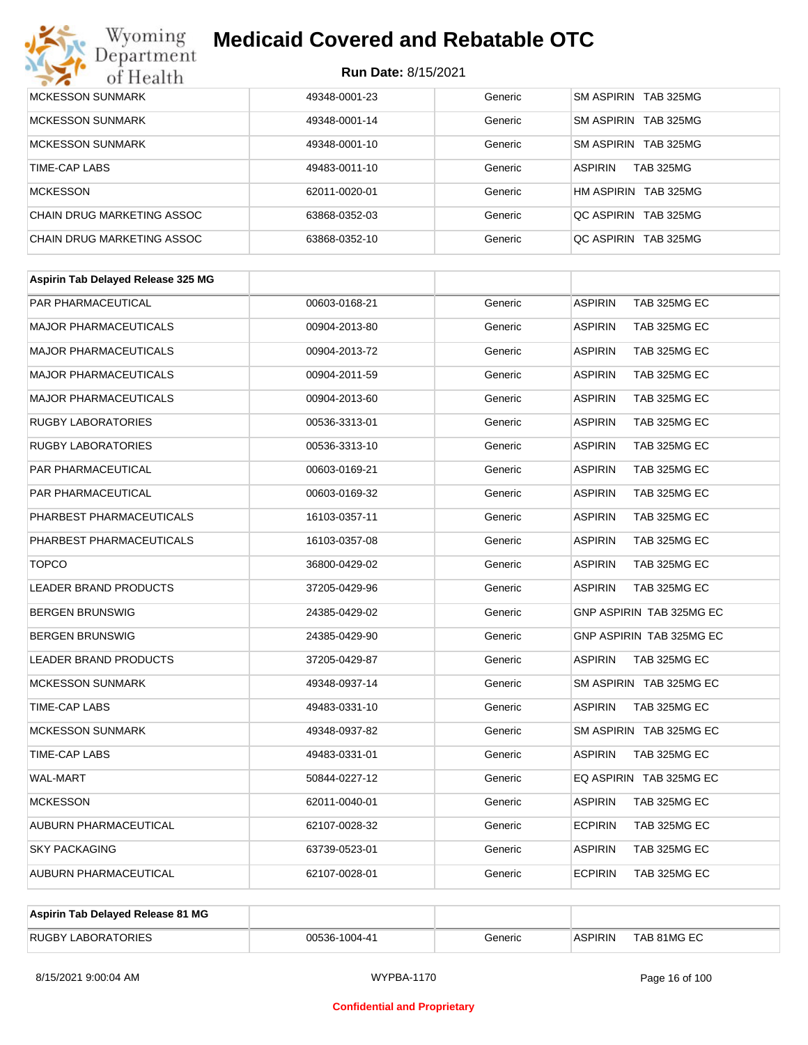# Wyoming<br>Department<br>of Health

## **Medicaid Covered and Rebatable OTC**

| <b>MCKESSON SUNMARK</b>    | 49348-0001-23 | Generic | SM ASPIRIN TAB 325MG               |
|----------------------------|---------------|---------|------------------------------------|
| <b>MCKESSON SUNMARK</b>    | 49348-0001-14 | Generic | SM ASPIRIN TAB 325MG               |
| <b>MCKESSON SUNMARK</b>    | 49348-0001-10 | Generic | SM ASPIRIN TAB 325MG               |
| TIME-CAP LABS              | 49483-0011-10 | Generic | <b>TAB 325MG</b><br><b>ASPIRIN</b> |
| <b>MCKESSON</b>            | 62011-0020-01 | Generic | HM ASPIRIN TAB 325MG               |
| CHAIN DRUG MARKETING ASSOC | 63868-0352-03 | Generic | OC ASPIRIN TAB 325MG               |
| CHAIN DRUG MARKETING ASSOC | 63868-0352-10 | Generic | OC ASPIRIN TAB 325MG               |

| Aspirin Tab Delayed Release 325 MG |               |         |                                |
|------------------------------------|---------------|---------|--------------------------------|
| <b>PAR PHARMACEUTICAL</b>          | 00603-0168-21 | Generic | <b>ASPIRIN</b><br>TAB 325MG EC |
| <b>MAJOR PHARMACEUTICALS</b>       | 00904-2013-80 | Generic | <b>ASPIRIN</b><br>TAB 325MG EC |
| <b>MAJOR PHARMACEUTICALS</b>       | 00904-2013-72 | Generic | <b>ASPIRIN</b><br>TAB 325MG EC |
| <b>MAJOR PHARMACEUTICALS</b>       | 00904-2011-59 | Generic | <b>ASPIRIN</b><br>TAB 325MG EC |
| <b>MAJOR PHARMACEUTICALS</b>       | 00904-2013-60 | Generic | <b>ASPIRIN</b><br>TAB 325MG EC |
| <b>RUGBY LABORATORIES</b>          | 00536-3313-01 | Generic | <b>ASPIRIN</b><br>TAB 325MG EC |
| <b>RUGBY LABORATORIES</b>          | 00536-3313-10 | Generic | <b>ASPIRIN</b><br>TAB 325MG EC |
| <b>PAR PHARMACEUTICAL</b>          | 00603-0169-21 | Generic | <b>ASPIRIN</b><br>TAB 325MG EC |
| <b>PAR PHARMACEUTICAL</b>          | 00603-0169-32 | Generic | <b>ASPIRIN</b><br>TAB 325MG EC |
| PHARBEST PHARMACEUTICALS           | 16103-0357-11 | Generic | <b>ASPIRIN</b><br>TAB 325MG EC |
| PHARBEST PHARMACEUTICALS           | 16103-0357-08 | Generic | <b>ASPIRIN</b><br>TAB 325MG EC |
| <b>TOPCO</b>                       | 36800-0429-02 | Generic | <b>ASPIRIN</b><br>TAB 325MG EC |
| <b>LEADER BRAND PRODUCTS</b>       | 37205-0429-96 | Generic | <b>ASPIRIN</b><br>TAB 325MG EC |
| <b>BERGEN BRUNSWIG</b>             | 24385-0429-02 | Generic | GNP ASPIRIN TAB 325MG EC       |
| <b>BERGEN BRUNSWIG</b>             | 24385-0429-90 | Generic | GNP ASPIRIN TAB 325MG EC       |
| LEADER BRAND PRODUCTS              | 37205-0429-87 | Generic | <b>ASPIRIN</b><br>TAB 325MG EC |
| <b>MCKESSON SUNMARK</b>            | 49348-0937-14 | Generic | SM ASPIRIN TAB 325MG EC        |
| TIME-CAP LABS                      | 49483-0331-10 | Generic | <b>ASPIRIN</b><br>TAB 325MG EC |
| <b>MCKESSON SUNMARK</b>            | 49348-0937-82 | Generic | SM ASPIRIN TAB 325MG EC        |
| <b>TIME-CAP LABS</b>               | 49483-0331-01 | Generic | <b>ASPIRIN</b><br>TAB 325MG EC |
| <b>WAL-MART</b>                    | 50844-0227-12 | Generic | EQ ASPIRIN TAB 325MG EC        |
| <b>MCKESSON</b>                    | 62011-0040-01 | Generic | <b>ASPIRIN</b><br>TAB 325MG EC |
| AUBURN PHARMACEUTICAL              | 62107-0028-32 | Generic | <b>ECPIRIN</b><br>TAB 325MG EC |
| <b>SKY PACKAGING</b>               | 63739-0523-01 | Generic | <b>ASPIRIN</b><br>TAB 325MG EC |
| AUBURN PHARMACEUTICAL              | 62107-0028-01 | Generic | <b>ECPIRIN</b><br>TAB 325MG EC |
|                                    |               |         |                                |

| Aspirin Tab Delayed Release 81 MG |               |         |                |             |
|-----------------------------------|---------------|---------|----------------|-------------|
| <b>RUGBY LABORATORIES</b>         | 00536-1004-41 | Generic | <b>ASPIRIN</b> | TAB 81MG EC |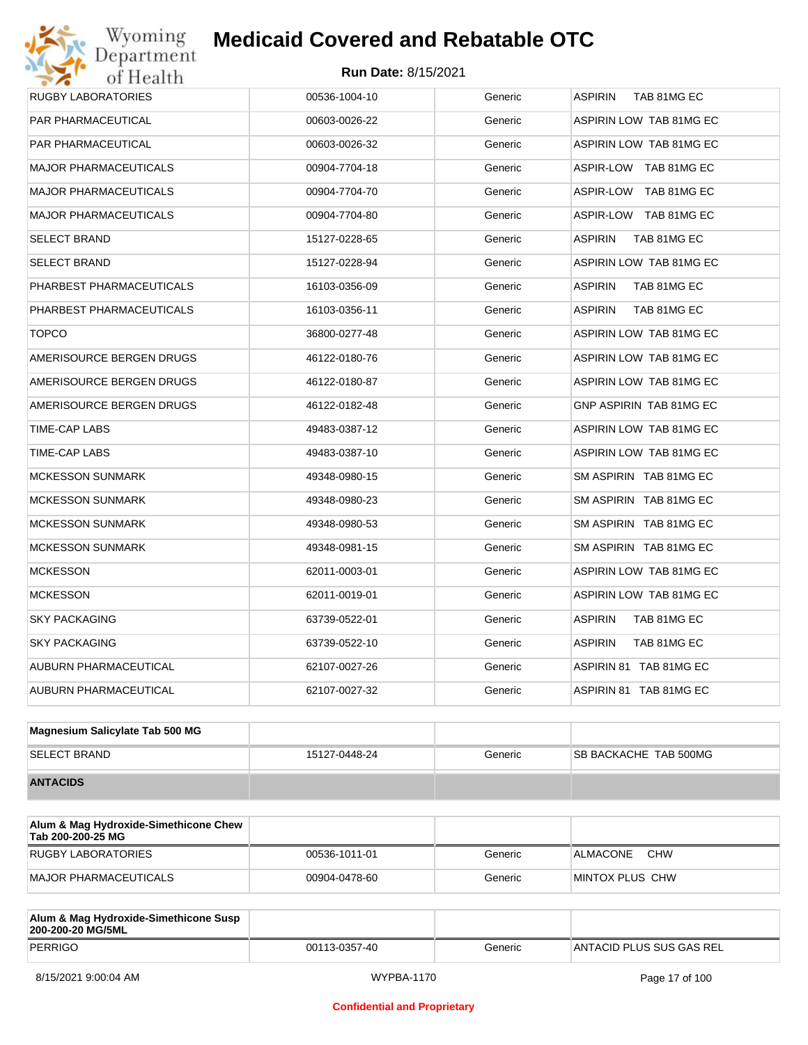# Wyoming<br>Department<br>of Health

## **Medicaid Covered and Rebatable OTC**

| <b>RUGBY LABORATORIES</b>    | 00536-1004-10 | Generic | <b>ASPIRIN</b><br>TAB 81MG EC |
|------------------------------|---------------|---------|-------------------------------|
| <b>PAR PHARMACEUTICAL</b>    | 00603-0026-22 | Generic | ASPIRIN LOW TAB 81MG EC       |
| PAR PHARMACEUTICAL           | 00603-0026-32 | Generic | ASPIRIN LOW TAB 81MG EC       |
| <b>MAJOR PHARMACEUTICALS</b> | 00904-7704-18 | Generic | ASPIR-LOW TAB 81MG EC         |
| <b>MAJOR PHARMACEUTICALS</b> | 00904-7704-70 | Generic | ASPIR-LOW TAB 81MG EC         |
| <b>MAJOR PHARMACEUTICALS</b> | 00904-7704-80 | Generic | ASPIR-LOW TAB 81MG EC         |
| <b>SELECT BRAND</b>          | 15127-0228-65 | Generic | <b>ASPIRIN</b><br>TAB 81MG EC |
| <b>SELECT BRAND</b>          | 15127-0228-94 | Generic | ASPIRIN LOW TAB 81MG EC       |
| PHARBEST PHARMACEUTICALS     | 16103-0356-09 | Generic | <b>ASPIRIN</b><br>TAB 81MG EC |
| PHARBEST PHARMACEUTICALS     | 16103-0356-11 | Generic | <b>ASPIRIN</b><br>TAB 81MG EC |
| <b>TOPCO</b>                 | 36800-0277-48 | Generic | ASPIRIN LOW TAB 81MG EC       |
| AMERISOURCE BERGEN DRUGS     | 46122-0180-76 | Generic | ASPIRIN LOW TAB 81MG EC       |
| AMERISOURCE BERGEN DRUGS     | 46122-0180-87 | Generic | ASPIRIN LOW TAB 81MG EC       |
| AMERISOURCE BERGEN DRUGS     | 46122-0182-48 | Generic | GNP ASPIRIN TAB 81MG EC       |
| TIME-CAP LABS                | 49483-0387-12 | Generic | ASPIRIN LOW TAB 81MG EC       |
| TIME-CAP LABS                | 49483-0387-10 | Generic | ASPIRIN LOW TAB 81MG EC       |
| <b>MCKESSON SUNMARK</b>      | 49348-0980-15 | Generic | SM ASPIRIN TAB 81MG EC        |
| <b>MCKESSON SUNMARK</b>      | 49348-0980-23 | Generic | SM ASPIRIN TAB 81MG EC        |
| <b>MCKESSON SUNMARK</b>      | 49348-0980-53 | Generic | SM ASPIRIN TAB 81MG EC        |
| <b>MCKESSON SUNMARK</b>      | 49348-0981-15 | Generic | SM ASPIRIN TAB 81MG EC        |
| <b>MCKESSON</b>              | 62011-0003-01 | Generic | ASPIRIN LOW TAB 81MG EC       |
| <b>MCKESSON</b>              | 62011-0019-01 | Generic | ASPIRIN LOW TAB 81MG EC       |
| <b>SKY PACKAGING</b>         | 63739-0522-01 | Generic | <b>ASPIRIN</b><br>TAB 81MG EC |
| <b>SKY PACKAGING</b>         | 63739-0522-10 | Generic | <b>ASPIRIN</b><br>TAB 81MG EC |
| AUBURN PHARMACEUTICAL        | 62107-0027-26 | Generic | ASPIRIN 81 TAB 81MG EC        |
| AUBURN PHARMACEUTICAL        | 62107-0027-32 | Generic | ASPIRIN 81 TAB 81MG EC        |
|                              |               |         |                               |

| Magnesium Salicylate Tab 500 MG |               |         |                              |
|---------------------------------|---------------|---------|------------------------------|
| <b>SELECT BRAND</b>             | 15127-0448-24 | Generic | <b>SB BACKACHE TAB 500MG</b> |
| <b>ANTACIDS</b>                 |               |         |                              |

| Alum & Mag Hydroxide-Simethicone Chew<br>Tab 200-200-25 MG |               |         |                        |
|------------------------------------------------------------|---------------|---------|------------------------|
| RUGBY LABORATORIES                                         | 00536-1011-01 | Generic | <b>CHW</b><br>ALMACONE |
| <b>MAJOR PHARMACEUTICALS</b>                               | 00904-0478-60 | Generic | MINTOX PLUS CHW        |

| Alum & Mag Hydroxide-Simethicone Susp<br>200-200-20 MG/5ML |               |         |                           |
|------------------------------------------------------------|---------------|---------|---------------------------|
| PERRIGO                                                    | 00113-0357-40 | Generic | IANTACID PLUS SUS GAS REL |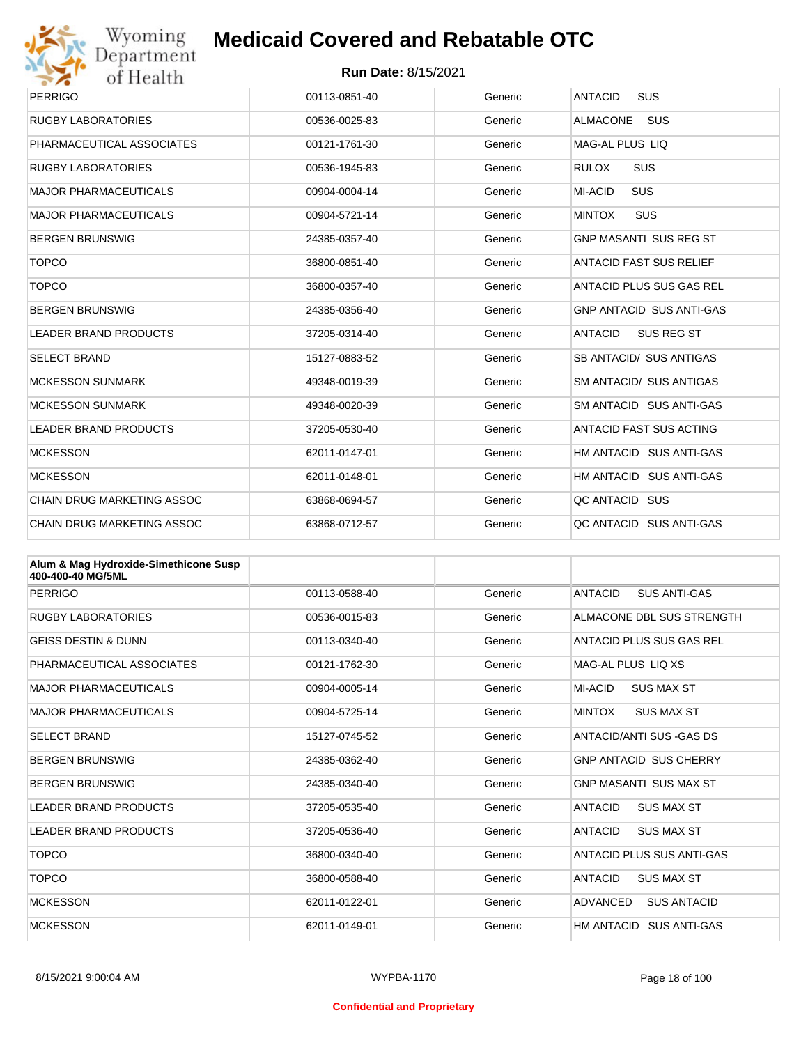

| Wyoming                                               | <b>Medicaid Covered and Rebatable OTC</b> |         |                                     |  |  |
|-------------------------------------------------------|-------------------------------------------|---------|-------------------------------------|--|--|
| Department<br><b>Run Date: 8/15/2021</b><br>of Health |                                           |         |                                     |  |  |
| <b>PERRIGO</b>                                        | 00113-0851-40                             | Generic | <b>ANTACID</b><br><b>SUS</b>        |  |  |
| <b>RUGBY LABORATORIES</b>                             | 00536-0025-83                             | Generic | <b>ALMACONE</b><br>SUS              |  |  |
| PHARMACEUTICAL ASSOCIATES                             | 00121-1761-30                             | Generic | MAG-AL PLUS LIO                     |  |  |
| <b>RUGBY LABORATORIES</b>                             | 00536-1945-83                             | Generic | <b>RULOX</b><br><b>SUS</b>          |  |  |
| <b>MAJOR PHARMACEUTICALS</b>                          | 00904-0004-14                             | Generic | MI-ACID<br><b>SUS</b>               |  |  |
| <b>MAJOR PHARMACEUTICALS</b>                          | 00904-5721-14                             | Generic | <b>MINTOX</b><br><b>SUS</b>         |  |  |
| BERGEN BRUNSWIG                                       | 24385-0357-40                             | Generic | <b>GNP MASANTI SUS REG ST</b>       |  |  |
| <b>TOPCO</b>                                          | 36800-0851-40                             | Generic | ANTACID FAST SUS RELIEF             |  |  |
| <b>TOPCO</b>                                          | 36800-0357-40                             | Generic | ANTACID PLUS SUS GAS REL            |  |  |
| <b>BERGEN BRUNSWIG</b>                                | 24385-0356-40                             | Generic | <b>GNP ANTACID SUS ANTI-GAS</b>     |  |  |
| <b>LEADER BRAND PRODUCTS</b>                          | 37205-0314-40                             | Generic | <b>ANTACID</b><br><b>SUS REG ST</b> |  |  |
| <b>SELECT BRAND</b>                                   | 15127-0883-52                             | Generic | SB ANTACID/ SUS ANTIGAS             |  |  |
| <b>MCKESSON SUNMARK</b>                               | 49348-0019-39                             | Generic | <b>SM ANTACID/ SUS ANTIGAS</b>      |  |  |
| MCKESSON SUNMARK                                      | 49348-0020-39                             | Generic | SM ANTACID SUS ANTI-GAS             |  |  |
| <b>LEADER BRAND PRODUCTS</b>                          | 37205-0530-40                             | Generic | ANTACID FAST SUS ACTING             |  |  |
| <b>MCKESSON</b>                                       | 62011-0147-01                             | Generic | HM ANTACID SUS ANTI-GAS             |  |  |
| <b>MCKESSON</b>                                       | 62011-0148-01                             | Generic | HM ANTACID SUS ANTI-GAS             |  |  |
| CHAIN DRUG MARKETING ASSOC                            | 63868-0694-57                             | Generic | QC ANTACID SUS                      |  |  |
| <b>CHAIN DRUG MARKETING ASSOC</b>                     | 63868-0712-57                             | Generic | QC ANTACID SUS ANTI-GAS             |  |  |

| Alum & Mag Hydroxide-Simethicone Susp<br>400-400-40 MG/5ML |               |         |                                       |
|------------------------------------------------------------|---------------|---------|---------------------------------------|
| <b>PERRIGO</b>                                             | 00113-0588-40 | Generic | <b>ANTACID</b><br><b>SUS ANTI-GAS</b> |
| <b>RUGBY LABORATORIES</b>                                  | 00536-0015-83 | Generic | ALMACONE DBL SUS STRENGTH             |
| <b>GEISS DESTIN &amp; DUNN</b>                             | 00113-0340-40 | Generic | ANTACID PLUS SUS GAS REL              |
| PHARMACEUTICAL ASSOCIATES                                  | 00121-1762-30 | Generic | MAG-AL PLUS LIQ XS                    |
| <b>MAJOR PHARMACEUTICALS</b>                               | 00904-0005-14 | Generic | MI-ACID<br><b>SUS MAX ST</b>          |
| <b>MAJOR PHARMACEUTICALS</b>                               | 00904-5725-14 | Generic | <b>MINTOX</b><br><b>SUS MAX ST</b>    |
| <b>SELECT BRAND</b>                                        | 15127-0745-52 | Generic | ANTACID/ANTI SUS - GAS DS             |
| <b>BERGEN BRUNSWIG</b>                                     | 24385-0362-40 | Generic | <b>GNP ANTACID SUS CHERRY</b>         |
| <b>BERGEN BRUNSWIG</b>                                     | 24385-0340-40 | Generic | <b>GNP MASANTI SUS MAX ST</b>         |
| <b>LEADER BRAND PRODUCTS</b>                               | 37205-0535-40 | Generic | <b>ANTACID</b><br><b>SUS MAX ST</b>   |
| <b>LEADER BRAND PRODUCTS</b>                               | 37205-0536-40 | Generic | <b>ANTACID</b><br><b>SUS MAX ST</b>   |
| <b>TOPCO</b>                                               | 36800-0340-40 | Generic | ANTACID PLUS SUS ANTI-GAS             |
| <b>TOPCO</b>                                               | 36800-0588-40 | Generic | <b>ANTACID</b><br><b>SUS MAX ST</b>   |
| <b>MCKESSON</b>                                            | 62011-0122-01 | Generic | ADVANCED<br><b>SUS ANTACID</b>        |
| <b>MCKESSON</b>                                            | 62011-0149-01 | Generic | HM ANTACID<br><b>SUS ANTI-GAS</b>     |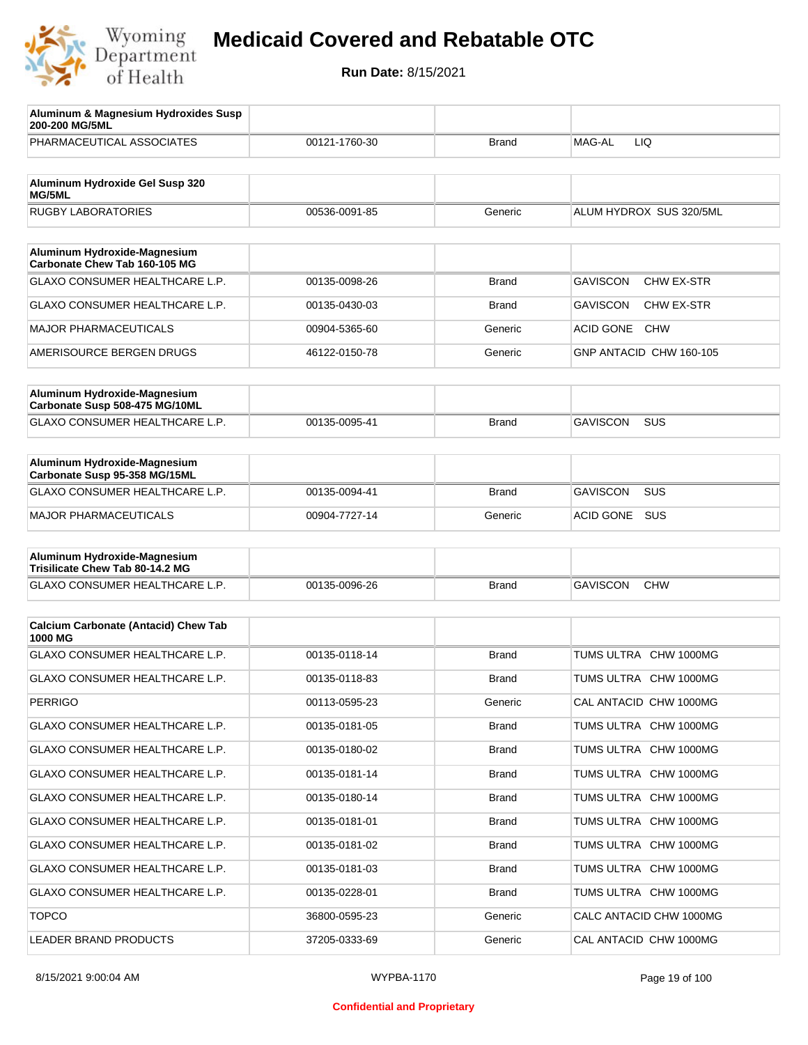

| Aluminum & Magnesium Hydroxides Susp<br>200-200 MG/5ML          |               |              |                                      |
|-----------------------------------------------------------------|---------------|--------------|--------------------------------------|
| PHARMACEUTICAL ASSOCIATES                                       | 00121-1760-30 | Brand        | MAG-AL<br>LIQ.                       |
| Aluminum Hydroxide Gel Susp 320                                 |               |              |                                      |
| MG/5ML<br><b>RUGBY LABORATORIES</b>                             | 00536-0091-85 | Generic      | ALUM HYDROX SUS 320/5ML              |
|                                                                 |               |              |                                      |
| Aluminum Hydroxide-Magnesium<br>Carbonate Chew Tab 160-105 MG   |               |              |                                      |
| GLAXO CONSUMER HEALTHCARE L.P.                                  | 00135-0098-26 | Brand        | <b>GAVISCON</b><br><b>CHW EX-STR</b> |
| GLAXO CONSUMER HEALTHCARE L.P.                                  | 00135-0430-03 | Brand        | <b>GAVISCON</b><br>CHW EX-STR        |
| <b>MAJOR PHARMACEUTICALS</b>                                    | 00904-5365-60 | Generic      | <b>ACID GONE</b><br><b>CHW</b>       |
| AMERISOURCE BERGEN DRUGS                                        | 46122-0150-78 | Generic      | GNP ANTACID CHW 160-105              |
|                                                                 |               |              |                                      |
| Aluminum Hydroxide-Magnesium<br>Carbonate Susp 508-475 MG/10ML  |               |              |                                      |
| GLAXO CONSUMER HEALTHCARE L.P.                                  | 00135-0095-41 | Brand        | <b>GAVISCON</b><br>SUS               |
|                                                                 |               |              |                                      |
| Aluminum Hydroxide-Magnesium<br>Carbonate Susp 95-358 MG/15ML   |               |              |                                      |
| GLAXO CONSUMER HEALTHCARE L.P.                                  | 00135-0094-41 | <b>Brand</b> | <b>GAVISCON</b><br><b>SUS</b>        |
| <b>MAJOR PHARMACEUTICALS</b>                                    | 00904-7727-14 | Generic      | <b>ACID GONE</b><br>SUS              |
|                                                                 |               |              |                                      |
| Aluminum Hydroxide-Magnesium<br>Trisilicate Chew Tab 80-14.2 MG |               |              |                                      |
| GLAXO CONSUMER HEALTHCARE L.P.                                  | 00135-0096-26 | <b>Brand</b> | <b>GAVISCON</b><br><b>CHW</b>        |
|                                                                 |               |              |                                      |
| <b>Calcium Carbonate (Antacid) Chew Tab</b><br>1000 MG          |               |              |                                      |
| <b>GLAXO CONSUMER HEALTHCARE L.P.</b>                           | 00135-0118-14 | <b>Brand</b> | TUMS ULTRA CHW 1000MG                |
| <b>GLAXO CONSUMER HEALTHCARE L.P.</b>                           | 00135-0118-83 | <b>Brand</b> | TUMS ULTRA CHW 1000MG                |
| <b>PERRIGO</b>                                                  | 00113-0595-23 | Generic      | CAL ANTACID CHW 1000MG               |
| GLAXO CONSUMER HEALTHCARE L.P.                                  | 00135-0181-05 | <b>Brand</b> | TUMS ULTRA CHW 1000MG                |
| <b>GLAXO CONSUMER HEALTHCARE L.P.</b>                           | 00135-0180-02 | <b>Brand</b> | TUMS ULTRA CHW 1000MG                |
| GLAXO CONSUMER HEALTHCARE L.P.                                  | 00135-0181-14 | <b>Brand</b> | TUMS ULTRA CHW 1000MG                |
| <b>GLAXO CONSUMER HEALTHCARE L.P.</b>                           | 00135-0180-14 | <b>Brand</b> | TUMS ULTRA CHW 1000MG                |
| GLAXO CONSUMER HEALTHCARE L.P.                                  | 00135-0181-01 | <b>Brand</b> | TUMS ULTRA CHW 1000MG                |
| <b>GLAXO CONSUMER HEALTHCARE L.P.</b>                           | 00135-0181-02 | <b>Brand</b> | TUMS ULTRA CHW 1000MG                |
| GLAXO CONSUMER HEALTHCARE L.P.                                  | 00135-0181-03 | <b>Brand</b> | TUMS ULTRA CHW 1000MG                |
| GLAXO CONSUMER HEALTHCARE L.P.                                  | 00135-0228-01 | <b>Brand</b> | TUMS ULTRA CHW 1000MG                |
| <b>TOPCO</b>                                                    | 36800-0595-23 | Generic      | CALC ANTACID CHW 1000MG              |
| LEADER BRAND PRODUCTS                                           | 37205-0333-69 | Generic      | CAL ANTACID CHW 1000MG               |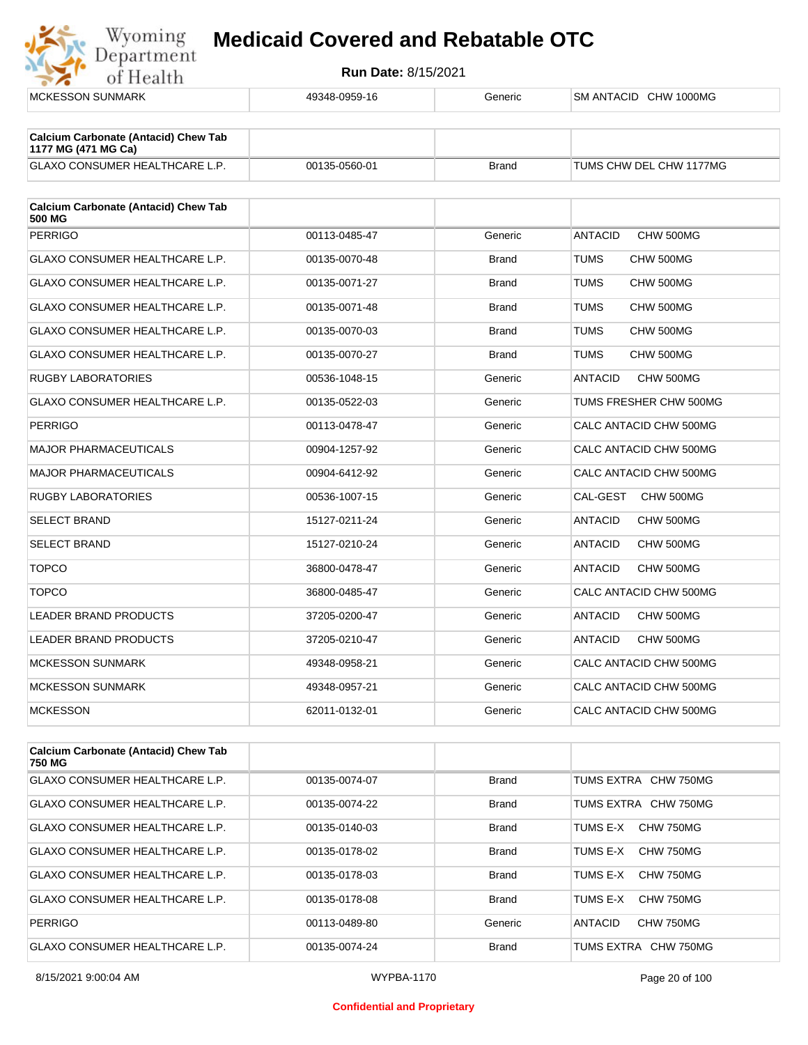

| <b>MCKESSON SUNMARK</b>                                            | 49348-0959-16 | Generic      | SM ANTACID CHW 1000MG       |
|--------------------------------------------------------------------|---------------|--------------|-----------------------------|
|                                                                    |               |              |                             |
| <b>Calcium Carbonate (Antacid) Chew Tab</b><br>1177 MG (471 MG Ca) |               |              |                             |
| <b>GLAXO CONSUMER HEALTHCARE L.P.</b>                              | 00135-0560-01 | <b>Brand</b> | TUMS CHW DEL CHW 1177MG     |
| <b>Calcium Carbonate (Antacid) Chew Tab</b><br>500 MG              |               |              |                             |
| <b>PERRIGO</b>                                                     | 00113-0485-47 | Generic      | <b>ANTACID</b><br>CHW 500MG |
| GLAXO CONSUMER HEALTHCARE L.P.                                     | 00135-0070-48 | Brand        | TUMS<br>CHW 500MG           |
| <b>GLAXO CONSUMER HEALTHCARE L.P.</b>                              | 00135-0071-27 | <b>Brand</b> | TUMS<br>CHW 500MG           |
| GLAXO CONSUMER HEALTHCARE L.P.                                     | 00135-0071-48 | Brand        | TUMS<br>CHW 500MG           |
| GLAXO CONSUMER HEALTHCARE L.P.                                     | 00135-0070-03 | <b>Brand</b> | TUMS<br>CHW 500MG           |
| GLAXO CONSUMER HEALTHCARE L.P.                                     | 00135-0070-27 | Brand        | TUMS<br>CHW 500MG           |
| <b>RUGBY LABORATORIES</b>                                          | 00536-1048-15 | Generic      | <b>ANTACID</b><br>CHW 500MG |
| GLAXO CONSUMER HEALTHCARE L.P.                                     | 00135-0522-03 | Generic      | TUMS FRESHER CHW 500MG      |
| <b>PERRIGO</b>                                                     | 00113-0478-47 | Generic      | CALC ANTACID CHW 500MG      |
| <b>MAJOR PHARMACEUTICALS</b>                                       | 00904-1257-92 | Generic      | CALC ANTACID CHW 500MG      |
| <b>MAJOR PHARMACEUTICALS</b>                                       | 00904-6412-92 | Generic      | CALC ANTACID CHW 500MG      |
| <b>RUGBY LABORATORIES</b>                                          | 00536-1007-15 | Generic      | CAL-GEST<br>CHW 500MG       |
| <b>SELECT BRAND</b>                                                | 15127-0211-24 | Generic      | ANTACID<br>CHW 500MG        |
| <b>SELECT BRAND</b>                                                | 15127-0210-24 | Generic      | ANTACID<br>CHW 500MG        |
| <b>TOPCO</b>                                                       | 36800-0478-47 | Generic      | <b>ANTACID</b><br>CHW 500MG |
| <b>TOPCO</b>                                                       | 36800-0485-47 | Generic      | CALC ANTACID CHW 500MG      |
| LEADER BRAND PRODUCTS                                              | 37205-0200-47 | Generic      | <b>ANTACID</b><br>CHW 500MG |
| LEADER BRAND PRODUCTS                                              | 37205-0210-47 | Generic      | ANTACID<br>CHW 500MG        |
| <b>MCKESSON SUNMARK</b>                                            | 49348-0958-21 | Generic      | CALC ANTACID CHW 500MG      |
| <b>MCKESSON SUNMARK</b>                                            | 49348-0957-21 | Generic      | CALC ANTACID CHW 500MG      |
| <b>MCKESSON</b>                                                    | 62011-0132-01 | Generic      | CALC ANTACID CHW 500MG      |
|                                                                    |               |              |                             |
| <b>Calcium Carbonate (Antacid) Chew Tab</b><br>750 MG              |               |              |                             |
| GLAXO CONSUMER HEALTHCARE L.P.                                     | 00135-0074-07 | Brand        | TUMS EXTRA CHW 750MG        |
| GLAXO CONSUMER HEALTHCARE L.P.                                     | 00135-0074-22 | Brand        | TUMS EXTRA CHW 750MG        |
| GLAXO CONSUMER HEALTHCARE L.P.                                     | 00135-0140-03 | <b>Brand</b> | TUMS E-X CHW 750MG          |

| <b>GLAXO CONSUMER HEALTHCARE L.P.</b> | 00135-0074-22 | Brand        | TUMS EXTRA CHW 750MG        |
|---------------------------------------|---------------|--------------|-----------------------------|
| GLAXO CONSUMER HEALTHCARE L.P.        | 00135-0140-03 | <b>Brand</b> | CHW 750MG<br>TUMS F-X       |
| <b>GLAXO CONSUMER HEALTHCARE L.P.</b> | 00135-0178-02 | <b>Brand</b> | CHW 750MG<br>TUMS E-X       |
| <b>GLAXO CONSUMER HEALTHCARE L.P.</b> | 00135-0178-03 | <b>Brand</b> | CHW 750MG<br>TUMS E-X       |
| <b>GLAXO CONSUMER HEALTHCARE L.P.</b> | 00135-0178-08 | <b>Brand</b> | CHW 750MG<br>TUMS F-X       |
| <b>PERRIGO</b>                        | 00113-0489-80 | Generic      | <b>ANTACID</b><br>CHW 750MG |
| <b>GLAXO CONSUMER HEALTHCARE L.P.</b> | 00135-0074-24 | <b>Brand</b> | TUMS EXTRA CHW 750MG        |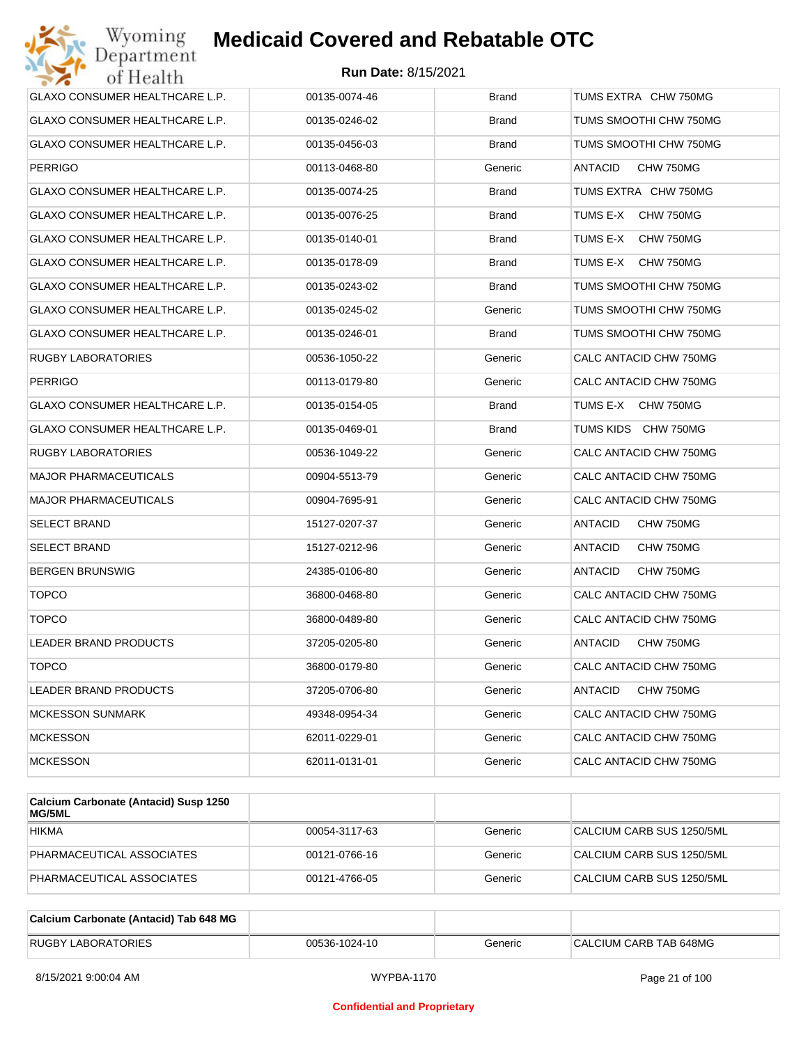

| Wyoming<br>Department                 | <b>Medicaid Covered and Rebatable OTC</b> |              |                             |
|---------------------------------------|-------------------------------------------|--------------|-----------------------------|
| of Health                             | <b>Run Date: 8/15/2021</b>                |              |                             |
| <b>GLAXO CONSUMER HEALTHCARE L.P.</b> | 00135-0074-46                             | <b>Brand</b> | TUMS EXTRA CHW 750MG        |
| GLAXO CONSUMER HEALTHCARE L.P.        | 00135-0246-02                             | Brand        | TUMS SMOOTHI CHW 750MG      |
| GLAXO CONSUMER HEALTHCARE L.P.        | 00135-0456-03                             | <b>Brand</b> | TUMS SMOOTHI CHW 750MG      |
| <b>PERRIGO</b>                        | 00113-0468-80                             | Generic      | <b>ANTACID</b><br>CHW 750MG |
| GLAXO CONSUMER HEALTHCARE L.P.        | 00135-0074-25                             | <b>Brand</b> | TUMS EXTRA CHW 750MG        |
| GLAXO CONSUMER HEALTHCARE L.P.        | 00135-0076-25                             | Brand        | TUMS E-X<br>CHW 750MG       |
| GLAXO CONSUMER HEALTHCARE L.P.        | 00135-0140-01                             | Brand        | TUMS E-X<br>CHW 750MG       |
| GLAXO CONSUMER HEALTHCARE L.P.        | 00135-0178-09                             | Brand        | TUMS E-X<br>CHW 750MG       |
| GLAXO CONSUMER HEALTHCARE L.P.        | 00135-0243-02                             | <b>Brand</b> | TUMS SMOOTHI CHW 750MG      |
| GLAXO CONSUMER HEALTHCARE L.P.        | 00135-0245-02                             | Generic      | TUMS SMOOTHI CHW 750MG      |
| GLAXO CONSUMER HEALTHCARE L.P.        | 00135-0246-01                             | <b>Brand</b> | TUMS SMOOTHI CHW 750MG      |
| RUGBY LABORATORIES                    | 00536-1050-22                             | Generic      | CALC ANTACID CHW 750MG      |
| <b>PERRIGO</b>                        | 00113-0179-80                             | Generic      | CALC ANTACID CHW 750MG      |
| GLAXO CONSUMER HEALTHCARE L.P.        | 00135-0154-05                             | <b>Brand</b> | TUMS E-X<br>CHW 750MG       |
| GLAXO CONSUMER HEALTHCARE L.P.        | 00135-0469-01                             | <b>Brand</b> | TUMS KIDS CHW 750MG         |
| RUGBY LABORATORIES                    | 00536-1049-22                             | Generic      | CALC ANTACID CHW 750MG      |
| <b>MAJOR PHARMACEUTICALS</b>          | 00904-5513-79                             | Generic      | CALC ANTACID CHW 750MG      |
| <b>MAJOR PHARMACEUTICALS</b>          | 00904-7695-91                             | Generic      | CALC ANTACID CHW 750MG      |
| <b>SELECT BRAND</b>                   | 15127-0207-37                             | Generic      | ANTACID<br>CHW 750MG        |
| SELECT BRAND                          | 15127-0212-96                             | Generic      | ANTACID<br>CHW 750MG        |
| <b>BERGEN BRUNSWIG</b>                | 24385-0106-80                             | Generic      | ANTACID<br>CHW 750MG        |
| <b>TOPCO</b>                          | 36800-0468-80                             | Generic      | CALC ANTACID CHW 750MG      |
| <b>TOPCO</b>                          | 36800-0489-80                             | Generic      | CALC ANTACID CHW 750MG      |
| LEADER BRAND PRODUCTS                 | 37205-0205-80                             | Generic      | CHW 750MG<br><b>ANTACID</b> |
| <b>TOPCO</b>                          | 36800-0179-80                             | Generic      | CALC ANTACID CHW 750MG      |
| LEADER BRAND PRODUCTS                 | 37205-0706-80                             | Generic      | ANTACID<br>CHW 750MG        |
| <b>MCKESSON SUNMARK</b>               | 49348-0954-34                             | Generic      | CALC ANTACID CHW 750MG      |
| <b>MCKESSON</b>                       | 62011-0229-01                             | Generic      | CALC ANTACID CHW 750MG      |
| <b>MCKESSON</b>                       | 62011-0131-01                             | Generic      | CALC ANTACID CHW 750MG      |
|                                       |                                           |              |                             |

| Calcium Carbonate (Antacid) Susp 1250<br>MG/5ML |               |         |                           |
|-------------------------------------------------|---------------|---------|---------------------------|
| <b>HIKMA</b>                                    | 00054-3117-63 | Generic | CALCIUM CARB SUS 1250/5ML |
| PHARMACEUTICAL ASSOCIATES                       | 00121-0766-16 | Generic | CALCIUM CARB SUS 1250/5ML |
| PHARMACEUTICAL ASSOCIATES                       | 00121-4766-05 | Generic | CALCIUM CARB SUS 1250/5ML |

| Calcium Carbonate (Antacid) Tab 648 MG |               |         |                        |
|----------------------------------------|---------------|---------|------------------------|
| <b>RUGBY LABORATORIES</b>              | 00536-1024-10 | Generic | CALCIUM CARB TAB 648MG |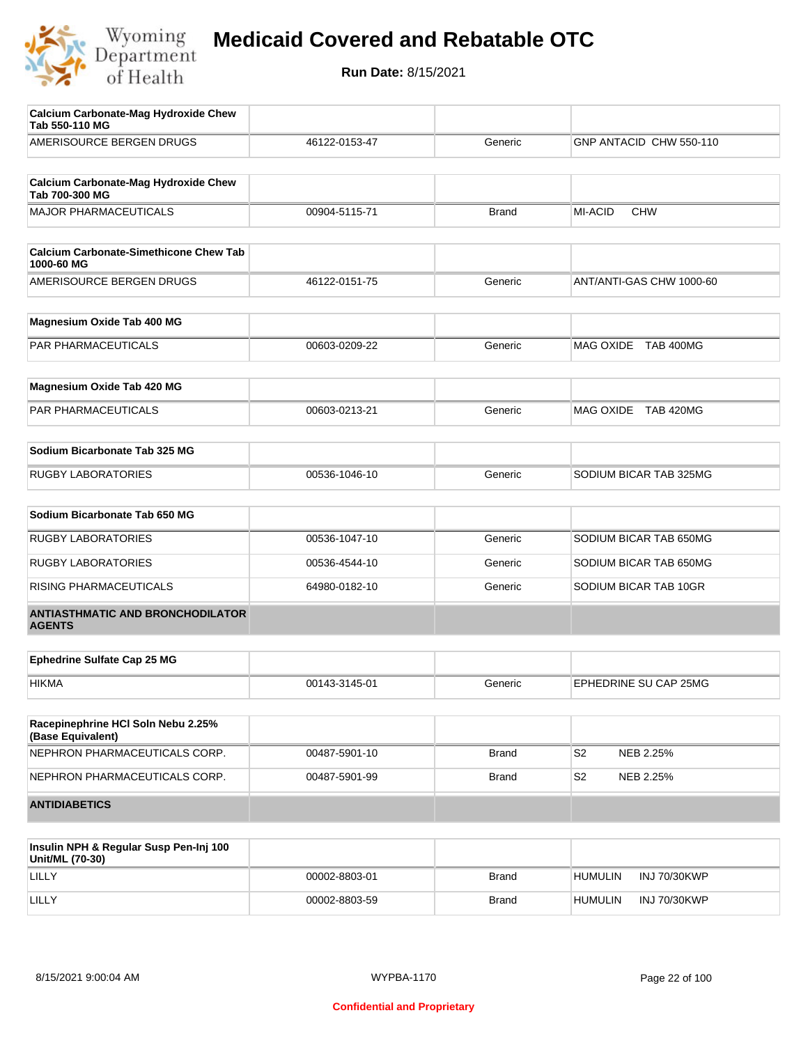

| <b>Calcium Carbonate-Mag Hydroxide Chew</b><br>Tab 550-110 MG |               |              |                             |
|---------------------------------------------------------------|---------------|--------------|-----------------------------|
| AMERISOURCE BERGEN DRUGS                                      | 46122-0153-47 | Generic      | GNP ANTACID CHW 550-110     |
| <b>Calcium Carbonate-Mag Hydroxide Chew</b>                   |               |              |                             |
| Tab 700-300 MG                                                |               |              |                             |
| <b>MAJOR PHARMACEUTICALS</b>                                  | 00904-5115-71 | <b>Brand</b> | MI-ACID<br><b>CHW</b>       |
| <b>Calcium Carbonate-Simethicone Chew Tab</b><br>1000-60 MG   |               |              |                             |
| AMERISOURCE BERGEN DRUGS                                      | 46122-0151-75 | Generic      | ANT/ANTI-GAS CHW 1000-60    |
| Magnesium Oxide Tab 400 MG                                    |               |              |                             |
| PAR PHARMACEUTICALS                                           | 00603-0209-22 | Generic      | MAG OXIDE TAB 400MG         |
| Magnesium Oxide Tab 420 MG                                    |               |              |                             |
| PAR PHARMACEUTICALS                                           | 00603-0213-21 | Generic      | MAG OXIDE TAB 420MG         |
| Sodium Bicarbonate Tab 325 MG                                 |               |              |                             |
|                                                               |               |              |                             |
| <b>RUGBY LABORATORIES</b>                                     | 00536-1046-10 | Generic      | SODIUM BICAR TAB 325MG      |
| Sodium Bicarbonate Tab 650 MG                                 |               |              |                             |
| <b>RUGBY LABORATORIES</b>                                     | 00536-1047-10 | Generic      | SODIUM BICAR TAB 650MG      |
| <b>RUGBY LABORATORIES</b>                                     | 00536-4544-10 | Generic      | SODIUM BICAR TAB 650MG      |
| RISING PHARMACEUTICALS                                        | 64980-0182-10 | Generic      | SODIUM BICAR TAB 10GR       |
| <b>ANTIASTHMATIC AND BRONCHODILATOR</b><br><b>AGENTS</b>      |               |              |                             |
| <b>Ephedrine Sulfate Cap 25 MG</b>                            |               |              |                             |
| <b>HIKMA</b>                                                  | 00143-3145-01 | Generic      | EPHEDRINE SU CAP 25MG       |
|                                                               |               |              |                             |
| Racepinephrine HCI Soln Nebu 2.25%<br>(Base Equivalent)       |               |              |                             |
| NEPHRON PHARMACEUTICALS CORP.                                 | 00487-5901-10 | <b>Brand</b> | S <sub>2</sub><br>NEB 2.25% |
| NEPHRON PHARMACEUTICALS CORP.                                 | 00487-5901-99 | <b>Brand</b> | S <sub>2</sub><br>NEB 2.25% |
| <b>ANTIDIABETICS</b>                                          |               |              |                             |
| Inculin NDH & Poquiar Such Pon-Ini 100                        |               |              |                             |

| Insulin NPH & Regular Susp Pen-Inj 100<br>Unit/ML (70-30) |               |              |                |                     |
|-----------------------------------------------------------|---------------|--------------|----------------|---------------------|
| LILLY                                                     | 00002-8803-01 | <b>Brand</b> | <b>HUMULIN</b> | <b>INJ 70/30KWP</b> |
| LILLY                                                     | 00002-8803-59 | <b>Brand</b> | <b>HUMULIN</b> | <b>INJ 70/30KWP</b> |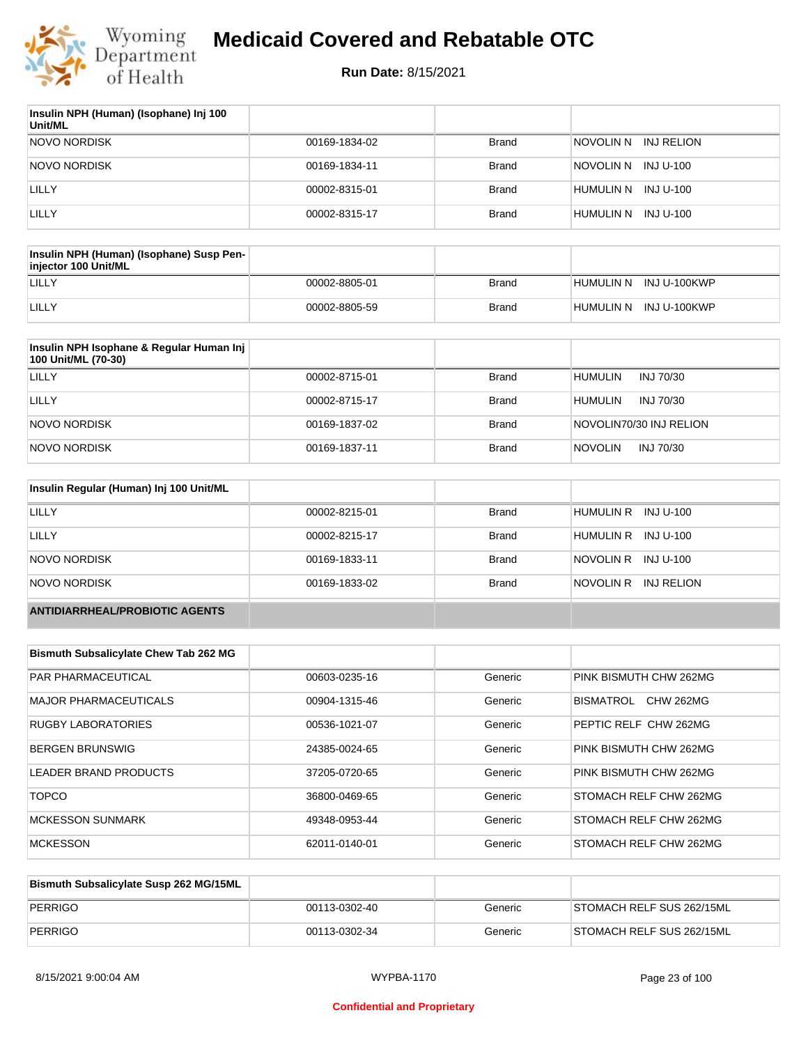

| Insulin NPH (Human) (Isophane) Inj 100<br>Unit/ML |               |              |                          |
|---------------------------------------------------|---------------|--------------|--------------------------|
| <b>NOVO NORDISK</b>                               | 00169-1834-02 | <b>Brand</b> | INJ RELION<br>inovolin n |
| <b>NOVO NORDISK</b>                               | 00169-1834-11 | <b>Brand</b> | NOVOLIN N INJ U-100      |
| LILLY                                             | 00002-8315-01 | <b>Brand</b> | HUMULIN N INJ U-100      |
| LILLY                                             | 00002-8315-17 | <b>Brand</b> | HUMULIN N<br>INJ U-100   |

| Insulin NPH (Human) (Isophane) Susp Pen-<br>injector 100 Unit/ML |               |       |                        |
|------------------------------------------------------------------|---------------|-------|------------------------|
| LILLY                                                            | 00002-8805-01 | Brand | HUMULIN N INJ U-100KWP |
| LILLY                                                            | 00002-8805-59 | Brand | HUMULIN N INJ U-100KWP |

| Insulin NPH Isophane & Regular Human Inj<br>100 Unit/ML (70-30) |               |              |                             |
|-----------------------------------------------------------------|---------------|--------------|-----------------------------|
| LILLY                                                           | 00002-8715-01 | Brand        | <b>HUMULIN</b><br>INJ 70/30 |
| LILLY                                                           | 00002-8715-17 | <b>Brand</b> | <b>HUMULIN</b><br>INJ 70/30 |
| NOVO NORDISK                                                    | 00169-1837-02 | <b>Brand</b> | NOVOLIN70/30 INJ RELION     |
| NOVO NORDISK                                                    | 00169-1837-11 | <b>Brand</b> | <b>NOVOLIN</b><br>INJ 70/30 |

| Insulin Regular (Human) Inj 100 Unit/ML |               |              |                         |
|-----------------------------------------|---------------|--------------|-------------------------|
| LILLY                                   | 00002-8215-01 | <b>Brand</b> | HUMULIN R INJ U-100     |
| LILLY                                   | 00002-8215-17 | <b>Brand</b> | HUMULIN R INJ U-100     |
| NOVO NORDISK                            | 00169-1833-11 | <b>Brand</b> | NOVOLIN R INJ U-100     |
| NOVO NORDISK                            | 00169-1833-02 | <b>Brand</b> | NOVOLIN R<br>INJ RELION |
| <b>ANTIDIARRHEAL/PROBIOTIC AGENTS</b>   |               |              |                         |

| <b>Bismuth Subsalicylate Chew Tab 262 MG</b> |               |         |                        |
|----------------------------------------------|---------------|---------|------------------------|
| <b>PAR PHARMACEUTICAL</b>                    | 00603-0235-16 | Generic | PINK BISMUTH CHW 262MG |
| <b>MAJOR PHARMACEUTICALS</b>                 | 00904-1315-46 | Generic | BISMATROL<br>CHW 262MG |
| RUGBY LABORATORIES                           | 00536-1021-07 | Generic | PEPTIC RELF CHW 262MG  |
| <b>BERGEN BRUNSWIG</b>                       | 24385-0024-65 | Generic | PINK BISMUTH CHW 262MG |
| <b>LEADER BRAND PRODUCTS</b>                 | 37205-0720-65 | Generic | PINK BISMUTH CHW 262MG |
| <b>TOPCO</b>                                 | 36800-0469-65 | Generic | STOMACH RELF CHW 262MG |
| <b>MCKESSON SUNMARK</b>                      | 49348-0953-44 | Generic | STOMACH RELF CHW 262MG |
| <b>MCKESSON</b>                              | 62011-0140-01 | Generic | STOMACH RELF CHW 262MG |

| Bismuth Subsalicylate Susp 262 MG/15ML |               |         |                           |
|----------------------------------------|---------------|---------|---------------------------|
| PERRIGO                                | 00113-0302-40 | Generic | STOMACH RELF SUS 262/15ML |
| PERRIGO                                | 00113-0302-34 | Generic | STOMACH RELF SUS 262/15ML |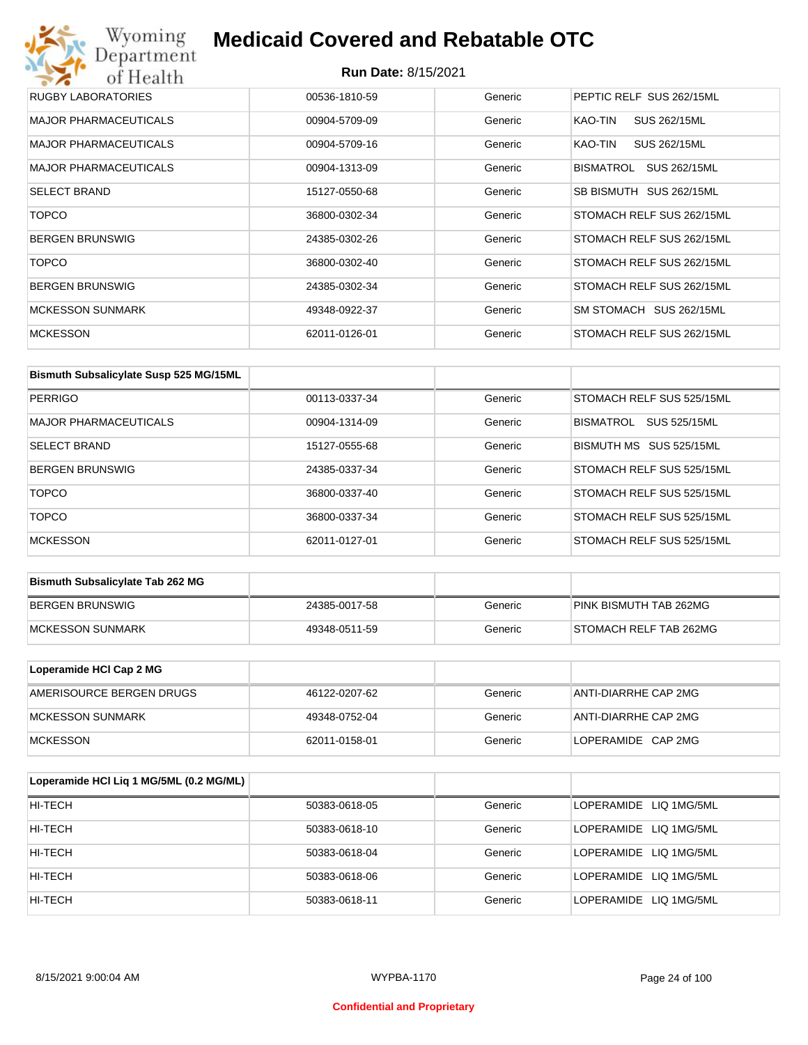## Wyoming<br>Department<br>of Health **Medicaid Covered and Rebatable OTC**

#### **Run Date:** 8/15/2021

| RUGBY LABORATORIES           | 00536-1810-59 | Generic | PEPTIC RELF SUS 262/15ML  |
|------------------------------|---------------|---------|---------------------------|
| <b>MAJOR PHARMACEUTICALS</b> | 00904-5709-09 | Generic | SUS 262/15ML<br>KAO-TIN   |
| <b>MAJOR PHARMACEUTICALS</b> | 00904-5709-16 | Generic | KAO-TIN<br>SUS 262/15ML   |
| <b>MAJOR PHARMACEUTICALS</b> | 00904-1313-09 | Generic | BISMATROL<br>SUS 262/15ML |
| <b>SELECT BRAND</b>          | 15127-0550-68 | Generic | SB BISMUTH SUS 262/15ML   |
| <b>TOPCO</b>                 | 36800-0302-34 | Generic | STOMACH RELF SUS 262/15ML |
| <b>BERGEN BRUNSWIG</b>       | 24385-0302-26 | Generic | STOMACH RELF SUS 262/15ML |
| <b>TOPCO</b>                 | 36800-0302-40 | Generic | STOMACH RELF SUS 262/15ML |
| <b>BERGEN BRUNSWIG</b>       | 24385-0302-34 | Generic | STOMACH RELF SUS 262/15ML |
| <b>MCKESSON SUNMARK</b>      | 49348-0922-37 | Generic | SM STOMACH SUS 262/15ML   |
| <b>MCKESSON</b>              | 62011-0126-01 | Generic | STOMACH RELF SUS 262/15ML |

| Bismuth Subsalicylate Susp 525 MG/15ML |               |         |                           |
|----------------------------------------|---------------|---------|---------------------------|
| <b>PERRIGO</b>                         | 00113-0337-34 | Generic | STOMACH RELF SUS 525/15ML |
| <b>MAJOR PHARMACEUTICALS</b>           | 00904-1314-09 | Generic | BISMATROL<br>SUS 525/15ML |
| <b>SELECT BRAND</b>                    | 15127-0555-68 | Generic | BISMUTH MS SUS 525/15ML   |
| <b>BERGEN BRUNSWIG</b>                 | 24385-0337-34 | Generic | STOMACH RELF SUS 525/15ML |
| <b>TOPCO</b>                           | 36800-0337-40 | Generic | STOMACH RELF SUS 525/15ML |
| <b>TOPCO</b>                           | 36800-0337-34 | Generic | STOMACH RELF SUS 525/15ML |
| <b>MCKESSON</b>                        | 62011-0127-01 | Generic | STOMACH RELF SUS 525/15ML |

| <b>Bismuth Subsalicylate Tab 262 MG</b> |               |         |                        |
|-----------------------------------------|---------------|---------|------------------------|
| BERGEN BRUNSWIG                         | 24385-0017-58 | Generic | PINK BISMUTH TAB 262MG |
| <b>IMCKESSON SUNMARK</b>                | 49348-0511-59 | Generic | STOMACH RELF TAB 262MG |

| Loperamide HCI Cap 2 MG  |               |         |                      |
|--------------------------|---------------|---------|----------------------|
| AMERISOURCE BERGEN DRUGS | 46122-0207-62 | Generic | ANTI-DIARRHE CAP 2MG |
| IMCKESSON SUNMARK        | 49348-0752-04 | Generic | ANTI-DIARRHE CAP 2MG |
| <b>IMCKESSON</b>         | 62011-0158-01 | Generic | LOPERAMIDE CAP 2MG   |

| Loperamide HCI Liq 1 MG/5ML (0.2 MG/ML) |               |         |                        |
|-----------------------------------------|---------------|---------|------------------------|
| HI-TECH                                 | 50383-0618-05 | Generic | LOPERAMIDE LIQ 1MG/5ML |
| HI-TECH                                 | 50383-0618-10 | Generic | LOPERAMIDE LIQ 1MG/5ML |
| HI-TECH                                 | 50383-0618-04 | Generic | LOPERAMIDE LIQ 1MG/5ML |
| HI-TECH                                 | 50383-0618-06 | Generic | LOPERAMIDE LIQ 1MG/5ML |
| HI-TECH                                 | 50383-0618-11 | Generic | LOPERAMIDE LIQ 1MG/5ML |

#### **Confidential and Proprietary**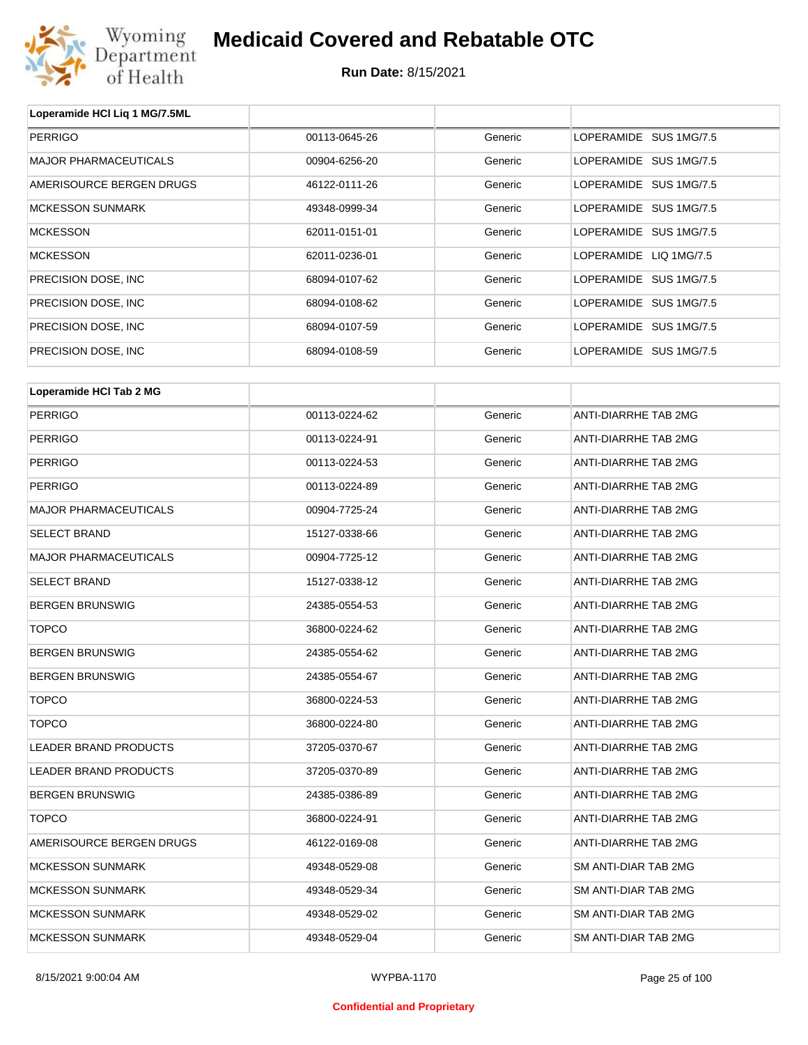

| Loperamide HCI Lig 1 MG/7.5ML |               |         |                             |
|-------------------------------|---------------|---------|-----------------------------|
| <b>PERRIGO</b>                | 00113-0645-26 | Generic | LOPERAMIDE SUS 1MG/7.5      |
| <b>MAJOR PHARMACEUTICALS</b>  | 00904-6256-20 | Generic | LOPERAMIDE SUS 1MG/7.5      |
| AMERISOURCE BERGEN DRUGS      | 46122-0111-26 | Generic | LOPERAMIDE SUS 1MG/7.5      |
| <b>MCKESSON SUNMARK</b>       | 49348-0999-34 | Generic | LOPERAMIDE SUS 1MG/7.5      |
| <b>MCKESSON</b>               | 62011-0151-01 | Generic | LOPERAMIDE SUS 1MG/7.5      |
| <b>MCKESSON</b>               | 62011-0236-01 | Generic | LOPERAMIDE LIQ 1MG/7.5      |
| PRECISION DOSE, INC           | 68094-0107-62 | Generic | LOPERAMIDE SUS 1MG/7.5      |
| PRECISION DOSE, INC           | 68094-0108-62 | Generic | LOPERAMIDE SUS 1MG/7.5      |
| PRECISION DOSE, INC           | 68094-0107-59 | Generic | LOPERAMIDE SUS 1MG/7.5      |
| PRECISION DOSE, INC           | 68094-0108-59 | Generic | LOPERAMIDE SUS 1MG/7.5      |
| Loperamide HCI Tab 2 MG       |               |         |                             |
|                               |               |         |                             |
| <b>PERRIGO</b>                | 00113-0224-62 | Generic | <b>ANTI-DIARRHE TAB 2MG</b> |
| <b>PERRIGO</b>                | 00113-0224-91 | Generic | ANTI-DIARRHE TAB 2MG        |
| <b>PERRIGO</b>                | 00113-0224-53 | Generic | ANTI-DIARRHE TAB 2MG        |
| <b>PERRIGO</b>                | 00113-0224-89 | Generic | ANTI-DIARRHE TAB 2MG        |
| <b>MAJOR PHARMACEUTICALS</b>  | 00904-7725-24 | Generic | ANTI-DIARRHE TAB 2MG        |
| <b>SELECT BRAND</b>           | 15127-0338-66 | Generic | ANTI-DIARRHE TAB 2MG        |
| <b>MAJOR PHARMACEUTICALS</b>  | 00904-7725-12 | Generic | ANTI-DIARRHE TAB 2MG        |
| <b>SELECT BRAND</b>           | 15127-0338-12 | Generic | ANTI-DIARRHE TAB 2MG        |
| <b>BERGEN BRUNSWIG</b>        | 24385-0554-53 | Generic | ANTI-DIARRHE TAB 2MG        |
| <b>TOPCO</b>                  | 36800-0224-62 | Generic | ANTI-DIARRHE TAB 2MG        |
| <b>BERGEN BRUNSWIG</b>        | 24385-0554-62 | Generic | ANTI-DIARRHE TAB 2MG        |
| <b>BERGEN BRUNSWIG</b>        | 24385-0554-67 | Generic | ANTI-DIARRHE TAB 2MG        |
| <b>TOPCO</b>                  | 36800-0224-53 | Generic | ANTI-DIARRHE TAB 2MG        |
| <b>TOPCO</b>                  | 36800-0224-80 | Generic | ANTI-DIARRHE TAB 2MG        |
| <b>LEADER BRAND PRODUCTS</b>  | 37205-0370-67 | Generic | ANTI-DIARRHE TAB 2MG        |
| LEADER BRAND PRODUCTS         | 37205-0370-89 | Generic | ANTI-DIARRHE TAB 2MG        |
| <b>BERGEN BRUNSWIG</b>        | 24385-0386-89 | Generic | <b>ANTI-DIARRHE TAB 2MG</b> |
| <b>TOPCO</b>                  | 36800-0224-91 | Generic | <b>ANTI-DIARRHE TAB 2MG</b> |

| BERGEN BRUNSWIG          | 24385-0386-89 | Generic | ANTI-DIARRHE TAB 2MG |
|--------------------------|---------------|---------|----------------------|
| TOPCO                    | 36800-0224-91 | Generic | ANTI-DIARRHE TAB 2MG |
| AMERISOURCE BERGEN DRUGS | 46122-0169-08 | Generic | ANTI-DIARRHE TAB 2MG |
| MCKESSON SUNMARK         | 49348-0529-08 | Generic | SM ANTI-DIAR TAB 2MG |
| MCKESSON SUNMARK         | 49348-0529-34 | Generic | SM ANTI-DIAR TAB 2MG |
| MCKESSON SUNMARK         | 49348-0529-02 | Generic | SM ANTI-DIAR TAB 2MG |
| MCKESSON SUNMARK         | 49348-0529-04 | Generic | SM ANTI-DIAR TAB 2MG |
|                          |               |         |                      |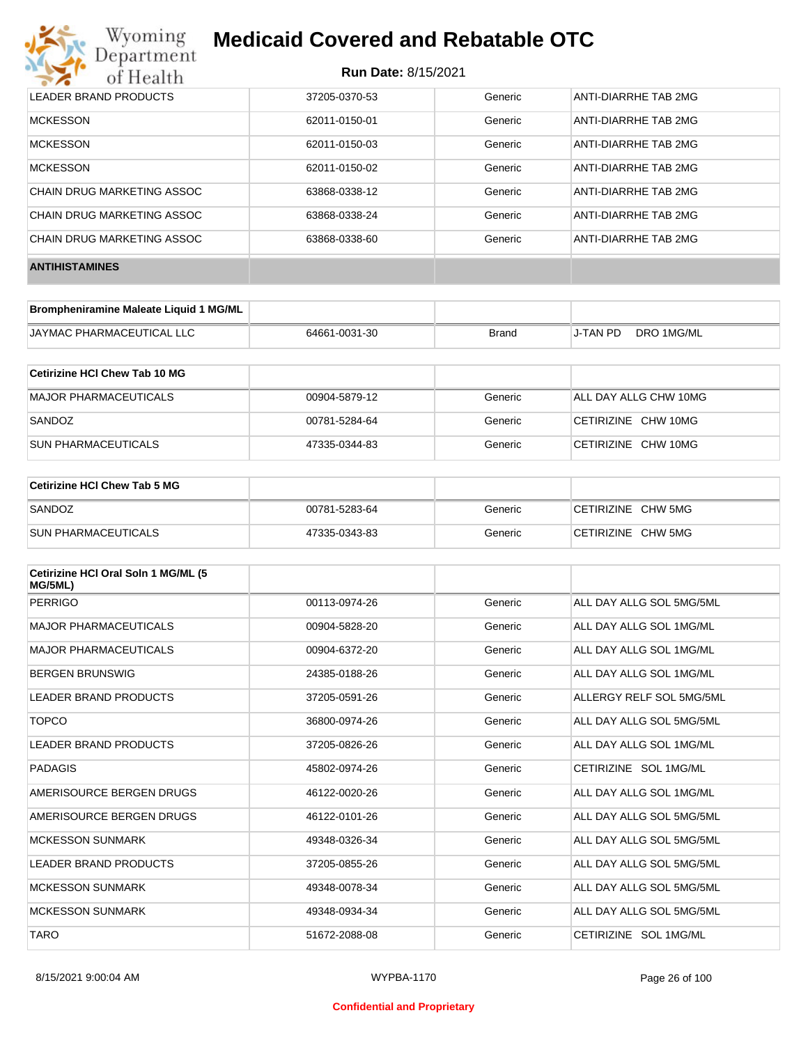

| LEADER BRAND PRODUCTS      | 37205-0370-53 | Generic | ANTI-DIARRHE TAB 2MG |
|----------------------------|---------------|---------|----------------------|
| <b>MCKESSON</b>            | 62011-0150-01 | Generic | ANTI-DIARRHE TAB 2MG |
| <b>MCKESSON</b>            | 62011-0150-03 | Generic | ANTI-DIARRHE TAB 2MG |
| <b>MCKESSON</b>            | 62011-0150-02 | Generic | ANTI-DIARRHE TAB 2MG |
| CHAIN DRUG MARKETING ASSOC | 63868-0338-12 | Generic | ANTI-DIARRHE TAB 2MG |
| CHAIN DRUG MARKETING ASSOC | 63868-0338-24 | Generic | ANTI-DIARRHE TAB 2MG |
| CHAIN DRUG MARKETING ASSOC | 63868-0338-60 | Generic | ANTI-DIARRHE TAB 2MG |
| <b>ANTIHISTAMINES</b>      |               |         |                      |

| Brompheniramine Maleate Liquid 1 MG/ML |               |       |          |            |
|----------------------------------------|---------------|-------|----------|------------|
| <b>JAYMAC PHARMACEUTICAL LLC</b>       | 64661-0031-30 | Brand | J-TAN PD | DRO 1MG/ML |

| Cetirizine HCI Chew Tab 10 MG |               |         |                       |
|-------------------------------|---------------|---------|-----------------------|
| MAJOR PHARMACEUTICALS         | 00904-5879-12 | Generic | ALL DAY ALLG CHW 10MG |
| SANDOZ                        | 00781-5284-64 | Generic | CETIRIZINE CHW 10MG   |
| <b>SUN PHARMACEUTICALS</b>    | 47335-0344-83 | Generic | CETIRIZINE CHW 10MG   |

| Cetirizine HCI Chew Tab 5 MG |               |         |                    |
|------------------------------|---------------|---------|--------------------|
| SANDOZ                       | 00781-5283-64 | Generic | CETIRIZINE CHW 5MG |
| <b>SUN PHARMACEUTICALS</b>   | 47335-0343-83 | Generic | CETIRIZINE CHW 5MG |

| Cetirizine HCI Oral Soln 1 MG/ML (5<br>MG/5ML) |               |         |                          |
|------------------------------------------------|---------------|---------|--------------------------|
| <b>PERRIGO</b>                                 | 00113-0974-26 | Generic | ALL DAY ALLG SOL 5MG/5ML |
| <b>MAJOR PHARMACEUTICALS</b>                   | 00904-5828-20 | Generic | ALL DAY ALLG SOL 1MG/ML  |
| <b>MAJOR PHARMACEUTICALS</b>                   | 00904-6372-20 | Generic | ALL DAY ALLG SOL 1MG/ML  |
| <b>BERGEN BRUNSWIG</b>                         | 24385-0188-26 | Generic | ALL DAY ALLG SOL 1MG/ML  |
| LEADER BRAND PRODUCTS                          | 37205-0591-26 | Generic | ALLERGY RELF SOL 5MG/5ML |
| <b>TOPCO</b>                                   | 36800-0974-26 | Generic | ALL DAY ALLG SOL 5MG/5ML |
| LEADER BRAND PRODUCTS                          | 37205-0826-26 | Generic | ALL DAY ALLG SOL 1MG/ML  |
| PADAGIS                                        | 45802-0974-26 | Generic | CETIRIZINE SOL 1MG/ML    |
| AMERISOURCE BERGEN DRUGS                       | 46122-0020-26 | Generic | ALL DAY ALLG SOL 1MG/ML  |
| AMERISOURCE BERGEN DRUGS                       | 46122-0101-26 | Generic | ALL DAY ALLG SOL 5MG/5ML |
| <b>MCKESSON SUNMARK</b>                        | 49348-0326-34 | Generic | ALL DAY ALLG SOL 5MG/5ML |
| LEADER BRAND PRODUCTS                          | 37205-0855-26 | Generic | ALL DAY ALLG SOL 5MG/5ML |
| <b>MCKESSON SUNMARK</b>                        | 49348-0078-34 | Generic | ALL DAY ALLG SOL 5MG/5ML |
| <b>MCKESSON SUNMARK</b>                        | 49348-0934-34 | Generic | ALL DAY ALLG SOL 5MG/5ML |
| <b>TARO</b>                                    | 51672-2088-08 | Generic | CETIRIZINE SOL 1MG/ML    |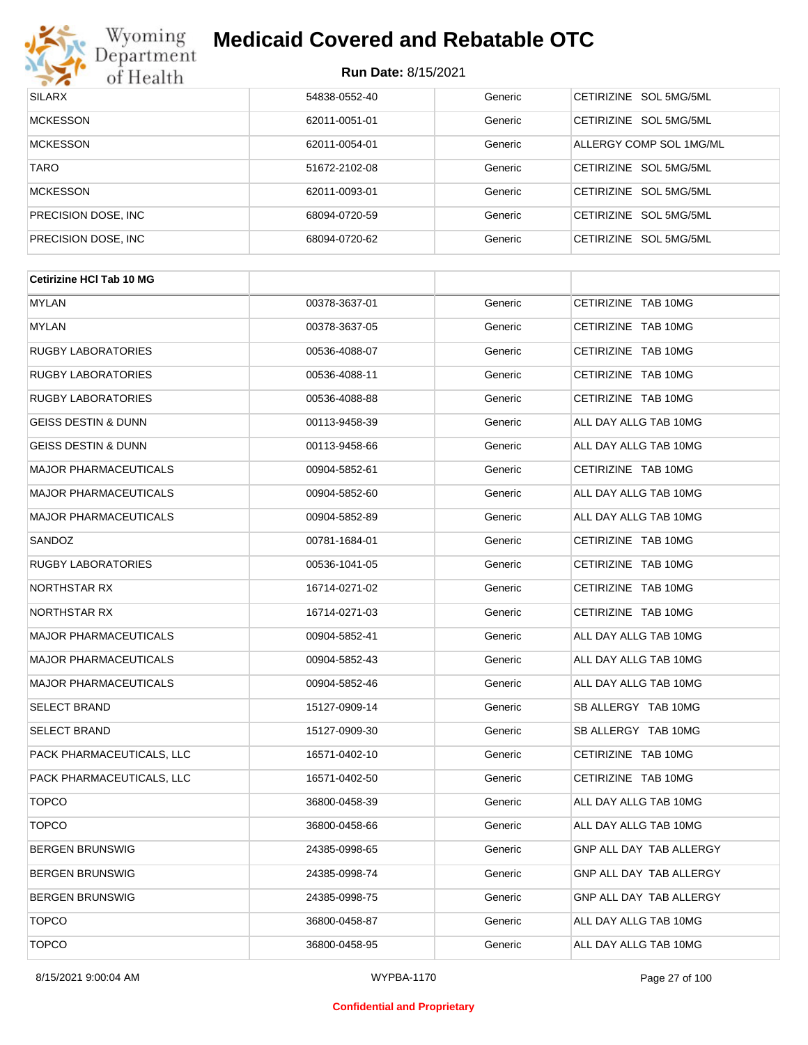

# Wyoming<br>Department<br>of Health

## **Medicaid Covered and Rebatable OTC**

#### **Run Date:** 8/15/2021

| <b>SILARX</b>        | 54838-0552-40 | Generic | CETIRIZINE SOL 5MG/5ML  |
|----------------------|---------------|---------|-------------------------|
| <b>MCKESSON</b>      | 62011-0051-01 | Generic | CETIRIZINE SOL 5MG/5ML  |
| <b>MCKESSON</b>      | 62011-0054-01 | Generic | ALLERGY COMP SOL 1MG/ML |
| <b>TARO</b>          | 51672-2102-08 | Generic | CETIRIZINE SOL 5MG/5ML  |
| <b>MCKESSON</b>      | 62011-0093-01 | Generic | CETIRIZINE SOL 5MG/5ML  |
| PRECISION DOSE, INC. | 68094-0720-59 | Generic | CETIRIZINE SOL 5MG/5ML  |
| PRECISION DOSE, INC. | 68094-0720-62 | Generic | CETIRIZINE SOL 5MG/5ML  |

| <b>Cetirizine HCI Tab 10 MG</b> |               |         |                                |
|---------------------------------|---------------|---------|--------------------------------|
| <b>MYLAN</b>                    | 00378-3637-01 | Generic | CETIRIZINE TAB 10MG            |
| MYLAN                           | 00378-3637-05 | Generic | CETIRIZINE TAB 10MG            |
| <b>RUGBY LABORATORIES</b>       | 00536-4088-07 | Generic | CETIRIZINE TAB 10MG            |
| <b>RUGBY LABORATORIES</b>       | 00536-4088-11 | Generic | CETIRIZINE TAB 10MG            |
| <b>RUGBY LABORATORIES</b>       | 00536-4088-88 | Generic | CETIRIZINE TAB 10MG            |
| <b>GEISS DESTIN &amp; DUNN</b>  | 00113-9458-39 | Generic | ALL DAY ALLG TAB 10MG          |
| <b>GEISS DESTIN &amp; DUNN</b>  | 00113-9458-66 | Generic | ALL DAY ALLG TAB 10MG          |
| <b>MAJOR PHARMACEUTICALS</b>    | 00904-5852-61 | Generic | CETIRIZINE TAB 10MG            |
| <b>MAJOR PHARMACEUTICALS</b>    | 00904-5852-60 | Generic | ALL DAY ALLG TAB 10MG          |
| <b>MAJOR PHARMACEUTICALS</b>    | 00904-5852-89 | Generic | ALL DAY ALLG TAB 10MG          |
| SANDOZ                          | 00781-1684-01 | Generic | CETIRIZINE TAB 10MG            |
| <b>RUGBY LABORATORIES</b>       | 00536-1041-05 | Generic | CETIRIZINE TAB 10MG            |
| NORTHSTAR RX                    | 16714-0271-02 | Generic | CETIRIZINE TAB 10MG            |
| NORTHSTAR RX                    | 16714-0271-03 | Generic | CETIRIZINE TAB 10MG            |
| <b>MAJOR PHARMACEUTICALS</b>    | 00904-5852-41 | Generic | ALL DAY ALLG TAB 10MG          |
| <b>MAJOR PHARMACEUTICALS</b>    | 00904-5852-43 | Generic | ALL DAY ALLG TAB 10MG          |
| <b>MAJOR PHARMACEUTICALS</b>    | 00904-5852-46 | Generic | ALL DAY ALLG TAB 10MG          |
| <b>SELECT BRAND</b>             | 15127-0909-14 | Generic | SB ALLERGY TAB 10MG            |
| <b>SELECT BRAND</b>             | 15127-0909-30 | Generic | SB ALLERGY TAB 10MG            |
| PACK PHARMACEUTICALS, LLC       | 16571-0402-10 | Generic | CETIRIZINE TAB 10MG            |
| PACK PHARMACEUTICALS, LLC       | 16571-0402-50 | Generic | CETIRIZINE TAB 10MG            |
| <b>TOPCO</b>                    | 36800-0458-39 | Generic | ALL DAY ALLG TAB 10MG          |
| <b>TOPCO</b>                    | 36800-0458-66 | Generic | ALL DAY ALLG TAB 10MG          |
| <b>BERGEN BRUNSWIG</b>          | 24385-0998-65 | Generic | GNP ALL DAY TAB ALLERGY        |
| <b>BERGEN BRUNSWIG</b>          | 24385-0998-74 | Generic | <b>GNP ALL DAY TAB ALLERGY</b> |
| <b>BERGEN BRUNSWIG</b>          | 24385-0998-75 | Generic | GNP ALL DAY TAB ALLERGY        |
| <b>TOPCO</b>                    | 36800-0458-87 | Generic | ALL DAY ALLG TAB 10MG          |
| <b>TOPCO</b>                    | 36800-0458-95 | Generic | ALL DAY ALLG TAB 10MG          |

#### **Confidential and Proprietary**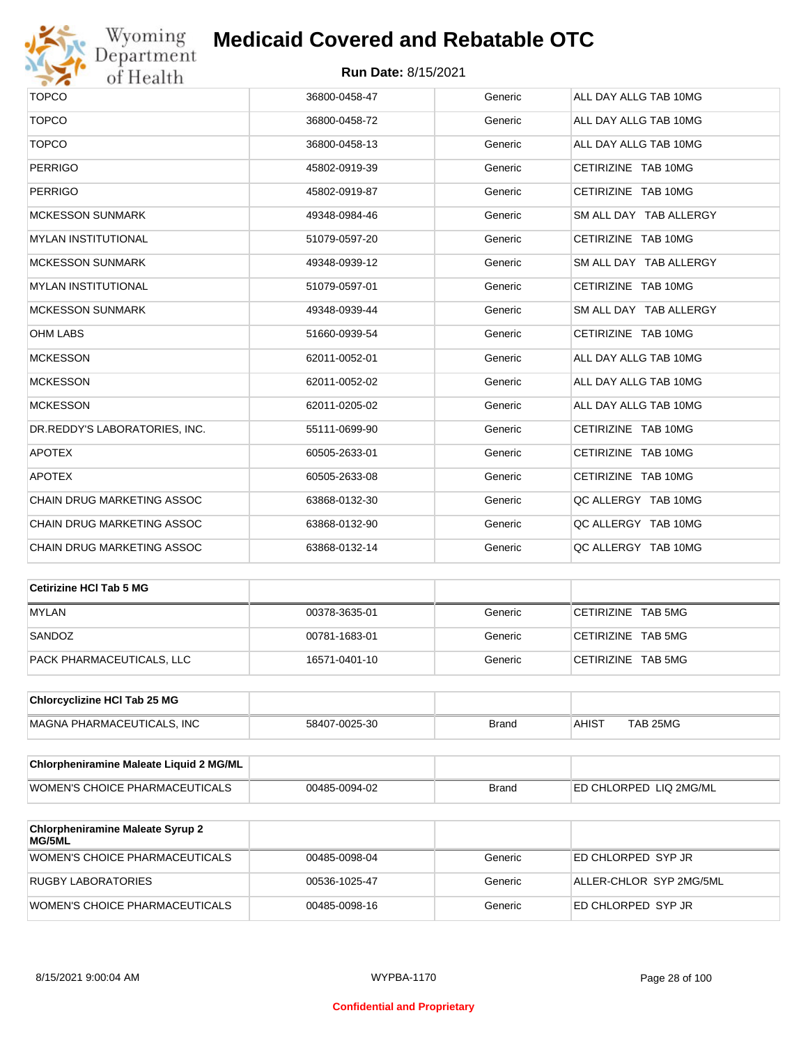

| <b>TOPCO</b>                  | 36800-0458-47 | Generic | ALL DAY ALLG TAB 10MG  |
|-------------------------------|---------------|---------|------------------------|
| <b>TOPCO</b>                  | 36800-0458-72 | Generic | ALL DAY ALLG TAB 10MG  |
| <b>TOPCO</b>                  | 36800-0458-13 | Generic | ALL DAY ALLG TAB 10MG  |
| <b>PERRIGO</b>                | 45802-0919-39 | Generic | CETIRIZINE TAB 10MG    |
| <b>PERRIGO</b>                | 45802-0919-87 | Generic | CETIRIZINE TAB 10MG    |
| <b>MCKESSON SUNMARK</b>       | 49348-0984-46 | Generic | SM ALL DAY TAB ALLERGY |
| <b>MYLAN INSTITUTIONAL</b>    | 51079-0597-20 | Generic | CETIRIZINE TAB 10MG    |
| <b>MCKESSON SUNMARK</b>       | 49348-0939-12 | Generic | SM ALL DAY TAB ALLERGY |
| <b>MYLAN INSTITUTIONAL</b>    | 51079-0597-01 | Generic | CETIRIZINE TAB 10MG    |
| <b>MCKESSON SUNMARK</b>       | 49348-0939-44 | Generic | SM ALL DAY TAB ALLERGY |
| <b>OHM LABS</b>               | 51660-0939-54 | Generic | CETIRIZINE TAB 10MG    |
| <b>MCKESSON</b>               | 62011-0052-01 | Generic | ALL DAY ALLG TAB 10MG  |
| <b>MCKESSON</b>               | 62011-0052-02 | Generic | ALL DAY ALLG TAB 10MG  |
| <b>MCKESSON</b>               | 62011-0205-02 | Generic | ALL DAY ALLG TAB 10MG  |
| DR.REDDY'S LABORATORIES, INC. | 55111-0699-90 | Generic | CETIRIZINE TAB 10MG    |
| <b>APOTEX</b>                 | 60505-2633-01 | Generic | CETIRIZINE TAB 10MG    |
| <b>APOTEX</b>                 | 60505-2633-08 | Generic | CETIRIZINE TAB 10MG    |
| CHAIN DRUG MARKETING ASSOC    | 63868-0132-30 | Generic | QC ALLERGY TAB 10MG    |
| CHAIN DRUG MARKETING ASSOC    | 63868-0132-90 | Generic | QC ALLERGY TAB 10MG    |
| CHAIN DRUG MARKETING ASSOC    | 63868-0132-14 | Generic | QC ALLERGY TAB 10MG    |

| ∣Cetirizine HCl Tab 5 MG  |               |         |                    |
|---------------------------|---------------|---------|--------------------|
| <b>MYLAN</b>              | 00378-3635-01 | Generic | CETIRIZINE TAB 5MG |
| SANDOZ                    | 00781-1683-01 | Generic | CETIRIZINE TAB 5MG |
| PACK PHARMACEUTICALS, LLC | 16571-0401-10 | Generic | CETIRIZINE TAB 5MG |

| <b>Chlorcyclizine HCI Tab 25 MG</b> |               |       |       |          |
|-------------------------------------|---------------|-------|-------|----------|
| MAGNA PHARMACEUTICALS. INC          | 58407-0025-30 | Brand | AHIS1 | TAB 25MG |

| <b>Chlorpheniramine Maleate Liquid 2 MG/ML</b> |               |              |                                |
|------------------------------------------------|---------------|--------------|--------------------------------|
| <b>WOMEN'S CHOICE PHARMACEUTICALS</b>          | 00485-0094-02 | <b>Brand</b> | <b>LED CHLORPED LIQ 2MG/ML</b> |

| <b>Chlorpheniramine Maleate Syrup 2</b><br>MG/5ML |               |         |                         |
|---------------------------------------------------|---------------|---------|-------------------------|
| WOMEN'S CHOICE PHARMACEUTICALS                    | 00485-0098-04 | Generic | ED CHLORPED SYP JR      |
| RUGBY LABORATORIES                                | 00536-1025-47 | Generic | ALLER-CHLOR SYP 2MG/5ML |
| <b>WOMEN'S CHOICE PHARMACEUTICALS</b>             | 00485-0098-16 | Generic | ED CHLORPED SYP JR      |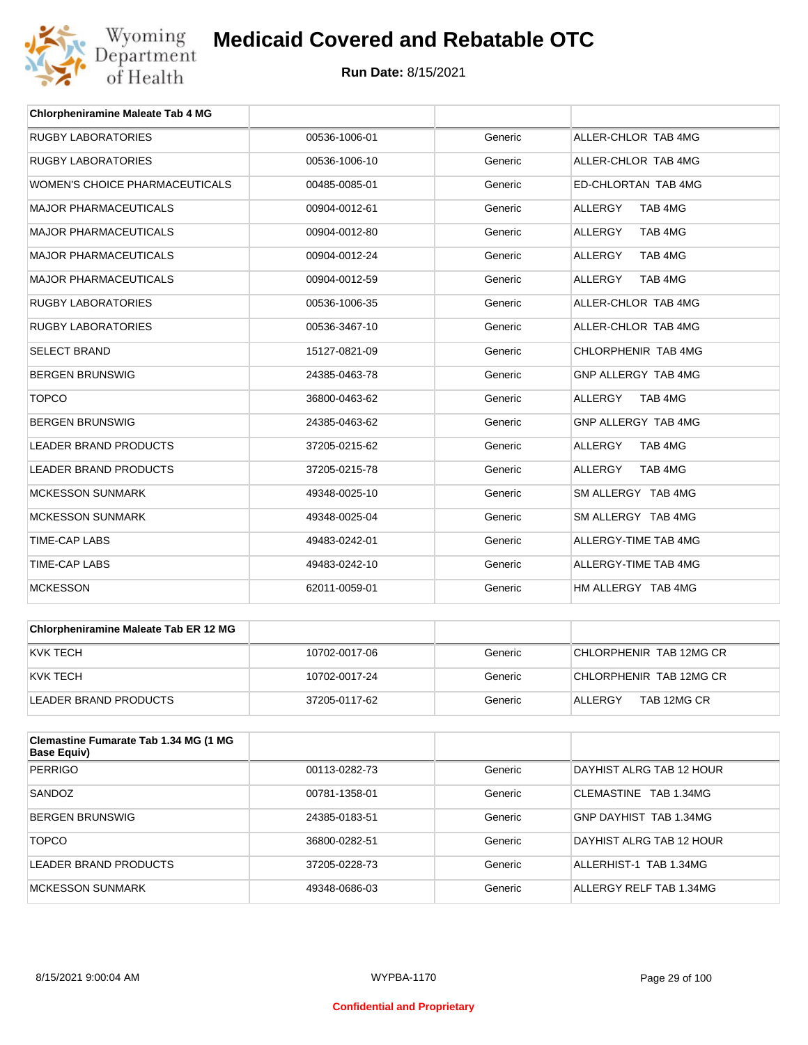

| <b>Chlorpheniramine Maleate Tab 4 MG</b> |               |         |                           |
|------------------------------------------|---------------|---------|---------------------------|
| <b>RUGBY LABORATORIES</b>                | 00536-1006-01 | Generic | ALLER-CHLOR TAB 4MG       |
| RUGBY LABORATORIES                       | 00536-1006-10 | Generic | ALLER-CHLOR TAB 4MG       |
| WOMEN'S CHOICE PHARMACEUTICALS           | 00485-0085-01 | Generic | ED-CHLORTAN TAB 4MG       |
| <b>MAJOR PHARMACEUTICALS</b>             | 00904-0012-61 | Generic | TAB 4MG<br><b>ALLERGY</b> |
| <b>MAJOR PHARMACEUTICALS</b>             | 00904-0012-80 | Generic | TAB 4MG<br><b>ALLERGY</b> |
| <b>MAJOR PHARMACEUTICALS</b>             | 00904-0012-24 | Generic | <b>ALLERGY</b><br>TAB 4MG |
| <b>MAJOR PHARMACEUTICALS</b>             | 00904-0012-59 | Generic | <b>ALLERGY</b><br>TAB 4MG |
| <b>RUGBY LABORATORIES</b>                | 00536-1006-35 | Generic | ALLER-CHLOR TAB 4MG       |
| <b>RUGBY LABORATORIES</b>                | 00536-3467-10 | Generic | ALLER-CHLOR TAB 4MG       |
| <b>SELECT BRAND</b>                      | 15127-0821-09 | Generic | CHLORPHENIR TAB 4MG       |
| <b>BERGEN BRUNSWIG</b>                   | 24385-0463-78 | Generic | GNP ALLERGY TAB 4MG       |
| <b>TOPCO</b>                             | 36800-0463-62 | Generic | <b>ALLERGY</b><br>TAB 4MG |
| <b>BERGEN BRUNSWIG</b>                   | 24385-0463-62 | Generic | GNP ALLERGY TAB 4MG       |
| <b>LEADER BRAND PRODUCTS</b>             | 37205-0215-62 | Generic | TAB 4MG<br><b>ALLERGY</b> |
| <b>LEADER BRAND PRODUCTS</b>             | 37205-0215-78 | Generic | <b>ALLERGY</b><br>TAB 4MG |
| <b>MCKESSON SUNMARK</b>                  | 49348-0025-10 | Generic | SM ALLERGY TAB 4MG        |
| <b>MCKESSON SUNMARK</b>                  | 49348-0025-04 | Generic | SM ALLERGY TAB 4MG        |
| <b>TIME-CAP LABS</b>                     | 49483-0242-01 | Generic | ALLERGY-TIME TAB 4MG      |
| <b>TIME-CAP LABS</b>                     | 49483-0242-10 | Generic | ALLERGY-TIME TAB 4MG      |
| <b>MCKESSON</b>                          | 62011-0059-01 | Generic | HM ALLERGY TAB 4MG        |

| <b>Chlorpheniramine Maleate Tab ER 12 MG</b> |               |         |                         |
|----------------------------------------------|---------------|---------|-------------------------|
| KVK TECH                                     | 10702-0017-06 | Generic | CHLORPHENIR TAB 12MG CR |
| KVK TECH                                     | 10702-0017-24 | Generic | CHLORPHENIR TAB 12MG CR |
| LEADER BRAND PRODUCTS                        | 37205-0117-62 | Generic | TAB 12MG CR<br>ALLERGY  |

| Clemastine Fumarate Tab 1.34 MG (1 MG<br><b>Base Equiv)</b> |               |         |                          |
|-------------------------------------------------------------|---------------|---------|--------------------------|
| <b>PERRIGO</b>                                              | 00113-0282-73 | Generic | DAYHIST ALRG TAB 12 HOUR |
| SANDOZ                                                      | 00781-1358-01 | Generic | CLEMASTINE TAB 1.34MG    |
| <b>BERGEN BRUNSWIG</b>                                      | 24385-0183-51 | Generic | GNP DAYHIST TAB 1.34MG   |
| <b>TOPCO</b>                                                | 36800-0282-51 | Generic | DAYHIST ALRG TAB 12 HOUR |
| LEADER BRAND PRODUCTS                                       | 37205-0228-73 | Generic | ALLERHIST-1 TAB 1.34MG   |
| MCKESSON SUNMARK                                            | 49348-0686-03 | Generic | ALLERGY RELF TAB 1.34MG  |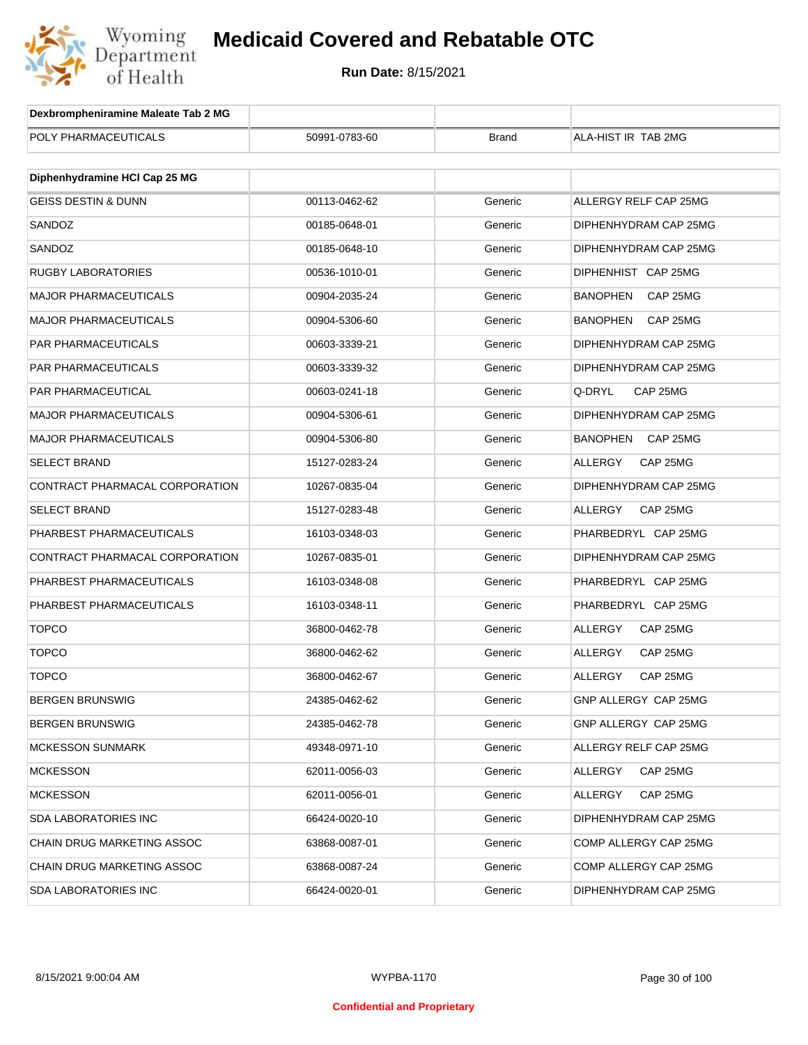

| Dexbrompheniramine Maleate Tab 2 MG |               |              |                             |
|-------------------------------------|---------------|--------------|-----------------------------|
| POLY PHARMACEUTICALS                | 50991-0783-60 | <b>Brand</b> | ALA-HIST IR TAB 2MG         |
|                                     |               |              |                             |
| Diphenhydramine HCI Cap 25 MG       |               |              |                             |
| <b>GEISS DESTIN &amp; DUNN</b>      | 00113-0462-62 | Generic      | ALLERGY RELF CAP 25MG       |
| SANDOZ                              | 00185-0648-01 | Generic      | DIPHENHYDRAM CAP 25MG       |
| SANDOZ                              | 00185-0648-10 | Generic      | DIPHENHYDRAM CAP 25MG       |
| <b>RUGBY LABORATORIES</b>           | 00536-1010-01 | Generic      | DIPHENHIST CAP 25MG         |
| <b>MAJOR PHARMACEUTICALS</b>        | 00904-2035-24 | Generic      | <b>BANOPHEN</b><br>CAP 25MG |
| <b>MAJOR PHARMACEUTICALS</b>        | 00904-5306-60 | Generic      | BANOPHEN<br>CAP 25MG        |
| PAR PHARMACEUTICALS                 | 00603-3339-21 | Generic      | DIPHENHYDRAM CAP 25MG       |
| PAR PHARMACEUTICALS                 | 00603-3339-32 | Generic      | DIPHENHYDRAM CAP 25MG       |
| PAR PHARMACEUTICAL                  | 00603-0241-18 | Generic      | Q-DRYL<br>CAP 25MG          |
| <b>MAJOR PHARMACEUTICALS</b>        | 00904-5306-61 | Generic      | DIPHENHYDRAM CAP 25MG       |
| <b>MAJOR PHARMACEUTICALS</b>        | 00904-5306-80 | Generic      | <b>BANOPHEN</b><br>CAP 25MG |
| <b>SELECT BRAND</b>                 | 15127-0283-24 | Generic      | ALLERGY<br>CAP 25MG         |
| CONTRACT PHARMACAL CORPORATION      | 10267-0835-04 | Generic      | DIPHENHYDRAM CAP 25MG       |
| <b>SELECT BRAND</b>                 | 15127-0283-48 | Generic      | ALLERGY<br>CAP 25MG         |
| PHARBEST PHARMACEUTICALS            | 16103-0348-03 | Generic      | PHARBEDRYL CAP 25MG         |
| CONTRACT PHARMACAL CORPORATION      | 10267-0835-01 | Generic      | DIPHENHYDRAM CAP 25MG       |
| PHARBEST PHARMACEUTICALS            | 16103-0348-08 | Generic      | PHARBEDRYL CAP 25MG         |
| PHARBEST PHARMACEUTICALS            | 16103-0348-11 | Generic      | PHARBEDRYL CAP 25MG         |
| <b>TOPCO</b>                        | 36800-0462-78 | Generic      | ALLERGY<br>CAP 25MG         |
| <b>TOPCO</b>                        | 36800-0462-62 | Generic      | ALLERGY<br>CAP 25MG         |
| <b>TOPCO</b>                        | 36800-0462-67 | Generic      | ALLERGY<br>CAP 25MG         |
| BERGEN BRUNSWIG                     | 24385-0462-62 | Generic      | GNP ALLERGY CAP 25MG        |
| <b>BERGEN BRUNSWIG</b>              | 24385-0462-78 | Generic      | GNP ALLERGY CAP 25MG        |
| <b>MCKESSON SUNMARK</b>             | 49348-0971-10 | Generic      | ALLERGY RELF CAP 25MG       |
| <b>MCKESSON</b>                     | 62011-0056-03 | Generic      | CAP 25MG<br>ALLERGY         |
| <b>MCKESSON</b>                     | 62011-0056-01 | Generic      | ALLERGY<br>CAP 25MG         |
| SDA LABORATORIES INC                | 66424-0020-10 | Generic      | DIPHENHYDRAM CAP 25MG       |
| CHAIN DRUG MARKETING ASSOC          | 63868-0087-01 | Generic      | COMP ALLERGY CAP 25MG       |
| CHAIN DRUG MARKETING ASSOC          | 63868-0087-24 | Generic      | COMP ALLERGY CAP 25MG       |
| <b>SDA LABORATORIES INC</b>         | 66424-0020-01 | Generic      | DIPHENHYDRAM CAP 25MG       |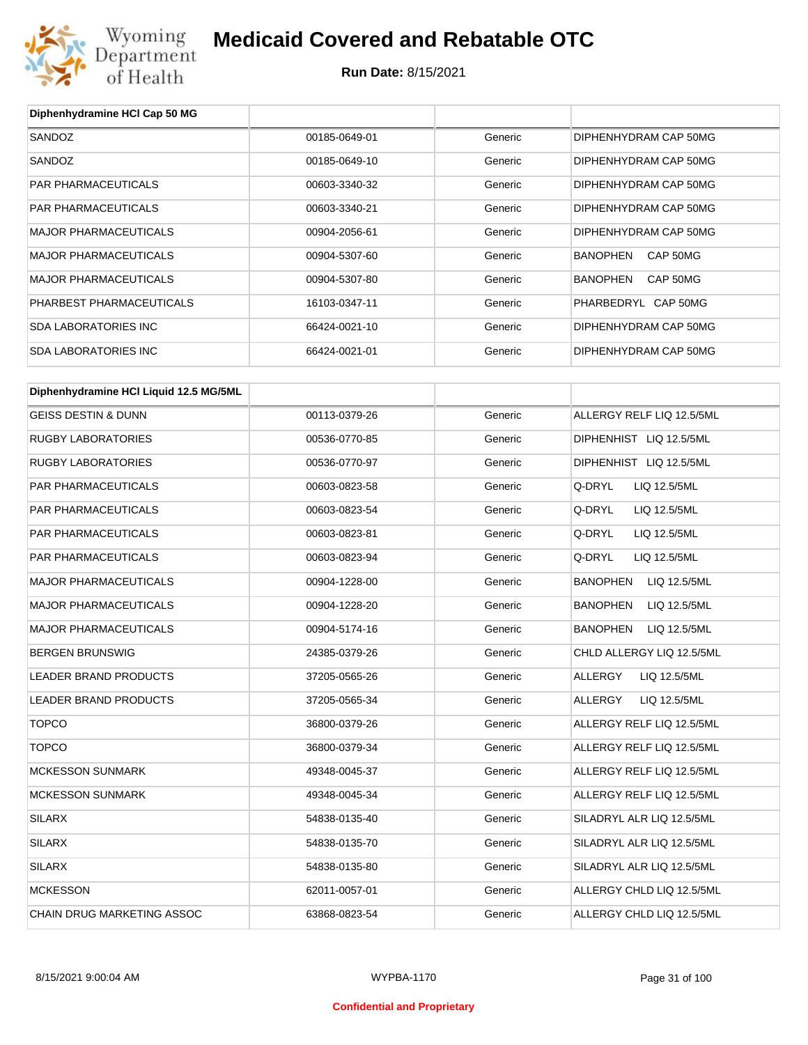

| Diphenhydramine HCI Cap 50 MG          |               |         |                                 |
|----------------------------------------|---------------|---------|---------------------------------|
| SANDOZ                                 | 00185-0649-01 | Generic | DIPHENHYDRAM CAP 50MG           |
| SANDOZ                                 | 00185-0649-10 | Generic | DIPHENHYDRAM CAP 50MG           |
| <b>PAR PHARMACEUTICALS</b>             | 00603-3340-32 | Generic | DIPHENHYDRAM CAP 50MG           |
| PAR PHARMACEUTICALS                    | 00603-3340-21 | Generic | DIPHENHYDRAM CAP 50MG           |
| <b>MAJOR PHARMACEUTICALS</b>           | 00904-2056-61 | Generic | DIPHENHYDRAM CAP 50MG           |
| <b>MAJOR PHARMACEUTICALS</b>           | 00904-5307-60 | Generic | CAP 50MG<br><b>BANOPHEN</b>     |
| <b>MAJOR PHARMACEUTICALS</b>           | 00904-5307-80 | Generic | CAP 50MG<br><b>BANOPHEN</b>     |
| PHARBEST PHARMACEUTICALS               | 16103-0347-11 | Generic | PHARBEDRYL CAP 50MG             |
| <b>SDA LABORATORIES INC</b>            | 66424-0021-10 | Generic | DIPHENHYDRAM CAP 50MG           |
| <b>SDA LABORATORIES INC</b>            | 66424-0021-01 | Generic | DIPHENHYDRAM CAP 50MG           |
| Diphenhydramine HCI Liquid 12.5 MG/5ML |               |         |                                 |
| <b>GEISS DESTIN &amp; DUNN</b>         | 00113-0379-26 | Generic | ALLERGY RELF LIQ 12.5/5ML       |
| <b>RUGBY LABORATORIES</b>              | 00536-0770-85 | Generic | DIPHENHIST LIQ 12.5/5ML         |
| <b>RUGBY LABORATORIES</b>              | 00536-0770-97 | Generic | DIPHENHIST LIQ 12.5/5ML         |
| <b>PAR PHARMACEUTICALS</b>             | 00603-0823-58 | Generic | Q-DRYL<br>LIQ 12.5/5ML          |
| PAR PHARMACEUTICALS                    | 00603-0823-54 | Generic | Q-DRYL<br>LIQ 12.5/5ML          |
| PAR PHARMACEUTICALS                    | 00603-0823-81 | Generic | Q-DRYL<br>LIQ 12.5/5ML          |
| PAR PHARMACEUTICALS                    | 00603-0823-94 | Generic | Q-DRYL<br>LIQ 12.5/5ML          |
| <b>MAJOR PHARMACEUTICALS</b>           | 00904-1228-00 | Generic | <b>BANOPHEN</b><br>LIQ 12.5/5ML |
| <b>MAJOR PHARMACEUTICALS</b>           | 00904-1228-20 | Generic | <b>BANOPHEN</b><br>LIQ 12.5/5ML |
| <b>MAJOR PHARMACEUTICALS</b>           | 00904-5174-16 | Generic | <b>BANOPHEN</b><br>LIQ 12.5/5ML |
| <b>BERGEN BRUNSWIG</b>                 | 24385-0379-26 | Generic | CHLD ALLERGY LIQ 12.5/5ML       |
| <b>LEADER BRAND PRODUCTS</b>           | 37205-0565-26 | Generic | ALLERGY<br>LIQ 12.5/5ML         |
| LEADER BRAND PRODUCTS                  | 37205-0565-34 | Generic | ALLERGY<br>LIQ 12.5/5ML         |
| <b>TOPCO</b>                           | 36800-0379-26 | Generic | ALLERGY RELF LIQ 12.5/5ML       |
| <b>TOPCO</b>                           | 36800-0379-34 | Generic | ALLERGY RELF LIQ 12.5/5ML       |
| <b>MCKESSON SUNMARK</b>                | 49348-0045-37 | Generic | ALLERGY RELF LIQ 12.5/5ML       |
| <b>MCKESSON SUNMARK</b>                | 49348-0045-34 | Generic | ALLERGY RELF LIQ 12.5/5ML       |
| <b>SILARX</b>                          | 54838-0135-40 | Generic | SILADRYL ALR LIQ 12.5/5ML       |
| <b>SILARX</b>                          | 54838-0135-70 | Generic | SILADRYL ALR LIQ 12.5/5ML       |
| <b>SILARX</b>                          | 54838-0135-80 | Generic | SILADRYL ALR LIQ 12.5/5ML       |
| <b>MCKESSON</b>                        | 62011-0057-01 | Generic | ALLERGY CHLD LIQ 12.5/5ML       |
| CHAIN DRUG MARKETING ASSOC             | 63868-0823-54 | Generic | ALLERGY CHLD LIQ 12.5/5ML       |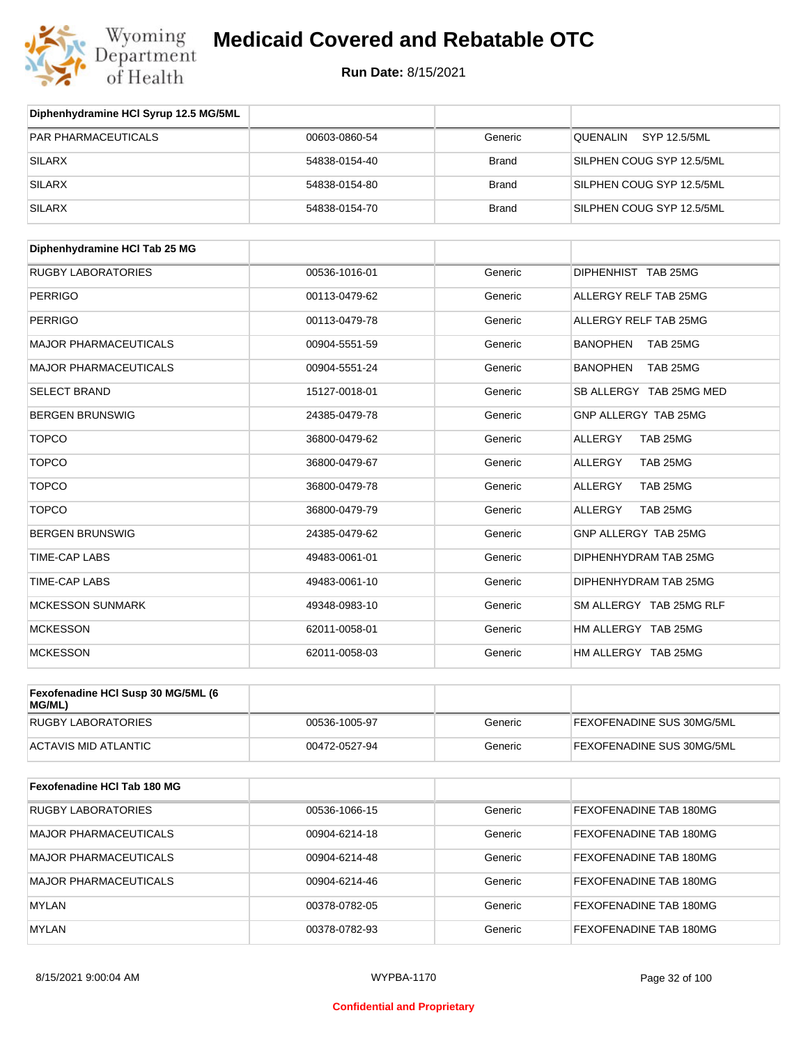

| Diphenhydramine HCI Syrup 12.5 MG/5ML |               |              |                           |
|---------------------------------------|---------------|--------------|---------------------------|
| <b>PAR PHARMACEUTICALS</b>            | 00603-0860-54 | Generic      | SYP 12.5/5ML<br>QUENALIN  |
| <b>SILARX</b>                         | 54838-0154-40 | <b>Brand</b> | SILPHEN COUG SYP 12.5/5ML |
| SILARX                                | 54838-0154-80 | <b>Brand</b> | SILPHEN COUG SYP 12.5/5ML |
| <b>SILARX</b>                         | 54838-0154-70 | <b>Brand</b> | SILPHEN COUG SYP 12.5/5ML |

| Diphenhydramine HCI Tab 25 MG |               |         |                             |
|-------------------------------|---------------|---------|-----------------------------|
| <b>RUGBY LABORATORIES</b>     | 00536-1016-01 | Generic | DIPHENHIST TAB 25MG         |
| <b>PERRIGO</b>                | 00113-0479-62 | Generic | ALLERGY RELF TAB 25MG       |
| <b>PERRIGO</b>                | 00113-0479-78 | Generic | ALLERGY RELF TAB 25MG       |
| <b>MAJOR PHARMACEUTICALS</b>  | 00904-5551-59 | Generic | <b>BANOPHEN</b><br>TAB 25MG |
| <b>MAJOR PHARMACEUTICALS</b>  | 00904-5551-24 | Generic | <b>BANOPHEN</b><br>TAB 25MG |
| <b>SELECT BRAND</b>           | 15127-0018-01 | Generic | SB ALLERGY TAB 25MG MED     |
| <b>BERGEN BRUNSWIG</b>        | 24385-0479-78 | Generic | GNP ALLERGY TAB 25MG        |
| <b>TOPCO</b>                  | 36800-0479-62 | Generic | <b>ALLERGY</b><br>TAB 25MG  |
| <b>TOPCO</b>                  | 36800-0479-67 | Generic | <b>ALLERGY</b><br>TAB 25MG  |
| <b>TOPCO</b>                  | 36800-0479-78 | Generic | TAB 25MG<br>ALLERGY         |
| <b>TOPCO</b>                  | 36800-0479-79 | Generic | TAB 25MG<br>ALLERGY         |
| <b>BERGEN BRUNSWIG</b>        | 24385-0479-62 | Generic | GNP ALLERGY TAB 25MG        |
| <b>TIME-CAP LABS</b>          | 49483-0061-01 | Generic | DIPHENHYDRAM TAB 25MG       |
| <b>TIME-CAP LABS</b>          | 49483-0061-10 | Generic | DIPHENHYDRAM TAB 25MG       |
| <b>MCKESSON SUNMARK</b>       | 49348-0983-10 | Generic | SM ALLERGY TAB 25MG RLF     |
| <b>MCKESSON</b>               | 62011-0058-01 | Generic | HM ALLERGY TAB 25MG         |
| <b>MCKESSON</b>               | 62011-0058-03 | Generic | HM ALLERGY TAB 25MG         |

| Fexofenadine HCI Susp 30 MG/5ML (6<br>MG/ML) |               |         |                                  |
|----------------------------------------------|---------------|---------|----------------------------------|
| RUGBY LABORATORIES                           | 00536-1005-97 | Generic | <b>FEXOFENADINE SUS 30MG/5ML</b> |
| ACTAVIS MID ATLANTIC                         | 00472-0527-94 | Generic | FEXOFENADINE SUS 30MG/5ML        |

| Fexofenadine HCI Tab 180 MG |               |         |                               |
|-----------------------------|---------------|---------|-------------------------------|
| <b>RUGBY LABORATORIES</b>   | 00536-1066-15 | Generic | FEXOFENADINE TAB 180MG        |
| MAJOR PHARMACEUTICALS       | 00904-6214-18 | Generic | FEXOFENADINE TAB 180MG        |
| MAJOR PHARMACEUTICALS       | 00904-6214-48 | Generic | <b>FEXOFENADINE TAB 180MG</b> |
| MAJOR PHARMACEUTICALS       | 00904-6214-46 | Generic | FEXOFENADINE TAB 180MG        |
| <b>MYLAN</b>                | 00378-0782-05 | Generic | FEXOFENADINE TAB 180MG        |
| <b>MYLAN</b>                | 00378-0782-93 | Generic | FEXOFENADINE TAB 180MG        |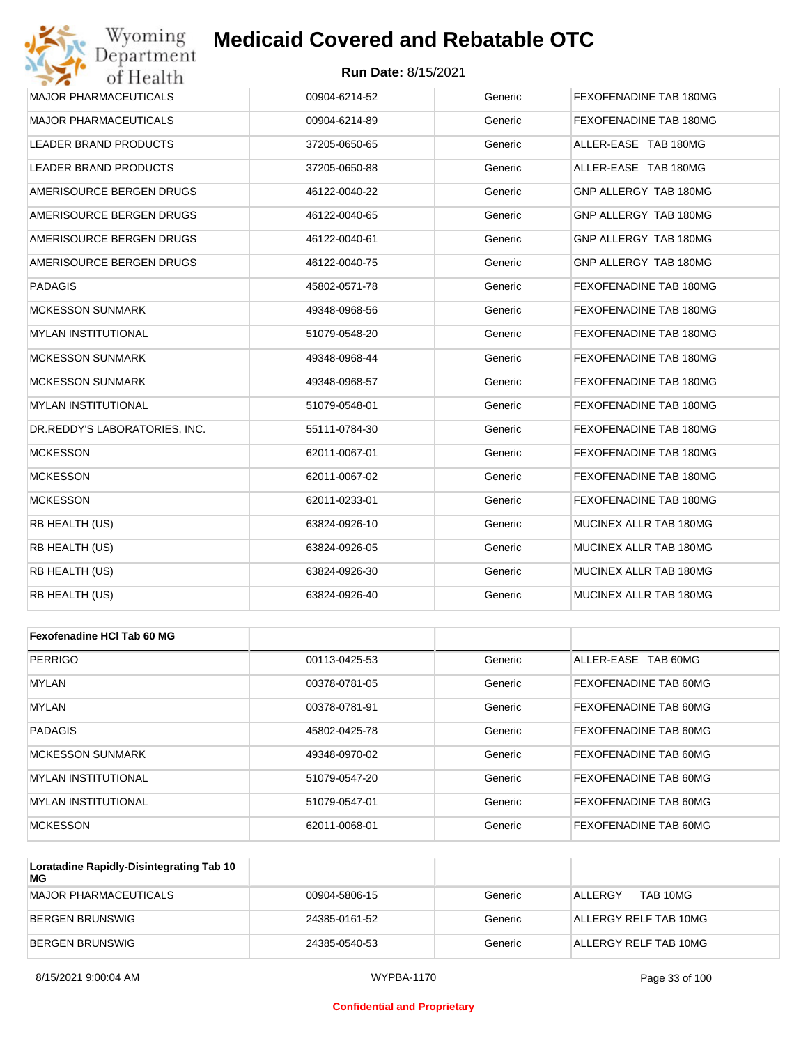#### **Run Date:** 8/15/2021

| Wyoming<br><b>Medicaid Covered and Rebatable OTC</b><br>Department |                            |         |                        |  |
|--------------------------------------------------------------------|----------------------------|---------|------------------------|--|
| of Health                                                          | <b>Run Date: 8/15/2021</b> |         |                        |  |
| <b>MAJOR PHARMACEUTICALS</b>                                       | 00904-6214-52              | Generic | FEXOFENADINE TAB 180MG |  |
| <b>MAJOR PHARMACEUTICALS</b>                                       | 00904-6214-89              | Generic | FEXOFENADINE TAB 180MG |  |
| LEADER BRAND PRODUCTS                                              | 37205-0650-65              | Generic | ALLER-EASE TAB 180MG   |  |
| <b>LEADER BRAND PRODUCTS</b>                                       | 37205-0650-88              | Generic | ALLER-EASE TAB 180MG   |  |
| AMERISOURCE BERGEN DRUGS                                           | 46122-0040-22              | Generic | GNP ALLERGY TAB 180MG  |  |
| AMERISOURCE BERGEN DRUGS                                           | 46122-0040-65              | Generic | GNP ALLERGY TAB 180MG  |  |
| AMERISOURCE BERGEN DRUGS                                           | 46122-0040-61              | Generic | GNP ALLERGY TAB 180MG  |  |
| AMERISOURCE BERGEN DRUGS                                           | 46122-0040-75              | Generic | GNP ALLERGY TAB 180MG  |  |
| <b>PADAGIS</b>                                                     | 45802-0571-78              | Generic | FEXOFENADINE TAB 180MG |  |
| <b>MCKESSON SUNMARK</b>                                            | 49348-0968-56              | Generic | FEXOFENADINE TAB 180MG |  |
| MYLAN INSTITUTIONAL                                                | 51079-0548-20              | Generic | FEXOFENADINE TAB 180MG |  |
| <b>MCKESSON SUNMARK</b>                                            | 49348-0968-44              | Generic | FEXOFENADINE TAB 180MG |  |
| <b>MCKESSON SUNMARK</b>                                            | 49348-0968-57              | Generic | FEXOFENADINE TAB 180MG |  |
| <b>MYLAN INSTITUTIONAL</b>                                         | 51079-0548-01              | Generic | FEXOFENADINE TAB 180MG |  |
| DR.REDDY'S LABORATORIES, INC.                                      | 55111-0784-30              | Generic | FEXOFENADINE TAB 180MG |  |
| <b>MCKESSON</b>                                                    | 62011-0067-01              | Generic | FEXOFENADINE TAB 180MG |  |
| <b>MCKESSON</b>                                                    | 62011-0067-02              | Generic | FEXOFENADINE TAB 180MG |  |
| <b>MCKESSON</b>                                                    | 62011-0233-01              | Generic | FEXOFENADINE TAB 180MG |  |
| RB HEALTH (US)                                                     | 63824-0926-10              | Generic | MUCINEX ALLR TAB 180MG |  |
| RB HEALTH (US)                                                     | 63824-0926-05              | Generic | MUCINEX ALLR TAB 180MG |  |
| RB HEALTH (US)                                                     | 63824-0926-30              | Generic | MUCINEX ALLR TAB 180MG |  |
| RB HEALTH (US)                                                     | 63824-0926-40              | Generic | MUCINEX ALLR TAB 180MG |  |
|                                                                    |                            |         |                        |  |
| Fexofenadine HCI Tab 60 MG                                         |                            |         |                        |  |
| <b>PERRIGO</b>                                                     | 00113-0425-53              | Generic | ALLER-EASE TAB 60MG    |  |
| MYLAN                                                              | 00378-0781-05              | Generic | FEXOFENADINE TAB 60MG  |  |
| MYLAN                                                              | 00378-0781-91              | Generic | FEXOFENADINE TAB 60MG  |  |
| <b>PADAGIS</b>                                                     | 45802-0425-78              | Generic | FEXOFENADINE TAB 60MG  |  |

| <b>PADAGIS</b>              | 45802-0425-78 | Generic | <b>FEXOFENADINE TAB 60MG</b> |
|-----------------------------|---------------|---------|------------------------------|
| <b>IMCKESSON SUNMARK</b>    | 49348-0970-02 | Generic | <b>FEXOFENADINE TAB 60MG</b> |
| IMYLAN INSTITUTIONAL        | 51079-0547-20 | Generic | <b>FEXOFENADINE TAB 60MG</b> |
| <b>IMYLAN INSTITUTIONAL</b> | 51079-0547-01 | Generic | <b>FEXOFENADINE TAB 60MG</b> |
| <b>MCKESSON</b>             | 62011-0068-01 | Generic | <b>FEXOFENADINE TAB 60MG</b> |

| Loratadine Rapidly-Disintegrating Tab 10<br>МG |               |         |                       |
|------------------------------------------------|---------------|---------|-----------------------|
| MAJOR PHARMACEUTICALS                          | 00904-5806-15 | Generic | TAB 10MG<br>ALLERGY   |
| BERGEN BRUNSWIG                                | 24385-0161-52 | Generic | ALLERGY RELF TAB 10MG |
| BERGEN BRUNSWIG                                | 24385-0540-53 | Generic | ALLERGY RELF TAB 10MG |

#### **Confidential and Proprietary**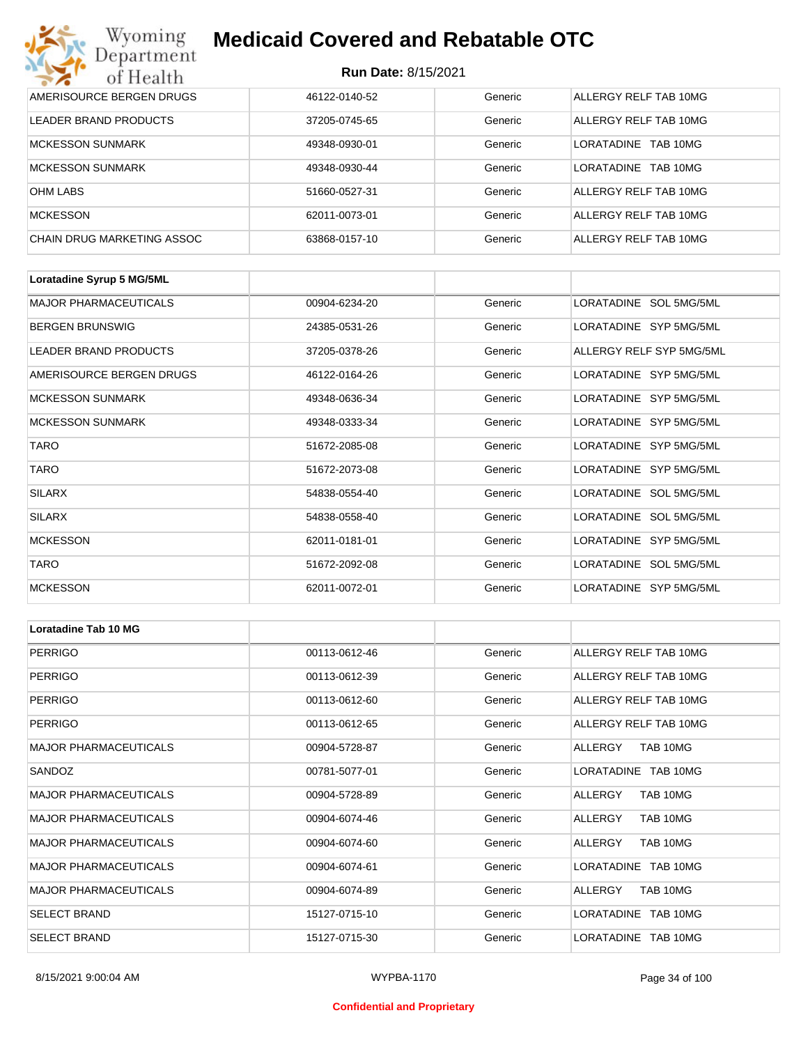#### **Run Date:** 8/15/2021

| Wyoming<br>Department      | <b>Medicaid Covered and Rebatable OTC</b> |         |                         |  |
|----------------------------|-------------------------------------------|---------|-------------------------|--|
| of Health                  | <b>Run Date: 8/15/2021</b>                |         |                         |  |
| AMERISOURCE BERGEN DRUGS   | 46122-0140-52                             | Generic | ALLERGY RELF TAB 10MG   |  |
| LEADER BRAND PRODUCTS      | 37205-0745-65                             | Generic | ALLERGY RELF TAB 10MG   |  |
| <b>MCKESSON SUNMARK</b>    | 49348-0930-01                             | Generic | I ORATADINE<br>TAB 10MG |  |
| <b>MCKESSON SUNMARK</b>    | 49348-0930-44                             | Generic | LORATADINE<br>TAB 10MG  |  |
| <b>OHM LABS</b>            | 51660-0527-31                             | Generic | ALLERGY RELF TAB 10MG   |  |
| <b>MCKESSON</b>            | 62011-0073-01                             | Generic | ALLERGY RELF TAB 10MG   |  |
| CHAIN DRUG MARKETING ASSOC | 63868-0157-10                             | Generic | ALLERGY RELF TAB 10MG   |  |

| Loratadine Syrup 5 MG/5ML    |               |         |                          |
|------------------------------|---------------|---------|--------------------------|
| <b>MAJOR PHARMACEUTICALS</b> | 00904-6234-20 | Generic | LORATADINE SOL 5MG/5ML   |
| <b>BERGEN BRUNSWIG</b>       | 24385-0531-26 | Generic | LORATADINE SYP 5MG/5ML   |
| LEADER BRAND PRODUCTS        | 37205-0378-26 | Generic | ALLERGY RELF SYP 5MG/5ML |
| AMERISOURCE BERGEN DRUGS     | 46122-0164-26 | Generic | LORATADINE SYP 5MG/5ML   |
| <b>MCKESSON SUNMARK</b>      | 49348-0636-34 | Generic | LORATADINE SYP 5MG/5ML   |
| <b>MCKESSON SUNMARK</b>      | 49348-0333-34 | Generic | LORATADINE SYP 5MG/5ML   |
| <b>TARO</b>                  | 51672-2085-08 | Generic | LORATADINE SYP 5MG/5ML   |
| <b>TARO</b>                  | 51672-2073-08 | Generic | LORATADINE SYP 5MG/5ML   |
| <b>SILARX</b>                | 54838-0554-40 | Generic | LORATADINE SOL 5MG/5ML   |
| <b>SILARX</b>                | 54838-0558-40 | Generic | LORATADINE SOL 5MG/5ML   |
| <b>MCKESSON</b>              | 62011-0181-01 | Generic | LORATADINE SYP 5MG/5ML   |
| <b>TARO</b>                  | 51672-2092-08 | Generic | LORATADINE SOL 5MG/5ML   |
| <b>MCKESSON</b>              | 62011-0072-01 | Generic | LORATADINE SYP 5MG/5ML   |

| Loratadine Tab 10 MG         |               |         |                       |
|------------------------------|---------------|---------|-----------------------|
| <b>PERRIGO</b>               | 00113-0612-46 | Generic | ALLERGY RELF TAB 10MG |
| <b>PERRIGO</b>               | 00113-0612-39 | Generic | ALLERGY RELF TAB 10MG |
| <b>PERRIGO</b>               | 00113-0612-60 | Generic | ALLERGY RELF TAB 10MG |
| <b>PERRIGO</b>               | 00113-0612-65 | Generic | ALLERGY RELF TAB 10MG |
| <b>MAJOR PHARMACEUTICALS</b> | 00904-5728-87 | Generic | TAB 10MG<br>ALLERGY   |
| SANDOZ                       | 00781-5077-01 | Generic | LORATADINE TAB 10MG   |
| <b>MAJOR PHARMACEUTICALS</b> | 00904-5728-89 | Generic | ALLERGY<br>TAB 10MG   |
| <b>MAJOR PHARMACEUTICALS</b> | 00904-6074-46 | Generic | TAB 10MG<br>ALLERGY   |
| <b>MAJOR PHARMACEUTICALS</b> | 00904-6074-60 | Generic | TAB 10MG<br>ALLERGY   |
| <b>MAJOR PHARMACEUTICALS</b> | 00904-6074-61 | Generic | LORATADINE TAB 10MG   |
| <b>MAJOR PHARMACEUTICALS</b> | 00904-6074-89 | Generic | ALLERGY<br>TAB 10MG   |
| <b>SELECT BRAND</b>          | 15127-0715-10 | Generic | LORATADINE TAB 10MG   |
| <b>SELECT BRAND</b>          | 15127-0715-30 | Generic | LORATADINE TAB 10MG   |

#### **Confidential and Proprietary**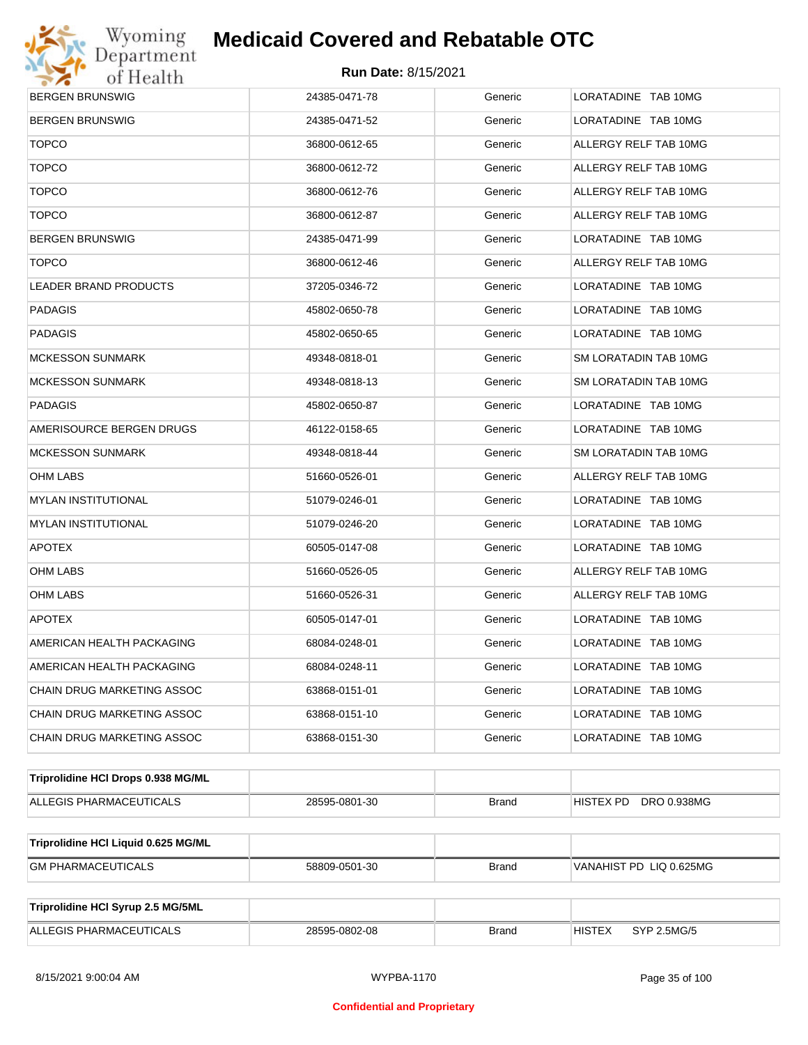

| <b>BERGEN BRUNSWIG</b>              | 24385-0471-78 | Generic      | LORATADINE TAB 10MG          |
|-------------------------------------|---------------|--------------|------------------------------|
| <b>BERGEN BRUNSWIG</b>              | 24385-0471-52 | Generic      | LORATADINE TAB 10MG          |
| <b>TOPCO</b>                        | 36800-0612-65 | Generic      | ALLERGY RELF TAB 10MG        |
| <b>TOPCO</b>                        | 36800-0612-72 | Generic      | ALLERGY RELF TAB 10MG        |
| <b>TOPCO</b>                        | 36800-0612-76 | Generic      | ALLERGY RELF TAB 10MG        |
| <b>TOPCO</b>                        | 36800-0612-87 | Generic      | ALLERGY RELF TAB 10MG        |
| <b>BERGEN BRUNSWIG</b>              | 24385-0471-99 | Generic      | LORATADINE TAB 10MG          |
| <b>TOPCO</b>                        | 36800-0612-46 | Generic      | ALLERGY RELF TAB 10MG        |
| LEADER BRAND PRODUCTS               | 37205-0346-72 | Generic      | LORATADINE TAB 10MG          |
| PADAGIS                             | 45802-0650-78 | Generic      | LORATADINE TAB 10MG          |
| PADAGIS                             | 45802-0650-65 | Generic      | LORATADINE TAB 10MG          |
| MCKESSON SUNMARK                    | 49348-0818-01 | Generic      | SM LORATADIN TAB 10MG        |
| MCKESSON SUNMARK                    | 49348-0818-13 | Generic      | SM LORATADIN TAB 10MG        |
| PADAGIS                             | 45802-0650-87 | Generic      | LORATADINE TAB 10MG          |
| AMERISOURCE BERGEN DRUGS            | 46122-0158-65 | Generic      | LORATADINE TAB 10MG          |
| MCKESSON SUNMARK                    | 49348-0818-44 | Generic      | SM LORATADIN TAB 10MG        |
| OHM LABS                            | 51660-0526-01 | Generic      | ALLERGY RELF TAB 10MG        |
| MYLAN INSTITUTIONAL                 | 51079-0246-01 | Generic      | LORATADINE TAB 10MG          |
| MYLAN INSTITUTIONAL                 | 51079-0246-20 | Generic      | LORATADINE TAB 10MG          |
| <b>APOTEX</b>                       | 60505-0147-08 | Generic      | LORATADINE TAB 10MG          |
| OHM LABS                            | 51660-0526-05 | Generic      | ALLERGY RELF TAB 10MG        |
| OHM LABS                            | 51660-0526-31 | Generic      | ALLERGY RELF TAB 10MG        |
| <b>APOTEX</b>                       | 60505-0147-01 | Generic      | LORATADINE TAB 10MG          |
| AMERICAN HEALTH PACKAGING           | 68084-0248-01 | Generic      | LORATADINE TAB 10MG          |
| AMERICAN HEALTH PACKAGING           | 68084-0248-11 | Generic      | LORATADINE TAB 10MG          |
| CHAIN DRUG MARKETING ASSOC          | 63868-0151-01 | Generic      | LORATADINE TAB 10MG          |
| CHAIN DRUG MARKETING ASSOC          | 63868-0151-10 | Generic      | LORATADINE TAB 10MG          |
| CHAIN DRUG MARKETING ASSOC          | 63868-0151-30 | Generic      | LORATADINE TAB 10MG          |
| Triprolidine HCI Drops 0.938 MG/ML  |               |              |                              |
| ALLEGIS PHARMACEUTICALS             | 28595-0801-30 | <b>Brand</b> | HISTEX PD DRO 0.938MG        |
| Triprolidine HCI Liquid 0.625 MG/ML |               |              |                              |
| <b>GM PHARMACEUTICALS</b>           | 58809-0501-30 | <b>Brand</b> | VANAHIST PD LIQ 0.625MG      |
| Triprolidine HCI Syrup 2.5 MG/5ML   |               |              |                              |
| ALLEGIS PHARMACEUTICALS             | 28595-0802-08 | <b>Brand</b> | <b>HISTEX</b><br>SYP 2.5MG/5 |
|                                     |               |              |                              |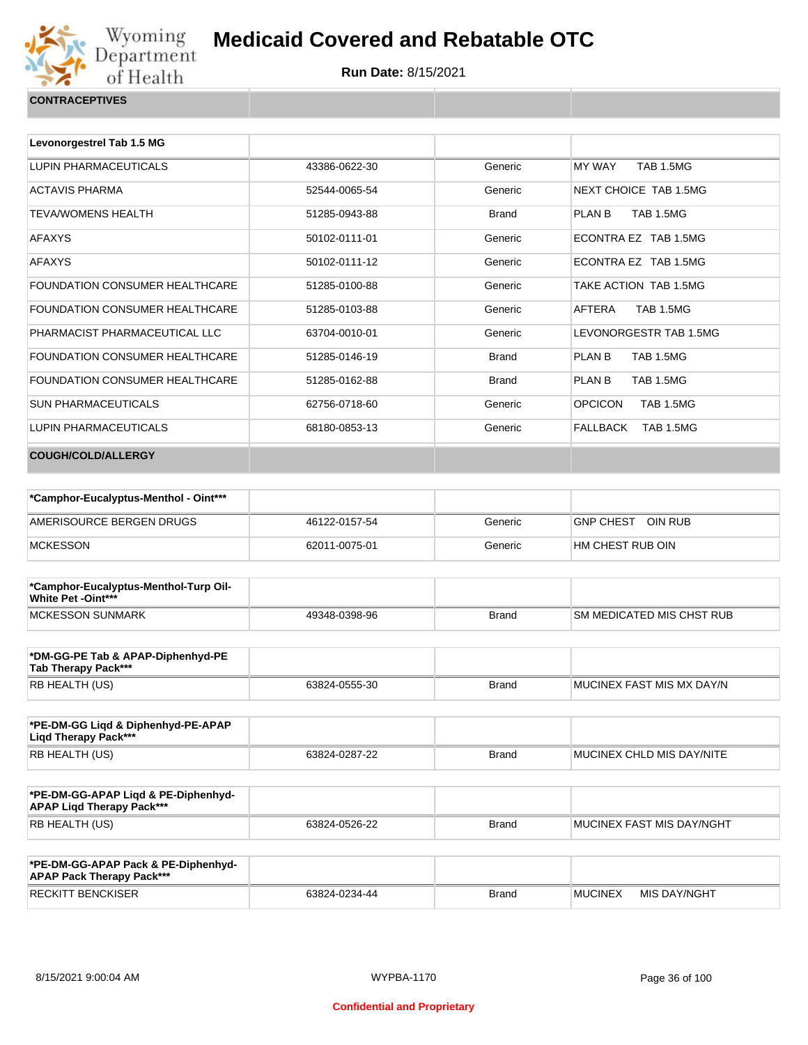

| <b>CONTRACEPTIVES</b> |  |
|-----------------------|--|
|                       |  |

| Levonorgestrel Tab 1.5 MG      |               |              |                                    |
|--------------------------------|---------------|--------------|------------------------------------|
| LUPIN PHARMACEUTICALS          | 43386-0622-30 | Generic      | <b>MY WAY</b><br><b>TAB 1.5MG</b>  |
| <b>ACTAVIS PHARMA</b>          | 52544-0065-54 | Generic      | NEXT CHOICE TAB 1.5MG              |
| <b>TEVA/WOMENS HEALTH</b>      | 51285-0943-88 | <b>Brand</b> | <b>TAB 1.5MG</b><br>PLAN B         |
| <b>AFAXYS</b>                  | 50102-0111-01 | Generic      | FCONTRA FZ TAB 1.5MG               |
| <b>AFAXYS</b>                  | 50102-0111-12 | Generic      | ECONTRA EZ TAB 1.5MG               |
| FOUNDATION CONSUMER HEALTHCARE | 51285-0100-88 | Generic      | TAKE ACTION TAB 1.5MG              |
| FOUNDATION CONSUMER HEALTHCARE | 51285-0103-88 | Generic      | AFTERA<br><b>TAB 1.5MG</b>         |
| PHARMACIST PHARMACEUTICAL LLC  | 63704-0010-01 | Generic      | LEVONORGESTR TAB 1.5MG             |
| FOUNDATION CONSUMER HEALTHCARE | 51285-0146-19 | <b>Brand</b> | <b>PLAN B</b><br><b>TAB 1.5MG</b>  |
| FOUNDATION CONSUMER HEALTHCARE | 51285-0162-88 | <b>Brand</b> | PLAN B<br><b>TAB 1.5MG</b>         |
| <b>SUN PHARMACEUTICALS</b>     | 62756-0718-60 | Generic      | <b>OPCICON</b><br><b>TAB 1.5MG</b> |
| LUPIN PHARMACEUTICALS          | 68180-0853-13 | Generic      | FALLBACK<br>TAB 1.5MG              |
| <b>COUGH/COLD/ALLERGY</b>      |               |              |                                    |

| *Camphor-Eucalyptus-Menthol - Oint*** |               |         |                   |
|---------------------------------------|---------------|---------|-------------------|
| AMERISOURCE BERGEN DRUGS              | 46122-0157-54 | Generic | GNP CHEST OIN RUB |
| <b>MCKESSON</b>                       | 62011-0075-01 | Generic | HM CHEST RUB OIN  |

| *Camphor-Eucalyptus-Menthol-Turp Oil-<br><b>White Pet -Oint***</b> |               |              |                                   |
|--------------------------------------------------------------------|---------------|--------------|-----------------------------------|
| <b>IMCKESSON SUNMARK</b>                                           | 49348-0398-96 | <b>Brand</b> | <b>ISM MEDICATED MIS CHST RUB</b> |

| *DM-GG-PE Tab & APAP-Diphenhyd-PE<br>Tab Therapy Pack*** |               |              |                            |
|----------------------------------------------------------|---------------|--------------|----------------------------|
| RB HEALTH (US)                                           | 63824-0555-30 | <b>Brand</b> | IMUCINEX FAST MIS MX DAY/N |

| *PE-DM-GG Ligd & Diphenhyd-PE-APAP<br>Ligd Therapy Pack*** |               |              |                           |
|------------------------------------------------------------|---------------|--------------|---------------------------|
| RB HEALTH (US)                                             | 63824-0287-22 | <b>Brand</b> | MUCINEX CHLD MIS DAY/NITE |

| *PE-DM-GG-APAP Ligd & PE-Diphenhyd-<br><b>APAP Ligd Therapy Pack***</b> |               |       |                           |
|-------------------------------------------------------------------------|---------------|-------|---------------------------|
| <b>RB HEALTH (US)</b>                                                   | 63824-0526-22 | Brand | MUCINEX FAST MIS DAY/NGHT |

| *PE-DM-GG-APAP Pack & PE-Diphenhyd-<br><b>APAP Pack Therapy Pack***</b> |               |              |                |              |
|-------------------------------------------------------------------------|---------------|--------------|----------------|--------------|
| <b>RECKITT BENCKISER</b>                                                | 63824-0234-44 | <b>Brand</b> | <b>MUCINEX</b> | MIS DAY/NGHT |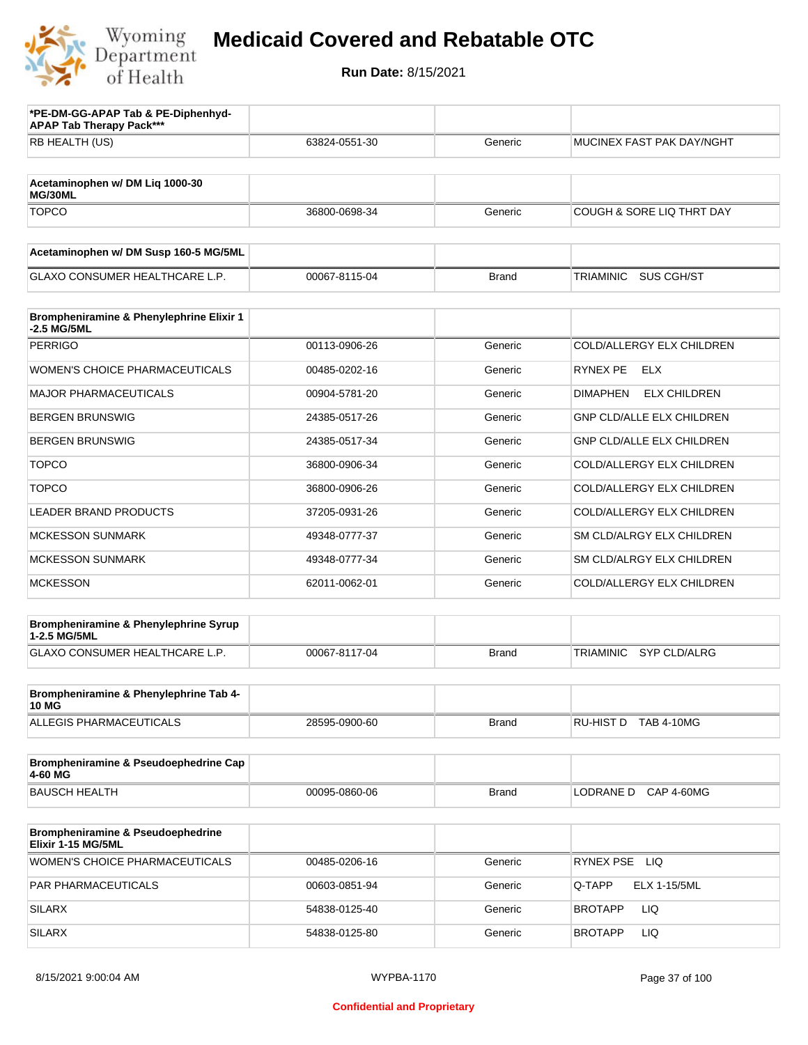

| *PE-DM-GG-APAP Tab & PE-Diphenhyd-<br><b>APAP Tab Therapy Pack***</b> |               |              |                                         |
|-----------------------------------------------------------------------|---------------|--------------|-----------------------------------------|
| RB HEALTH (US)                                                        | 63824-0551-30 | Generic      | MUCINEX FAST PAK DAY/NGHT               |
|                                                                       |               |              |                                         |
| Acetaminophen w/ DM Liq 1000-30<br>MG/30ML                            |               |              |                                         |
| <b>TOPCO</b>                                                          | 36800-0698-34 | Generic      | COUGH & SORE LIQ THRT DAY               |
| Acetaminophen w/ DM Susp 160-5 MG/5ML                                 |               |              |                                         |
| <b>GLAXO CONSUMER HEALTHCARE L.P.</b>                                 | 00067-8115-04 | <b>Brand</b> | SUS CGH/ST<br>TRIAMINIC                 |
| Brompheniramine & Phenylephrine Elixir 1<br>-2.5 MG/5ML               |               |              |                                         |
| <b>PERRIGO</b>                                                        | 00113-0906-26 | Generic      | COLD/ALLERGY ELX CHILDREN               |
| <b>WOMEN'S CHOICE PHARMACEUTICALS</b>                                 | 00485-0202-16 | Generic      | RYNEX PE<br>ELX                         |
| <b>MAJOR PHARMACEUTICALS</b>                                          | 00904-5781-20 | Generic      | <b>DIMAPHEN</b><br><b>ELX CHILDREN</b>  |
| <b>BERGEN BRUNSWIG</b>                                                | 24385-0517-26 | Generic      | <b>GNP CLD/ALLE ELX CHILDREN</b>        |
| <b>BERGEN BRUNSWIG</b>                                                | 24385-0517-34 | Generic      | <b>GNP CLD/ALLE ELX CHILDREN</b>        |
| <b>TOPCO</b>                                                          | 36800-0906-34 | Generic      | COLD/ALLERGY ELX CHILDREN               |
| <b>TOPCO</b>                                                          | 36800-0906-26 | Generic      | COLD/ALLERGY ELX CHILDREN               |
| <b>LEADER BRAND PRODUCTS</b>                                          | 37205-0931-26 | Generic      | COLD/ALLERGY ELX CHILDREN               |
| <b>MCKESSON SUNMARK</b>                                               | 49348-0777-37 | Generic      | SM CLD/ALRGY ELX CHILDREN               |
| <b>MCKESSON SUNMARK</b>                                               | 49348-0777-34 | Generic      | SM CLD/ALRGY ELX CHILDREN               |
| <b>MCKESSON</b>                                                       | 62011-0062-01 | Generic      | COLD/ALLERGY ELX CHILDREN               |
| Brompheniramine & Phenylephrine Syrup<br>1-2.5 MG/5ML                 |               |              |                                         |
| <b>GLAXO CONSUMER HEALTHCARE L.P.</b>                                 | 00067-8117-04 | <b>Brand</b> | <b>TRIAMINIC</b><br><b>SYP CLD/ALRG</b> |
|                                                                       |               |              |                                         |
| Brompheniramine & Phenylephrine Tab 4-<br><b>10 MG</b>                |               |              |                                         |
| ALLEGIS PHARMACEUTICALS                                               | 28595-0900-60 | <b>Brand</b> | RU-HIST D TAB 4-10MG                    |
| Brompheniramine & Pseudoephedrine Cap<br>4-60 MG                      |               |              |                                         |
| <b>BAUSCH HEALTH</b>                                                  | 00095-0860-06 | <b>Brand</b> | LODRANE D CAP 4-60MG                    |
|                                                                       |               |              |                                         |
| Brompheniramine & Pseudoephedrine<br>Elixir 1-15 MG/5ML               |               |              |                                         |
| <b>WOMEN'S CHOICE PHARMACEUTICALS</b>                                 | 00485-0206-16 | Generic      | RYNEX PSE LIQ                           |
| PAR PHARMACEUTICALS                                                   | 00603-0851-94 | Generic      | <b>ELX 1-15/5ML</b><br>Q-TAPP           |
| <b>SILARX</b>                                                         | 54838-0125-40 | Generic      | <b>BROTAPP</b><br>LIQ                   |
| <b>SILARX</b>                                                         | 54838-0125-80 | Generic      | <b>BROTAPP</b><br>LIQ                   |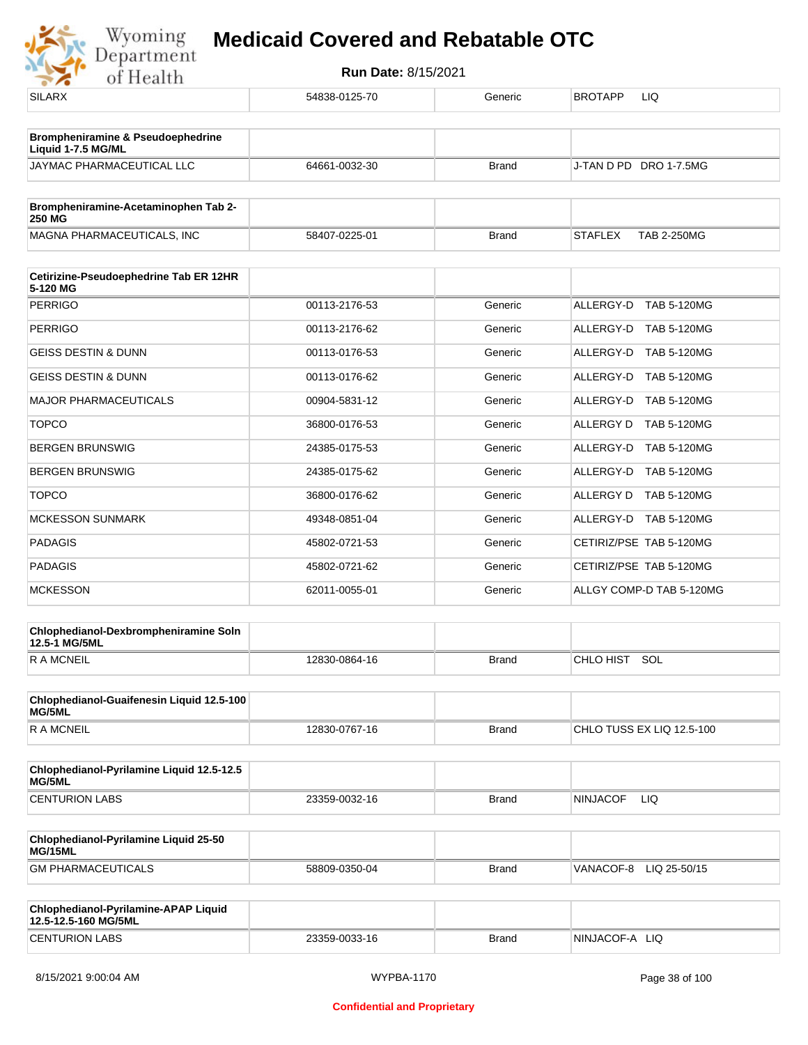| <b>SILARX</b>                                                      | 54838-0125-70 | Generic      | <b>BROTAPP</b><br>LIQ.               |
|--------------------------------------------------------------------|---------------|--------------|--------------------------------------|
| <b>Brompheniramine &amp; Pseudoephedrine</b><br>Liquid 1-7.5 MG/ML |               |              |                                      |
| JAYMAC PHARMACEUTICAL LLC                                          | 64661-0032-30 | <b>Brand</b> | J-TAN D PD DRO 1-7.5MG               |
| Brompheniramine-Acetaminophen Tab 2-<br><b>250 MG</b>              |               |              |                                      |
| MAGNA PHARMACEUTICALS, INC                                         | 58407-0225-01 | <b>Brand</b> | <b>STAFLEX</b><br><b>TAB 2-250MG</b> |
| Cetirizine-Pseudoephedrine Tab ER 12HR<br>5-120 MG                 |               |              |                                      |
| <b>PERRIGO</b>                                                     | 00113-2176-53 | Generic      | ALLERGY-D TAB 5-120MG                |
| <b>PERRIGO</b>                                                     | 00113-2176-62 | Generic      | ALLERGY-D TAB 5-120MG                |
| <b>GEISS DESTIN &amp; DUNN</b>                                     | 00113-0176-53 | Generic      | ALLERGY-D TAB 5-120MG                |
| <b>GEISS DESTIN &amp; DUNN</b>                                     | 00113-0176-62 | Generic      | ALLERGY-D TAB 5-120MG                |
| MAJOR PHARMACEUTICALS                                              | 00904-5831-12 | Generic      | ALLERGY-D TAB 5-120MG                |
| <b>TOPCO</b>                                                       | 36800-0176-53 | Generic      | ALLERGY D TAB 5-120MG                |
| <b>BERGEN BRUNSWIG</b>                                             | 24385-0175-53 | Generic      | ALLERGY-D TAB 5-120MG                |
| <b>BERGEN BRUNSWIG</b>                                             | 24385-0175-62 | Generic      | ALLERGY-D TAB 5-120MG                |
| <b>TOPCO</b>                                                       | 36800-0176-62 | Generic      | ALLERGY D TAB 5-120MG                |
| <b>MCKESSON SUNMARK</b>                                            | 49348-0851-04 | Generic      | ALLERGY-D TAB 5-120MG                |
| <b>PADAGIS</b>                                                     | 45802-0721-53 | Generic      | CETIRIZ/PSE TAB 5-120MG              |
| <b>PADAGIS</b>                                                     | 45802-0721-62 | Generic      | CETIRIZ/PSE TAB 5-120MG              |
| <b>MCKESSON</b>                                                    | 62011-0055-01 | Generic      | ALLGY COMP-D TAB 5-120MG             |
| Chlophedianol-Dexbrompheniramine Soln<br>12.5-1 MG/5ML             |               |              |                                      |
| <b>RAMCNEIL</b>                                                    | 12830-0864-16 | <b>Brand</b> | CHLO HIST SOL                        |
| Chlophedianol-Guaifenesin Liquid 12.5-100<br>MG/5ML                |               |              |                                      |
| <b>RAMCNEIL</b>                                                    | 12830-0767-16 | Brand        | CHLO TUSS EX LIQ 12.5-100            |
| Chlophedianol-Pyrilamine Liquid 12.5-12.5<br>MG/5ML                |               |              |                                      |
| <b>CENTURION LABS</b>                                              | 23359-0032-16 | <b>Brand</b> | <b>NINJACOF</b><br>LIQ.              |
| Chlophedianol-Pyrilamine Liquid 25-50<br>MG/15ML                   |               |              |                                      |
| <b>GM PHARMACEUTICALS</b>                                          | 58809-0350-04 | <b>Brand</b> | VANACOF-8 LIQ 25-50/15               |
| Chlophedianol-Pyrilamine-APAP Liquid<br>12.5-12.5-160 MG/5ML       |               |              |                                      |
| <b>CENTURION LABS</b>                                              | 23359-0033-16 | <b>Brand</b> | NINJACOF-A LIQ                       |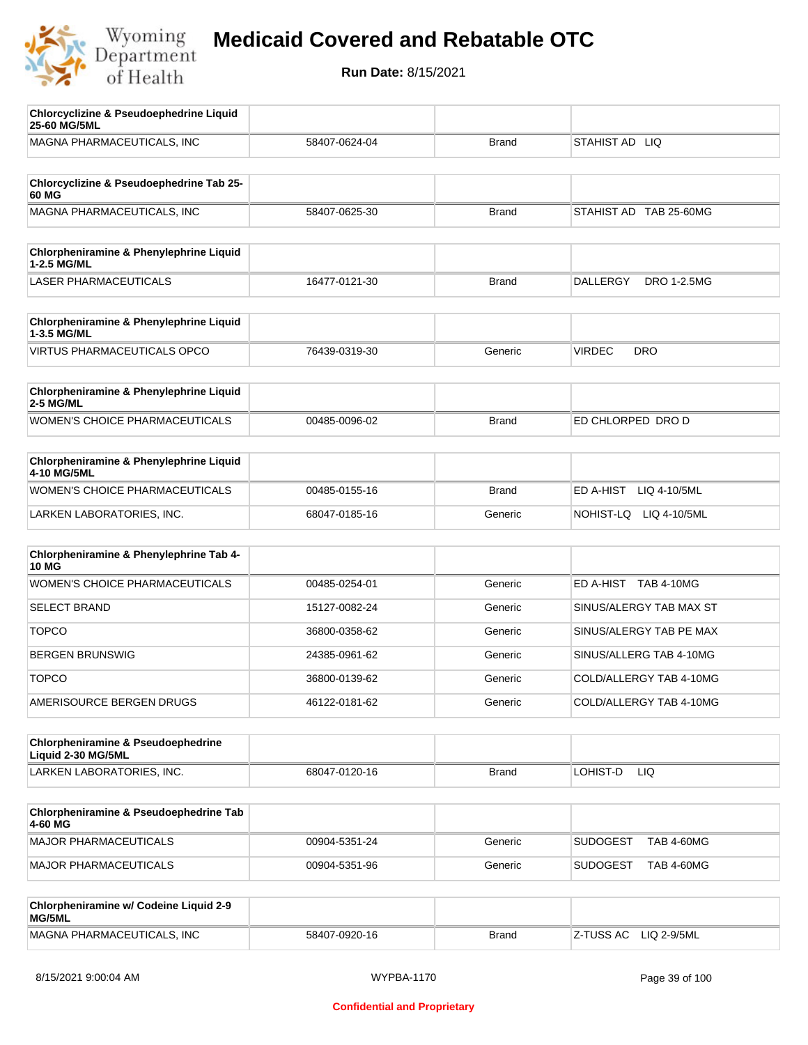

| <b>Chlorcyclizine &amp; Pseudoephedrine Liquid</b><br>25-60 MG/5ML |               |              |                                       |
|--------------------------------------------------------------------|---------------|--------------|---------------------------------------|
| MAGNA PHARMACEUTICALS, INC                                         | 58407-0624-04 | <b>Brand</b> | STAHIST AD LIQ                        |
|                                                                    |               |              |                                       |
| Chlorcyclizine & Pseudoephedrine Tab 25-<br>60 MG                  |               |              |                                       |
| MAGNA PHARMACEUTICALS, INC                                         | 58407-0625-30 | <b>Brand</b> | STAHIST AD TAB 25-60MG                |
| <b>Chlorpheniramine &amp; Phenylephrine Liquid</b><br>1-2.5 MG/ML  |               |              |                                       |
| <b>LASER PHARMACEUTICALS</b>                                       | 16477-0121-30 | <b>Brand</b> | <b>DALLERGY</b><br><b>DRO 1-2.5MG</b> |
| Chlorpheniramine & Phenylephrine Liquid<br>1-3.5 MG/ML             |               |              |                                       |
| <b>VIRTUS PHARMACEUTICALS OPCO</b>                                 | 76439-0319-30 | Generic      | <b>VIRDEC</b><br><b>DRO</b>           |
| Chlorpheniramine & Phenylephrine Liquid<br>2-5 MG/ML               |               |              |                                       |
| WOMEN'S CHOICE PHARMACEUTICALS                                     | 00485-0096-02 | <b>Brand</b> | ED CHLORPED DRO D                     |
| <b>Chlorpheniramine &amp; Phenylephrine Liquid</b><br>4-10 MG/5ML  |               |              |                                       |
| WOMEN'S CHOICE PHARMACEUTICALS                                     | 00485-0155-16 | <b>Brand</b> | ED A-HIST<br>LIQ 4-10/5ML             |
| LARKEN LABORATORIES, INC.                                          | 68047-0185-16 | Generic      | NOHIST-LQ LIQ 4-10/5ML                |
| Chlorpheniramine & Phenylephrine Tab 4-<br><b>10 MG</b>            |               |              |                                       |
| <b>WOMEN'S CHOICE PHARMACEUTICALS</b>                              | 00485-0254-01 | Generic      | ED A-HIST TAB 4-10MG                  |
| <b>SELECT BRAND</b>                                                | 15127-0082-24 | Generic      | SINUS/ALERGY TAB MAX ST               |
| <b>TOPCO</b>                                                       | 36800-0358-62 | Generic      | SINUS/ALERGY TAB PE MAX               |
| <b>BERGEN BRUNSWIG</b>                                             | 24385-0961-62 | Generic      | SINUS/ALLERG TAB 4-10MG               |
| <b>TOPCO</b>                                                       | 36800-0139-62 | Generic      | COLD/ALLERGY TAB 4-10MG               |
| AMERISOURCE BERGEN DRUGS                                           | 46122-0181-62 | Generic      | COLD/ALLERGY TAB 4-10MG               |
| Chlorpheniramine & Pseudoephedrine<br>Liquid 2-30 MG/5ML           |               |              |                                       |
| LARKEN LABORATORIES, INC.                                          | 68047-0120-16 | <b>Brand</b> | LOHIST-D<br>LIQ.                      |
| Chlorpheniramine & Pseudoephedrine Tab<br>4-60 MG                  |               |              |                                       |
| MAJOR PHARMACEUTICALS                                              | 00904-5351-24 | Generic      | <b>SUDOGEST</b><br><b>TAB 4-60MG</b>  |
| <b>MAJOR PHARMACEUTICALS</b>                                       | 00904-5351-96 | Generic      | <b>SUDOGEST</b><br><b>TAB 4-60MG</b>  |
| Chlorpheniramine w/ Codeine Liquid 2-9<br>MG/5ML                   |               |              |                                       |
| MAGNA PHARMACEUTICALS, INC                                         | 58407-0920-16 | <b>Brand</b> | LIQ 2-9/5ML<br>Z-TUSS AC              |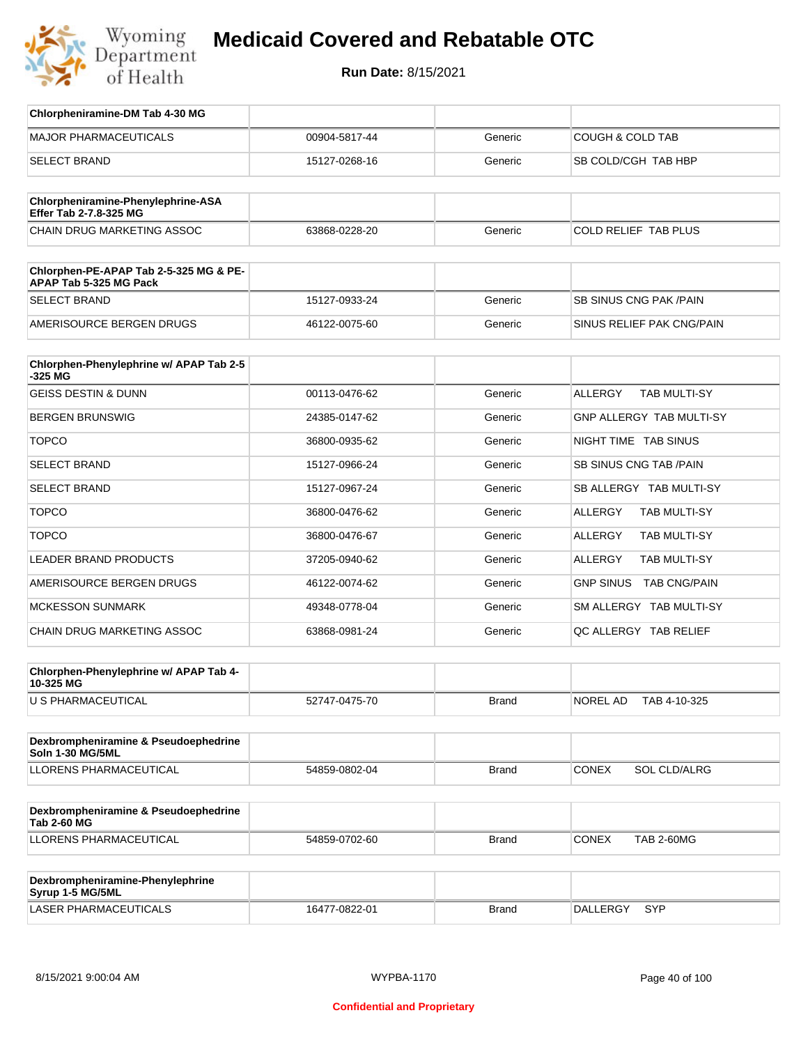

| Chlorpheniramine-DM Tab 4-30 MG                                  |               |              |                                       |
|------------------------------------------------------------------|---------------|--------------|---------------------------------------|
| <b>MAJOR PHARMACEUTICALS</b>                                     | 00904-5817-44 | Generic      | <b>COUGH &amp; COLD TAB</b>           |
| <b>SELECT BRAND</b>                                              | 15127-0268-16 | Generic      | SB COLD/CGH TAB HBP                   |
|                                                                  |               |              |                                       |
| Chlorpheniramine-Phenylephrine-ASA<br>Effer Tab 2-7.8-325 MG     |               |              |                                       |
| CHAIN DRUG MARKETING ASSOC                                       | 63868-0228-20 | Generic      | <b>COLD RELIEF TAB PLUS</b>           |
|                                                                  |               |              |                                       |
| Chlorphen-PE-APAP Tab 2-5-325 MG & PE-<br>APAP Tab 5-325 MG Pack |               |              |                                       |
| <b>SELECT BRAND</b>                                              | 15127-0933-24 | Generic      | SB SINUS CNG PAK / PAIN               |
| AMERISOURCE BERGEN DRUGS                                         | 46122-0075-60 | Generic      | SINUS RELIEF PAK CNG/PAIN             |
|                                                                  |               |              |                                       |
| Chlorphen-Phenylephrine w/ APAP Tab 2-5<br>-325 MG               |               |              |                                       |
| <b>GEISS DESTIN &amp; DUNN</b>                                   | 00113-0476-62 | Generic      | <b>ALLERGY</b><br><b>TAB MULTI-SY</b> |
| <b>BERGEN BRUNSWIG</b>                                           | 24385-0147-62 | Generic      | GNP ALLERGY TAB MULTI-SY              |
| <b>TOPCO</b>                                                     | 36800-0935-62 | Generic      | NIGHT TIME TAB SINUS                  |
| <b>SELECT BRAND</b>                                              | 15127-0966-24 | Generic      | SB SINUS CNG TAB / PAIN               |
| <b>SELECT BRAND</b>                                              | 15127-0967-24 | Generic      | SB ALLERGY TAB MULTI-SY               |
| <b>TOPCO</b>                                                     | 36800-0476-62 | Generic      | <b>ALLERGY</b><br>TAB MULTI-SY        |
| <b>TOPCO</b>                                                     | 36800-0476-67 | Generic      | <b>ALLERGY</b><br>TAB MULTI-SY        |
| <b>LEADER BRAND PRODUCTS</b>                                     | 37205-0940-62 | Generic      | <b>ALLERGY</b><br>TAB MULTI-SY        |
| AMERISOURCE BERGEN DRUGS                                         | 46122-0074-62 | Generic      | GNP SINUS TAB CNG/PAIN                |
| <b>MCKESSON SUNMARK</b>                                          | 49348-0778-04 | Generic      | SM ALLERGY TAB MULTI-SY               |
| CHAIN DRUG MARKETING ASSOC                                       | 63868-0981-24 | Generic      | QC ALLERGY TAB RELIEF                 |
|                                                                  |               |              |                                       |
| Chlorphen-Phenylephrine w/ APAP Tab 4-<br>10-325 MG              |               |              |                                       |
| U S PHARMACEUTICAL                                               | 52747-0475-70 | <b>Brand</b> | NOREL AD<br>TAB 4-10-325              |
|                                                                  |               |              |                                       |
| Dexbrompheniramine & Pseudoephedrine<br>Soln 1-30 MG/5ML         |               |              |                                       |
| LLORENS PHARMACEUTICAL                                           | 54859-0802-04 | <b>Brand</b> | <b>CONEX</b><br>SOL CLD/ALRG          |
|                                                                  |               |              |                                       |
| Dexbrompheniramine & Pseudoephedrine<br><b>Tab 2-60 MG</b>       |               |              |                                       |
| LLORENS PHARMACEUTICAL                                           | 54859-0702-60 | <b>Brand</b> | <b>CONEX</b><br><b>TAB 2-60MG</b>     |
|                                                                  |               |              |                                       |
| Dexbrompheniramine-Phenylephrine<br>Syrup 1-5 MG/5ML             |               |              |                                       |
| LASER PHARMACEUTICALS                                            | 16477-0822-01 | <b>Brand</b> | <b>DALLERGY</b><br><b>SYP</b>         |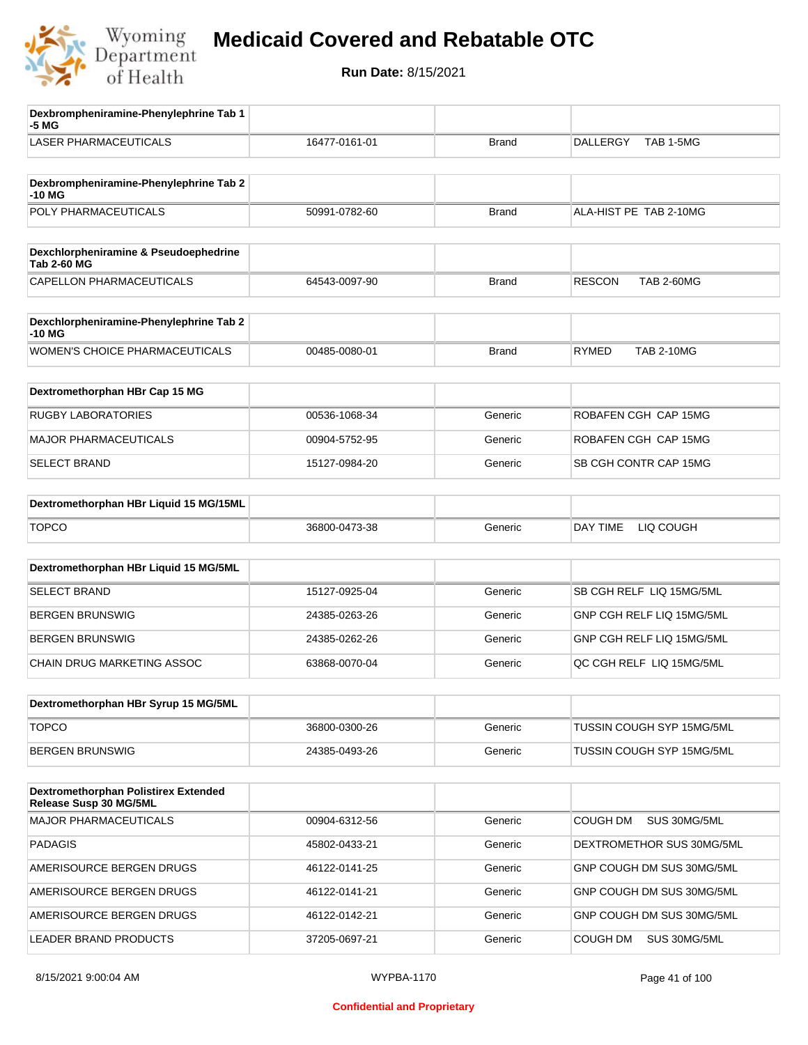

| Dexbrompheniramine-Phenylephrine Tab 1<br>-5 MG                |               |              |                                    |
|----------------------------------------------------------------|---------------|--------------|------------------------------------|
| <b>LASER PHARMACEUTICALS</b>                                   | 16477-0161-01 | <b>Brand</b> | TAB 1-5MG<br><b>DALLERGY</b>       |
| Dexbrompheniramine-Phenylephrine Tab 2<br>-10 MG               |               |              |                                    |
| POLY PHARMACEUTICALS                                           | 50991-0782-60 | <b>Brand</b> | ALA-HIST PE TAB 2-10MG             |
| Dexchlorpheniramine & Pseudoephedrine<br><b>Tab 2-60 MG</b>    |               |              |                                    |
| CAPELLON PHARMACEUTICALS                                       | 64543-0097-90 | <b>Brand</b> | <b>RESCON</b><br><b>TAB 2-60MG</b> |
| Dexchlorpheniramine-Phenylephrine Tab 2<br>-10 MG              |               |              |                                    |
| <b>WOMEN'S CHOICE PHARMACEUTICALS</b>                          | 00485-0080-01 | <b>Brand</b> | <b>RYMED</b><br><b>TAB 2-10MG</b>  |
| Dextromethorphan HBr Cap 15 MG                                 |               |              |                                    |
| <b>RUGBY LABORATORIES</b>                                      | 00536-1068-34 | Generic      | ROBAFEN CGH CAP 15MG               |
| <b>MAJOR PHARMACEUTICALS</b>                                   | 00904-5752-95 | Generic      | ROBAFEN CGH CAP 15MG               |
| <b>SELECT BRAND</b>                                            | 15127-0984-20 | Generic      | SB CGH CONTR CAP 15MG              |
| Dextromethorphan HBr Liquid 15 MG/15ML                         |               |              |                                    |
| <b>TOPCO</b>                                                   | 36800-0473-38 | Generic      | DAY TIME<br>LIQ COUGH              |
| Dextromethorphan HBr Liquid 15 MG/5ML                          |               |              |                                    |
| <b>SELECT BRAND</b>                                            | 15127-0925-04 | Generic      | SB CGH RELF LIQ 15MG/5ML           |
| <b>BERGEN BRUNSWIG</b>                                         | 24385-0263-26 | Generic      | GNP CGH RELF LIQ 15MG/5ML          |
| <b>BERGEN BRUNSWIG</b>                                         | 24385-0262-26 | Generic      | GNP CGH RELF LIQ 15MG/5ML          |
| CHAIN DRUG MARKETING ASSOC                                     | 63868-0070-04 | Generic      | QC CGH RELF LIQ 15MG/5ML           |
| Dextromethorphan HBr Syrup 15 MG/5ML                           |               |              |                                    |
| <b>TOPCO</b>                                                   | 36800-0300-26 | Generic      | <b>TUSSIN COUGH SYP 15MG/5ML</b>   |
| <b>BERGEN BRUNSWIG</b>                                         | 24385-0493-26 | Generic      | TUSSIN COUGH SYP 15MG/5ML          |
|                                                                |               |              |                                    |
| Dextromethorphan Polistirex Extended<br>Release Susp 30 MG/5ML |               |              |                                    |
| MAJOR PHARMACEUTICALS                                          | 00904-6312-56 | Generic      | COUGH DM<br>SUS 30MG/5ML           |
| <b>PADAGIS</b>                                                 | 45802-0433-21 | Generic      | DEXTROMETHOR SUS 30MG/5ML          |
| AMERISOURCE BERGEN DRUGS                                       | 46122-0141-25 | Generic      | GNP COUGH DM SUS 30MG/5ML          |
| AMERISOURCE BERGEN DRUGS                                       | 46122-0141-21 | Generic      | GNP COUGH DM SUS 30MG/5ML          |
| AMERISOURCE BERGEN DRUGS                                       | 46122-0142-21 | Generic      | GNP COUGH DM SUS 30MG/5ML          |
| LEADER BRAND PRODUCTS                                          | 37205-0697-21 | Generic      | COUGH DM<br>SUS 30MG/5ML           |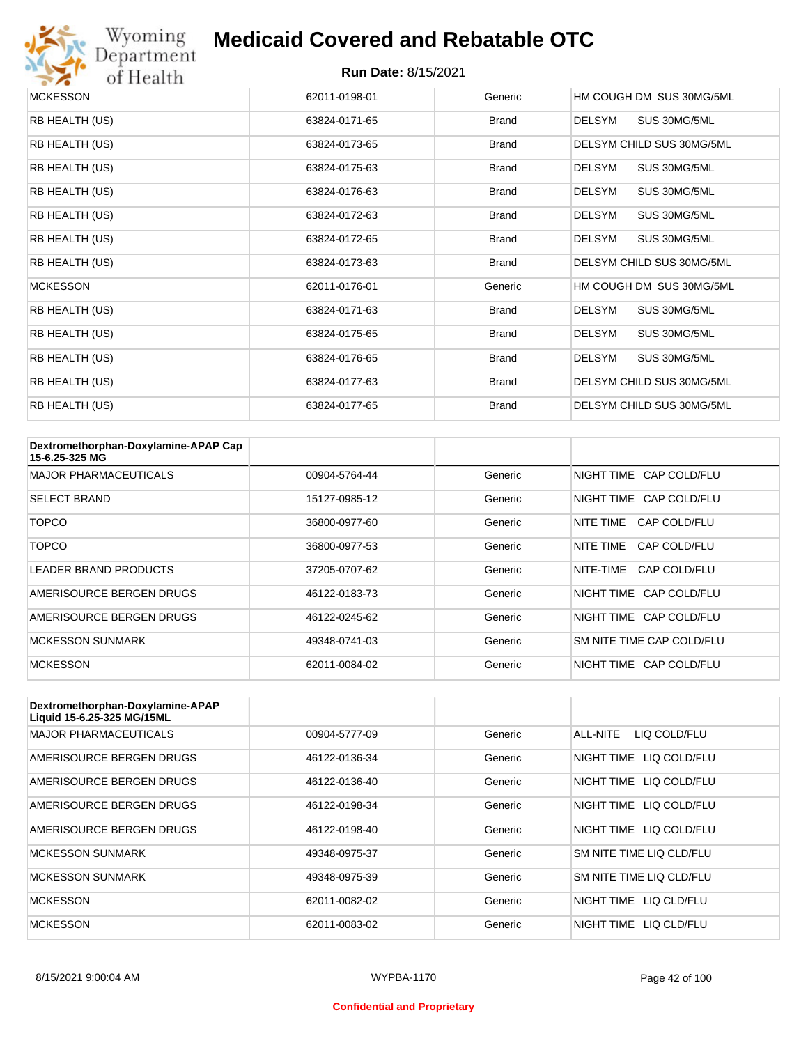

# Wyoming<br>Department<br>of Health

#### **Medicaid Covered and Rebatable OTC**

| <b>MCKESSON</b> | 62011-0198-01 | Generic      | HM COUGH DM SUS 30MG/5ML      |
|-----------------|---------------|--------------|-------------------------------|
| RB HEALTH (US)  | 63824-0171-65 | <b>Brand</b> | SUS 30MG/5ML<br><b>DELSYM</b> |
| RB HEALTH (US)  | 63824-0173-65 | <b>Brand</b> | DELSYM CHILD SUS 30MG/5ML     |
| RB HEALTH (US)  | 63824-0175-63 | <b>Brand</b> | DELSYM<br>SUS 30MG/5ML        |
| RB HEALTH (US)  | 63824-0176-63 | <b>Brand</b> | <b>DELSYM</b><br>SUS 30MG/5ML |
| RB HEALTH (US)  | 63824-0172-63 | <b>Brand</b> | <b>DELSYM</b><br>SUS 30MG/5ML |
| RB HEALTH (US)  | 63824-0172-65 | <b>Brand</b> | <b>DELSYM</b><br>SUS 30MG/5ML |
| RB HEALTH (US)  | 63824-0173-63 | <b>Brand</b> | DELSYM CHILD SUS 30MG/5ML     |
| <b>MCKESSON</b> | 62011-0176-01 | Generic      | HM COUGH DM SUS 30MG/5ML      |
| RB HEALTH (US)  | 63824-0171-63 | <b>Brand</b> | <b>DELSYM</b><br>SUS 30MG/5ML |
| RB HEALTH (US)  | 63824-0175-65 | <b>Brand</b> | DELSYM<br>SUS 30MG/5ML        |
| RB HEALTH (US)  | 63824-0176-65 | <b>Brand</b> | <b>DELSYM</b><br>SUS 30MG/5ML |
| RB HEALTH (US)  | 63824-0177-63 | <b>Brand</b> | DELSYM CHILD SUS 30MG/5ML     |
| RB HEALTH (US)  | 63824-0177-65 | <b>Brand</b> | DELSYM CHILD SUS 30MG/5ML     |

| Dextromethorphan-Doxylamine-APAP Cap<br>15-6.25-325 MG |               |         |                           |
|--------------------------------------------------------|---------------|---------|---------------------------|
| <b>MAJOR PHARMACEUTICALS</b>                           | 00904-5764-44 | Generic | NIGHT TIME CAP COLD/FLU   |
| <b>SELECT BRAND</b>                                    | 15127-0985-12 | Generic | NIGHT TIME CAP COLD/FLU   |
| <b>TOPCO</b>                                           | 36800-0977-60 | Generic | CAP COLD/FLU<br>NITE TIME |
| <b>TOPCO</b>                                           | 36800-0977-53 | Generic | CAP COLD/FLU<br>NITE TIME |
| <b>LEADER BRAND PRODUCTS</b>                           | 37205-0707-62 | Generic | NITE-TIME<br>CAP COLD/FLU |
| AMERISOURCE BERGEN DRUGS                               | 46122-0183-73 | Generic | NIGHT TIME CAP COLD/FLU   |
| AMERISOURCE BERGEN DRUGS                               | 46122-0245-62 | Generic | NIGHT TIME CAP COLD/FLU   |
| <b>MCKESSON SUNMARK</b>                                | 49348-0741-03 | Generic | SM NITE TIME CAP COLD/FLU |
| <b>MCKESSON</b>                                        | 62011-0084-02 | Generic | NIGHT TIME CAP COLD/FLU   |

| Dextromethorphan-Doxylamine-APAP<br>Liquid 15-6.25-325 MG/15ML |               |         |                            |
|----------------------------------------------------------------|---------------|---------|----------------------------|
| <b>MAJOR PHARMACEUTICALS</b>                                   | 00904-5777-09 | Generic | ALL-NITE<br>LIQ COLD/FLU   |
| AMERISOURCE BERGEN DRUGS                                       | 46122-0136-34 | Generic | LIQ COLD/FLU<br>NIGHT TIME |
| AMERISOURCE BERGEN DRUGS                                       | 46122-0136-40 | Generic | LIQ COLD/FLU<br>NIGHT TIME |
| AMERISOURCE BERGEN DRUGS                                       | 46122-0198-34 | Generic | NIGHT TIME<br>LIQ COLD/FLU |
| AMERISOURCE BERGEN DRUGS                                       | 46122-0198-40 | Generic | NIGHT TIME LIQ COLD/FLU    |
| <b>MCKESSON SUNMARK</b>                                        | 49348-0975-37 | Generic | SM NITE TIME LIQ CLD/FLU   |
| <b>MCKESSON SUNMARK</b>                                        | 49348-0975-39 | Generic | SM NITE TIME LIQ CLD/FLU   |
| <b>MCKESSON</b>                                                | 62011-0082-02 | Generic | NIGHT TIME<br>LIO CLD/FLU  |
| <b>MCKESSON</b>                                                | 62011-0083-02 | Generic | NIGHT TIME<br>LIO CLD/FLU  |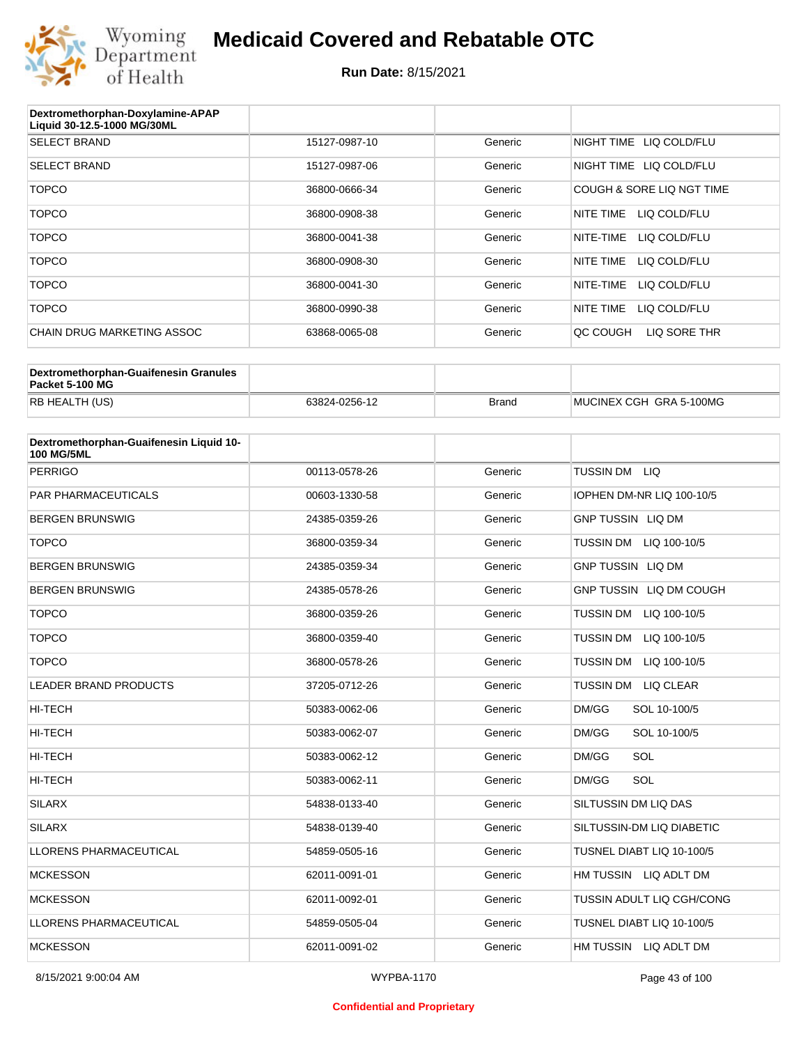

| Dextromethorphan-Doxylamine-APAP<br>Liquid 30-12.5-1000 MG/30ML |               |         |                           |
|-----------------------------------------------------------------|---------------|---------|---------------------------|
| <b>SELECT BRAND</b>                                             | 15127-0987-10 | Generic | NIGHT TIME LIQ COLD/FLU   |
| <b>SELECT BRAND</b>                                             | 15127-0987-06 | Generic | NIGHT TIME LIQ COLD/FLU   |
| <b>TOPCO</b>                                                    | 36800-0666-34 | Generic | COUGH & SORE LIQ NGT TIME |
| <b>TOPCO</b>                                                    | 36800-0908-38 | Generic | NITE TIME<br>LIQ COLD/FLU |
| <b>TOPCO</b>                                                    | 36800-0041-38 | Generic | NITE-TIME<br>LIQ COLD/FLU |
| <b>TOPCO</b>                                                    | 36800-0908-30 | Generic | NITE TIME<br>LIQ COLD/FLU |
| <b>TOPCO</b>                                                    | 36800-0041-30 | Generic | NITE-TIME<br>LIQ COLD/FLU |
| <b>TOPCO</b>                                                    | 36800-0990-38 | Generic | NITE TIME<br>LIQ COLD/FLU |
| CHAIN DRUG MARKETING ASSOC                                      | 63868-0065-08 | Generic | LIQ SORE THR<br>OC COUGH  |

| Dextromethorphan-Guaifenesin Granules<br>Packet 5-100 MG |               |              |                         |
|----------------------------------------------------------|---------------|--------------|-------------------------|
| RB HEALTH (US)                                           | 63824-0256-12 | <b>Brand</b> | MUCINEX CGH GRA 5-100MG |

| Dextromethorphan-Guaifenesin Liquid 10-<br><b>100 MG/5ML</b> |               |         |                                  |
|--------------------------------------------------------------|---------------|---------|----------------------------------|
| <b>PERRIGO</b>                                               | 00113-0578-26 | Generic | TUSSIN DM LIQ                    |
| PAR PHARMACEUTICALS                                          | 00603-1330-58 | Generic | IOPHEN DM-NR LIQ 100-10/5        |
| <b>BERGEN BRUNSWIG</b>                                       | 24385-0359-26 | Generic | <b>GNP TUSSIN LIQ DM</b>         |
| <b>TOPCO</b>                                                 | 36800-0359-34 | Generic | TUSSIN DM LIQ 100-10/5           |
| <b>BERGEN BRUNSWIG</b>                                       | 24385-0359-34 | Generic | <b>GNP TUSSIN LIQ DM</b>         |
| <b>BERGEN BRUNSWIG</b>                                       | 24385-0578-26 | Generic | GNP TUSSIN LIQ DM COUGH          |
| <b>TOPCO</b>                                                 | 36800-0359-26 | Generic | <b>TUSSIN DM</b><br>LIQ 100-10/5 |
| <b>TOPCO</b>                                                 | 36800-0359-40 | Generic | TUSSIN DM LIQ 100-10/5           |
| <b>TOPCO</b>                                                 | 36800-0578-26 | Generic | <b>TUSSIN DM</b><br>LIQ 100-10/5 |
| <b>LEADER BRAND PRODUCTS</b>                                 | 37205-0712-26 | Generic | TUSSIN DM LIQ CLEAR              |
| <b>HI-TECH</b>                                               | 50383-0062-06 | Generic | DM/GG<br>SOL 10-100/5            |
| <b>HI-TECH</b>                                               | 50383-0062-07 | Generic | DM/GG<br>SOL 10-100/5            |
| <b>HI-TECH</b>                                               | 50383-0062-12 | Generic | SOL<br>DM/GG                     |
| <b>HI-TECH</b>                                               | 50383-0062-11 | Generic | DM/GG<br>SOL                     |
| <b>SILARX</b>                                                | 54838-0133-40 | Generic | SILTUSSIN DM LIQ DAS             |
| <b>SILARX</b>                                                | 54838-0139-40 | Generic | SILTUSSIN-DM LIQ DIABETIC        |
| <b>LLORENS PHARMACEUTICAL</b>                                | 54859-0505-16 | Generic | TUSNEL DIABT LIQ 10-100/5        |
| <b>MCKESSON</b>                                              | 62011-0091-01 | Generic | HM TUSSIN LIQ ADLT DM            |
| <b>MCKESSON</b>                                              | 62011-0092-01 | Generic | TUSSIN ADULT LIQ CGH/CONG        |
| <b>LLORENS PHARMACEUTICAL</b>                                | 54859-0505-04 | Generic | TUSNEL DIABT LIQ 10-100/5        |
| <b>MCKESSON</b>                                              | 62011-0091-02 | Generic | HM TUSSIN LIQ ADLT DM            |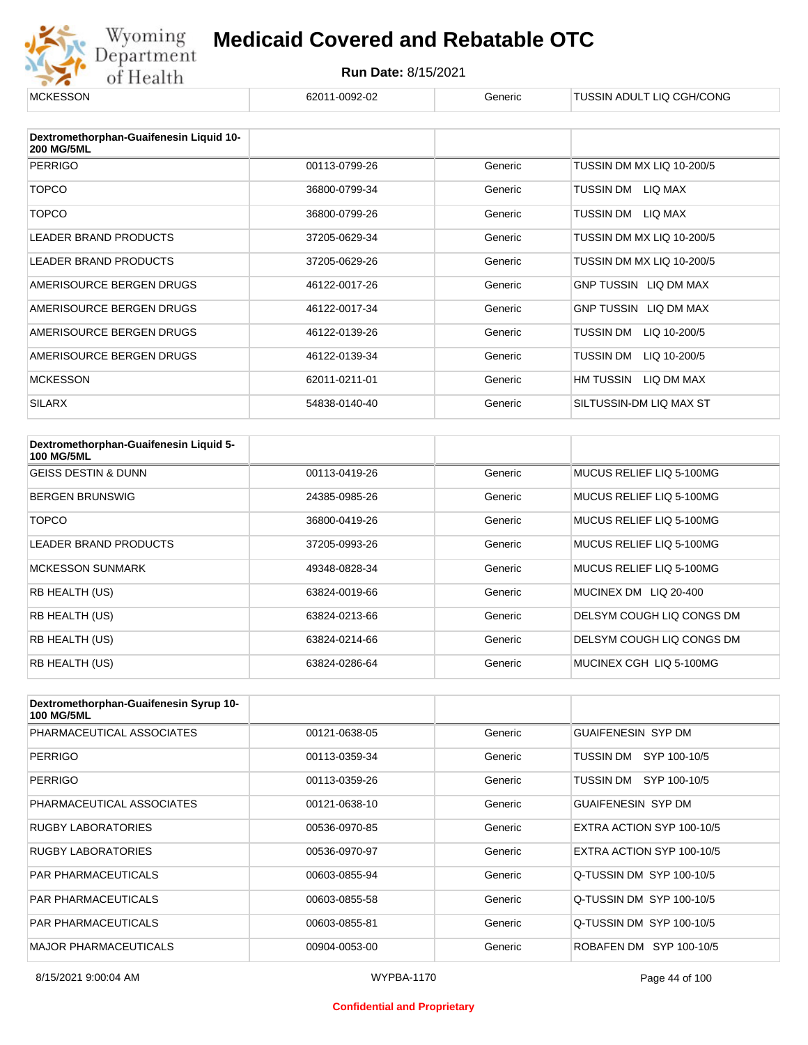

| <b>MCKESSON</b>                                              | 62011-0092-02 | Generic | TUSSIN ADULT LIQ CGH/CONG |
|--------------------------------------------------------------|---------------|---------|---------------------------|
|                                                              |               |         |                           |
| Dextromethorphan-Guaifenesin Liquid 10-<br><b>200 MG/5ML</b> |               |         |                           |
| <b>PERRIGO</b>                                               | 00113-0799-26 | Generic | TUSSIN DM MX LIQ 10-200/5 |
| <b>TOPCO</b>                                                 | 36800-0799-34 | Generic | TUSSIN DM LIQ MAX         |
| <b>TOPCO</b>                                                 | 36800-0799-26 | Generic | TUSSIN DM LIQ MAX         |
| <b>LEADER BRAND PRODUCTS</b>                                 | 37205-0629-34 | Generic | TUSSIN DM MX LIQ 10-200/5 |
| LEADER BRAND PRODUCTS                                        | 37205-0629-26 | Generic | TUSSIN DM MX LIQ 10-200/5 |
| AMERISOURCE BERGEN DRUGS                                     | 46122-0017-26 | Generic | GNP TUSSIN LIQ DM MAX     |
| AMERISOURCE BERGEN DRUGS                                     | 46122-0017-34 | Generic | GNP TUSSIN LIQ DM MAX     |
| AMERISOURCE BERGEN DRUGS                                     | 46122-0139-26 | Generic | LIQ 10-200/5<br>TUSSIN DM |
| AMERISOURCE BERGEN DRUGS                                     | 46122-0139-34 | Generic | TUSSIN DM<br>LIQ 10-200/5 |
| <b>MCKESSON</b>                                              | 62011-0211-01 | Generic | HM TUSSIN<br>LIQ DM MAX   |
| <b>SILARX</b>                                                | 54838-0140-40 | Generic | SILTUSSIN-DM LIQ MAX ST   |

| Dextromethorphan-Guaifenesin Liquid 5-<br><b>100 MG/5ML</b> |               |         |                           |
|-------------------------------------------------------------|---------------|---------|---------------------------|
| <b>GEISS DESTIN &amp; DUNN</b>                              | 00113-0419-26 | Generic | MUCUS RELIEF LIQ 5-100MG  |
| <b>BERGEN BRUNSWIG</b>                                      | 24385-0985-26 | Generic | MUCUS RELIEF LIQ 5-100MG  |
| TOPCO                                                       | 36800-0419-26 | Generic | MUCUS RELIEF LIQ 5-100MG  |
| <b>LEADER BRAND PRODUCTS</b>                                | 37205-0993-26 | Generic | MUCUS RELIEF LIQ 5-100MG  |
| <b>MCKESSON SUNMARK</b>                                     | 49348-0828-34 | Generic | MUCUS RELIEF LIQ 5-100MG  |
| <b>RB HEALTH (US)</b>                                       | 63824-0019-66 | Generic | MUCINEX DM LIQ 20-400     |
| <b>RB HEALTH (US)</b>                                       | 63824-0213-66 | Generic | DELSYM COUGH LIQ CONGS DM |
| <b>RB HEALTH (US)</b>                                       | 63824-0214-66 | Generic | DELSYM COUGH LIQ CONGS DM |
| <b>RB HEALTH (US)</b>                                       | 63824-0286-64 | Generic | MUCINEX CGH LIQ 5-100MG   |

| Dextromethorphan-Guaifenesin Syrup 10-<br><b>100 MG/5ML</b> |               |         |                           |
|-------------------------------------------------------------|---------------|---------|---------------------------|
| PHARMACEUTICAL ASSOCIATES                                   | 00121-0638-05 | Generic | <b>GUAIFENESIN SYP DM</b> |
| <b>PERRIGO</b>                                              | 00113-0359-34 | Generic | SYP 100-10/5<br>TUSSIN DM |
| <b>PERRIGO</b>                                              | 00113-0359-26 | Generic | SYP 100-10/5<br>TUSSIN DM |
| PHARMACEUTICAL ASSOCIATES                                   | 00121-0638-10 | Generic | <b>GUAIFENESIN SYP DM</b> |
| <b>RUGBY LABORATORIES</b>                                   | 00536-0970-85 | Generic | EXTRA ACTION SYP 100-10/5 |
| <b>RUGBY LABORATORIES</b>                                   | 00536-0970-97 | Generic | EXTRA ACTION SYP 100-10/5 |
| <b>PAR PHARMACEUTICALS</b>                                  | 00603-0855-94 | Generic | Q-TUSSIN DM SYP 100-10/5  |
| <b>PAR PHARMACEUTICALS</b>                                  | 00603-0855-58 | Generic | Q-TUSSIN DM SYP 100-10/5  |
| <b>PAR PHARMACEUTICALS</b>                                  | 00603-0855-81 | Generic | Q-TUSSIN DM SYP 100-10/5  |
| <b>MAJOR PHARMACEUTICALS</b>                                | 00904-0053-00 | Generic | ROBAFEN DM SYP 100-10/5   |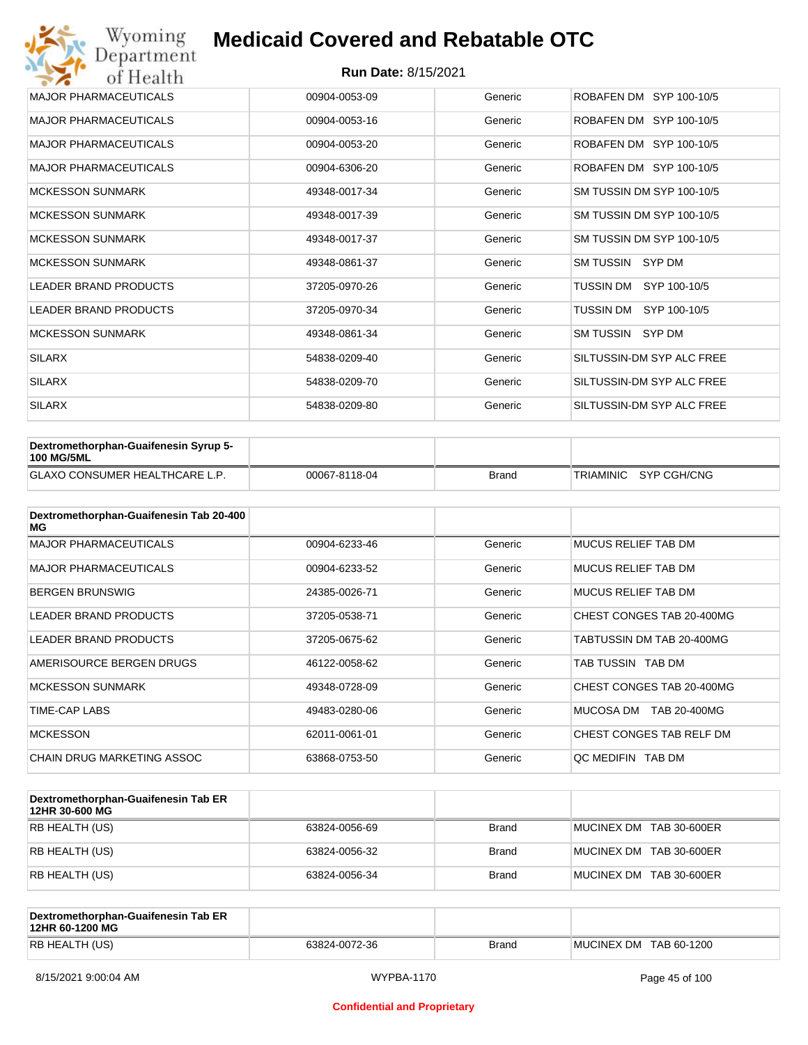| Wyoming<br>Department        | <b>Medicaid Covered and Rebatable OTC</b> |         |                           |  |  |
|------------------------------|-------------------------------------------|---------|---------------------------|--|--|
| of Health                    | <b>Run Date: 8/15/2021</b>                |         |                           |  |  |
| <b>MAJOR PHARMACEUTICALS</b> | 00904-0053-09                             | Generic | ROBAFEN DM SYP 100-10/5   |  |  |
| <b>MAJOR PHARMACEUTICALS</b> | 00904-0053-16                             | Generic | ROBAFEN DM SYP 100-10/5   |  |  |
| <b>MAJOR PHARMACEUTICALS</b> | 00904-0053-20                             | Generic | ROBAFEN DM SYP 100-10/5   |  |  |
| <b>MAJOR PHARMACEUTICALS</b> | 00904-6306-20                             | Generic | ROBAFEN DM SYP 100-10/5   |  |  |
| <b>MCKESSON SUNMARK</b>      | 49348-0017-34                             | Generic | SM TUSSIN DM SYP 100-10/5 |  |  |
| <b>MCKESSON SUNMARK</b>      | 49348-0017-39                             | Generic | SM TUSSIN DM SYP 100-10/5 |  |  |
| <b>MCKESSON SUNMARK</b>      | 49348-0017-37                             | Generic | SM TUSSIN DM SYP 100-10/5 |  |  |
| <b>MCKESSON SUNMARK</b>      | 49348-0861-37                             | Generic | SM TUSSIN SYP DM          |  |  |
| <b>LEADER BRAND PRODUCTS</b> | 37205-0970-26                             | Generic | SYP 100-10/5<br>TUSSIN DM |  |  |
| <b>LEADER BRAND PRODUCTS</b> | 37205-0970-34                             | Generic | TUSSIN DM<br>SYP 100-10/5 |  |  |
| <b>MCKESSON SUNMARK</b>      | 49348-0861-34                             | Generic | SM TUSSIN SYP DM          |  |  |
| <b>SILARX</b>                | 54838-0209-40                             | Generic | SILTUSSIN-DM SYP ALC FREE |  |  |
| <b>SILARX</b>                | 54838-0209-70                             | Generic | SILTUSSIN-DM SYP ALC FREE |  |  |
| <b>SILARX</b>                | 54838-0209-80                             | Generic | SILTUSSIN-DM SYP ALC FREE |  |  |

| Dextromethorphan-Guaifenesin Syrup 5-<br><b>100 MG/5ML</b> |               |              |                       |
|------------------------------------------------------------|---------------|--------------|-----------------------|
| <b>GLAXO CONSUMER HEALTHCARE L.P.</b>                      | 00067-8118-04 | <b>Brand</b> | TRIAMINIC SYP CGH/CNG |

| Dextromethorphan-Guaifenesin Tab 20-400<br>MG |               |         |                            |
|-----------------------------------------------|---------------|---------|----------------------------|
| <b>MAJOR PHARMACEUTICALS</b>                  | 00904-6233-46 | Generic | <b>MUCUS RELIEF TAB DM</b> |
| <b>MAJOR PHARMACEUTICALS</b>                  | 00904-6233-52 | Generic | <b>MUCUS RELIEF TAB DM</b> |
| <b>BERGEN BRUNSWIG</b>                        | 24385-0026-71 | Generic | <b>MUCUS RELIEF TAB DM</b> |
| <b>LEADER BRAND PRODUCTS</b>                  | 37205-0538-71 | Generic | CHEST CONGES TAB 20-400MG  |
| <b>LEADER BRAND PRODUCTS</b>                  | 37205-0675-62 | Generic | TABTUSSIN DM TAB 20-400MG  |
| AMERISOURCE BERGEN DRUGS                      | 46122-0058-62 | Generic | TAB TUSSIN TAB DM          |
| <b>MCKESSON SUNMARK</b>                       | 49348-0728-09 | Generic | CHEST CONGES TAB 20-400MG  |
| TIME-CAP LABS                                 | 49483-0280-06 | Generic | MUCOSA DM<br>TAB 20-400MG  |
| <b>MCKESSON</b>                               | 62011-0061-01 | Generic | CHEST CONGES TAB RELF DM   |
| CHAIN DRUG MARKETING ASSOC                    | 63868-0753-50 | Generic | QC MEDIFIN TAB DM          |

| Dextromethorphan-Guaifenesin Tab ER<br>12HR 30-600 MG |               |              |                         |
|-------------------------------------------------------|---------------|--------------|-------------------------|
| RB HEALTH (US)                                        | 63824-0056-69 | <b>Brand</b> | MUCINEX DM TAB 30-600ER |
| RB HEALTH (US)                                        | 63824-0056-32 | <b>Brand</b> | MUCINEX DM TAB 30-600ER |
| RB HEALTH (US)                                        | 63824-0056-34 | <b>Brand</b> | MUCINEX DM TAB 30-600ER |

| Dextromethorphan-Guaifenesin Tab ER<br>12HR 60-1200 MG |               |              |                        |
|--------------------------------------------------------|---------------|--------------|------------------------|
| RB HEALTH (US)                                         | 63824-0072-36 | <b>Brand</b> | MUCINEX DM TAB 60-1200 |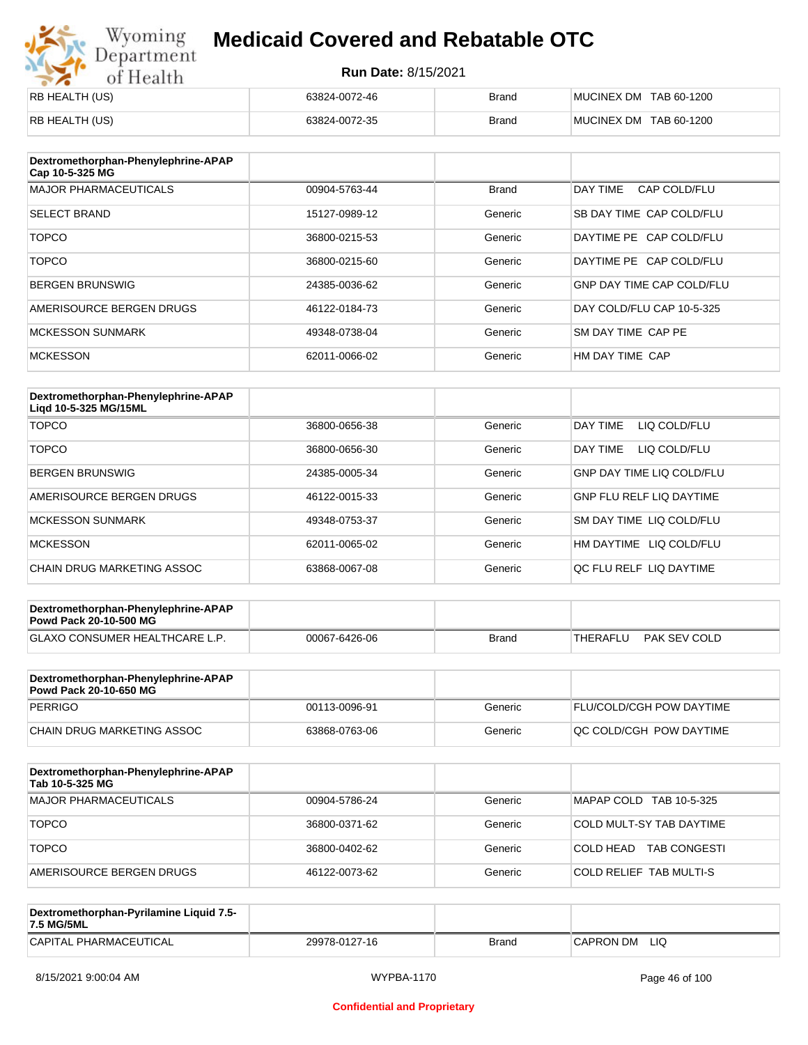# Wyoming<br>Department<br>of Health

## **Medicaid Covered and Rebatable OTC**

| RB HEALTH (US) | 63824-0072-46 | <b>Brand</b> | MUCINEX DM TAB 60-1200 |
|----------------|---------------|--------------|------------------------|
| RB HEALTH (US) | 63824-0072-35 | <b>Brand</b> | MUCINEX DM TAB 60-1200 |

| Dextromethorphan-Phenylephrine-APAP<br>Cap 10-5-325 MG |               |              |                                  |
|--------------------------------------------------------|---------------|--------------|----------------------------------|
| <b>MAJOR PHARMACEUTICALS</b>                           | 00904-5763-44 | <b>Brand</b> | DAY TIME<br>CAP COLD/FLU         |
| <b>SELECT BRAND</b>                                    | 15127-0989-12 | Generic      | SB DAY TIME CAP COLD/FLU         |
| <b>TOPCO</b>                                           | 36800-0215-53 | Generic      | DAYTIME PE CAP COLD/FLU          |
| <b>TOPCO</b>                                           | 36800-0215-60 | Generic      | DAYTIME PE CAP COLD/FLU          |
| <b>BERGEN BRUNSWIG</b>                                 | 24385-0036-62 | Generic      | <b>GNP DAY TIME CAP COLD/FLU</b> |
| AMERISOURCE BERGEN DRUGS                               | 46122-0184-73 | Generic      | DAY COLD/FLU CAP 10-5-325        |
| <b>MCKESSON SUNMARK</b>                                | 49348-0738-04 | Generic      | SM DAY TIME CAP PE               |
| <b>MCKESSON</b>                                        | 62011-0066-02 | Generic      | HM DAY TIME CAP                  |

| Dextromethorphan-Phenylephrine-APAP<br>Ligd 10-5-325 MG/15ML |               |         |                                  |
|--------------------------------------------------------------|---------------|---------|----------------------------------|
| <b>TOPCO</b>                                                 | 36800-0656-38 | Generic | DAY TIME<br>LIQ COLD/FLU         |
| <b>TOPCO</b>                                                 | 36800-0656-30 | Generic | DAY TIME<br>LIQ COLD/FLU         |
| <b>BERGEN BRUNSWIG</b>                                       | 24385-0005-34 | Generic | <b>GNP DAY TIME LIQ COLD/FLU</b> |
| AMERISOURCE BERGEN DRUGS                                     | 46122-0015-33 | Generic | <b>GNP FLU RELF LIQ DAYTIME</b>  |
| <b>MCKESSON SUNMARK</b>                                      | 49348-0753-37 | Generic | SM DAY TIME LIQ COLD/FLU         |
| <b>MCKESSON</b>                                              | 62011-0065-02 | Generic | HM DAYTIME<br>LIQ COLD/FLU       |
| CHAIN DRUG MARKETING ASSOC                                   | 63868-0067-08 | Generic | OC FLU RELF LIO DAYTIME          |

| Dextromethorphan-Phenylephrine-APAP<br><b>Powd Pack 20-10-500 MG</b> |               |       |                          |
|----------------------------------------------------------------------|---------------|-------|--------------------------|
| <b>GLAXO CONSUMER HEALTHCARE L.P.</b>                                | 00067-6426-06 | Brand | PAK SEV COLD<br>THERAFLU |
|                                                                      |               |       |                          |

| Dextromethorphan-Phenylephrine-APAP<br><b>Powd Pack 20-10-650 MG</b> |               |         |                                 |
|----------------------------------------------------------------------|---------------|---------|---------------------------------|
| PERRIGO                                                              | 00113-0096-91 | Generic | <b>FLU/COLD/CGH POW DAYTIME</b> |
| CHAIN DRUG MARKETING ASSOC                                           | 63868-0763-06 | Generic | <b>OC COLD/CGH POW DAYTIME</b>  |

| Dextromethorphan-Phenylephrine-APAP<br>Tab 10-5-325 MG |               |         |                                  |
|--------------------------------------------------------|---------------|---------|----------------------------------|
| <b>MAJOR PHARMACEUTICALS</b>                           | 00904-5786-24 | Generic | MAPAP COLD TAB 10-5-325          |
| <b>TOPCO</b>                                           | 36800-0371-62 | Generic | COLD MULT-SY TAB DAYTIME         |
| <b>TOPCO</b>                                           | 36800-0402-62 | Generic | COLD HEAD<br><b>TAB CONGESTI</b> |
| AMERISOURCE BERGEN DRUGS                               | 46122-0073-62 | Generic | <b>COLD RELIEF TAB MULTI-S</b>   |

| Dextromethorphan-Pyrilamine Liquid 7.5-<br>7.5 MG/5ML |               |       |                  |
|-------------------------------------------------------|---------------|-------|------------------|
| CAPITAL PHARMACEUTICAL                                | 29978-0127-16 | Brand | LIQ<br>CAPRON DM |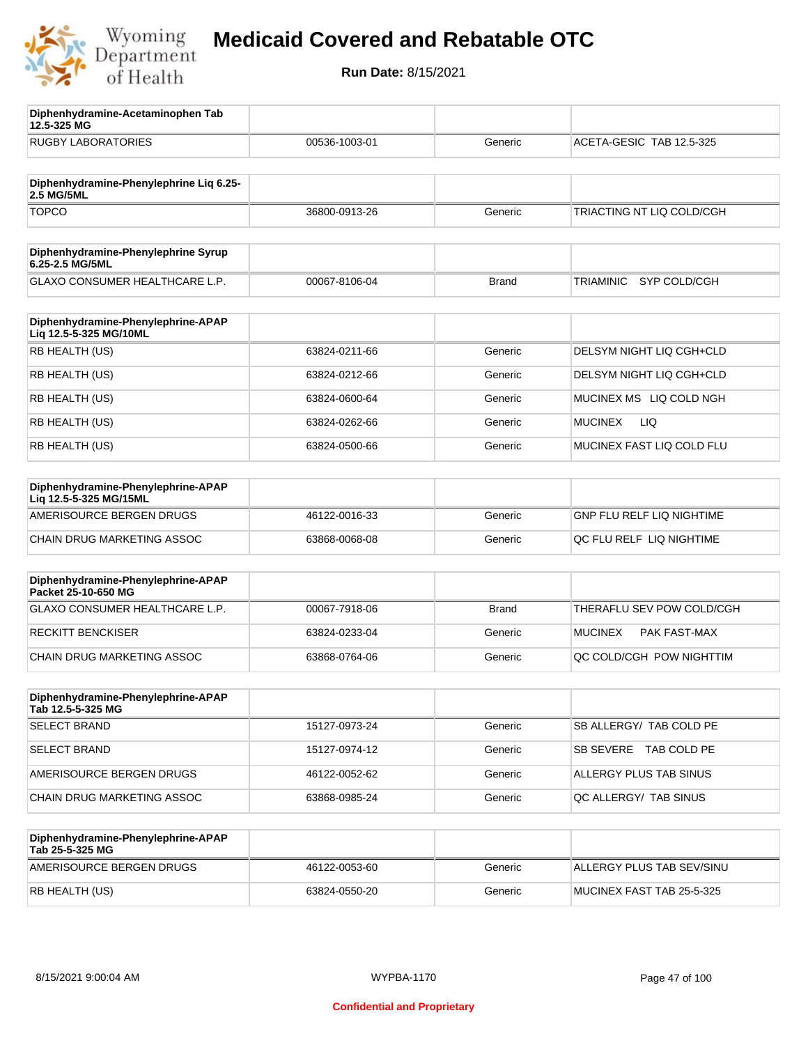

**12.5-325 MG**

**Diphenhydramine-Acetaminophen Tab** 

## **Medicaid Covered and Rebatable OTC**

| <b>RUGBY LABORATORIES</b>                                    | 00536-1003-01 | Generic      | ACETA-GESIC TAB 12.5-325              |
|--------------------------------------------------------------|---------------|--------------|---------------------------------------|
| Diphenhydramine-Phenylephrine Lig 6.25-<br><b>2.5 MG/5ML</b> |               |              |                                       |
| <b>TOPCO</b>                                                 | 36800-0913-26 | Generic      | TRIACTING NT LIQ COLD/CGH             |
| Diphenhydramine-Phenylephrine Syrup<br>6.25-2.5 MG/5ML       |               |              |                                       |
| GLAXO CONSUMER HEALTHCARE L.P.                               | 00067-8106-04 | <b>Brand</b> | TRIAMINIC<br>SYP COLD/CGH             |
| Diphenhydramine-Phenylephrine-APAP<br>Liq 12.5-5-325 MG/10ML |               |              |                                       |
| RB HEALTH (US)                                               | 63824-0211-66 | Generic      | DELSYM NIGHT LIQ CGH+CLD              |
| RB HEALTH (US)                                               | 63824-0212-66 | Generic      | DELSYM NIGHT LIQ CGH+CLD              |
| RB HEALTH (US)                                               | 63824-0600-64 | Generic      | MUCINEX MS LIQ COLD NGH               |
| RB HEALTH (US)                                               | 63824-0262-66 | Generic      | LIQ<br><b>MUCINEX</b>                 |
| RB HEALTH (US)                                               | 63824-0500-66 | Generic      | MUCINEX FAST LIQ COLD FLU             |
| Diphenhydramine-Phenylephrine-APAP<br>Liq 12.5-5-325 MG/15ML |               |              |                                       |
| AMERISOURCE BERGEN DRUGS                                     | 46122-0016-33 | Generic      | GNP FLU RELF LIQ NIGHTIME             |
| CHAIN DRUG MARKETING ASSOC                                   | 63868-0068-08 | Generic      | QC FLU RELF LIQ NIGHTIME              |
| Diphenhydramine-Phenylephrine-APAP<br>Packet 25-10-650 MG    |               |              |                                       |
| <b>GLAXO CONSUMER HEALTHCARE L.P.</b>                        | 00067-7918-06 | <b>Brand</b> | THERAFLU SEV POW COLD/CGH             |
| <b>RECKITT BENCKISER</b>                                     | 63824-0233-04 | Generic      | <b>MUCINEX</b><br><b>PAK FAST-MAX</b> |
| <b>CHAIN DRUG MARKETING ASSOC</b>                            | 63868-0764-06 | Generic      | QC COLD/CGH POW NIGHTTIM              |
| Diphenhydramine-Phenylephrine-APAP<br>Tab 12.5-5-325 MG      |               |              |                                       |
| <b>SELECT BRAND</b>                                          | 15127-0973-24 | Generic      | SB ALLERGY/ TAB COLD PE               |
| <b>SELECT BRAND</b>                                          | 15127-0974-12 | Generic      | SB SEVERE TAB COLD PE                 |
| AMERISOURCE BERGEN DRUGS                                     | 46122-0052-62 | Generic      | ALLERGY PLUS TAB SINUS                |
| CHAIN DRUG MARKETING ASSOC                                   | 63868-0985-24 | Generic      | QC ALLERGY/ TAB SINUS                 |
| Diphenhydramine-Phenylephrine-APAP<br>Tab 25-5-325 MG        |               |              |                                       |
| AMERISOURCE BERGEN DRUGS                                     | 46122-0053-60 | Generic      | ALLERGY PLUS TAB SEV/SINU             |
| RB HEALTH (US)                                               | 63824-0550-20 | Generic      | MUCINEX FAST TAB 25-5-325             |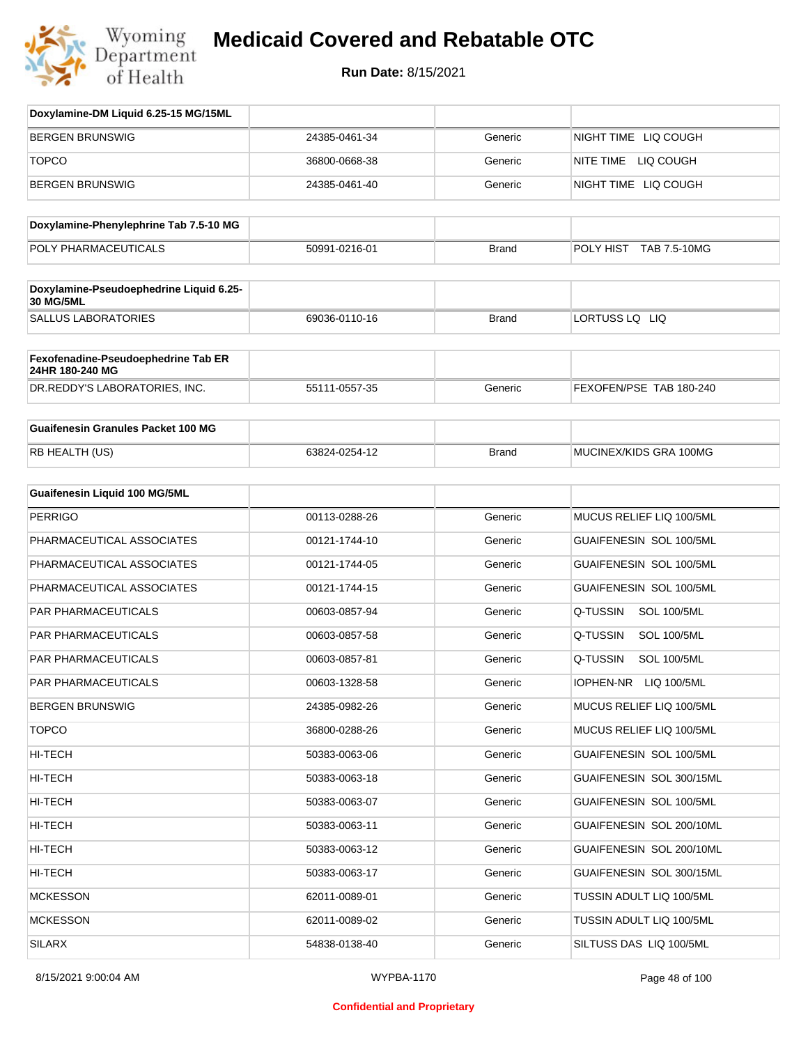

| Doxylamine-DM Liquid 6.25-15 MG/15ML                   |               |              |                                |
|--------------------------------------------------------|---------------|--------------|--------------------------------|
| <b>BERGEN BRUNSWIG</b>                                 | 24385-0461-34 | Generic      | NIGHT TIME LIQ COUGH           |
| <b>TOPCO</b>                                           | 36800-0668-38 | Generic      | NITE TIME LIQ COUGH            |
| <b>BERGEN BRUNSWIG</b>                                 | 24385-0461-40 | Generic      | NIGHT TIME LIQ COUGH           |
| Doxylamine-Phenylephrine Tab 7.5-10 MG                 |               |              |                                |
| POLY PHARMACEUTICALS                                   | 50991-0216-01 | <b>Brand</b> | POLY HIST TAB 7.5-10MG         |
|                                                        |               |              |                                |
| Doxylamine-Pseudoephedrine Liquid 6.25-<br>30 MG/5ML   |               |              |                                |
| <b>SALLUS LABORATORIES</b>                             | 69036-0110-16 | <b>Brand</b> | LORTUSS LQ LIQ                 |
| Fexofenadine-Pseudoephedrine Tab ER<br>24HR 180-240 MG |               |              |                                |
| DR.REDDY'S LABORATORIES, INC.                          | 55111-0557-35 | Generic      | FEXOFEN/PSE TAB 180-240        |
| <b>Guaifenesin Granules Packet 100 MG</b>              |               |              |                                |
| RB HEALTH (US)                                         | 63824-0254-12 | <b>Brand</b> | MUCINEX/KIDS GRA 100MG         |
| Guaifenesin Liquid 100 MG/5ML                          |               |              |                                |
| <b>PERRIGO</b>                                         | 00113-0288-26 | Generic      | MUCUS RELIEF LIQ 100/5ML       |
| PHARMACEUTICAL ASSOCIATES                              | 00121-1744-10 | Generic      | GUAIFENESIN SOL 100/5ML        |
| PHARMACEUTICAL ASSOCIATES                              | 00121-1744-05 | Generic      | GUAIFENESIN SOL 100/5ML        |
| PHARMACEUTICAL ASSOCIATES                              | 00121-1744-15 | Generic      | GUAIFENESIN SOL 100/5ML        |
| PAR PHARMACEUTICALS                                    | 00603-0857-94 | Generic      | Q-TUSSIN<br><b>SOL 100/5ML</b> |
| PAR PHARMACEUTICALS                                    | 00603-0857-58 | Generic      | Q-TUSSIN<br><b>SOL 100/5ML</b> |
| PAR PHARMACEUTICALS                                    | 00603-0857-81 | Generic      | Q-TUSSIN<br><b>SOL 100/5ML</b> |
| PAR PHARMACEUTICALS                                    | 00603-1328-58 | Generic      | IOPHEN-NR<br>LIQ 100/5ML       |
| <b>BERGEN BRUNSWIG</b>                                 | 24385-0982-26 | Generic      | MUCUS RELIEF LIQ 100/5ML       |
| <b>TOPCO</b>                                           | 36800-0288-26 | Generic      | MUCUS RELIEF LIQ 100/5ML       |
| HI-TECH                                                | 50383-0063-06 | Generic      | GUAIFENESIN SOL 100/5ML        |
| HI-TECH                                                | 50383-0063-18 | Generic      | GUAIFENESIN SOL 300/15ML       |
| HI-TECH                                                | 50383-0063-07 | Generic      | GUAIFENESIN SOL 100/5ML        |
| HI-TECH                                                | 50383-0063-11 | Generic      | GUAIFENESIN SOL 200/10ML       |
| HI-TECH                                                | 50383-0063-12 | Generic      | GUAIFENESIN SOL 200/10ML       |
| HI-TECH                                                | 50383-0063-17 | Generic      | GUAIFENESIN SOL 300/15ML       |
| <b>MCKESSON</b>                                        | 62011-0089-01 | Generic      | TUSSIN ADULT LIQ 100/5ML       |
| <b>MCKESSON</b>                                        | 62011-0089-02 | Generic      | TUSSIN ADULT LIQ 100/5ML       |
| SILARX                                                 | 54838-0138-40 | Generic      | SILTUSS DAS LIQ 100/5ML        |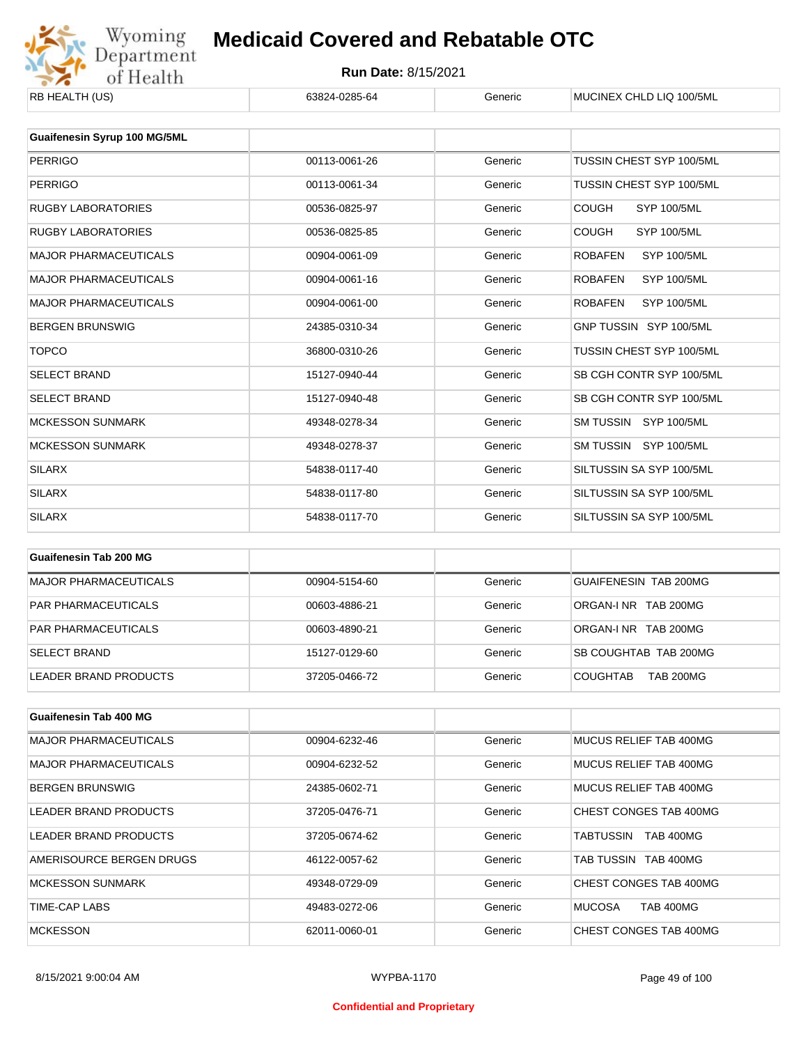

| KD HEALIH (US)                      | 03024-0203-04 | oenenc  | MUUINEA UHLU LIU TUU/JML             |
|-------------------------------------|---------------|---------|--------------------------------------|
|                                     |               |         |                                      |
| <b>Guaifenesin Syrup 100 MG/5ML</b> |               |         |                                      |
| <b>PERRIGO</b>                      | 00113-0061-26 | Generic | TUSSIN CHEST SYP 100/5ML             |
| <b>PERRIGO</b>                      | 00113-0061-34 | Generic | TUSSIN CHEST SYP 100/5ML             |
| RUGBY LABORATORIES                  | 00536-0825-97 | Generic | <b>COUGH</b><br><b>SYP 100/5ML</b>   |
| <b>RUGBY LABORATORIES</b>           | 00536-0825-85 | Generic | <b>COUGH</b><br><b>SYP 100/5ML</b>   |
| <b>MAJOR PHARMACEUTICALS</b>        | 00904-0061-09 | Generic | <b>ROBAFEN</b><br><b>SYP 100/5ML</b> |
| <b>MAJOR PHARMACEUTICALS</b>        | 00904-0061-16 | Generic | <b>ROBAFEN</b><br><b>SYP 100/5ML</b> |
| <b>MAJOR PHARMACEUTICALS</b>        | 00904-0061-00 | Generic | <b>ROBAFEN</b><br><b>SYP 100/5ML</b> |
| <b>BERGEN BRUNSWIG</b>              | 24385-0310-34 | Generic | GNP TUSSIN SYP 100/5ML               |
| <b>TOPCO</b>                        | 36800-0310-26 | Generic | TUSSIN CHEST SYP 100/5ML             |
| <b>SELECT BRAND</b>                 | 15127-0940-44 | Generic | SB CGH CONTR SYP 100/5ML             |
| <b>SELECT BRAND</b>                 | 15127-0940-48 | Generic | SB CGH CONTR SYP 100/5ML             |
| <b>MCKESSON SUNMARK</b>             | 49348-0278-34 | Generic | SM TUSSIN SYP 100/5ML                |
| <b>MCKESSON SUNMARK</b>             | 49348-0278-37 | Generic | SM TUSSIN SYP 100/5ML                |
| <b>SILARX</b>                       | 54838-0117-40 | Generic | SILTUSSIN SA SYP 100/5ML             |
| <b>SILARX</b>                       | 54838-0117-80 | Generic | SILTUSSIN SA SYP 100/5ML             |
| <b>SILARX</b>                       | 54838-0117-70 | Generic | SILTUSSIN SA SYP 100/5ML             |
|                                     |               |         |                                      |

| Guaifenesin Tab 200 MG       |               |         |                                     |
|------------------------------|---------------|---------|-------------------------------------|
| <b>MAJOR PHARMACEUTICALS</b> | 00904-5154-60 | Generic | GUAIFENESIN TAB 200MG               |
| <b>PAR PHARMACEUTICALS</b>   | 00603-4886-21 | Generic | ORGAN-LNR TAB 200MG                 |
| <b>PAR PHARMACEUTICALS</b>   | 00603-4890-21 | Generic | ORGAN-LNR TAB 200MG                 |
| <b>SELECT BRAND</b>          | 15127-0129-60 | Generic | SB COUGHTAB TAB 200MG               |
| LEADER BRAND PRODUCTS        | 37205-0466-72 | Generic | <b>COUGHTAB</b><br><b>TAB 200MG</b> |

| <b>Guaifenesin Tab 400 MG</b> |               |         |                                   |
|-------------------------------|---------------|---------|-----------------------------------|
| <b>MAJOR PHARMACEUTICALS</b>  | 00904-6232-46 | Generic | MUCUS RELIEF TAB 400MG            |
| <b>MAJOR PHARMACEUTICALS</b>  | 00904-6232-52 | Generic | MUCUS RELIEF TAB 400MG            |
| <b>BERGEN BRUNSWIG</b>        | 24385-0602-71 | Generic | MUCUS RELIEF TAB 400MG            |
| LEADER BRAND PRODUCTS         | 37205-0476-71 | Generic | CHEST CONGES TAB 400MG            |
| LEADER BRAND PRODUCTS         | 37205-0674-62 | Generic | <b>TAB 400MG</b><br>TABTUSSIN     |
| AMERISOURCE BERGEN DRUGS      | 46122-0057-62 | Generic | TAB TUSSIN TAB 400MG              |
| <b>MCKESSON SUNMARK</b>       | 49348-0729-09 | Generic | CHEST CONGES TAB 400MG            |
| TIME-CAP LABS                 | 49483-0272-06 | Generic | <b>MUCOSA</b><br><b>TAB 400MG</b> |
| <b>MCKESSON</b>               | 62011-0060-01 | Generic | CHEST CONGES TAB 400MG            |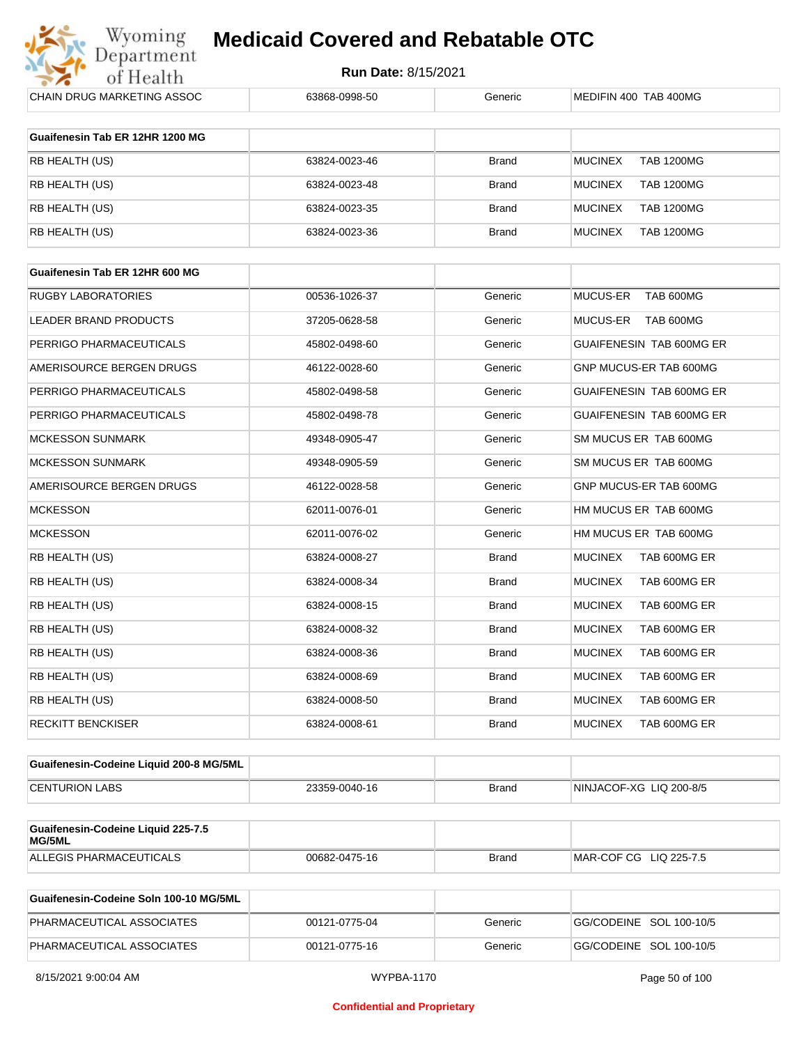

| <b>CHAIN DRUG MARKETING ASSOC</b>       | 63868-0998-50 | Generic      | MEDIFIN 400 TAB 400MG               |
|-----------------------------------------|---------------|--------------|-------------------------------------|
| Guaifenesin Tab ER 12HR 1200 MG         |               |              |                                     |
| RB HEALTH (US)                          | 63824-0023-46 | <b>Brand</b> | <b>MUCINEX</b><br><b>TAB 1200MG</b> |
|                                         |               |              |                                     |
| RB HEALTH (US)                          | 63824-0023-48 | <b>Brand</b> | <b>MUCINEX</b><br><b>TAB 1200MG</b> |
| RB HEALTH (US)                          | 63824-0023-35 | <b>Brand</b> | <b>MUCINEX</b><br><b>TAB 1200MG</b> |
| RB HEALTH (US)                          | 63824-0023-36 | <b>Brand</b> | <b>MUCINEX</b><br><b>TAB 1200MG</b> |
| Guaifenesin Tab ER 12HR 600 MG          |               |              |                                     |
| <b>RUGBY LABORATORIES</b>               | 00536-1026-37 | Generic      | TAB 600MG<br><b>MUCUS-ER</b>        |
| LEADER BRAND PRODUCTS                   | 37205-0628-58 | Generic      | MUCUS-ER<br>TAB 600MG               |
| PERRIGO PHARMACEUTICALS                 | 45802-0498-60 | Generic      | GUAIFENESIN TAB 600MG ER            |
|                                         |               |              |                                     |
| AMERISOURCE BERGEN DRUGS                | 46122-0028-60 | Generic      | GNP MUCUS-ER TAB 600MG              |
| PERRIGO PHARMACEUTICALS                 | 45802-0498-58 | Generic      | GUAIFENESIN TAB 600MG ER            |
| PERRIGO PHARMACEUTICALS                 | 45802-0498-78 | Generic      | GUAIFENESIN TAB 600MG ER            |
| <b>MCKESSON SUNMARK</b>                 | 49348-0905-47 | Generic      | SM MUCUS ER TAB 600MG               |
| <b>MCKESSON SUNMARK</b>                 | 49348-0905-59 | Generic      | SM MUCUS ER TAB 600MG               |
| AMERISOURCE BERGEN DRUGS                | 46122-0028-58 | Generic      | GNP MUCUS-ER TAB 600MG              |
| <b>MCKESSON</b>                         | 62011-0076-01 | Generic      | HM MUCUS ER TAB 600MG               |
| <b>MCKESSON</b>                         | 62011-0076-02 | Generic      | HM MUCUS ER TAB 600MG               |
| RB HEALTH (US)                          | 63824-0008-27 | <b>Brand</b> | <b>MUCINEX</b><br>TAB 600MG ER      |
| RB HEALTH (US)                          | 63824-0008-34 | <b>Brand</b> | <b>MUCINEX</b><br>TAB 600MG ER      |
| RB HEALTH (US)                          | 63824-0008-15 | <b>Brand</b> | <b>MUCINEX</b><br>TAB 600MG ER      |
| RB HEALTH (US)                          | 63824-0008-32 | <b>Brand</b> | <b>MUCINEX</b><br>TAB 600MG ER      |
| RB HEALTH (US)                          | 63824-0008-36 | <b>Brand</b> | <b>MUCINEX</b><br>TAB 600MG ER      |
| RB HEALTH (US)                          | 63824-0008-69 | <b>Brand</b> | <b>MUCINEX</b><br>TAB 600MG ER      |
| RB HEALTH (US)                          | 63824-0008-50 | <b>Brand</b> | <b>MUCINEX</b><br>TAB 600MG ER      |
| <b>RECKITT BENCKISER</b>                | 63824-0008-61 | <b>Brand</b> | TAB 600MG ER<br><b>MUCINEX</b>      |
|                                         |               |              |                                     |
| Guaifenesin-Codeine Liquid 200-8 MG/5ML |               |              |                                     |
| <b>CENTURION LABS</b>                   | 23359-0040-16 | <b>Brand</b> | NINJACOF-XG LIQ 200-8/5             |
| Guaifenesin-Codeine Liquid 225-7.5      |               |              |                                     |
| MG/5ML                                  |               |              |                                     |
| ALLEGIS PHARMACEUTICALS                 | 00682-0475-16 | <b>Brand</b> | MAR-COF CG LIQ 225-7.5              |

| Guaifenesin-Codeine Soln 100-10 MG/5ML |               |         |                         |
|----------------------------------------|---------------|---------|-------------------------|
| PHARMACEUTICAL ASSOCIATES              | 00121-0775-04 | Generic | GG/CODEINE SOL 100-10/5 |
| PHARMACEUTICAL ASSOCIATES              | 00121-0775-16 | Generic | GG/CODEINE SOL 100-10/5 |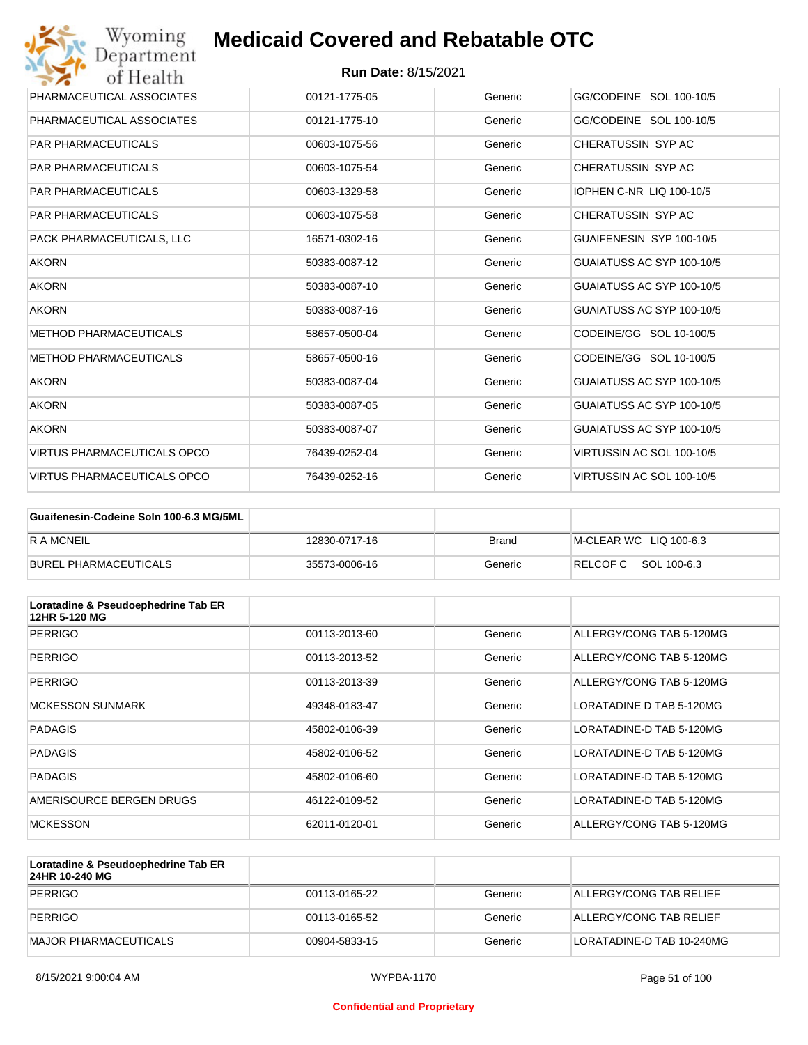| Wyoming<br>Department              | <b>Medicaid Covered and Rebatable OTC</b> |         |                           |
|------------------------------------|-------------------------------------------|---------|---------------------------|
| of Health                          | <b>Run Date: 8/15/2021</b>                |         |                           |
| PHARMACEUTICAL ASSOCIATES          | 00121-1775-05                             | Generic | GG/CODEINE SOL 100-10/5   |
| PHARMACEUTICAL ASSOCIATES          | 00121-1775-10                             | Generic | GG/CODEINE SOL 100-10/5   |
| <b>PAR PHARMACEUTICALS</b>         | 00603-1075-56                             | Generic | CHERATUSSIN SYP AC        |
| <b>PAR PHARMACEUTICALS</b>         | 00603-1075-54                             | Generic | CHERATUSSIN SYP AC        |
| <b>PAR PHARMACEUTICALS</b>         | 00603-1329-58                             | Generic | IOPHEN C-NR LIQ 100-10/5  |
| <b>PAR PHARMACEUTICALS</b>         | 00603-1075-58                             | Generic | CHERATUSSIN SYP AC        |
| PACK PHARMACEUTICALS. LLC          | 16571-0302-16                             | Generic | GUAIFENESIN SYP 100-10/5  |
| <b>AKORN</b>                       | 50383-0087-12                             | Generic | GUAIATUSS AC SYP 100-10/5 |
| <b>AKORN</b>                       | 50383-0087-10                             | Generic | GUAIATUSS AC SYP 100-10/5 |
| <b>AKORN</b>                       | 50383-0087-16                             | Generic | GUAIATUSS AC SYP 100-10/5 |
| <b>METHOD PHARMACEUTICALS</b>      | 58657-0500-04                             | Generic | CODEINE/GG SOL 10-100/5   |
| <b>METHOD PHARMACEUTICALS</b>      | 58657-0500-16                             | Generic | CODEINE/GG SOL 10-100/5   |
| <b>AKORN</b>                       | 50383-0087-04                             | Generic | GUAIATUSS AC SYP 100-10/5 |
| <b>AKORN</b>                       | 50383-0087-05                             | Generic | GUAIATUSS AC SYP 100-10/5 |
| <b>AKORN</b>                       | 50383-0087-07                             | Generic | GUAIATUSS AC SYP 100-10/5 |
| <b>VIRTUS PHARMACEUTICALS OPCO</b> | 76439-0252-04                             | Generic | VIRTUSSIN AC SOL 100-10/5 |
| <b>VIRTUS PHARMACEUTICALS OPCO</b> | 76439-0252-16                             | Generic | VIRTUSSIN AC SOL 100-10/5 |

| Guaifenesin-Codeine Soln 100-6.3 MG/5ML |               |              |                        |
|-----------------------------------------|---------------|--------------|------------------------|
| <b>RAMCNEIL</b>                         | 12830-0717-16 | <b>Brand</b> | M-CLEAR WC LIQ 100-6.3 |
| BUREL PHARMACEUTICALS                   | 35573-0006-16 | Generic      | RELCOFC SOL 100-6.3    |

| Loratadine & Pseudoephedrine Tab ER<br>12HR 5-120 MG |               |         |                          |
|------------------------------------------------------|---------------|---------|--------------------------|
| <b>PERRIGO</b>                                       | 00113-2013-60 | Generic | ALLERGY/CONG TAB 5-120MG |
| PERRIGO                                              | 00113-2013-52 | Generic | ALLERGY/CONG TAB 5-120MG |
| PERRIGO                                              | 00113-2013-39 | Generic | ALLERGY/CONG TAB 5-120MG |
| <b>MCKESSON SUNMARK</b>                              | 49348-0183-47 | Generic | LORATADINE D TAB 5-120MG |
| <b>PADAGIS</b>                                       | 45802-0106-39 | Generic | LORATADINE-D TAB 5-120MG |
| <b>PADAGIS</b>                                       | 45802-0106-52 | Generic | LORATADINE-D TAB 5-120MG |
| <b>PADAGIS</b>                                       | 45802-0106-60 | Generic | LORATADINE-D TAB 5-120MG |
| AMERISOURCE BERGEN DRUGS                             | 46122-0109-52 | Generic | LORATADINE-D TAB 5-120MG |
| <b>MCKESSON</b>                                      | 62011-0120-01 | Generic | ALLERGY/CONG TAB 5-120MG |

| Loratadine & Pseudoephedrine Tab ER<br>24HR 10-240 MG |               |         |                           |
|-------------------------------------------------------|---------------|---------|---------------------------|
| PERRIGO                                               | 00113-0165-22 | Generic | ALLERGY/CONG TAB RELIEF   |
| PERRIGO                                               | 00113-0165-52 | Generic | ALLERGY/CONG TAB RELIEF   |
| MAJOR PHARMACEUTICALS                                 | 00904-5833-15 | Generic | LORATADINE-D TAB 10-240MG |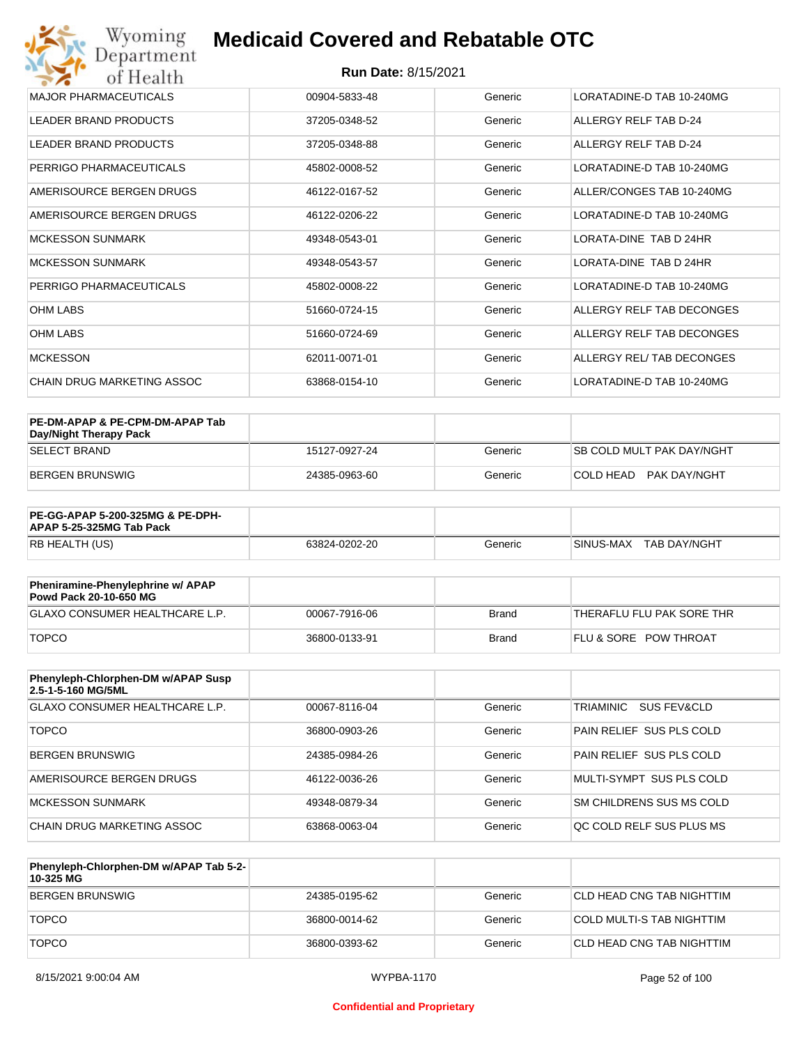| Wyoming<br>Department                   | <b>Medicaid Covered and Rebatable OTC</b> |         |                           |  |  |
|-----------------------------------------|-------------------------------------------|---------|---------------------------|--|--|
| <b>Run Date: 8/15/2021</b><br>of Health |                                           |         |                           |  |  |
| <b>MAJOR PHARMACEUTICALS</b>            | 00904-5833-48                             | Generic | LORATADINE-D TAB 10-240MG |  |  |
| <b>LEADER BRAND PRODUCTS</b>            | 37205-0348-52                             | Generic | ALLERGY RELF TAB D-24     |  |  |
| <b>LEADER BRAND PRODUCTS</b>            | 37205-0348-88                             | Generic | ALLERGY RELF TAB D-24     |  |  |
| PERRIGO PHARMACEUTICALS                 | 45802-0008-52                             | Generic | LORATADINE-D TAB 10-240MG |  |  |
| AMERISOURCE BERGEN DRUGS                | 46122-0167-52                             | Generic | ALLER/CONGES TAB 10-240MG |  |  |
| AMERISOURCE BERGEN DRUGS                | 46122-0206-22                             | Generic | LORATADINE-D TAB 10-240MG |  |  |
| <b>MCKESSON SUNMARK</b>                 | 49348-0543-01                             | Generic | LORATA-DINE TAB D 24HR    |  |  |
| <b>MCKESSON SUNMARK</b>                 | 49348-0543-57                             | Generic | LORATA-DINE TAB D 24HR    |  |  |
| PERRIGO PHARMACEUTICALS                 | 45802-0008-22                             | Generic | LORATADINE-D TAB 10-240MG |  |  |
| <b>OHM LABS</b>                         | 51660-0724-15                             | Generic | ALLERGY RELF TAB DECONGES |  |  |
| <b>OHM LABS</b>                         | 51660-0724-69                             | Generic | ALLERGY RELF TAB DECONGES |  |  |
| <b>MCKESSON</b>                         | 62011-0071-01                             | Generic | ALLERGY REL/ TAB DECONGES |  |  |
| <b>CHAIN DRUG MARKETING ASSOC</b>       | 63868-0154-10                             | Generic | LORATADINE-D TAB 10-240MG |  |  |

| PE-DM-APAP & PE-CPM-DM-APAP Tab<br>Day/Night Therapy Pack |               |         |                                  |
|-----------------------------------------------------------|---------------|---------|----------------------------------|
| <b>SELECT BRAND</b>                                       | 15127-0927-24 | Generic | <b>SB COLD MULT PAK DAY/NGHT</b> |
| BERGEN BRUNSWIG                                           | 24385-0963-60 | Generic | PAK DAY/NGHT<br>ICOI D HEAD.     |

| <b>PE-GG-APAP 5-200-325MG &amp; PE-DPH-</b><br>APAP 5-25-325MG Tab Pack |               |         |                           |
|-------------------------------------------------------------------------|---------------|---------|---------------------------|
| RB HEALTH (US)                                                          | 63824-0202-20 | Generic | SINUS-MAX<br>TAB DAY/NGHT |

| Pheniramine-Phenylephrine w/ APAP<br>Powd Pack 20-10-650 MG |               |       |                                  |
|-------------------------------------------------------------|---------------|-------|----------------------------------|
| GLAXO CONSUMER HEALTHCARE L.P.                              | 00067-7916-06 | Brand | 'THERAFLU FLU PAK SORE THR       |
| <b>TOPCO</b>                                                | 36800-0133-91 | Brand | <b>FLU &amp; SORE POW THROAT</b> |

| Phenyleph-Chlorphen-DM w/APAP Susp<br>2.5-1-5-160 MG/5ML |               |         |                          |
|----------------------------------------------------------|---------------|---------|--------------------------|
| GLAXO CONSUMER HEALTHCARE L.P.                           | 00067-8116-04 | Generic | TRIAMINIC<br>SUS FEV&CLD |
| <b>TOPCO</b>                                             | 36800-0903-26 | Generic | PAIN RELIEF SUS PLS COLD |
| <b>BERGEN BRUNSWIG</b>                                   | 24385-0984-26 | Generic | PAIN RELIEF SUS PLS COLD |
| AMERISOURCE BERGEN DRUGS                                 | 46122-0036-26 | Generic | MULTI-SYMPT SUS PLS COLD |
| MCKESSON SUNMARK                                         | 49348-0879-34 | Generic | SM CHILDRENS SUS MS COLD |
| CHAIN DRUG MARKETING ASSOC                               | 63868-0063-04 | Generic | OC COLD RELF SUS PLUS MS |

| Phenyleph-Chlorphen-DM w/APAP Tab 5-2-<br>10-325 MG |               |         |                           |
|-----------------------------------------------------|---------------|---------|---------------------------|
| BERGEN BRUNSWIG                                     | 24385-0195-62 | Generic | CLD HEAD CNG TAB NIGHTTIM |
| <b>TOPCO</b>                                        | 36800-0014-62 | Generic | COLD MULTI-S TAB NIGHTTIM |
| <b>TOPCO</b>                                        | 36800-0393-62 | Generic | CLD HEAD CNG TAB NIGHTTIM |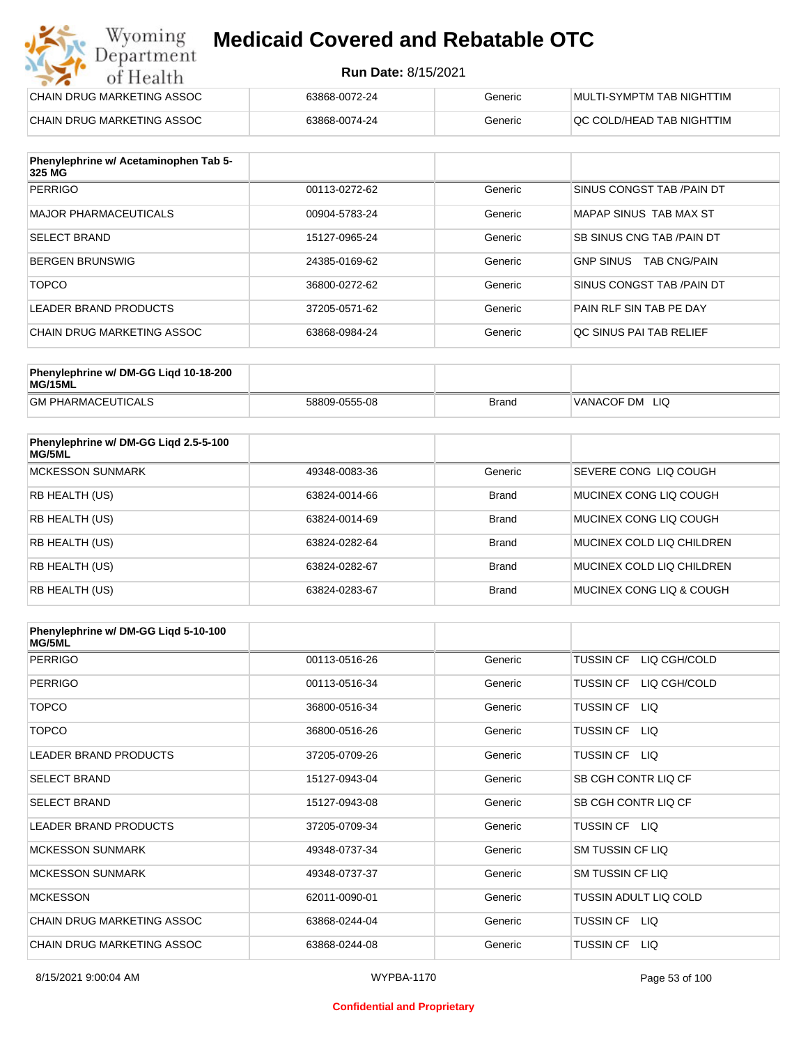#### **Run Date:** 8/15/2021

| Wyoming<br><b>Medicaid Covered and Rebatable OTC</b><br>Department |                            |         |                           |  |
|--------------------------------------------------------------------|----------------------------|---------|---------------------------|--|
| of Health                                                          | <b>Run Date: 8/15/2021</b> |         |                           |  |
| CHAIN DRUG MARKETING ASSOC                                         | 63868-0072-24              | Generic | MULTI-SYMPTM TAB NIGHTTIM |  |
| CHAIN DRUG MARKETING ASSOC                                         | 63868-0074-24              | Generic | QC COLD/HEAD TAB NIGHTTIM |  |

| Phenylephrine w/ Acetaminophen Tab 5-<br>325 MG |               |         |                                         |
|-------------------------------------------------|---------------|---------|-----------------------------------------|
| <b>PERRIGO</b>                                  | 00113-0272-62 | Generic | SINUS CONGST TAB /PAIN DT               |
| MAJOR PHARMACEUTICALS                           | 00904-5783-24 | Generic | MAPAP SINUS TAB MAX ST                  |
| <b>SELECT BRAND</b>                             | 15127-0965-24 | Generic | <b>SB SINUS CNG TAB /PAIN DT</b>        |
| BERGEN BRUNSWIG                                 | 24385-0169-62 | Generic | <b>TAB CNG/PAIN</b><br><b>GNP SINUS</b> |
| <b>TOPCO</b>                                    | 36800-0272-62 | Generic | SINUS CONGST TAB /PAIN DT               |
| LEADER BRAND PRODUCTS                           | 37205-0571-62 | Generic | PAIN RLF SIN TAB PE DAY                 |
| CHAIN DRUG MARKETING ASSOC                      | 63868-0984-24 | Generic | OC SINUS PAI TAB RELIEF                 |

| Phenylephrine w/ DM-GG Ligd 10-18-200<br>MG/15ML |               |              |                   |
|--------------------------------------------------|---------------|--------------|-------------------|
| <b>GM PHARMACEUTICALS</b>                        | 58809-0555-08 | <b>Brand</b> | VANACOF DM<br>LIQ |

| Phenylephrine w/ DM-GG Ligd 2.5-5-100<br>MG/5ML |               |              |                           |
|-------------------------------------------------|---------------|--------------|---------------------------|
| <b>MCKESSON SUNMARK</b>                         | 49348-0083-36 | Generic      | SEVERE CONG LIO COUGH     |
| RB HEALTH (US)                                  | 63824-0014-66 | <b>Brand</b> | MUCINEX CONG LIO COUGH    |
| <b>RB HEALTH (US)</b>                           | 63824-0014-69 | <b>Brand</b> | MUCINEX CONG LIO COUGH    |
| <b>RB HEALTH (US)</b>                           | 63824-0282-64 | <b>Brand</b> | MUCINEX COLD LIQ CHILDREN |
| RB HEALTH (US)                                  | 63824-0282-67 | <b>Brand</b> | MUCINEX COLD LIQ CHILDREN |
| RB HEALTH (US)                                  | 63824-0283-67 | <b>Brand</b> | MUCINEX CONG LIO & COUGH  |

| Phenylephrine w/ DM-GG Ligd 5-10-100<br><b>MG/5ML</b> |               |         |                                  |
|-------------------------------------------------------|---------------|---------|----------------------------------|
| <b>PERRIGO</b>                                        | 00113-0516-26 | Generic | <b>TUSSIN CF</b><br>LIQ CGH/COLD |
| <b>PERRIGO</b>                                        | 00113-0516-34 | Generic | LIQ CGH/COLD<br><b>TUSSIN CF</b> |
| <b>TOPCO</b>                                          | 36800-0516-34 | Generic | <b>TUSSIN CF</b><br>LIQ.         |
| <b>TOPCO</b>                                          | 36800-0516-26 | Generic | <b>TUSSIN CF</b><br>LIQ.         |
| LEADER BRAND PRODUCTS                                 | 37205-0709-26 | Generic | TUSSIN CF LIQ                    |
| <b>SELECT BRAND</b>                                   | 15127-0943-04 | Generic | SB CGH CONTR LIQ CF              |
| <b>SELECT BRAND</b>                                   | 15127-0943-08 | Generic | SB CGH CONTR LIQ CF              |
| LEADER BRAND PRODUCTS                                 | 37205-0709-34 | Generic | TUSSIN CF LIQ                    |
| <b>MCKESSON SUNMARK</b>                               | 49348-0737-34 | Generic | <b>SM TUSSIN CF LIQ</b>          |
| <b>MCKESSON SUNMARK</b>                               | 49348-0737-37 | Generic | <b>SM TUSSIN CF LIQ</b>          |
| <b>MCKESSON</b>                                       | 62011-0090-01 | Generic | TUSSIN ADULT LIQ COLD            |
| CHAIN DRUG MARKETING ASSOC                            | 63868-0244-04 | Generic | TUSSIN CF LIQ                    |
| CHAIN DRUG MARKETING ASSOC                            | 63868-0244-08 | Generic | <b>TUSSIN CF</b><br>LIQ.         |

#### **Confidential and Proprietary**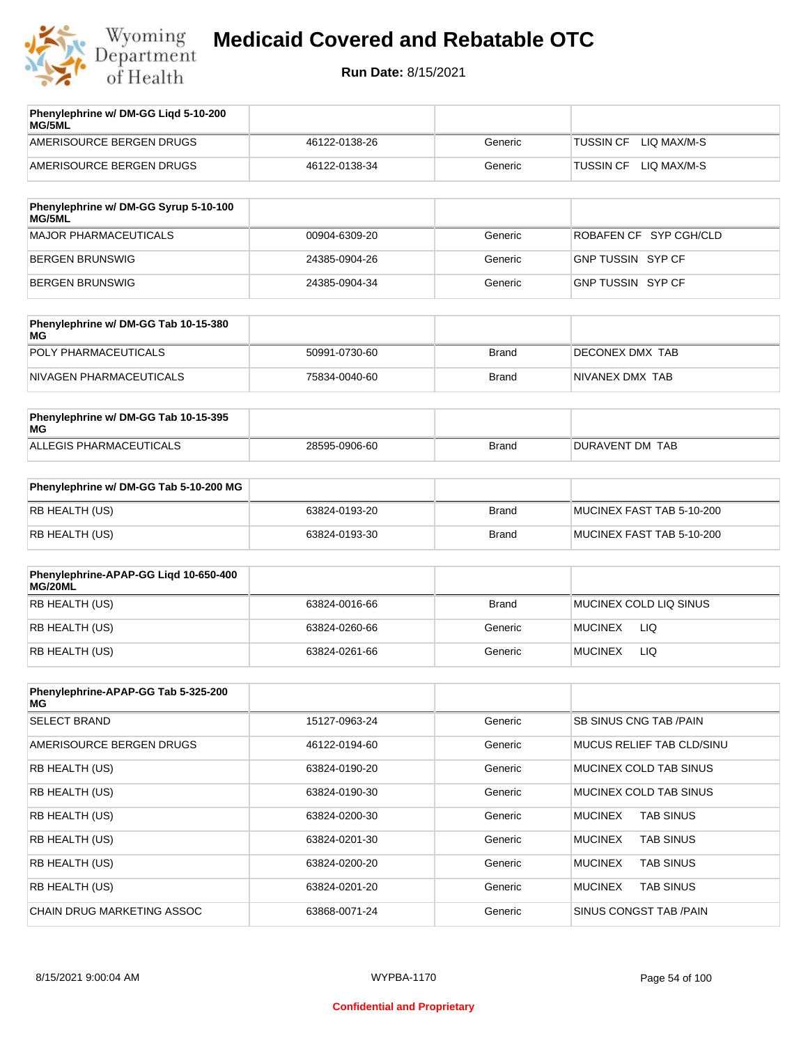

| Phenylephrine w/ DM-GG Ligd 5-10-200<br>MG/5ML |               |         |                          |
|------------------------------------------------|---------------|---------|--------------------------|
| AMERISOURCE BERGEN DRUGS                       | 46122-0138-26 | Generic | LIO MAX/M-S<br>TUSSIN CF |
| AMERISOURCE BERGEN DRUGS                       | 46122-0138-34 | Generic | LIO MAX/M-S<br>TUSSIN CF |
|                                                |               |         |                          |

| Phenylephrine w/ DM-GG Syrup 5-10-100<br>MG/5ML |               |         |                        |
|-------------------------------------------------|---------------|---------|------------------------|
| MAJOR PHARMACEUTICALS                           | 00904-6309-20 | Generic | ROBAFEN CF SYP CGH/CLD |
| BERGEN BRUNSWIG                                 | 24385-0904-26 | Generic | GNP TUSSIN SYP CF      |
| BERGEN BRUNSWIG                                 | 24385-0904-34 | Generic | GNP TUSSIN SYP CF      |

| Phenylephrine w/ DM-GG Tab 10-15-380<br>MG |               |              |                         |
|--------------------------------------------|---------------|--------------|-------------------------|
| POLY PHARMACEUTICALS                       | 50991-0730-60 | <b>Brand</b> | <b>IDECONEX DMX TAB</b> |
| NIVAGEN PHARMACEUTICALS                    | 75834-0040-60 | Brand        | NIVANEX DMX TAB         |

| Phenylephrine w/ DM-GG Tab 10-15-395<br>MG |               |       |                 |
|--------------------------------------------|---------------|-------|-----------------|
| ALLEGIS PHARMACEUTICALS                    | 28595-0906-60 | Brand | DURAVENT DM TAB |

| Phenylephrine w/ DM-GG Tab 5-10-200 MG |               |       |                           |
|----------------------------------------|---------------|-------|---------------------------|
| RB HEALTH (US)                         | 63824-0193-20 | Brand | MUCINEX FAST TAB 5-10-200 |
| RB HEALTH (US)                         | 63824-0193-30 | Brand | MUCINEX FAST TAB 5-10-200 |

| Phenylephrine-APAP-GG Ligd 10-650-400<br>MG/20ML |               |         |                        |
|--------------------------------------------------|---------------|---------|------------------------|
| RB HEALTH (US)                                   | 63824-0016-66 | Brand   | MUCINEX COLD LIQ SINUS |
| RB HEALTH (US)                                   | 63824-0260-66 | Generic | LIQ<br><b>MUCINEX</b>  |
| RB HEALTH (US)                                   | 63824-0261-66 | Generic | <b>MUCINEX</b><br>LIQ  |

| Phenylephrine-APAP-GG Tab 5-325-200<br>MG |               |         |                                    |
|-------------------------------------------|---------------|---------|------------------------------------|
| <b>SELECT BRAND</b>                       | 15127-0963-24 | Generic | SB SINUS CNG TAB /PAIN             |
| AMERISOURCE BERGEN DRUGS                  | 46122-0194-60 | Generic | MUCUS RELIEF TAB CLD/SINU          |
| <b>RB HEALTH (US)</b>                     | 63824-0190-20 | Generic | MUCINEX COLD TAB SINUS             |
| <b>RB HEALTH (US)</b>                     | 63824-0190-30 | Generic | MUCINEX COLD TAB SINUS             |
| RB HEALTH (US)                            | 63824-0200-30 | Generic | <b>TAB SINUS</b><br><b>MUCINEX</b> |
| <b>RB HEALTH (US)</b>                     | 63824-0201-30 | Generic | <b>TAB SINUS</b><br><b>MUCINEX</b> |
| <b>RB HEALTH (US)</b>                     | 63824-0200-20 | Generic | <b>MUCINEX</b><br><b>TAB SINUS</b> |
| <b>RB HEALTH (US)</b>                     | 63824-0201-20 | Generic | <b>TAB SINUS</b><br><b>MUCINEX</b> |
| <b>CHAIN DRUG MARKETING ASSOC</b>         | 63868-0071-24 | Generic | SINUS CONGST TAB /PAIN             |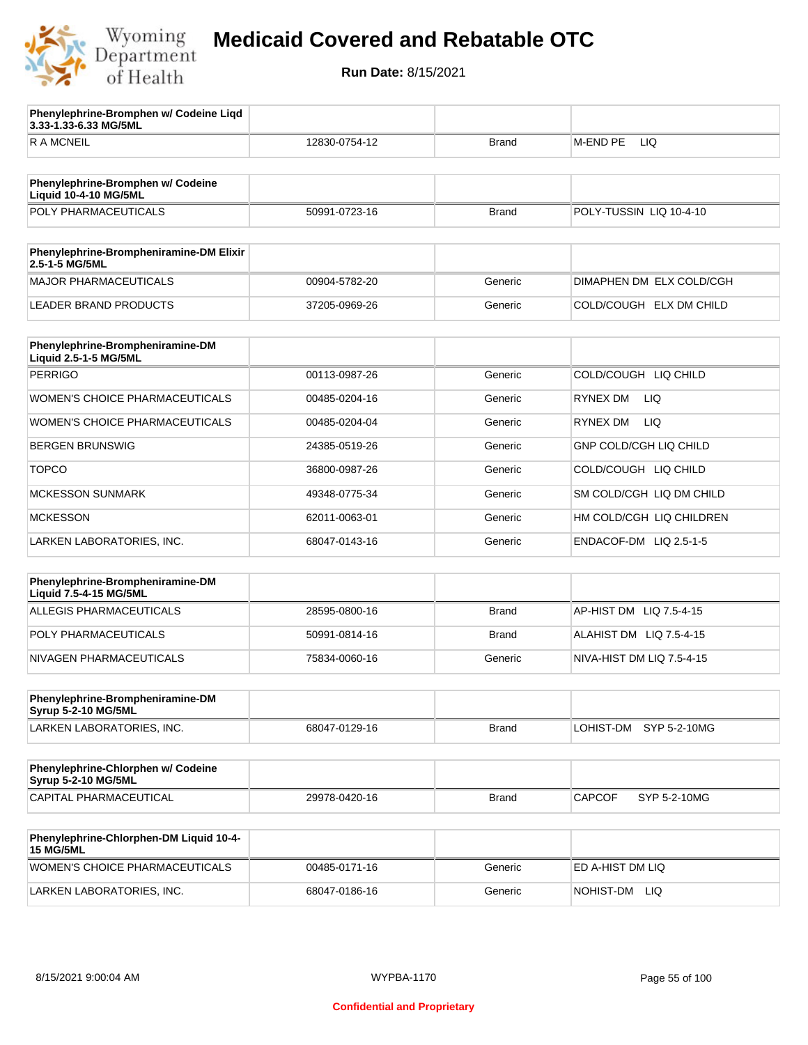

**3.33-1.33-6.33 MG/5ML**

**Phenylephrine-Bromphen w/ Codeine Liqd** 

## **Medicaid Covered and Rebatable OTC**

| <b>RAMCNEIL</b>                                                   | 12830-0754-12 | Brand        | M-END PE<br>LIQ               |
|-------------------------------------------------------------------|---------------|--------------|-------------------------------|
|                                                                   |               |              |                               |
| Phenylephrine-Bromphen w/ Codeine<br><b>Liquid 10-4-10 MG/5ML</b> |               |              |                               |
| POLY PHARMACEUTICALS                                              | 50991-0723-16 | <b>Brand</b> | POLY-TUSSIN LIQ 10-4-10       |
| Phenylephrine-Brompheniramine-DM Elixir<br>2.5-1-5 MG/5ML         |               |              |                               |
| <b>MAJOR PHARMACEUTICALS</b>                                      | 00904-5782-20 | Generic      | DIMAPHEN DM ELX COLD/CGH      |
| <b>LEADER BRAND PRODUCTS</b>                                      | 37205-0969-26 | Generic      | COLD/COUGH ELX DM CHILD       |
| Phenylephrine-Brompheniramine-DM                                  |               |              |                               |
| Liquid 2.5-1-5 MG/5ML                                             |               |              |                               |
| <b>PERRIGO</b>                                                    | 00113-0987-26 | Generic      | COLD/COUGH LIQ CHILD          |
| WOMEN'S CHOICE PHARMACEUTICALS                                    | 00485-0204-16 | Generic      | <b>RYNEX DM</b><br>LIQ.       |
| <b>WOMEN'S CHOICE PHARMACEUTICALS</b>                             | 00485-0204-04 | Generic      | <b>LIQ</b><br>RYNEX DM        |
| <b>BERGEN BRUNSWIG</b>                                            | 24385-0519-26 | Generic      | <b>GNP COLD/CGH LIQ CHILD</b> |
| <b>TOPCO</b>                                                      | 36800-0987-26 | Generic      | COLD/COUGH LIQ CHILD          |
| <b>MCKESSON SUNMARK</b>                                           | 49348-0775-34 | Generic      | SM COLD/CGH LIQ DM CHILD      |
| <b>MCKESSON</b>                                                   | 62011-0063-01 | Generic      | HM COLD/CGH LIQ CHILDREN      |
| LARKEN LABORATORIES, INC.                                         | 68047-0143-16 | Generic      | ENDACOF-DM LIQ 2.5-1-5        |
|                                                                   |               |              |                               |
| Phenylephrine-Brompheniramine-DM<br>Liquid 7.5-4-15 MG/5ML        |               |              |                               |
| ALLEGIS PHARMACEUTICALS                                           | 28595-0800-16 | <b>Brand</b> | AP-HIST DM LIQ 7.5-4-15       |
| POLY PHARMACEUTICALS                                              | 50991-0814-16 | Brand        | ALAHIST DM LIQ 7.5-4-15       |
| NIVAGEN PHARMACEUTICALS                                           | 75834-0060-16 | Generic      | NIVA-HIST DM LIQ 7.5-4-15     |
| Phenylephrine-Brompheniramine-DM                                  |               |              |                               |
| Syrup 5-2-10 MG/5ML                                               |               |              |                               |
| LARKEN LABORATORIES, INC.                                         | 68047-0129-16 | Brand        | LOHIST-DM<br>SYP 5-2-10MG     |
| Phenylephrine-Chlorphen w/ Codeine<br>Syrup 5-2-10 MG/5ML         |               |              |                               |
| CAPITAL PHARMACEUTICAL                                            | 29978-0420-16 | Brand        | <b>CAPCOF</b><br>SYP 5-2-10MG |
|                                                                   |               |              |                               |
| Phenylephrine-Chlorphen-DM Liquid 10-4-<br><b>15 MG/5ML</b>       |               |              |                               |
| WOMEN'S CHOICE PHARMACEUTICALS                                    | 00485-0171-16 | Generic      | ED A-HIST DM LIQ              |
| LARKEN LABORATORIES, INC.                                         | 68047-0186-16 | Generic      | NOHIST-DM LIQ                 |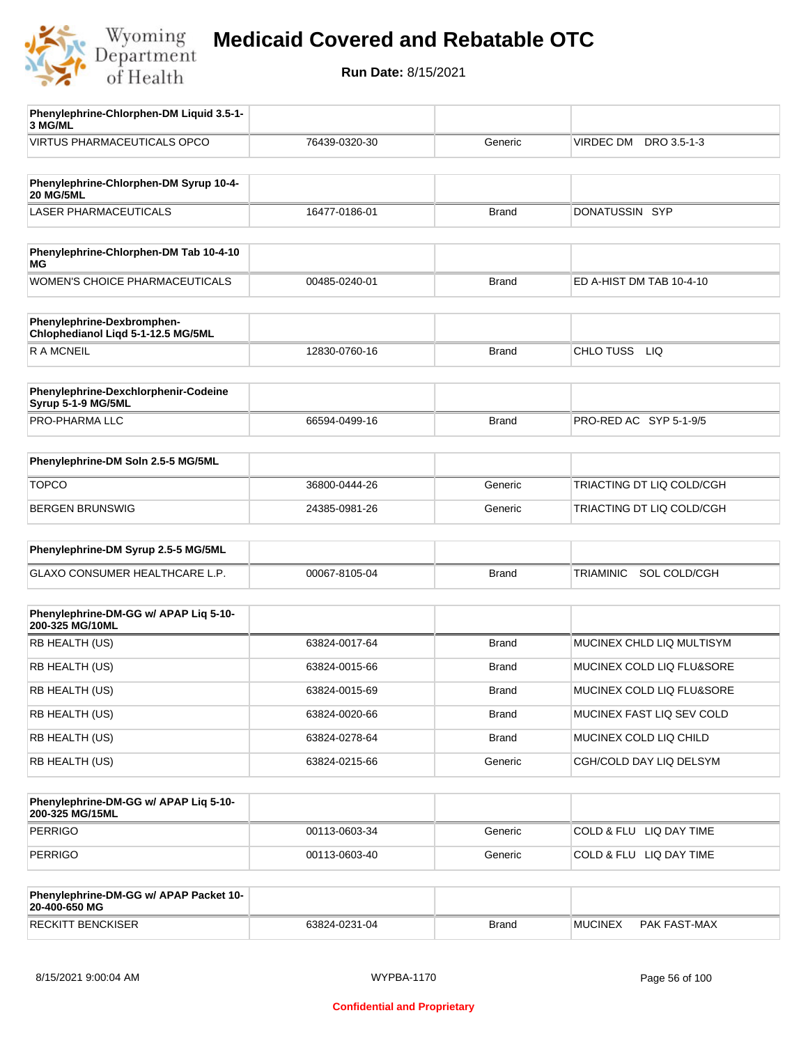

| Phenylephrine-Chlorphen-DM Liquid 3.5-1-                         |               |              |                                |
|------------------------------------------------------------------|---------------|--------------|--------------------------------|
| 3 MG/ML                                                          |               |              |                                |
| <b>VIRTUS PHARMACEUTICALS OPCO</b>                               | 76439-0320-30 | Generic      | VIRDEC DM DRO 3.5-1-3          |
| Phenylephrine-Chlorphen-DM Syrup 10-4-<br><b>20 MG/5ML</b>       |               |              |                                |
| <b>LASER PHARMACEUTICALS</b>                                     | 16477-0186-01 | <b>Brand</b> | DONATUSSIN SYP                 |
|                                                                  |               |              |                                |
| Phenylephrine-Chlorphen-DM Tab 10-4-10<br>МG                     |               |              |                                |
| <b>WOMEN'S CHOICE PHARMACEUTICALS</b>                            | 00485-0240-01 | <b>Brand</b> | ED A-HIST DM TAB 10-4-10       |
| Phenylephrine-Dexbromphen-<br>Chlophedianol Liqd 5-1-12.5 MG/5ML |               |              |                                |
| <b>RAMCNEIL</b>                                                  | 12830-0760-16 | <b>Brand</b> | CHLO TUSS LIQ                  |
| Phenylephrine-Dexchlorphenir-Codeine<br>Syrup 5-1-9 MG/5ML       |               |              |                                |
| PRO-PHARMA LLC                                                   | 66594-0499-16 | <b>Brand</b> | PRO-RED AC SYP 5-1-9/5         |
|                                                                  |               |              |                                |
| Phenylephrine-DM Soln 2.5-5 MG/5ML                               |               |              |                                |
| <b>TOPCO</b>                                                     | 36800-0444-26 | Generic      | TRIACTING DT LIQ COLD/CGH      |
| BERGEN BRUNSWIG                                                  | 24385-0981-26 | Generic      | TRIACTING DT LIQ COLD/CGH      |
| Phenylephrine-DM Syrup 2.5-5 MG/5ML                              |               |              |                                |
| GLAXO CONSUMER HEALTHCARE L.P.                                   | 00067-8105-04 | <b>Brand</b> | SOL COLD/CGH<br>TRIAMINIC      |
|                                                                  |               |              |                                |
| Phenylephrine-DM-GG w/ APAP Liq 5-10-<br>200-325 MG/10ML         |               |              |                                |
| RB HEALTH (US)                                                   | 63824-0017-64 | <b>Brand</b> | MUCINEX CHLD LIQ MULTISYM      |
| RB HEALTH (US)                                                   | 63824-0015-66 | <b>Brand</b> | MUCINEX COLD LIQ FLU&SORE      |
| RB HEALTH (US)                                                   | 63824-0015-69 | <b>Brand</b> | MUCINEX COLD LIQ FLU&SORE      |
| RB HEALTH (US)                                                   | 63824-0020-66 | <b>Brand</b> | MUCINEX FAST LIQ SEV COLD      |
| RB HEALTH (US)                                                   | 63824-0278-64 | <b>Brand</b> | MUCINEX COLD LIQ CHILD         |
| RB HEALTH (US)                                                   | 63824-0215-66 | Generic      | CGH/COLD DAY LIQ DELSYM        |
| Phenylephrine-DM-GG w/ APAP Lig 5-10-<br>200-325 MG/15ML         |               |              |                                |
| <b>PERRIGO</b>                                                   | 00113-0603-34 | Generic      | COLD & FLU LIQ DAY TIME        |
| <b>PERRIGO</b>                                                   | 00113-0603-40 | Generic      | COLD & FLU LIQ DAY TIME        |
|                                                                  |               |              |                                |
| Phenylephrine-DM-GG w/ APAP Packet 10-<br>20-400-650 MG          |               |              |                                |
| <b>RECKITT BENCKISER</b>                                         | 63824-0231-04 | <b>Brand</b> | <b>MUCINEX</b><br>PAK FAST-MAX |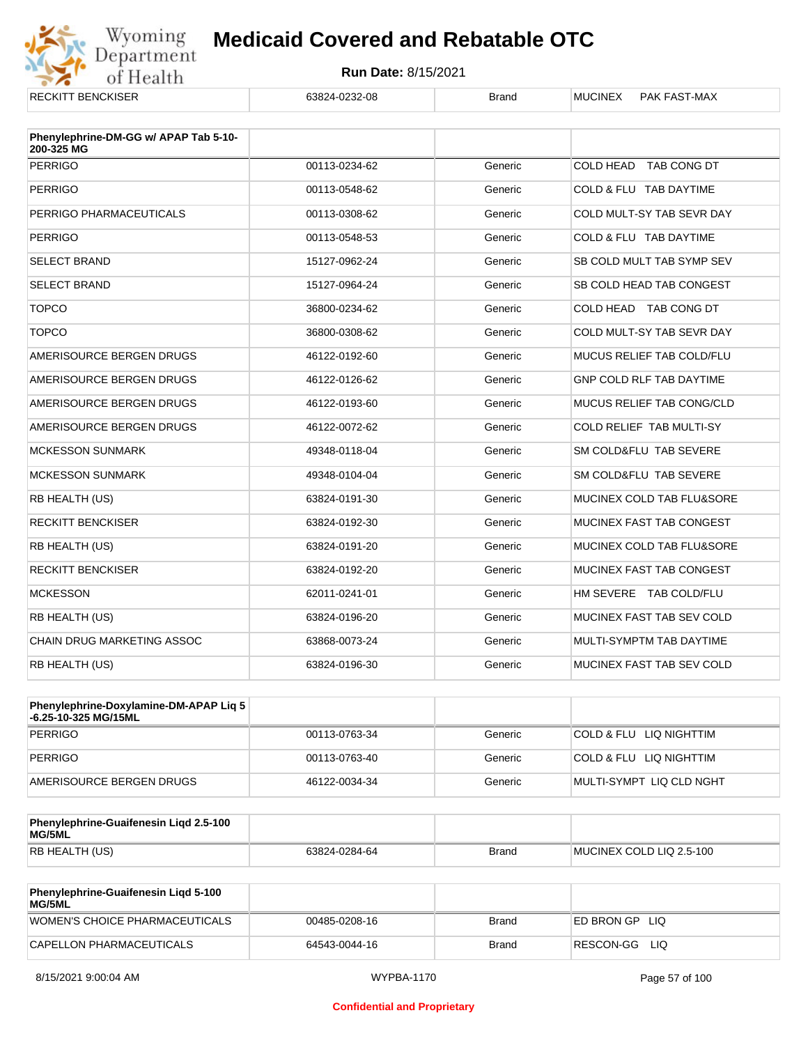

| <b>RECKITT BENCKISER</b>                            | 63824-0232-08 | <b>Brand</b> | <b>MUCINEX</b><br>PAK FAST-MAX   |
|-----------------------------------------------------|---------------|--------------|----------------------------------|
| Phenylephrine-DM-GG w/ APAP Tab 5-10-<br>200-325 MG |               |              |                                  |
| <b>PERRIGO</b>                                      | 00113-0234-62 | Generic      | COLD HEAD TAB CONG DT            |
| <b>PERRIGO</b>                                      | 00113-0548-62 | Generic      | COLD & FLU TAB DAYTIME           |
| PERRIGO PHARMACEUTICALS                             | 00113-0308-62 | Generic      | COLD MULT-SY TAB SEVR DAY        |
| <b>PERRIGO</b>                                      | 00113-0548-53 | Generic      | COLD & FLU TAB DAYTIME           |
| <b>SELECT BRAND</b>                                 | 15127-0962-24 | Generic      | SB COLD MULT TAB SYMP SEV        |
| <b>SELECT BRAND</b>                                 | 15127-0964-24 | Generic      | SB COLD HEAD TAB CONGEST         |
| <b>TOPCO</b>                                        | 36800-0234-62 | Generic      | COLD HEAD TAB CONG DT            |
| <b>TOPCO</b>                                        | 36800-0308-62 | Generic      | COLD MULT-SY TAB SEVR DAY        |
| AMERISOURCE BERGEN DRUGS                            | 46122-0192-60 | Generic      | MUCUS RELIEF TAB COLD/FLU        |
| AMERISOURCE BERGEN DRUGS                            | 46122-0126-62 | Generic      | GNP COLD RLF TAB DAYTIME         |
| AMERISOURCE BERGEN DRUGS                            | 46122-0193-60 | Generic      | <b>MUCUS RELIEF TAB CONG/CLD</b> |
| AMERISOURCE BERGEN DRUGS                            | 46122-0072-62 | Generic      | COLD RELIEF TAB MULTI-SY         |
| <b>MCKESSON SUNMARK</b>                             | 49348-0118-04 | Generic      | SM COLD&FLU TAB SEVERE           |
| <b>MCKESSON SUNMARK</b>                             | 49348-0104-04 | Generic      | SM COLD&FLU TAB SEVERE           |
| RB HEALTH (US)                                      | 63824-0191-30 | Generic      | MUCINEX COLD TAB FLU&SORE        |
| <b>RECKITT BENCKISER</b>                            | 63824-0192-30 | Generic      | MUCINEX FAST TAB CONGEST         |
| RB HEALTH (US)                                      | 63824-0191-20 | Generic      | MUCINEX COLD TAB FLU&SORE        |
| <b>RECKITT BENCKISER</b>                            | 63824-0192-20 | Generic      | <b>MUCINEX FAST TAB CONGEST</b>  |
| <b>MCKESSON</b>                                     | 62011-0241-01 | Generic      | HM SEVERE TAB COLD/FLU           |
| RB HEALTH (US)                                      | 63824-0196-20 | Generic      | MUCINEX FAST TAB SEV COLD        |
| CHAIN DRUG MARKETING ASSOC                          | 63868-0073-24 | Generic      | MULTI-SYMPTM TAB DAYTIME         |
| RB HEALTH (US)                                      | 63824-0196-30 | Generic      | MUCINEX FAST TAB SEV COLD        |

| <b>Phenylephrine-Doxylamine-DM-APAP Lig 5</b><br>-6.25-10-325 MG/15ML |               |         |                          |
|-----------------------------------------------------------------------|---------------|---------|--------------------------|
| PERRIGO                                                               | 00113-0763-34 | Generic | COLD & FLU LIQ NIGHTTIM  |
| PERRIGO                                                               | 00113-0763-40 | Generic | COLD & FLU LIQ NIGHTTIM  |
| AMERISOURCE BERGEN DRUGS                                              | 46122-0034-34 | Generic | MULTI-SYMPT LIQ CLD NGHT |

| Phenylephrine-Guaifenesin Ligd 2.5-100<br>MG/5ML |               |              |                          |
|--------------------------------------------------|---------------|--------------|--------------------------|
| RB HEALTH (US)                                   | 63824-0284-64 | <b>Brand</b> | MUCINEX COLD LIQ 2.5-100 |

| <b>Phenylephrine-Guaifenesin Ligd 5-100</b><br><b>MG/5ML</b> |               |       |                   |
|--------------------------------------------------------------|---------------|-------|-------------------|
| WOMEN'S CHOICE PHARMACEUTICALS                               | 00485-0208-16 | Brand | ED BRON GP<br>LIQ |
| CAPELLON PHARMACEUTICALS                                     | 64543-0044-16 | Brand | RESCON-GG<br>LIQ  |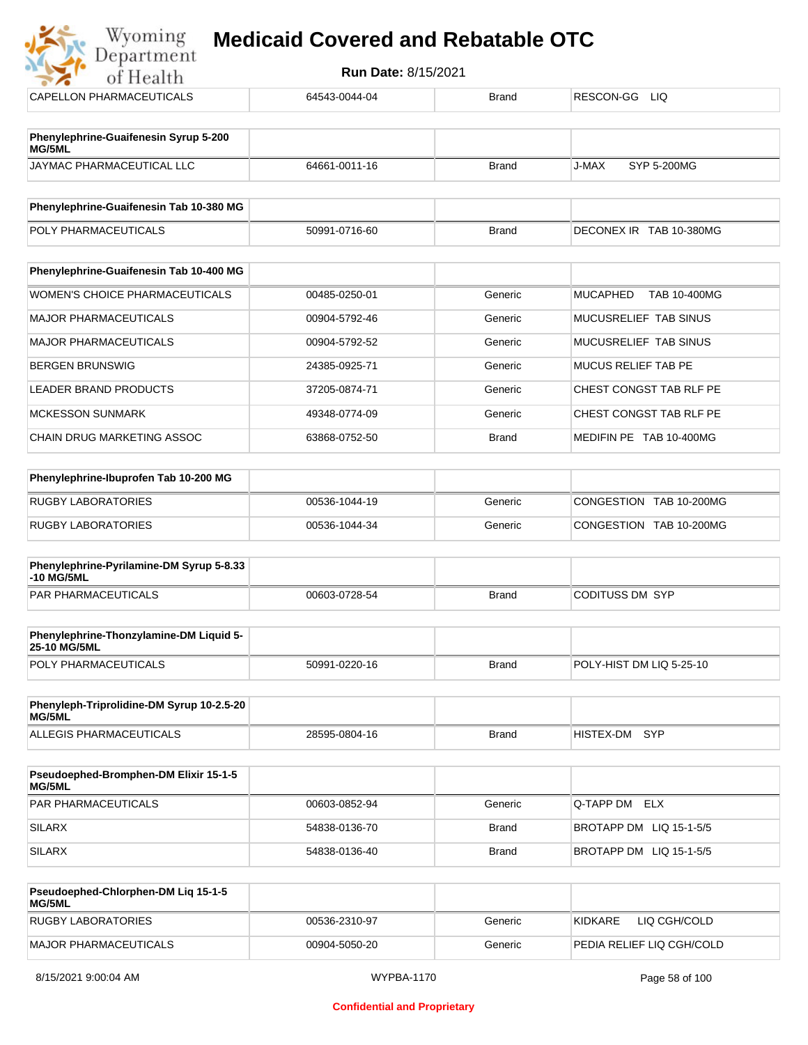| Department<br>of Health                                | <b>Run Date: 8/15/2021</b> |              |                                        |
|--------------------------------------------------------|----------------------------|--------------|----------------------------------------|
| <b>CAPELLON PHARMACEUTICALS</b>                        | 64543-0044-04              | <b>Brand</b> | RESCON-GG LIQ                          |
| Phenylephrine-Guaifenesin Syrup 5-200<br><b>MG/5ML</b> |                            |              |                                        |
| JAYMAC PHARMACEUTICAL LLC                              | 64661-0011-16              | <b>Brand</b> | J-MAX<br>SYP 5-200MG                   |
| Phenylephrine-Guaifenesin Tab 10-380 MG                |                            |              |                                        |
| POLY PHARMACEUTICALS                                   | 50991-0716-60              | <b>Brand</b> | DECONEX IR TAB 10-380MG                |
| Phenylephrine-Guaifenesin Tab 10-400 MG                |                            |              |                                        |
| <b>WOMEN'S CHOICE PHARMACEUTICALS</b>                  | 00485-0250-01              | Generic      | <b>MUCAPHED</b><br><b>TAB 10-400MG</b> |
| <b>MAJOR PHARMACEUTICALS</b>                           | 00904-5792-46              | Generic      | MUCUSRELIEF TAB SINUS                  |
| <b>MAJOR PHARMACEUTICALS</b>                           | 00904-5792-52              | Generic      | MUCUSRELIEF TAB SINUS                  |
| <b>BERGEN BRUNSWIG</b>                                 | 24385-0925-71              | Generic      | <b>MUCUS RELIEF TAB PE</b>             |
| <b>LEADER BRAND PRODUCTS</b>                           | 37205-0874-71              | Generic      | CHEST CONGST TAB RLF PE                |
| <b>MCKESSON SUNMARK</b>                                | 49348-0774-09              | Generic      | CHEST CONGST TAB RLF PE                |
| <b>CHAIN DRUG MARKETING ASSOC</b>                      | 63868-0752-50              | <b>Brand</b> | MEDIFIN PE TAB 10-400MG                |
| Phenylephrine-Ibuprofen Tab 10-200 MG                  |                            |              |                                        |
| <b>RUGBY LABORATORIES</b>                              | 00536-1044-19              | Generic      | CONGESTION TAB 10-200MG                |
| <b>RUGBY LABORATORIES</b>                              | 00536-1044-34              | Generic      | CONGESTION TAB 10-200MG                |

| .<br>$5.001$ and $2.001$ ap $3.000$<br><b>-10 MG/5ML</b> |               |              |                 |
|----------------------------------------------------------|---------------|--------------|-----------------|
| <b>PAR PHARMACEUTICALS</b>                               | 00603-0728-54 | <b>Brand</b> | CODITUSS DM_SYP |
|                                                          |               |              |                 |

| <b>Phenylephrine-Thonzylamine-DM Liquid 5-</b><br><b>25-10 MG/5ML</b> |               |       |                          |
|-----------------------------------------------------------------------|---------------|-------|--------------------------|
| <b>POLY PHARMACEUTICALS</b>                                           | 50991-0220-16 | Brand | POLY-HIST DM LIQ 5-25-10 |

| Phenyleph-Triprolidine-DM Syrup 10-2.5-20<br>MG/5ML |               |       |           |       |
|-----------------------------------------------------|---------------|-------|-----------|-------|
| ALLEGIS PHARMACEUTICALS                             | 28595-0804-16 | Brand | HISTEX-DM | – SYP |

| <b>Pseudoephed-Bromphen-DM Elixir 15-1-5</b><br>MG/5ML |               |         |                         |
|--------------------------------------------------------|---------------|---------|-------------------------|
| <b>PAR PHARMACEUTICALS</b>                             | 00603-0852-94 | Generic | Q-TAPP DM ELX           |
| <b>SILARX</b>                                          | 54838-0136-70 | Brand   | BROTAPP DM LIQ 15-1-5/5 |
| <b>SILARX</b>                                          | 54838-0136-40 | Brand   | BROTAPP DM LIQ 15-1-5/5 |

| Pseudoephed-Chlorphen-DM Lig 15-1-5<br><b>MG/5ML</b> |               |         |                            |
|------------------------------------------------------|---------------|---------|----------------------------|
| RUGBY LABORATORIES                                   | 00536-2310-97 | Generic | LIQ CGH/COLD<br>KIDKARF    |
| MAJOR PHARMACEUTICALS                                | 00904-5050-20 | Generic | IPEDIA RELIEF LIQ CGH/COLD |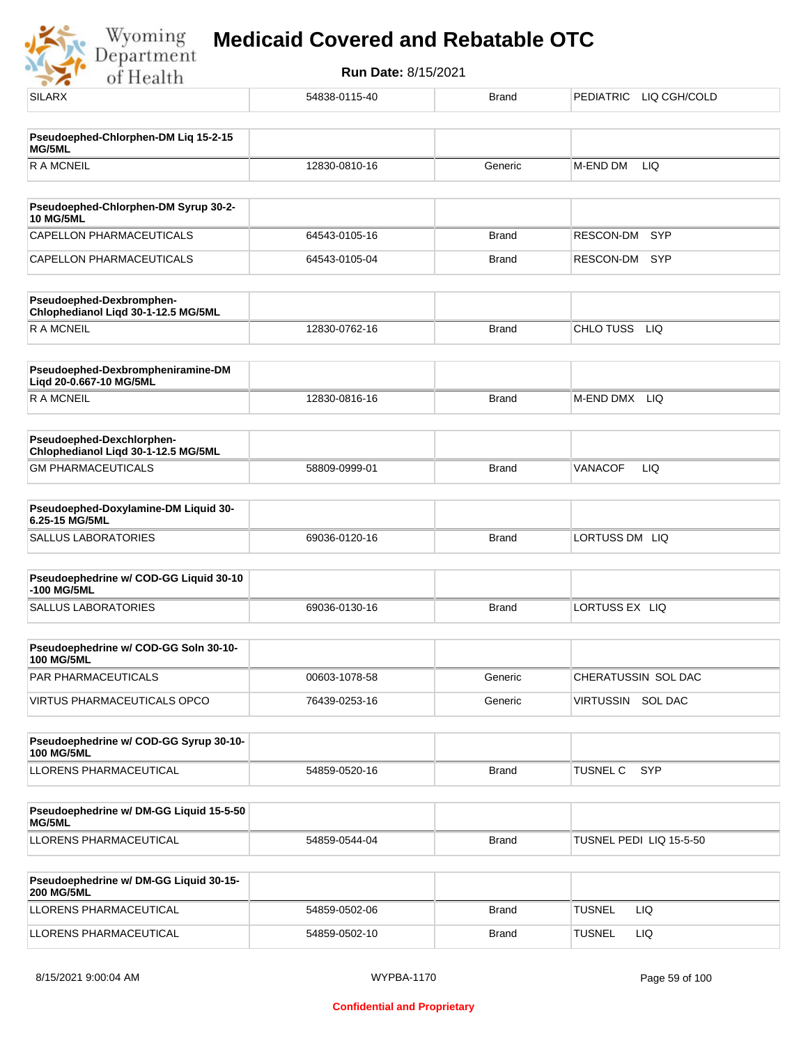Wyoming<br>Department<br>of Health

| $-7.9$                                                           |               |              |                               |
|------------------------------------------------------------------|---------------|--------------|-------------------------------|
| <b>SILARX</b>                                                    | 54838-0115-40 | <b>Brand</b> | PEDIATRIC LIQ CGH/COLD        |
| Pseudoephed-Chlorphen-DM Liq 15-2-15                             |               |              |                               |
| MG/5ML                                                           |               |              |                               |
| <b>RAMCNEIL</b>                                                  | 12830-0810-16 | Generic      | M-END DM<br>LIQ               |
| Pseudoephed-Chlorphen-DM Syrup 30-2-                             |               |              |                               |
| <b>10 MG/5ML</b>                                                 |               |              |                               |
| CAPELLON PHARMACEUTICALS                                         | 64543-0105-16 | <b>Brand</b> | SYP<br>RESCON-DM              |
| CAPELLON PHARMACEUTICALS                                         | 64543-0105-04 | <b>Brand</b> | RESCON-DM<br><b>SYP</b>       |
| Pseudoephed-Dexbromphen-<br>Chlophedianol Liqd 30-1-12.5 MG/5ML  |               |              |                               |
| <b>RAMCNEIL</b>                                                  | 12830-0762-16 | <b>Brand</b> | CHLO TUSS LIQ                 |
| Pseudoephed-Dexbrompheniramine-DM<br>Liqd 20-0.667-10 MG/5ML     |               |              |                               |
| R A MCNEIL                                                       | 12830-0816-16 | <b>Brand</b> | M-END DMX<br>LIQ              |
| Pseudoephed-Dexchlorphen-<br>Chlophedianol Liqd 30-1-12.5 MG/5ML |               |              |                               |
| <b>GM PHARMACEUTICALS</b>                                        | 58809-0999-01 | <b>Brand</b> | LIQ<br>VANACOF                |
| Pseudoephed-Doxylamine-DM Liquid 30-                             |               |              |                               |
| 6.25-15 MG/5ML                                                   |               |              |                               |
| <b>SALLUS LABORATORIES</b>                                       | 69036-0120-16 | <b>Brand</b> | LORTUSS DM LIQ                |
| Pseudoephedrine w/ COD-GG Liquid 30-10<br>-100 MG/5ML            |               |              |                               |
| <b>SALLUS LABORATORIES</b>                                       | 69036-0130-16 | <b>Brand</b> | LORTUSS EX LIQ                |
| Pseudoephedrine w/ COD-GG Soln 30-10-<br>100 MG/5ML              |               |              |                               |
| PAR PHARMACEUTICALS                                              | 00603-1078-58 | Generic      | CHERATUSSIN SOL DAC           |
| VIRTUS PHARMACEUTICALS OPCO                                      | 76439-0253-16 | Generic      | VIRTUSSIN SOL DAC             |
|                                                                  |               |              |                               |
| Pseudoephedrine w/ COD-GG Syrup 30-10-<br><b>100 MG/5ML</b>      |               |              |                               |
| LLORENS PHARMACEUTICAL                                           | 54859-0520-16 | <b>Brand</b> | <b>TUSNEL C</b><br><b>SYP</b> |
| Pseudoephedrine w/ DM-GG Liquid 15-5-50                          |               |              |                               |
| MG/5ML<br>LLORENS PHARMACEUTICAL                                 |               |              |                               |
|                                                                  | 54859-0544-04 | <b>Brand</b> | TUSNEL PEDI LIQ 15-5-50       |
| Pseudoephedrine w/ DM-GG Liquid 30-15-<br><b>200 MG/5ML</b>      |               |              |                               |
| LLORENS PHARMACEUTICAL                                           | 54859-0502-06 | <b>Brand</b> | <b>TUSNEL</b><br>LIQ.         |
| LLORENS PHARMACEUTICAL                                           | 54859-0502-10 | <b>Brand</b> | <b>TUSNEL</b><br>LIQ          |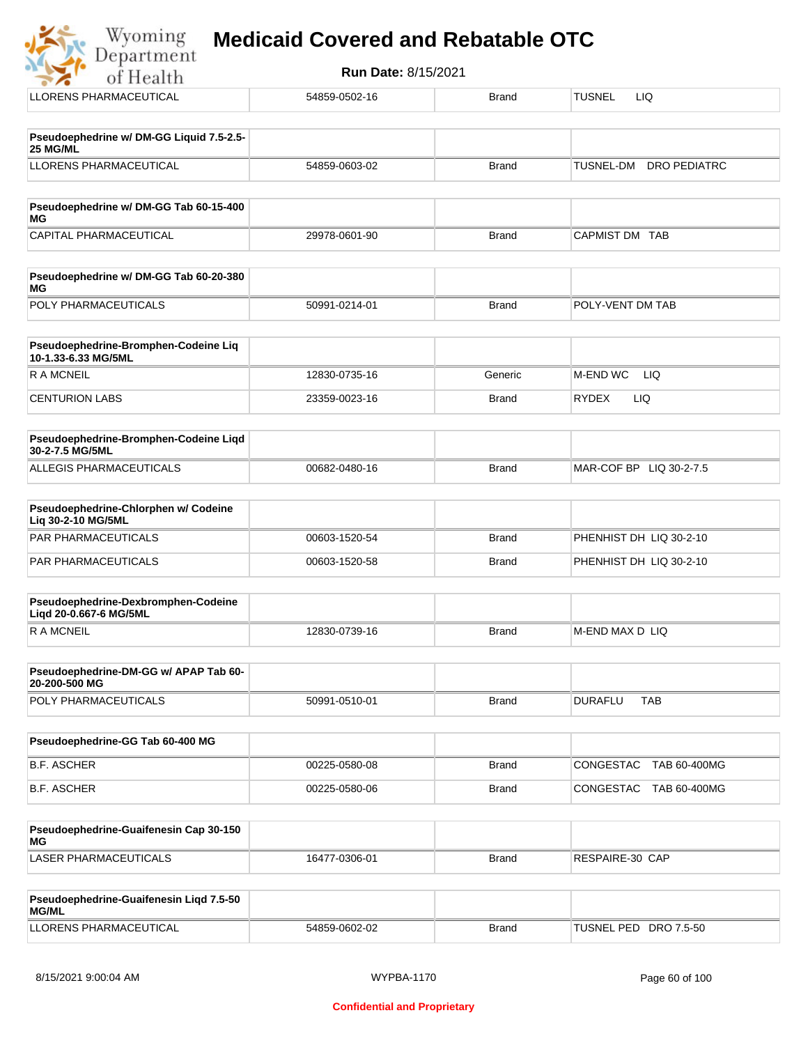Department **Run Date:** 8/15/2021 of Health LLORENS PHARMACEUTICAL **1999** 54859-0502-16 Brand TUSNEL LIQ **Pseudoephedrine w/ DM-GG Liquid 7.5-2.5- 25 MG/ML** LLORENS PHARMACEUTICAL 54859-0603-02 Brand TUSNEL-DM DRO PEDIATRC **Pseudoephedrine w/ DM-GG Tab 60-15-400 MG** CAPITAL PHARMACEUTICAL 
and the control of the 29978-0601-90 (Brand CAPMIST DM TAB **Pseudoephedrine w/ DM-GG Tab 60-20-380 MG** POLY PHARMACEUTICALS 50991-0214-01 Brand POLY-VENT DM TAB **Pseudoephedrine-Bromphen-Codeine Liq 10-1.33-6.33 MG/5ML** R A MCNEIL **12830-0735-16** Generic M-END WC LIQ CENTURION LABS 23359-0023-16 Brand RYDEX LIQ **Pseudoephedrine-Bromphen-Codeine Liqd 30-2-7.5 MG/5ML** ALLEGIS PHARMACEUTICALS 00682-0480-16 Brand MAR-COF BP LIQ 30-2-7.5 **Pseudoephedrine-Chlorphen w/ Codeine Liq 30-2-10 MG/5ML** PAR PHARMACEUTICALS 00603-1520-54 Brand PHENHIST DH LIQ 30-2-10 PAR PHARMACEUTICALS **DEVELOPS** 00603-1520-58 Brand PHENHIST DH LIQ 30-2-10 **Pseudoephedrine-Dexbromphen-Codeine Liqd 20-0.667-6 MG/5ML** R A MCNEIL **Example 2018** 12830-0739-16 Brand M-END MAX D LIQ

| <b>Pseudoephedrine-DM-GG w/ APAP Tab 60-</b><br>20-200-500 MG |               |       |         |     |
|---------------------------------------------------------------|---------------|-------|---------|-----|
| <b>POLY PHARMACEUTICALS</b>                                   | 50991-0510-01 | Brand | DURAFLU | TAB |

| Pseudoephedrine-GG Tab 60-400 MG |               |              |                             |
|----------------------------------|---------------|--------------|-----------------------------|
| <b>B.F. ASCHER</b>               | 00225-0580-08 | Brand        | CONGESTAC TAB 60-400MG      |
| B.F. ASCHER                      | 00225-0580-06 | <b>Brand</b> | TAB 60-400MG<br> CONGESTAC_ |

| Pseudoephedrine-Guaifenesin Cap 30-150<br>MG |               |              |                 |
|----------------------------------------------|---------------|--------------|-----------------|
| LASER PHARMACEUTICALS                        | 16477-0306-01 | <b>Brand</b> | RESPAIRE-30 CAP |

| <b>Pseudoephedrine-Guaifenesin Ligd 7.5-50</b><br>MG/ML |               |       |                       |
|---------------------------------------------------------|---------------|-------|-----------------------|
| LLORENS PHARMACEUTICAL                                  | 54859-0602-02 | Brand | TUSNEL PED DRO 7.5-50 |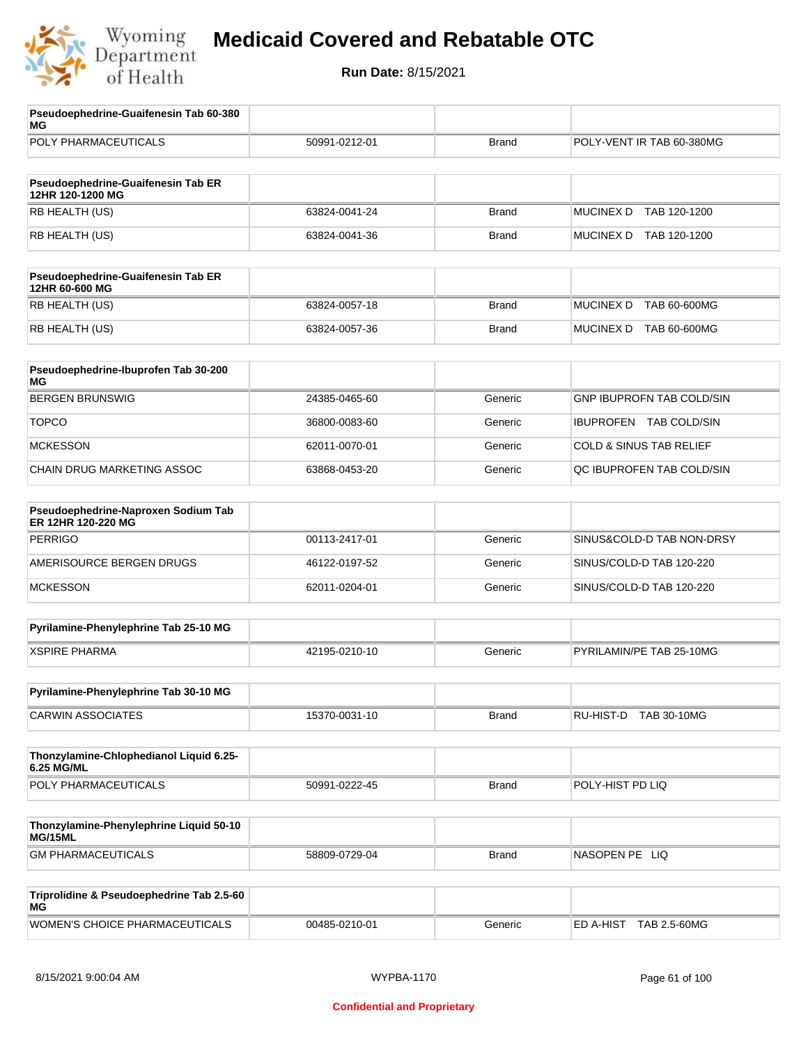

| Pseudoephedrine-Guaifenesin Tab 60-380<br>MG              |               |              |                                    |
|-----------------------------------------------------------|---------------|--------------|------------------------------------|
| POLY PHARMACEUTICALS                                      | 50991-0212-01 | <b>Brand</b> | POLY-VENT IR TAB 60-380MG          |
| Pseudoephedrine-Guaifenesin Tab ER<br>12HR 120-1200 MG    |               |              |                                    |
| RB HEALTH (US)                                            | 63824-0041-24 | <b>Brand</b> | <b>MUCINEX D</b><br>TAB 120-1200   |
| RB HEALTH (US)                                            | 63824-0041-36 | <b>Brand</b> | <b>MUCINEX D</b><br>TAB 120-1200   |
| Pseudoephedrine-Guaifenesin Tab ER<br>12HR 60-600 MG      |               |              |                                    |
| RB HEALTH (US)                                            | 63824-0057-18 | <b>Brand</b> | TAB 60-600MG<br><b>MUCINEX D</b>   |
| RB HEALTH (US)                                            | 63824-0057-36 | <b>Brand</b> | <b>MUCINEX D</b><br>TAB 60-600MG   |
| Pseudoephedrine-Ibuprofen Tab 30-200<br>MG                |               |              |                                    |
| <b>BERGEN BRUNSWIG</b>                                    | 24385-0465-60 | Generic      | <b>GNP IBUPROFN TAB COLD/SIN</b>   |
| <b>TOPCO</b>                                              | 36800-0083-60 | Generic      | IBUPROFEN TAB COLD/SIN             |
| <b>MCKESSON</b>                                           | 62011-0070-01 | Generic      | <b>COLD &amp; SINUS TAB RELIEF</b> |
| <b>CHAIN DRUG MARKETING ASSOC</b>                         | 63868-0453-20 | Generic      | QC IBUPROFEN TAB COLD/SIN          |
| Pseudoephedrine-Naproxen Sodium Tab<br>ER 12HR 120-220 MG |               |              |                                    |
| <b>PERRIGO</b>                                            | 00113-2417-01 | Generic      | SINUS&COLD-D TAB NON-DRSY          |
| AMERISOURCE BERGEN DRUGS                                  | 46122-0197-52 | Generic      | SINUS/COLD-D TAB 120-220           |
| <b>MCKESSON</b>                                           | 62011-0204-01 | Generic      | SINUS/COLD-D TAB 120-220           |
| Pyrilamine-Phenylephrine Tab 25-10 MG                     |               |              |                                    |
| <b>XSPIRE PHARMA</b>                                      | 42195-0210-10 | Generic      | PYRILAMIN/PE TAB 25-10MG           |
| Pyrilamine-Phenylephrine Tab 30-10 MG                     |               |              |                                    |
| <b>CARWIN ASSOCIATES</b>                                  | 15370-0031-10 | <b>Brand</b> | RU-HIST-D TAB 30-10MG              |
| Thonzylamine-Chlophedianol Liquid 6.25-<br>6.25 MG/ML     |               |              |                                    |
| POLY PHARMACEUTICALS                                      | 50991-0222-45 | <b>Brand</b> | POLY-HIST PD LIQ                   |
| Thonzylamine-Phenylephrine Liquid 50-10<br>MG/15ML        |               |              |                                    |
| <b>GM PHARMACEUTICALS</b>                                 | 58809-0729-04 | <b>Brand</b> | NASOPEN PE LIQ                     |
| Triprolidine & Pseudoephedrine Tab 2.5-60<br>ΜG           |               |              |                                    |
| WOMEN'S CHOICE PHARMACEUTICALS                            | 00485-0210-01 | Generic      | ED A-HIST TAB 2.5-60MG             |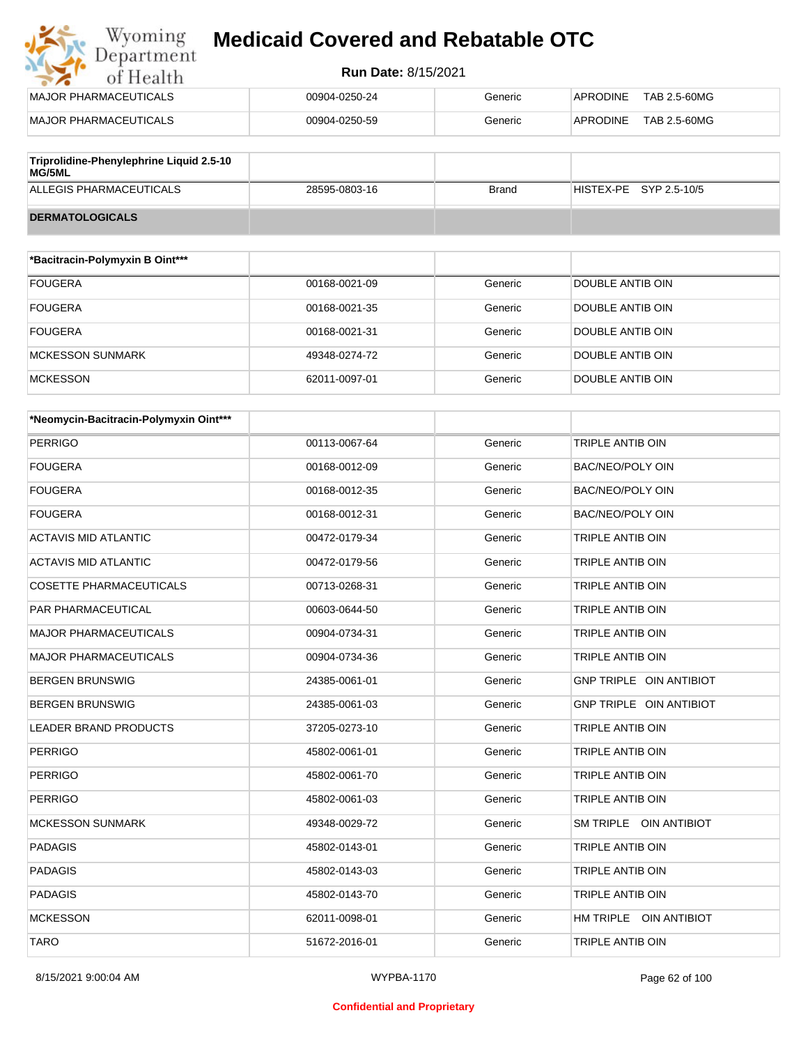#### **Run Date:** 8/15/2021

| Wyoming<br>Department        | <b>Medicaid Covered and Rebatable OTC</b> |         |                                 |  |  |
|------------------------------|-------------------------------------------|---------|---------------------------------|--|--|
| of Health                    | <b>Run Date: 8/15/2021</b>                |         |                                 |  |  |
| <b>MAJOR PHARMACEUTICALS</b> | 00904-0250-24                             | Generic | <b>APRODINE</b><br>TAB 2.5-60MG |  |  |
| <b>MAJOR PHARMACEUTICALS</b> | 00904-0250-59                             | Generic | <b>APRODINE</b><br>TAB 2.5-60MG |  |  |
|                              |                                           |         |                                 |  |  |

| Triprolidine-Phenylephrine Liquid 2.5-10<br>MG/5ML |               |       |                        |
|----------------------------------------------------|---------------|-------|------------------------|
| ALLEGIS PHARMACEUTICALS                            | 28595-0803-16 | Brand | HISTEX-PE SYP 2.5-10/5 |
| <b>DERMATOLOGICALS</b>                             |               |       |                        |

| *Bacitracin-Polymyxin B Oint*** |               |         |                  |
|---------------------------------|---------------|---------|------------------|
| <b>FOUGERA</b>                  | 00168-0021-09 | Generic | DOUBLE ANTIB OIN |
| <b>FOUGERA</b>                  | 00168-0021-35 | Generic | DOUBLE ANTIB OIN |
| <b>FOUGERA</b>                  | 00168-0021-31 | Generic | DOUBLE ANTIB OIN |
| <b>MCKESSON SUNMARK</b>         | 49348-0274-72 | Generic | DOUBLE ANTIB OIN |
| <b>MCKESSON</b>                 | 62011-0097-01 | Generic | DOUBLE ANTIB OIN |

| *Neomycin-Bacitracin-Polymyxin Oint*** |               |         |                         |
|----------------------------------------|---------------|---------|-------------------------|
| <b>PERRIGO</b>                         | 00113-0067-64 | Generic | TRIPLE ANTIB OIN        |
| <b>FOUGERA</b>                         | 00168-0012-09 | Generic | <b>BAC/NEO/POLY OIN</b> |
| <b>FOUGERA</b>                         | 00168-0012-35 | Generic | <b>BAC/NEO/POLY OIN</b> |
| <b>FOUGERA</b>                         | 00168-0012-31 | Generic | <b>BAC/NEO/POLY OIN</b> |
| <b>ACTAVIS MID ATLANTIC</b>            | 00472-0179-34 | Generic | <b>TRIPLE ANTIB OIN</b> |
| <b>ACTAVIS MID ATLANTIC</b>            | 00472-0179-56 | Generic | TRIPLE ANTIB OIN        |
| <b>COSETTE PHARMACEUTICALS</b>         | 00713-0268-31 | Generic | TRIPLE ANTIB OIN        |
| PAR PHARMACEUTICAL                     | 00603-0644-50 | Generic | <b>TRIPLE ANTIB OIN</b> |
| <b>MAJOR PHARMACEUTICALS</b>           | 00904-0734-31 | Generic | TRIPLE ANTIB OIN        |
| <b>MAJOR PHARMACEUTICALS</b>           | 00904-0734-36 | Generic | TRIPLE ANTIB OIN        |
| <b>BERGEN BRUNSWIG</b>                 | 24385-0061-01 | Generic | GNP TRIPLE OIN ANTIBIOT |
| <b>BERGEN BRUNSWIG</b>                 | 24385-0061-03 | Generic | GNP TRIPLE OIN ANTIBIOT |
| <b>LEADER BRAND PRODUCTS</b>           | 37205-0273-10 | Generic | <b>TRIPLE ANTIB OIN</b> |
| <b>PERRIGO</b>                         | 45802-0061-01 | Generic | <b>TRIPLE ANTIB OIN</b> |
| <b>PERRIGO</b>                         | 45802-0061-70 | Generic | TRIPLE ANTIB OIN        |
| <b>PERRIGO</b>                         | 45802-0061-03 | Generic | TRIPLE ANTIB OIN        |
| <b>MCKESSON SUNMARK</b>                | 49348-0029-72 | Generic | SM TRIPLE OIN ANTIBIOT  |
| <b>PADAGIS</b>                         | 45802-0143-01 | Generic | <b>TRIPLE ANTIB OIN</b> |
| <b>PADAGIS</b>                         | 45802-0143-03 | Generic | TRIPLE ANTIB OIN        |
| <b>PADAGIS</b>                         | 45802-0143-70 | Generic | TRIPLE ANTIB OIN        |
| <b>MCKESSON</b>                        | 62011-0098-01 | Generic | HM TRIPLE OIN ANTIBIOT  |
| <b>TARO</b>                            | 51672-2016-01 | Generic | <b>TRIPLE ANTIB OIN</b> |

8/15/2021 9:00:04 AM WYPBA-1170 Page 62 of 100

#### **Confidential and Proprietary**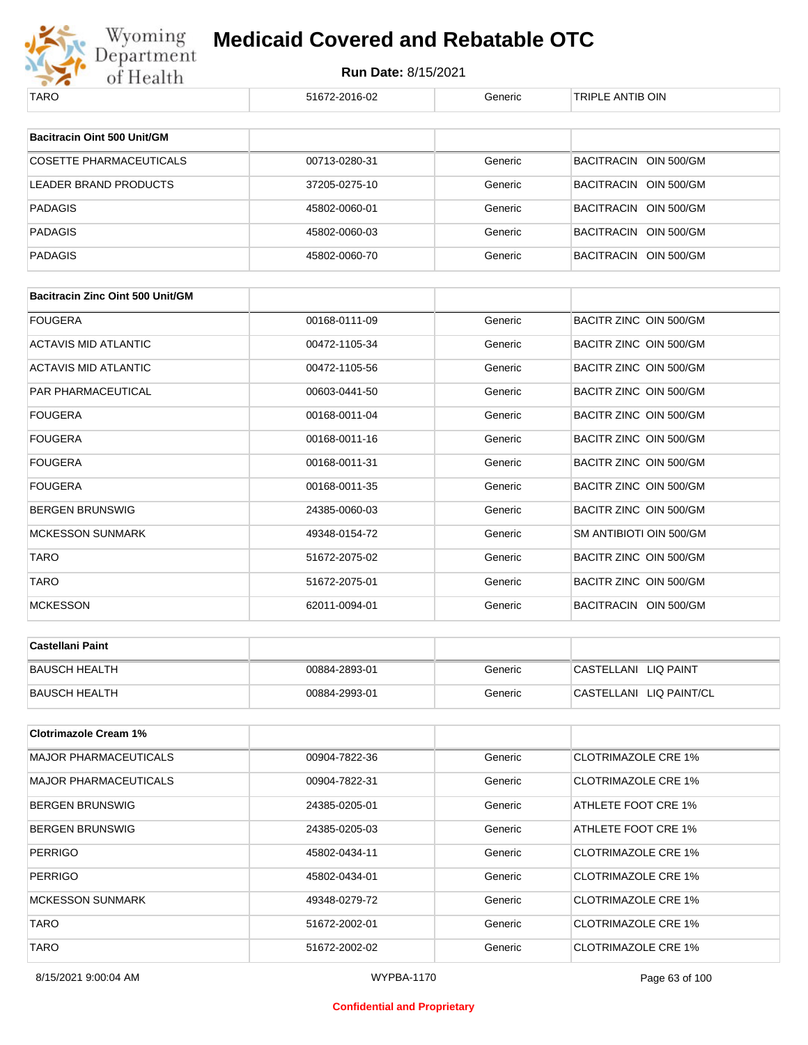

| TARO                                    | 51672-2016-02 | Generic | TRIPLE ANTIB OIN           |
|-----------------------------------------|---------------|---------|----------------------------|
| Bacitracin Oint 500 Unit/GM             |               |         |                            |
|                                         |               |         |                            |
| <b>COSETTE PHARMACEUTICALS</b>          | 00713-0280-31 | Generic | BACITRACIN OIN 500/GM      |
| <b>LEADER BRAND PRODUCTS</b>            | 37205-0275-10 | Generic | BACITRACIN OIN 500/GM      |
| <b>PADAGIS</b>                          | 45802-0060-01 | Generic | BACITRACIN OIN 500/GM      |
| <b>PADAGIS</b>                          | 45802-0060-03 | Generic | BACITRACIN OIN 500/GM      |
| <b>PADAGIS</b>                          | 45802-0060-70 | Generic | BACITRACIN OIN 500/GM      |
|                                         |               |         |                            |
| <b>Bacitracin Zinc Oint 500 Unit/GM</b> |               |         |                            |
| <b>FOUGERA</b>                          | 00168-0111-09 | Generic | BACITR ZINC OIN 500/GM     |
| ACTAVIS MID ATLANTIC                    | 00472-1105-34 | Generic | BACITR ZINC OIN 500/GM     |
| ACTAVIS MID ATLANTIC                    | 00472-1105-56 | Generic | BACITR ZINC OIN 500/GM     |
| PAR PHARMACEUTICAL                      | 00603-0441-50 | Generic | BACITR ZINC OIN 500/GM     |
| <b>FOUGERA</b>                          | 00168-0011-04 | Generic | BACITR ZINC OIN 500/GM     |
| <b>FOUGERA</b>                          | 00168-0011-16 | Generic | BACITR ZINC OIN 500/GM     |
| <b>FOUGERA</b>                          | 00168-0011-31 | Generic | BACITR ZINC OIN 500/GM     |
| <b>FOUGERA</b>                          | 00168-0011-35 | Generic | BACITR ZINC OIN 500/GM     |
| <b>BERGEN BRUNSWIG</b>                  | 24385-0060-03 | Generic | BACITR ZINC OIN 500/GM     |
| <b>MCKESSON SUNMARK</b>                 | 49348-0154-72 | Generic | SM ANTIBIOTI OIN 500/GM    |
| <b>TARO</b>                             | 51672-2075-02 | Generic | BACITR ZINC OIN 500/GM     |
| TARO                                    | 51672-2075-01 | Generic | BACITR ZINC OIN 500/GM     |
| <b>MCKESSON</b>                         | 62011-0094-01 | Generic | BACITRACIN OIN 500/GM      |
|                                         |               |         |                            |
| <b>Castellani Paint</b>                 |               |         |                            |
| <b>BAUSCH HEALTH</b>                    | 00884-2893-01 | Generic | CASTELLANI LIQ PAINT       |
| <b>BAUSCH HEALTH</b>                    | 00884-2993-01 | Generic | CASTELLANI LIQ PAINT/CL    |
| <b>Clotrimazole Cream 1%</b>            |               |         |                            |
| <b>MAJOR PHARMACEUTICALS</b>            | 00904-7822-36 | Generic | <b>CLOTRIMAZOLE CRE 1%</b> |
|                                         |               |         |                            |
| <b>MAJOR PHARMACEUTICALS</b>            | 00904-7822-31 | Generic | <b>CLOTRIMAZOLE CRE 1%</b> |
| <b>BERGEN BRUNSWIG</b>                  | 24385-0205-01 | Generic | ATHLETE FOOT CRE 1%        |
| <b>BERGEN BRUNSWIG</b>                  | 24385-0205-03 | Generic | ATHLETE FOOT CRE 1%        |
| <b>PERRIGO</b>                          | 45802-0434-11 | Generic | <b>CLOTRIMAZOLE CRE 1%</b> |
| <b>PERRIGO</b>                          | 45802-0434-01 | Generic | <b>CLOTRIMAZOLE CRE 1%</b> |
| <b>MCKESSON SUNMARK</b>                 | 49348-0279-72 | Generic | <b>CLOTRIMAZOLE CRE 1%</b> |
| <b>TARO</b>                             | 51672-2002-01 | Generic | <b>CLOTRIMAZOLE CRE 1%</b> |
| <b>TARO</b>                             | 51672-2002-02 | Generic | <b>CLOTRIMAZOLE CRE 1%</b> |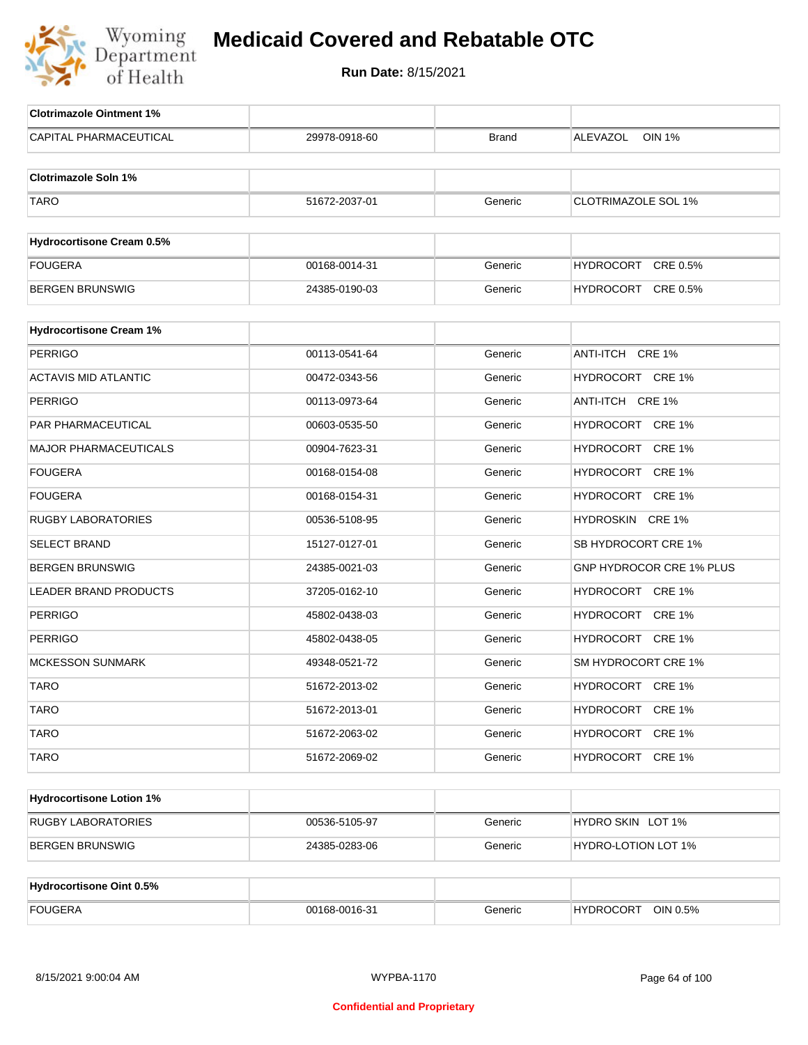

| <b>Clotrimazole Ointment 1%</b>  |               |              |                            |
|----------------------------------|---------------|--------------|----------------------------|
| CAPITAL PHARMACEUTICAL           | 29978-0918-60 | <b>Brand</b> | ALEVAZOL<br><b>OIN 1%</b>  |
| <b>Clotrimazole Soln 1%</b>      |               |              |                            |
|                                  |               |              |                            |
| <b>TARO</b>                      | 51672-2037-01 | Generic      | <b>CLOTRIMAZOLE SOL 1%</b> |
| <b>Hydrocortisone Cream 0.5%</b> |               |              |                            |
| <b>FOUGERA</b>                   | 00168-0014-31 | Generic      | HYDROCORT CRE 0.5%         |
| <b>BERGEN BRUNSWIG</b>           | 24385-0190-03 | Generic      | HYDROCORT CRE 0.5%         |
|                                  |               |              |                            |
| <b>Hydrocortisone Cream 1%</b>   |               |              |                            |
| <b>PERRIGO</b>                   | 00113-0541-64 | Generic      | ANTI-ITCH CRE 1%           |
| <b>ACTAVIS MID ATLANTIC</b>      | 00472-0343-56 | Generic      | HYDROCORT CRE 1%           |
| <b>PERRIGO</b>                   | 00113-0973-64 | Generic      | ANTI-ITCH CRE 1%           |
| PAR PHARMACEUTICAL               | 00603-0535-50 | Generic      | HYDROCORT CRE 1%           |
| <b>MAJOR PHARMACEUTICALS</b>     | 00904-7623-31 | Generic      | HYDROCORT CRE 1%           |
| <b>FOUGERA</b>                   | 00168-0154-08 | Generic      | HYDROCORT CRE 1%           |
| <b>FOUGERA</b>                   | 00168-0154-31 | Generic      | HYDROCORT CRE 1%           |
| <b>RUGBY LABORATORIES</b>        | 00536-5108-95 | Generic      | HYDROSKIN CRE 1%           |
| <b>SELECT BRAND</b>              | 15127-0127-01 | Generic      | SB HYDROCORT CRE 1%        |
| <b>BERGEN BRUNSWIG</b>           | 24385-0021-03 | Generic      | GNP HYDROCOR CRE 1% PLUS   |
| <b>LEADER BRAND PRODUCTS</b>     | 37205-0162-10 | Generic      | HYDROCORT CRE 1%           |
| <b>PERRIGO</b>                   | 45802-0438-03 | Generic      | HYDROCORT CRE 1%           |
| <b>PERRIGO</b>                   | 45802-0438-05 | Generic      | HYDROCORT CRE 1%           |
| <b>MCKESSON SUNMARK</b>          | 49348-0521-72 | Generic      | SM HYDROCORT CRE 1%        |
| <b>TARO</b>                      | 51672-2013-02 | Generic      | HYDROCORT CRE 1%           |
| <b>TARO</b>                      | 51672-2013-01 | Generic      | HYDROCORT CRE 1%           |
| <b>TARO</b>                      | 51672-2063-02 | Generic      | HYDROCORT CRE 1%           |
| <b>TARO</b>                      | 51672-2069-02 | Generic      | HYDROCORT CRE 1%           |
|                                  |               |              |                            |
| <b>Hydrocortisone Lotion 1%</b>  |               |              |                            |
| <b>RUGBY LABORATORIES</b>        | 00536-5105-97 | Generic      | HYDRO SKIN LOT 1%          |
| <b>BERGEN BRUNSWIG</b>           | 24385-0283-06 | Generic      | HYDRO-LOTION LOT 1%        |
|                                  |               |              |                            |
| <b>Hydrocortisone Oint 0.5%</b>  |               |              |                            |
| <b>FOUGERA</b>                   | 00168-0016-31 | Generic      | HYDROCORT OIN 0.5%         |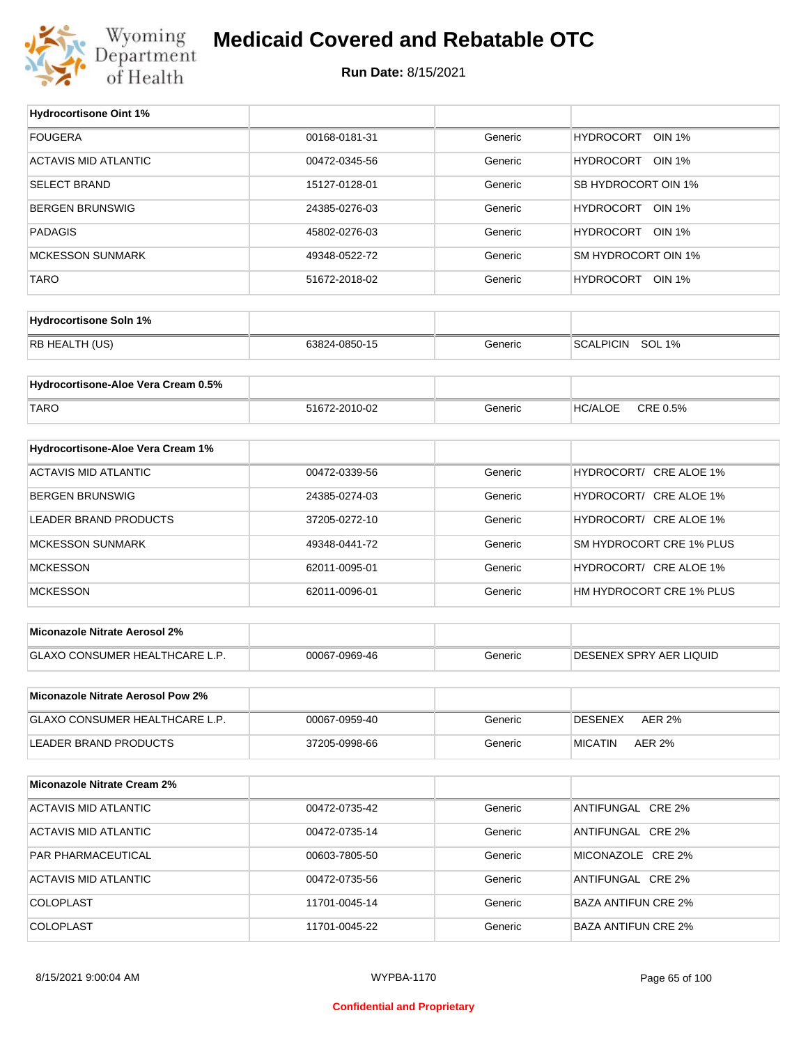

### **Medicaid Covered and Rebatable OTC**

**Run Date:** 8/15/2021

 $\top$ 

| <b>Hydrocortisone Oint 1%</b>         |                                |         |                            |
|---------------------------------------|--------------------------------|---------|----------------------------|
| <b>FOUGERA</b>                        | 00168-0181-31                  | Generic | HYDROCORT OIN 1%           |
| <b>ACTAVIS MID ATLANTIC</b>           | 00472-0345-56                  | Generic | HYDROCORT OIN 1%           |
| <b>SELECT BRAND</b>                   | 15127-0128-01                  | Generic | SB HYDROCORT OIN 1%        |
| <b>BERGEN BRUNSWIG</b>                | 24385-0276-03                  | Generic | HYDROCORT OIN 1%           |
| <b>PADAGIS</b>                        | 45802-0276-03                  | Generic | HYDROCORT OIN 1%           |
| <b>MCKESSON SUNMARK</b>               | 49348-0522-72                  | Generic | SM HYDROCORT OIN 1%        |
| <b>TARO</b>                           | 51672-2018-02                  | Generic | HYDROCORT OIN 1%           |
|                                       |                                |         |                            |
| <b>Hydrocortisone Soln 1%</b>         |                                |         |                            |
| RB HEALTH (US)                        | 63824-0850-15                  | Generic | SCALPICIN SOL 1%           |
| Hydrocortisone-Aloe Vera Cream 0.5%   |                                |         |                            |
|                                       |                                |         |                            |
| <b>TARO</b>                           | 51672-2010-02                  | Generic | <b>HC/ALOE</b><br>CRE 0.5% |
| Hydrocortisone-Aloe Vera Cream 1%     |                                |         |                            |
| <b>ACTAVIS MID ATLANTIC</b>           | 00472-0339-56                  | Generic | HYDROCORT/ CRE ALOE 1%     |
| <b>BERGEN BRUNSWIG</b>                | 24385-0274-03                  | Generic | HYDROCORT/ CRE ALOE 1%     |
| LEADER BRAND PRODUCTS                 | 37205-0272-10                  | Generic | HYDROCORT/ CRE ALOE 1%     |
| <b>MCKESSON SUNMARK</b>               | 49348-0441-72                  | Generic | SM HYDROCORT CRE 1% PLUS   |
| <b>MCKESSON</b>                       | 62011-0095-01                  | Generic | HYDROCORT/ CRE ALOE 1%     |
| <b>MCKESSON</b>                       | 62011-0096-01                  | Generic | HM HYDROCORT CRE 1% PLUS   |
|                                       |                                |         |                            |
| <b>Miconazole Nitrate Aerosol 2%</b>  |                                |         |                            |
| GLAXO CONSUMER HEALTHCARE L.P.        | 00067-0969-46                  | Generic | DESENEX SPRY AER LIQUID    |
| Miconazole Nitrate Aerosol Pow 2%     |                                |         |                            |
| <b>GLAXO CONSUMER HEALTHCARE L.P.</b> |                                | Generic | <b>AER 2%</b>              |
|                                       | 00067-0959-40<br>37205-0998-66 |         | DESENEX                    |
| LEADER BRAND PRODUCTS                 |                                | Generic | <b>MICATIN</b><br>AER 2%   |
| <b>Miconazole Nitrate Cream 2%</b>    |                                |         |                            |
| <b>ACTAVIS MID ATLANTIC</b>           | 00472-0735-42                  | Generic | ANTIFUNGAL CRE 2%          |
| <b>ACTAVIS MID ATLANTIC</b>           | 00472-0735-14                  | Generic | ANTIFUNGAL CRE 2%          |
| PAR PHARMACEUTICAL                    | 00603-7805-50                  | Generic | MICONAZOLE CRE 2%          |
| <b>ACTAVIS MID ATLANTIC</b>           | 00472-0735-56                  | Generic | ANTIFUNGAL CRE 2%          |
| <b>COLOPLAST</b>                      | 11701-0045-14                  | Generic | <b>BAZA ANTIFUN CRE 2%</b> |
| <b>COLOPLAST</b>                      | 11701-0045-22                  | Generic | <b>BAZA ANTIFUN CRE 2%</b> |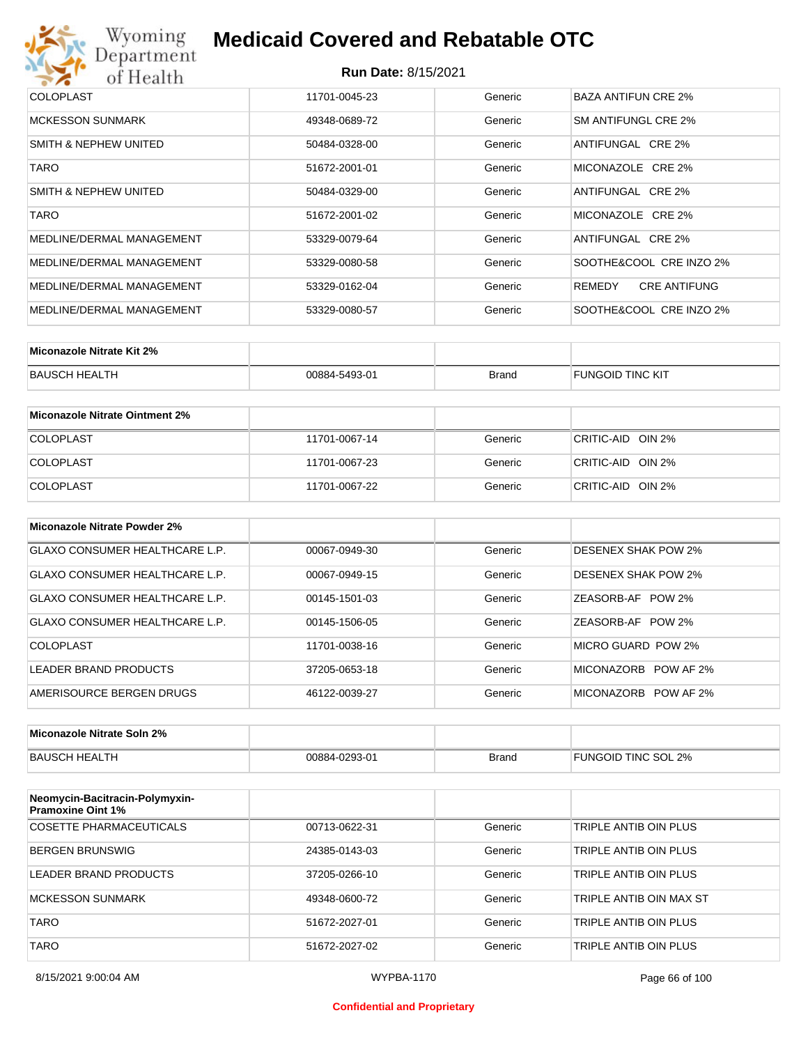

#### **Run Date:** 8/15/2021

| <b>COLOPLAST</b>          | 11701-0045-23 | Generic | BAZA ANTIFUN CRE 2%           |
|---------------------------|---------------|---------|-------------------------------|
| <b>MCKESSON SUNMARK</b>   | 49348-0689-72 | Generic | SM ANTIFUNGL CRE 2%           |
| SMITH & NEPHEW UNITED     | 50484-0328-00 | Generic | ANTIFUNGAL CRE 2%             |
| <b>TARO</b>               | 51672-2001-01 | Generic | MICONAZOLE CRE 2%             |
| SMITH & NEPHEW UNITED     | 50484-0329-00 | Generic | ANTIFUNGAL CRE 2%             |
| <b>TARO</b>               | 51672-2001-02 | Generic | MICONAZOLE CRE 2%             |
| MEDLINE/DERMAL MANAGEMENT | 53329-0079-64 | Generic | ANTIFUNGAL CRE 2%             |
| MEDLINE/DERMAL MANAGEMENT | 53329-0080-58 | Generic | SOOTHE&COOL CRE INZO 2%       |
| MEDLINE/DERMAL MANAGEMENT | 53329-0162-04 | Generic | <b>CRE ANTIFUNG</b><br>REMEDY |
| MEDLINE/DERMAL MANAGEMENT | 53329-0080-57 | Generic | SOOTHE&COOL CRE INZO 2%       |

| Miconazole Nitrate Kit 2% |               |              |                         |
|---------------------------|---------------|--------------|-------------------------|
| BAUSCH HEALTH             | 00884-5493-01 | <b>Brand</b> | <b>FUNGOID TINC KIT</b> |

| Miconazole Nitrate Ointment 2% |               |         |                   |
|--------------------------------|---------------|---------|-------------------|
| <b>COLOPLAST</b>               | 11701-0067-14 | Generic | CRITIC-AID OIN 2% |
| <b>COLOPLAST</b>               | 11701-0067-23 | Generic | CRITIC-AID OIN 2% |
| <b>COLOPLAST</b>               | 11701-0067-22 | Generic | CRITIC-AID OIN 2% |

| Miconazole Nitrate Powder 2%   |               |         |                            |
|--------------------------------|---------------|---------|----------------------------|
| GLAXO CONSUMER HEALTHCARE L.P. | 00067-0949-30 | Generic | <b>DESENEX SHAK POW 2%</b> |
| GLAXO CONSUMER HEALTHCARE L.P. | 00067-0949-15 | Generic | <b>DESENEX SHAK POW 2%</b> |
| GLAXO CONSUMER HEALTHCARE L.P. | 00145-1501-03 | Generic | ZEASORB-AF POW 2%          |
| GLAXO CONSUMER HEALTHCARE L.P. | 00145-1506-05 | Generic | ZEASORB-AF POW 2%          |
| COLOPLAST                      | 11701-0038-16 | Generic | MICRO GUARD POW 2%         |
| LEADER BRAND PRODUCTS          | 37205-0653-18 | Generic | MICONAZORB<br>POW AF 2%    |
| AMERISOURCE BERGEN DRUGS       | 46122-0039-27 | Generic | MICONAZORB POW AF 2%       |

| Miconazole Nitrate Soln 2% |               |       |                     |
|----------------------------|---------------|-------|---------------------|
| BAUSCH HEALTH              | 00884-0293-01 | Brand | FUNGOID TINC SOL 2% |

| Neomycin-Bacitracin-Polymyxin-<br><b>Pramoxine Oint 1%</b> |               |         |                         |
|------------------------------------------------------------|---------------|---------|-------------------------|
| COSETTE PHARMACEUTICALS                                    | 00713-0622-31 | Generic | TRIPLE ANTIB OIN PLUS   |
| BERGEN BRUNSWIG                                            | 24385-0143-03 | Generic | TRIPLE ANTIB OIN PLUS   |
| LEADER BRAND PRODUCTS                                      | 37205-0266-10 | Generic | TRIPLE ANTIB OIN PLUS   |
| MCKESSON SUNMARK                                           | 49348-0600-72 | Generic | TRIPLE ANTIB OIN MAX ST |
| <b>TARO</b>                                                | 51672-2027-01 | Generic | TRIPLE ANTIB OIN PLUS   |
| <b>TARO</b>                                                | 51672-2027-02 | Generic | TRIPLE ANTIB OIN PLUS   |

#### **Confidential and Proprietary**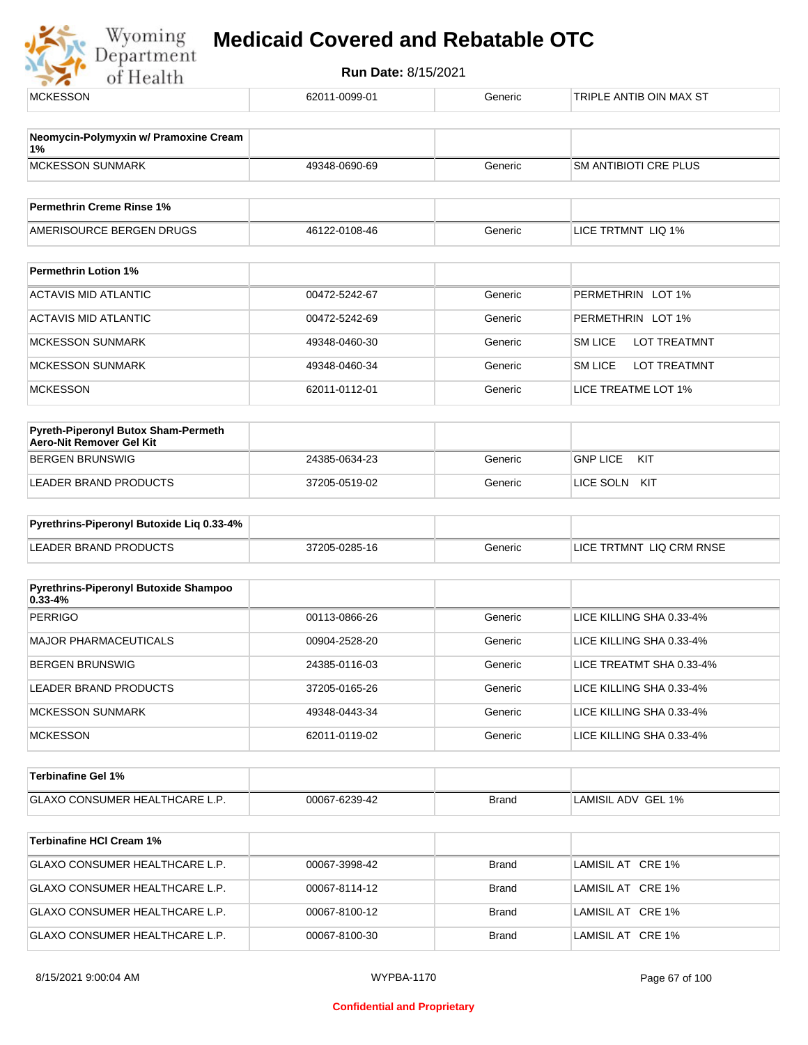| Neomycin-Polymyxin w/ Pramoxine Cream<br>1%<br><b>MCKESSON SUNMARK</b><br>SM ANTIBIOTI CRE PLUS<br>49348-0690-69<br>Generic<br><b>Permethrin Creme Rinse 1%</b><br>LICE TRTMNT LIQ 1%<br>AMERISOURCE BERGEN DRUGS<br>46122-0108-46<br>Generic<br><b>Permethrin Lotion 1%</b><br><b>ACTAVIS MID ATLANTIC</b><br>00472-5242-67<br>Generic<br>PERMETHRIN LOT 1%<br><b>ACTAVIS MID ATLANTIC</b><br>Generic<br>PERMETHRIN LOT 1%<br>00472-5242-69<br><b>SM LICE</b><br><b>MCKESSON SUNMARK</b><br>Generic<br><b>LOT TREATMNT</b><br>49348-0460-30<br><b>MCKESSON SUNMARK</b><br>Generic<br><b>SM LICE</b><br>LOT TREATMNT<br>49348-0460-34<br>LICE TREATME LOT 1%<br><b>MCKESSON</b><br>62011-0112-01<br>Generic | <b>MCKESSON</b> | 62011-0099-01 | Generic | TRIPLE ANTIB OIN MAX ST |
|-------------------------------------------------------------------------------------------------------------------------------------------------------------------------------------------------------------------------------------------------------------------------------------------------------------------------------------------------------------------------------------------------------------------------------------------------------------------------------------------------------------------------------------------------------------------------------------------------------------------------------------------------------------------------------------------------------------|-----------------|---------------|---------|-------------------------|
|                                                                                                                                                                                                                                                                                                                                                                                                                                                                                                                                                                                                                                                                                                             |                 |               |         |                         |
|                                                                                                                                                                                                                                                                                                                                                                                                                                                                                                                                                                                                                                                                                                             |                 |               |         |                         |
|                                                                                                                                                                                                                                                                                                                                                                                                                                                                                                                                                                                                                                                                                                             |                 |               |         |                         |
|                                                                                                                                                                                                                                                                                                                                                                                                                                                                                                                                                                                                                                                                                                             |                 |               |         |                         |
|                                                                                                                                                                                                                                                                                                                                                                                                                                                                                                                                                                                                                                                                                                             |                 |               |         |                         |
|                                                                                                                                                                                                                                                                                                                                                                                                                                                                                                                                                                                                                                                                                                             |                 |               |         |                         |
|                                                                                                                                                                                                                                                                                                                                                                                                                                                                                                                                                                                                                                                                                                             |                 |               |         |                         |
|                                                                                                                                                                                                                                                                                                                                                                                                                                                                                                                                                                                                                                                                                                             |                 |               |         |                         |
|                                                                                                                                                                                                                                                                                                                                                                                                                                                                                                                                                                                                                                                                                                             |                 |               |         |                         |
|                                                                                                                                                                                                                                                                                                                                                                                                                                                                                                                                                                                                                                                                                                             |                 |               |         |                         |
|                                                                                                                                                                                                                                                                                                                                                                                                                                                                                                                                                                                                                                                                                                             |                 |               |         |                         |
|                                                                                                                                                                                                                                                                                                                                                                                                                                                                                                                                                                                                                                                                                                             |                 |               |         |                         |
|                                                                                                                                                                                                                                                                                                                                                                                                                                                                                                                                                                                                                                                                                                             |                 |               |         |                         |
| Pyreth-Piperonyl Butox Sham-Permeth<br>Aero-Nit Remover Gel Kit                                                                                                                                                                                                                                                                                                                                                                                                                                                                                                                                                                                                                                             |                 |               |         |                         |
| <b>GNP LICE</b><br><b>BERGEN BRUNSWIG</b><br>24385-0634-23<br>Generic<br>KIT                                                                                                                                                                                                                                                                                                                                                                                                                                                                                                                                                                                                                                |                 |               |         |                         |
| LEADER BRAND PRODUCTS<br>Generic<br>LICE SOLN KIT<br>37205-0519-02                                                                                                                                                                                                                                                                                                                                                                                                                                                                                                                                                                                                                                          |                 |               |         |                         |
|                                                                                                                                                                                                                                                                                                                                                                                                                                                                                                                                                                                                                                                                                                             |                 |               |         |                         |
| Pyrethrins-Piperonyl Butoxide Liq 0.33-4%                                                                                                                                                                                                                                                                                                                                                                                                                                                                                                                                                                                                                                                                   |                 |               |         |                         |
| <b>LEADER BRAND PRODUCTS</b><br>LICE TRTMNT LIQ CRM RNSE<br>37205-0285-16<br>Generic                                                                                                                                                                                                                                                                                                                                                                                                                                                                                                                                                                                                                        |                 |               |         |                         |
| Pyrethrins-Piperonyl Butoxide Shampoo                                                                                                                                                                                                                                                                                                                                                                                                                                                                                                                                                                                                                                                                       |                 |               |         |                         |
| $0.33 - 4%$                                                                                                                                                                                                                                                                                                                                                                                                                                                                                                                                                                                                                                                                                                 |                 |               |         |                         |
| 00113-0866-26<br>LICE KILLING SHA 0.33-4%<br><b>PERRIGO</b><br>Generic                                                                                                                                                                                                                                                                                                                                                                                                                                                                                                                                                                                                                                      |                 |               |         |                         |
| <b>MAJOR PHARMACEUTICALS</b><br>Generic<br>LICE KILLING SHA 0.33-4%<br>00904-2528-20                                                                                                                                                                                                                                                                                                                                                                                                                                                                                                                                                                                                                        |                 |               |         |                         |
| LICE TREATMT SHA 0.33-4%<br><b>BERGEN BRUNSWIG</b><br>24385-0116-03<br>Generic                                                                                                                                                                                                                                                                                                                                                                                                                                                                                                                                                                                                                              |                 |               |         |                         |
| LICE KILLING SHA 0.33-4%<br><b>LEADER BRAND PRODUCTS</b><br>37205-0165-26<br>Generic                                                                                                                                                                                                                                                                                                                                                                                                                                                                                                                                                                                                                        |                 |               |         |                         |
| Generic<br><b>MCKESSON SUNMARK</b><br>49348-0443-34<br>LICE KILLING SHA 0.33-4%                                                                                                                                                                                                                                                                                                                                                                                                                                                                                                                                                                                                                             |                 |               |         |                         |
| <b>MCKESSON</b><br>62011-0119-02<br>LICE KILLING SHA 0.33-4%<br>Generic                                                                                                                                                                                                                                                                                                                                                                                                                                                                                                                                                                                                                                     |                 |               |         |                         |
| <b>Terbinafine Gel 1%</b>                                                                                                                                                                                                                                                                                                                                                                                                                                                                                                                                                                                                                                                                                   |                 |               |         |                         |
| GLAXO CONSUMER HEALTHCARE L.P.<br>00067-6239-42<br>LAMISIL ADV GEL 1%<br><b>Brand</b>                                                                                                                                                                                                                                                                                                                                                                                                                                                                                                                                                                                                                       |                 |               |         |                         |
|                                                                                                                                                                                                                                                                                                                                                                                                                                                                                                                                                                                                                                                                                                             |                 |               |         |                         |
| <b>Terbinafine HCI Cream 1%</b>                                                                                                                                                                                                                                                                                                                                                                                                                                                                                                                                                                                                                                                                             |                 |               |         |                         |
| GLAXO CONSUMER HEALTHCARE L.P.<br>00067-3998-42<br>LAMISIL AT CRE 1%<br><b>Brand</b>                                                                                                                                                                                                                                                                                                                                                                                                                                                                                                                                                                                                                        |                 |               |         |                         |
| GLAXO CONSUMER HEALTHCARE L.P.<br>LAMISIL AT CRE 1%<br>00067-8114-12<br><b>Brand</b>                                                                                                                                                                                                                                                                                                                                                                                                                                                                                                                                                                                                                        |                 |               |         |                         |
| GLAXO CONSUMER HEALTHCARE L.P.<br>00067-8100-12<br><b>Brand</b><br>LAMISIL AT CRE 1%                                                                                                                                                                                                                                                                                                                                                                                                                                                                                                                                                                                                                        |                 |               |         |                         |
| GLAXO CONSUMER HEALTHCARE L.P.<br>00067-8100-30<br><b>Brand</b><br>LAMISIL AT CRE 1%                                                                                                                                                                                                                                                                                                                                                                                                                                                                                                                                                                                                                        |                 |               |         |                         |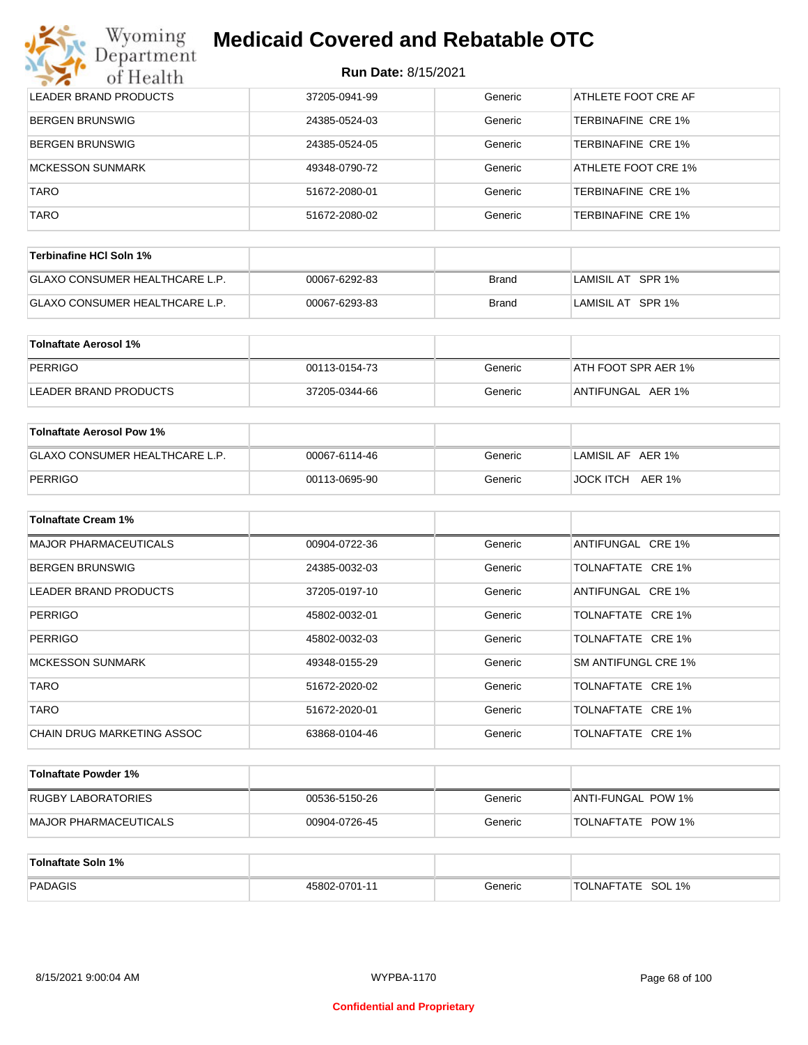| Wyoming<br>Department        | <b>Medicaid Covered and Rebatable OTC</b><br><b>Run Date: 8/15/2021</b> |         |                            |  |  |
|------------------------------|-------------------------------------------------------------------------|---------|----------------------------|--|--|
| of Health                    |                                                                         |         |                            |  |  |
| <b>LEADER BRAND PRODUCTS</b> | 37205-0941-99                                                           | Generic | ATHLETE FOOT CRE AF        |  |  |
| <b>BERGEN BRUNSWIG</b>       | 24385-0524-03                                                           | Generic | TERBINAFINE CRE 1%         |  |  |
| <b>BERGEN BRUNSWIG</b>       | 24385-0524-05                                                           | Generic | TERBINAFINE CRE 1%         |  |  |
| <b>MCKESSON SUNMARK</b>      | 49348-0790-72                                                           | Generic | <b>ATHLETE FOOT CRE 1%</b> |  |  |
| <b>TARO</b>                  | 51672-2080-01                                                           | Generic | TERBINAFINE CRE 1%         |  |  |
| <b>TARO</b>                  | 51672-2080-02                                                           | Generic | TERBINAFINE CRE 1%         |  |  |

| Terbinafine HCI Soln 1%               |               |       |                    |
|---------------------------------------|---------------|-------|--------------------|
| <b>GLAXO CONSUMER HEALTHCARE L.P.</b> | 00067-6292-83 | Brand | LAMISIL AT SPR 1%  |
| <b>GLAXO CONSUMER HEALTHCARE L.P.</b> | 00067-6293-83 | Brand | ⊺LAMISIL AT⊥SPR 1% |

| Tolnaftate Aerosol 1% |               |         |                     |
|-----------------------|---------------|---------|---------------------|
| PERRIGO               | 00113-0154-73 | Generic | ATH FOOT SPR AER 1% |
| LEADER BRAND PRODUCTS | 37205-0344-66 | Generic | ANTIFUNGAL AER 1%   |

| Tolnaftate Aerosol Pow 1%             |               |         |                   |
|---------------------------------------|---------------|---------|-------------------|
| <b>GLAXO CONSUMER HEALTHCARE L.P.</b> | 00067-6114-46 | Generic | LAMISIL AF AER 1% |
| PERRIGO                               | 00113-0695-90 | Generic | JOCK ITCH AER 1%  |

| <b>Tolnaftate Cream 1%</b>   |               |         |                     |
|------------------------------|---------------|---------|---------------------|
| <b>MAJOR PHARMACEUTICALS</b> | 00904-0722-36 | Generic | ANTIFUNGAL CRE 1%   |
| <b>BERGEN BRUNSWIG</b>       | 24385-0032-03 | Generic | TOLNAFTATE CRE 1%   |
| LEADER BRAND PRODUCTS        | 37205-0197-10 | Generic | ANTIFUNGAL CRE 1%   |
| <b>PERRIGO</b>               | 45802-0032-01 | Generic | TOLNAFTATE CRE 1%   |
| <b>PERRIGO</b>               | 45802-0032-03 | Generic | TOLNAFTATE CRE 1%   |
| <b>MCKESSON SUNMARK</b>      | 49348-0155-29 | Generic | SM ANTIFUNGL CRE 1% |
| <b>TARO</b>                  | 51672-2020-02 | Generic | TOLNAFTATE CRE 1%   |
| <b>TARO</b>                  | 51672-2020-01 | Generic | TOLNAFTATE CRE 1%   |
| CHAIN DRUG MARKETING ASSOC   | 63868-0104-46 | Generic | TOLNAFTATE CRE 1%   |

| Tolnaftate Powder 1%  |               |         |                          |
|-----------------------|---------------|---------|--------------------------|
| RUGBY LABORATORIES    | 00536-5150-26 | Generic | ANTI-FUNGAL POW 1%       |
| MAJOR PHARMACEUTICALS | 00904-0726-45 | Generic | <b>TOLNAFTATE POW 1%</b> |

| Tolnaftate Soln 1% |               |         |                       |
|--------------------|---------------|---------|-----------------------|
| PADAGIS            | 45802-0701-11 | Generic | SOL 1%<br>'TOLNAFTATE |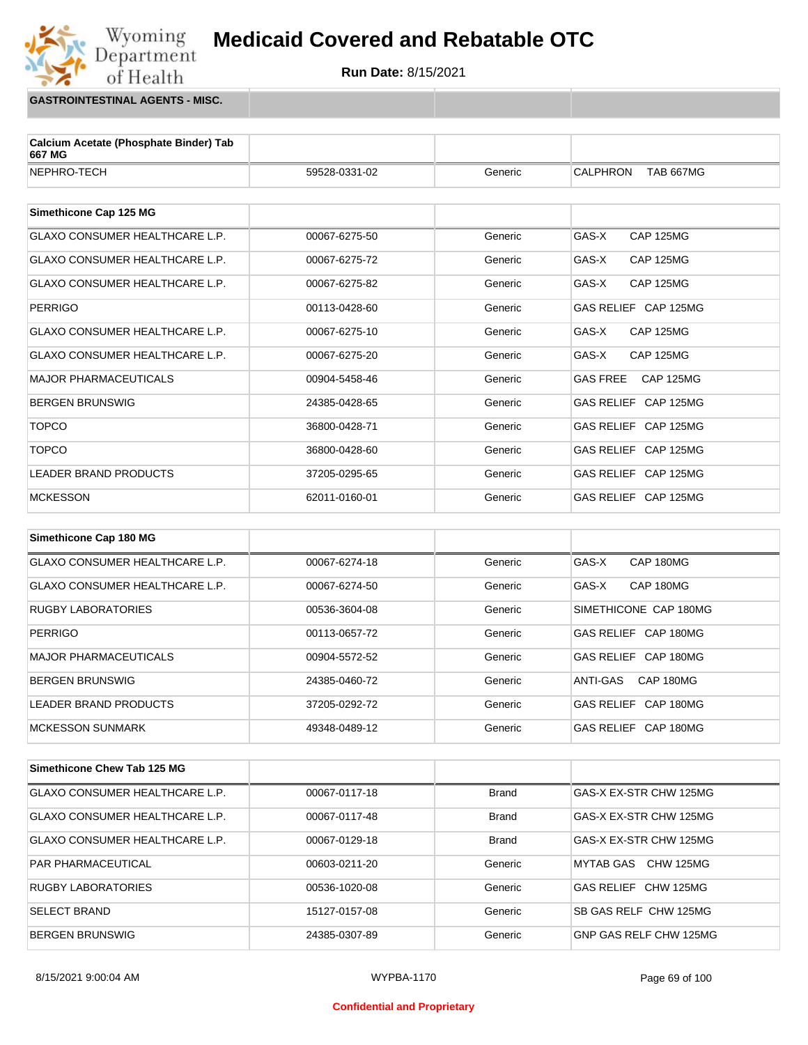

**GASTROINTESTINAL AGENTS - MISC.**

Wyoming<br>Department

of Health

| Calcium Acetate (Phosphate Binder) Tab<br>667 MG |               |         |                                     |
|--------------------------------------------------|---------------|---------|-------------------------------------|
| NEPHRO-TECH                                      | 59528-0331-02 | Generic | <b>CALPHRON</b><br><b>TAB 667MG</b> |
|                                                  |               |         |                                     |
| Simethicone Cap 125 MG                           |               |         |                                     |
| <b>GLAXO CONSUMER HEALTHCARE L.P.</b>            | 00067-6275-50 | Generic | GAS-X<br><b>CAP 125MG</b>           |
| <b>GLAXO CONSUMER HEALTHCARE L.P.</b>            | 00067-6275-72 | Generic | GAS-X<br><b>CAP 125MG</b>           |
| <b>GLAXO CONSUMER HEALTHCARE L.P.</b>            | 00067-6275-82 | Generic | GAS-X<br><b>CAP 125MG</b>           |
| <b>PERRIGO</b>                                   | 00113-0428-60 | Generic | GAS RELIEF CAP 125MG                |
| <b>GLAXO CONSUMER HEALTHCARE L.P.</b>            | 00067-6275-10 | Generic | GAS-X<br><b>CAP 125MG</b>           |
| <b>GLAXO CONSUMER HEALTHCARE L.P.</b>            | 00067-6275-20 | Generic | GAS-X<br><b>CAP 125MG</b>           |
| <b>MAJOR PHARMACEUTICALS</b>                     | 00904-5458-46 | Generic | <b>GAS FREE</b><br><b>CAP 125MG</b> |
| <b>BERGEN BRUNSWIG</b>                           | 24385-0428-65 | Generic | GAS RELIEF CAP 125MG                |
| <b>TOPCO</b>                                     | 36800-0428-71 | Generic | GAS RELIEF CAP 125MG                |
| <b>TOPCO</b>                                     | 36800-0428-60 | Generic | GAS RELIEF CAP 125MG                |
| <b>LEADER BRAND PRODUCTS</b>                     | 37205-0295-65 | Generic | GAS RELIEF CAP 125MG                |
| <b>MCKESSON</b>                                  | 62011-0160-01 | Generic | GAS RELIEF CAP 125MG                |
|                                                  |               |         |                                     |
| Simethicone Cap 180 MG                           |               |         |                                     |
| <b>GLAXO CONSUMER HEALTHCARE L.P.</b>            | 00067-6274-18 | Generic | GAS-X<br>CAP 180MG                  |
| <b>GLAXO CONSUMER HEALTHCARE L.P.</b>            | 00067-6274-50 | Generic | GAS-X<br>CAP 180MG                  |
| <b>RUGBY LABORATORIES</b>                        | 00536-3604-08 | Generic | SIMETHICONE CAP 180MG               |

| RUGBY LABORATORIES    | 00536-3604-08 | Generic | SIMETHICONE CAP 180MG |
|-----------------------|---------------|---------|-----------------------|
| <b>PERRIGO</b>        | 00113-0657-72 | Generic | GAS RELIEF CAP 180MG  |
| MAJOR PHARMACEUTICALS | 00904-5572-52 | Generic | GAS RELIEF CAP 180MG  |
| BERGEN BRUNSWIG       | 24385-0460-72 | Generic | CAP 180MG<br>ANTI-GAS |
| LEADER BRAND PRODUCTS | 37205-0292-72 | Generic | GAS RELIEF CAP 180MG  |
| MCKESSON SUNMARK      | 49348-0489-12 | Generic | GAS RELIEF CAP 180MG  |

| Simethicone Chew Tab 125 MG           |               |              |                        |
|---------------------------------------|---------------|--------------|------------------------|
| GLAXO CONSUMER HEALTHCARE L.P.        | 00067-0117-18 | <b>Brand</b> | GAS-X EX-STR CHW 125MG |
| <b>GLAXO CONSUMER HEALTHCARE L.P.</b> | 00067-0117-48 | <b>Brand</b> | GAS-X EX-STR CHW 125MG |
| <b>GLAXO CONSUMER HEALTHCARE L.P.</b> | 00067-0129-18 | <b>Brand</b> | GAS-X EX-STR CHW 125MG |
| <b>PAR PHARMACEUTICAL</b>             | 00603-0211-20 | Generic      | CHW 125MG<br>MYTAB GAS |
| <b>RUGBY LABORATORIES</b>             | 00536-1020-08 | Generic      | GAS RELIEF CHW 125MG   |
| <b>SELECT BRAND</b>                   | 15127-0157-08 | Generic      | SB GAS RELF CHW 125MG  |
| <b>BERGEN BRUNSWIG</b>                | 24385-0307-89 | Generic      | GNP GAS RELF CHW 125MG |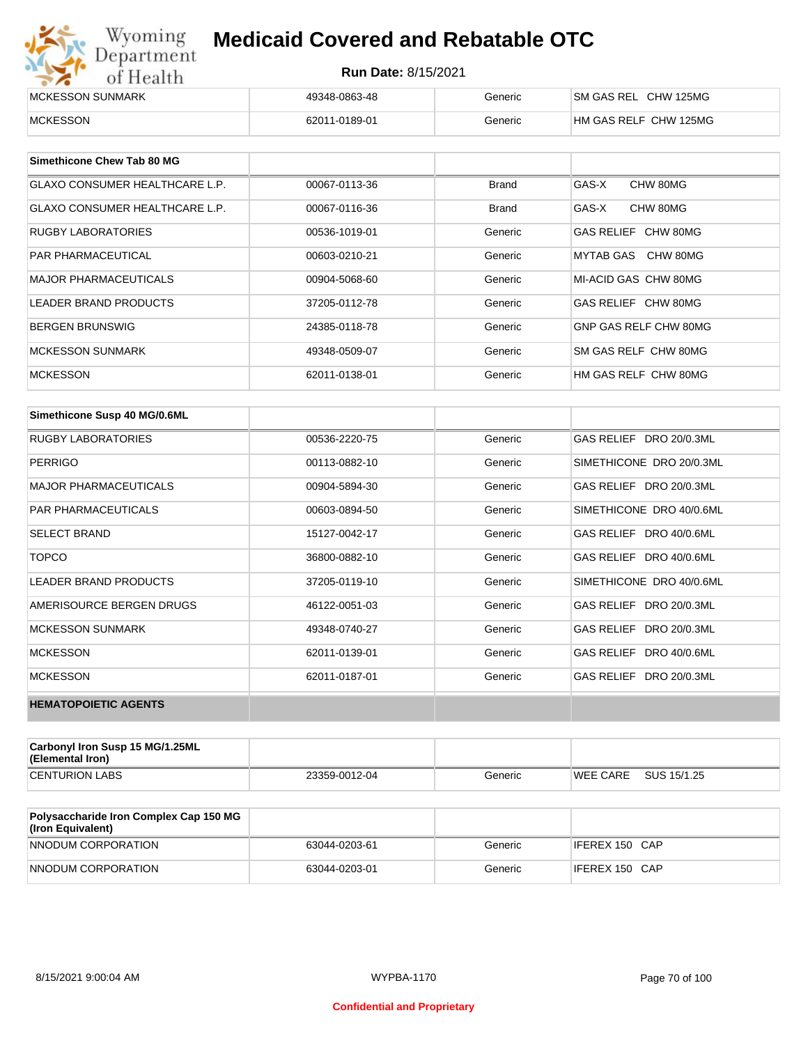| Wyoming<br>Department | <b>Medicaid Covered and Rebatable OTC</b><br><b>Run Date: 8/15/2021</b> |         |                       |  |
|-----------------------|-------------------------------------------------------------------------|---------|-----------------------|--|
| of Health             |                                                                         |         |                       |  |
| MCKESSON SUNMARK      | 49348-0863-48                                                           | Generic | SM GAS REL CHW 125MG  |  |
| <b>MCKESSON</b>       | 62011-0189-01                                                           | Generic | HM GAS RELF CHW 125MG |  |

| Simethicone Chew Tab 80 MG            |               |         |                       |
|---------------------------------------|---------------|---------|-----------------------|
| <b>GLAXO CONSUMER HEALTHCARE L.P.</b> | 00067-0113-36 | Brand   | GAS-X<br>CHW 80MG     |
| <b>GLAXO CONSUMER HEALTHCARE L.P.</b> | 00067-0116-36 | Brand   | CHW 80MG<br>GAS-X     |
| RUGBY LABORATORIES                    | 00536-1019-01 | Generic | GAS RELIEF CHW 80MG   |
| <b>PAR PHARMACEUTICAL</b>             | 00603-0210-21 | Generic | MYTAB GAS CHW 80MG    |
| <b>MAJOR PHARMACEUTICALS</b>          | 00904-5068-60 | Generic | MI-ACID GAS CHW 80MG  |
| <b>LEADER BRAND PRODUCTS</b>          | 37205-0112-78 | Generic | GAS RELIEF CHW 80MG   |
| <b>BERGEN BRUNSWIG</b>                | 24385-0118-78 | Generic | GNP GAS RELF CHW 80MG |
| <b>MCKESSON SUNMARK</b>               | 49348-0509-07 | Generic | SM GAS RELF CHW 80MG  |
| <b>MCKESSON</b>                       | 62011-0138-01 | Generic | HM GAS RELF CHW 80MG  |

| Simethicone Susp 40 MG/0.6ML |               |         |                          |
|------------------------------|---------------|---------|--------------------------|
| <b>RUGBY LABORATORIES</b>    | 00536-2220-75 | Generic | GAS RELIEF DRO 20/0.3ML  |
| <b>PERRIGO</b>               | 00113-0882-10 | Generic | SIMETHICONE DRO 20/0.3ML |
| <b>MAJOR PHARMACEUTICALS</b> | 00904-5894-30 | Generic | GAS RELIEF DRO 20/0.3ML  |
| <b>PAR PHARMACEUTICALS</b>   | 00603-0894-50 | Generic | SIMETHICONE DRO 40/0.6ML |
| <b>SELECT BRAND</b>          | 15127-0042-17 | Generic | GAS RELIEF DRO 40/0.6ML  |
| <b>TOPCO</b>                 | 36800-0882-10 | Generic | GAS RELIEF DRO 40/0.6ML  |
| <b>LEADER BRAND PRODUCTS</b> | 37205-0119-10 | Generic | SIMETHICONE DRO 40/0.6ML |
| AMERISOURCE BERGEN DRUGS     | 46122-0051-03 | Generic | GAS RELIEF DRO 20/0.3ML  |
| <b>MCKESSON SUNMARK</b>      | 49348-0740-27 | Generic | GAS RELIEF DRO 20/0.3ML  |
| <b>MCKESSON</b>              | 62011-0139-01 | Generic | GAS RELIEF DRO 40/0.6ML  |
| <b>MCKESSON</b>              | 62011-0187-01 | Generic | GAS RELIEF DRO 20/0.3ML  |
| <b>HEMATOPOIETIC AGENTS</b>  |               |         |                          |

| Carbonyl Iron Susp 15 MG/1.25ML<br>(Elemental Iron) |               |         |                 |             |
|-----------------------------------------------------|---------------|---------|-----------------|-------------|
| <b>CENTURION LABS</b>                               | 23359-0012-04 | Generic | <b>WEE CARE</b> | SUS 15/1.25 |

| <b>Polysaccharide Iron Complex Cap 150 MG</b><br>(Iron Equivalent) |               |         |                |
|--------------------------------------------------------------------|---------------|---------|----------------|
| NNODUM CORPORATION                                                 | 63044-0203-61 | Generic | IFEREX 150 CAP |
| NNODUM CORPORATION                                                 | 63044-0203-01 | Generic | IFEREX 150 CAP |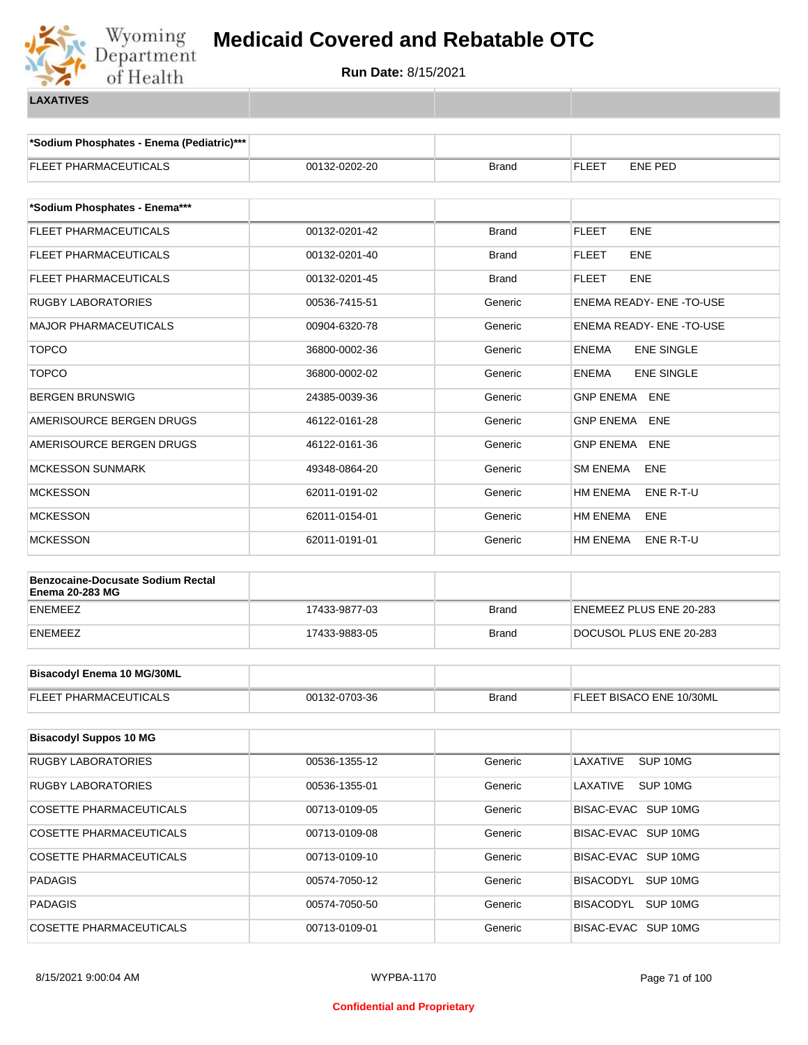

**\*Sodium Phosphates - Enema (Pediatric)\*\*\***

| <b>FLEET PHARMACEUTICALS</b>                                       | 00132-0202-20 | <b>Brand</b> | FLEET<br><b>ENE PED</b>           |
|--------------------------------------------------------------------|---------------|--------------|-----------------------------------|
|                                                                    |               |              |                                   |
| *Sodium Phosphates - Enema***                                      |               |              |                                   |
| <b>FLEET PHARMACEUTICALS</b>                                       | 00132-0201-42 | <b>Brand</b> | <b>FLEET</b><br><b>ENE</b>        |
| <b>FLEET PHARMACEUTICALS</b>                                       | 00132-0201-40 | <b>Brand</b> | FLEET<br><b>ENE</b>               |
| FLEET PHARMACEUTICALS                                              | 00132-0201-45 | <b>Brand</b> | <b>FLEET</b><br><b>ENE</b>        |
| <b>RUGBY LABORATORIES</b>                                          | 00536-7415-51 | Generic      | ENEMA READY- ENE - TO-USE         |
| MAJOR PHARMACEUTICALS                                              | 00904-6320-78 | Generic      | ENEMA READY- ENE -TO-USE          |
| <b>TOPCO</b>                                                       | 36800-0002-36 | Generic      | <b>ENEMA</b><br><b>ENE SINGLE</b> |
| <b>TOPCO</b>                                                       | 36800-0002-02 | Generic      | <b>ENE SINGLE</b><br><b>ENEMA</b> |
| <b>BERGEN BRUNSWIG</b>                                             | 24385-0039-36 | Generic      | <b>GNP ENEMA</b><br>ENE           |
| AMERISOURCE BERGEN DRUGS                                           | 46122-0161-28 | Generic      | <b>GNP ENEMA</b><br>ENE           |
| AMERISOURCE BERGEN DRUGS                                           | 46122-0161-36 | Generic      | <b>GNP ENEMA</b><br>ENE           |
| <b>MCKESSON SUNMARK</b>                                            | 49348-0864-20 | Generic      | <b>SM ENEMA</b><br>ENE            |
| <b>MCKESSON</b>                                                    | 62011-0191-02 | Generic      | <b>HM ENEMA</b><br>ENE R-T-U      |
| MCKESSON                                                           | 62011-0154-01 | Generic      | <b>HM ENEMA</b><br>ENE            |
| <b>MCKESSON</b>                                                    | 62011-0191-01 | Generic      | HM ENEMA<br>ENE R-T-U             |
|                                                                    |               |              |                                   |
| <b>Benzocaine-Docusate Sodium Rectal</b><br><b>Enema 20-283 MG</b> |               |              |                                   |
| ENEMEEZ                                                            | 17433-9877-03 | <b>Brand</b> | ENEMEEZ PLUS ENE 20-283           |
| <b>ENEMEEZ</b>                                                     | 17433-9883-05 | <b>Brand</b> | DOCUSOL PLUS ENE 20-283           |
|                                                                    |               |              |                                   |
| <b>Bisacodyl Enema 10 MG/30ML</b>                                  |               |              |                                   |
| FLEET PHARMACEUTICALS                                              | 00132-0703-36 | <b>Brand</b> | FLEET BISACO ENE 10/30ML          |
| <b>Bisacodyl Suppos 10 MG</b>                                      |               |              |                                   |
|                                                                    |               |              |                                   |
| <b>RUGBY LABORATORIES</b>                                          | 00536-1355-12 | Generic      | LAXATIVE<br>SUP 10MG              |
| <b>RUGBY LABORATORIES</b>                                          | 00536-1355-01 | Generic      | LAXATIVE<br>SUP 10MG              |
| COSETTE PHARMACEUTICALS                                            | 00713-0109-05 | Generic      | BISAC-EVAC SUP 10MG               |
| COSETTE PHARMACEUTICALS                                            | 00713-0109-08 | Generic      | BISAC-EVAC SUP 10MG               |
| <b>COSETTE PHARMACEUTICALS</b>                                     | 00713-0109-10 | Generic      | BISAC-EVAC SUP 10MG               |
| <b>PADAGIS</b>                                                     | 00574-7050-12 | Generic      | BISACODYL SUP 10MG                |
| <b>PADAGIS</b>                                                     | 00574-7050-50 | Generic      | BISACODYL SUP 10MG                |
| COSETTE PHARMACEUTICALS                                            | 00713-0109-01 | Generic      | BISAC-EVAC SUP 10MG               |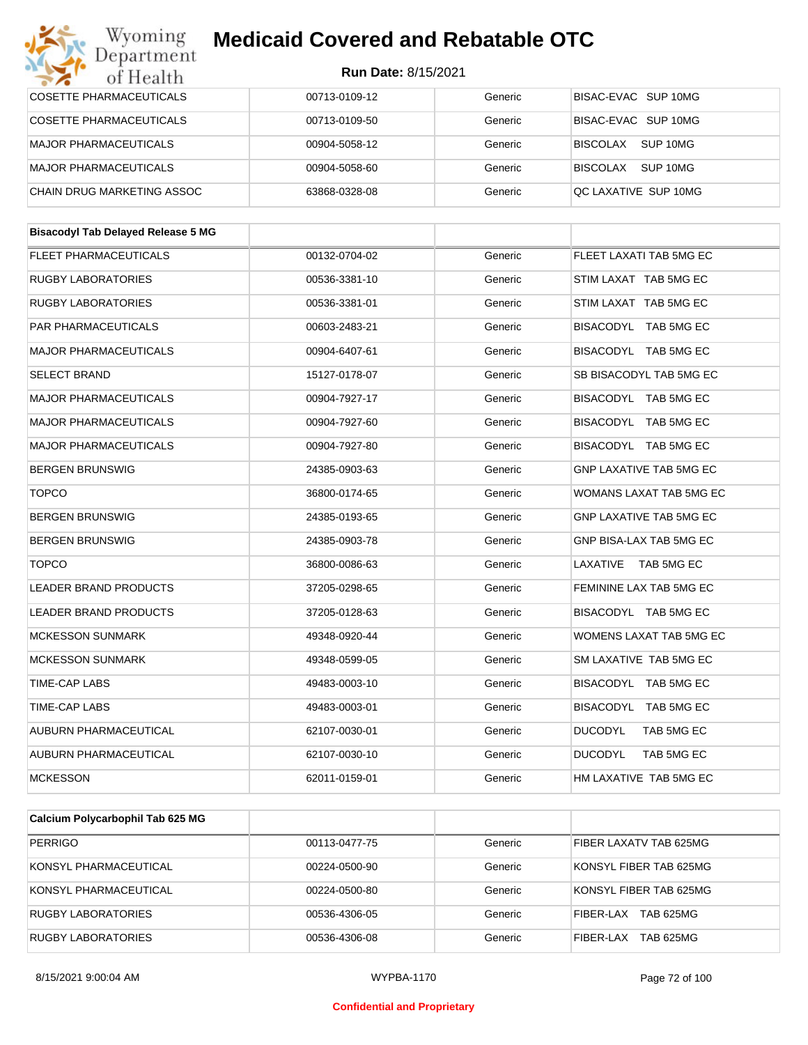#### Wyoming<br>Department **Medicaid Covered and Rebatable OTC**

| of Health                                 | Run Date: 8/15/2021 |         |                                |
|-------------------------------------------|---------------------|---------|--------------------------------|
| <b>COSETTE PHARMACEUTICALS</b>            | 00713-0109-12       | Generic | BISAC-EVAC SUP 10MG            |
| COSETTE PHARMACEUTICALS                   | 00713-0109-50       | Generic | BISAC-EVAC SUP 10MG            |
| <b>MAJOR PHARMACEUTICALS</b>              | 00904-5058-12       | Generic | BISCOLAX SUP 10MG              |
| <b>MAJOR PHARMACEUTICALS</b>              | 00904-5058-60       | Generic | BISCOLAX SUP 10MG              |
| CHAIN DRUG MARKETING ASSOC                | 63868-0328-08       | Generic | QC LAXATIVE SUP 10MG           |
|                                           |                     |         |                                |
| <b>Bisacodyl Tab Delayed Release 5 MG</b> |                     |         |                                |
| <b>FLEET PHARMACEUTICALS</b>              | 00132-0704-02       | Generic | FLEET LAXATI TAB 5MG EC        |
| <b>RUGBY LABORATORIES</b>                 | 00536-3381-10       | Generic | STIM LAXAT TAB 5MG EC          |
| <b>RUGBY LABORATORIES</b>                 | 00536-3381-01       | Generic | STIM LAXAT TAB 5MG EC          |
| <b>PAR PHARMACEUTICALS</b>                | 00603-2483-21       | Generic | BISACODYL TAB 5MG EC           |
| <b>MAJOR PHARMACEUTICALS</b>              | 00904-6407-61       | Generic | BISACODYL TAB 5MG EC           |
| <b>SELECT BRAND</b>                       | 15127-0178-07       | Generic | SB BISACODYL TAB 5MG EC        |
| <b>MAJOR PHARMACEUTICALS</b>              | 00904-7927-17       | Generic | BISACODYL TAB 5MG EC           |
| <b>MAJOR PHARMACEUTICALS</b>              | 00904-7927-60       | Generic | BISACODYL TAB 5MG EC           |
| <b>MAJOR PHARMACEUTICALS</b>              | 00904-7927-80       | Generic | BISACODYL TAB 5MG EC           |
| <b>BERGEN BRUNSWIG</b>                    | 24385-0903-63       | Generic | <b>GNP LAXATIVE TAB 5MG EC</b> |
| <b>TOPCO</b>                              | 36800-0174-65       | Generic | WOMANS LAXAT TAB 5MG EC        |
| <b>BERGEN BRUNSWIG</b>                    | 24385-0193-65       | Generic | <b>GNP LAXATIVE TAB 5MG EC</b> |
| <b>BERGEN BRUNSWIG</b>                    | 24385-0903-78       | Generic | GNP BISA-LAX TAB 5MG EC        |
| <b>TOPCO</b>                              | 36800-0086-63       | Generic | LAXATIVE TAB 5MG EC            |
| <b>LEADER BRAND PRODUCTS</b>              | 37205-0298-65       | Generic | FEMININE LAX TAB 5MG EC        |
| <b>LEADER BRAND PRODUCTS</b>              | 37205-0128-63       | Generic | BISACODYL TAB 5MG EC           |
| <b>MCKESSON SUNMARK</b>                   | 49348-0920-44       | Generic | WOMENS LAXAT TAB 5MG EC        |
| <b>MCKESSON SUNMARK</b>                   | 49348-0599-05       | Generic | SM LAXATIVE TAB 5MG EC         |
| TIME-CAP LABS                             | 49483-0003-10       | Generic | BISACODYL TAB 5MG EC           |
| <b>TIME-CAP LABS</b>                      | 49483-0003-01       | Generic | BISACODYL TAB 5MG EC           |
| AUBURN PHARMACEUTICAL                     | 62107-0030-01       | Generic | <b>DUCODYL</b><br>TAB 5MG EC   |
| AUBURN PHARMACEUTICAL                     | 62107-0030-10       | Generic | <b>DUCODYL</b><br>TAB 5MG EC   |
| <b>MCKESSON</b>                           | 62011-0159-01       | Generic | HM LAXATIVE TAB 5MG EC         |
|                                           |                     |         |                                |
| Calcium Polycarbophil Tab 625 MG          |                     |         |                                |
| <b>PERRIGO</b>                            | 00113-0477-75       | Generic | FIBER LAXATV TAB 625MG         |

| PERRIGO                   | 00113-0477-75 | Generic | FIBER LAXATV TAB 625MG  |
|---------------------------|---------------|---------|-------------------------|
| KONSYL PHARMACEUTICAL     | 00224-0500-90 | Generic | KONSYL FIBER TAB 625MG  |
| KONSYL PHARMACEUTICAL     | 00224-0500-80 | Generic | KONSYL FIBER TAB 625MG  |
| <b>RUGBY LABORATORIES</b> | 00536-4306-05 | Generic | FIBFR-I AX<br>TAB 625MG |
| RUGBY LABORATORIES        | 00536-4306-08 | Generic | TAB 625MG<br>FIBER-LAX  |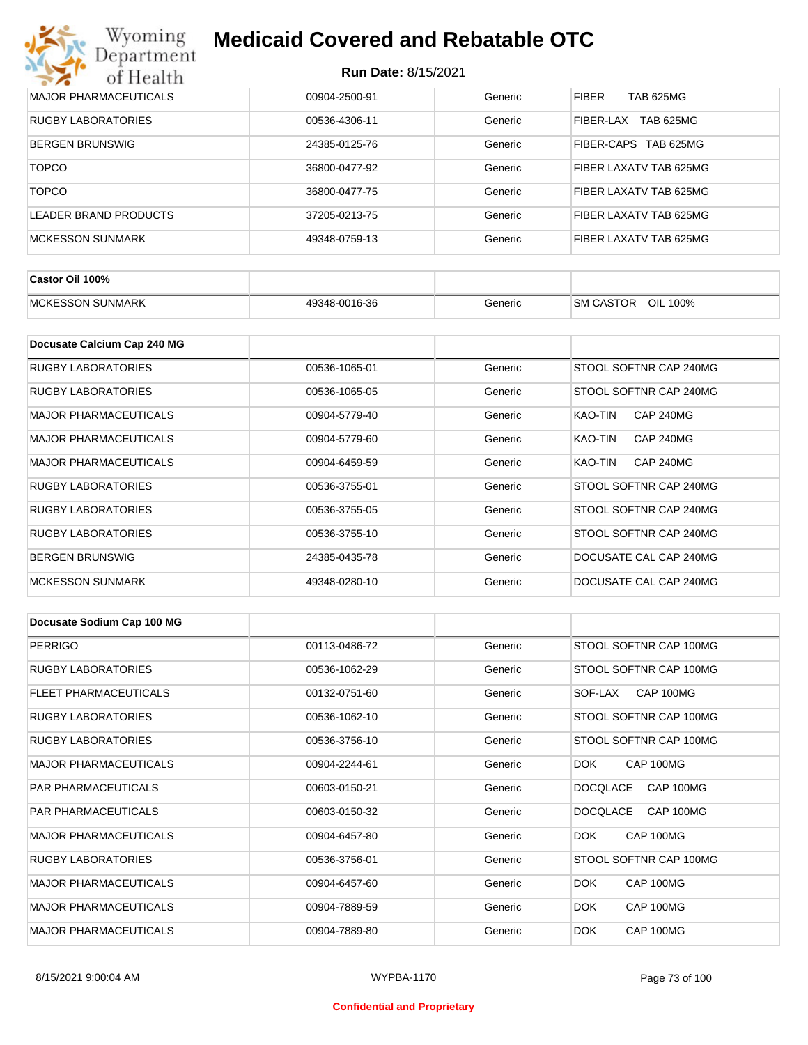| Wyoming<br>Department        | <b>Medicaid Covered and Rebatable OTC</b> |         |                                  |  |  |  |
|------------------------------|-------------------------------------------|---------|----------------------------------|--|--|--|
| of Health                    | <b>Run Date: 8/15/2021</b>                |         |                                  |  |  |  |
| <b>MAJOR PHARMACEUTICALS</b> | 00904-2500-91                             | Generic | <b>FIBER</b><br><b>TAB 625MG</b> |  |  |  |
| <b>RUGBY LABORATORIES</b>    | 00536-4306-11                             | Generic | <b>TAB 625MG</b><br>FIBER-LAX    |  |  |  |
| <b>BERGEN BRUNSWIG</b>       | 24385-0125-76                             | Generic | TAB 625MG<br>FIBER-CAPS          |  |  |  |
| <b>TOPCO</b>                 | 36800-0477-92                             | Generic | FIBER LAXATV TAB 625MG           |  |  |  |
| <b>TOPCO</b>                 | 36800-0477-75                             | Generic | FIBER LAXATV TAB 625MG           |  |  |  |
| <b>LEADER BRAND PRODUCTS</b> | 37205-0213-75                             | Generic | FIBER LAXATV TAB 625MG           |  |  |  |
| <b>MCKESSON SUNMARK</b>      | 49348-0759-13                             | Generic | FIBER LAXATV TAB 625MG           |  |  |  |

| Castor Oil 100%          |               |         |                              |
|--------------------------|---------------|---------|------------------------------|
| <b>IMCKESSON SUNMARK</b> | 49348-0016-36 | Generic | OIL 100%<br><b>SM CASTOR</b> |

| Docusate Calcium Cap 240 MG  |               |         |                             |
|------------------------------|---------------|---------|-----------------------------|
| RUGBY LABORATORIES           | 00536-1065-01 | Generic | STOOL SOFTNR CAP 240MG      |
| RUGBY LABORATORIES           | 00536-1065-05 | Generic | STOOL SOFTNR CAP 240MG      |
| <b>MAJOR PHARMACEUTICALS</b> | 00904-5779-40 | Generic | KAO-TIN<br><b>CAP 240MG</b> |
| <b>MAJOR PHARMACEUTICALS</b> | 00904-5779-60 | Generic | KAO-TIN<br><b>CAP 240MG</b> |
| <b>MAJOR PHARMACEUTICALS</b> | 00904-6459-59 | Generic | <b>CAP 240MG</b><br>KAO-TIN |
| RUGBY LABORATORIES           | 00536-3755-01 | Generic | STOOL SOFTNR CAP 240MG      |
| RUGBY LABORATORIES           | 00536-3755-05 | Generic | STOOL SOFTNR CAP 240MG      |
| <b>RUGBY LABORATORIES</b>    | 00536-3755-10 | Generic | STOOL SOFTNR CAP 240MG      |
| <b>BERGEN BRUNSWIG</b>       | 24385-0435-78 | Generic | DOCUSATE CAL CAP 240MG      |
| <b>MCKESSON SUNMARK</b>      | 49348-0280-10 | Generic | DOCUSATE CAL CAP 240MG      |

| Docusate Sodium Cap 100 MG   |               |         |                              |
|------------------------------|---------------|---------|------------------------------|
| <b>PERRIGO</b>               | 00113-0486-72 | Generic | STOOL SOFTNR CAP 100MG       |
| <b>RUGBY LABORATORIES</b>    | 00536-1062-29 | Generic | STOOL SOFTNR CAP 100MG       |
| <b>FLEET PHARMACEUTICALS</b> | 00132-0751-60 | Generic | CAP 100MG<br>SOF-LAX         |
| <b>RUGBY LABORATORIES</b>    | 00536-1062-10 | Generic | STOOL SOFTNR CAP 100MG       |
| <b>RUGBY LABORATORIES</b>    | 00536-3756-10 | Generic | STOOL SOFTNR CAP 100MG       |
| <b>MAJOR PHARMACEUTICALS</b> | 00904-2244-61 | Generic | DOK.<br>CAP 100MG            |
| <b>PAR PHARMACEUTICALS</b>   | 00603-0150-21 | Generic | CAP 100MG<br><b>DOCQLACE</b> |
| <b>PAR PHARMACEUTICALS</b>   | 00603-0150-32 | Generic | <b>DOCQLACE</b><br>CAP 100MG |
| <b>MAJOR PHARMACEUTICALS</b> | 00904-6457-80 | Generic | CAP 100MG<br>DOK.            |
| <b>RUGBY LABORATORIES</b>    | 00536-3756-01 | Generic | STOOL SOFTNR CAP 100MG       |
| <b>MAJOR PHARMACEUTICALS</b> | 00904-6457-60 | Generic | DOK<br>CAP 100MG             |
| <b>MAJOR PHARMACEUTICALS</b> | 00904-7889-59 | Generic | <b>DOK</b><br>CAP 100MG      |
| <b>MAJOR PHARMACEUTICALS</b> | 00904-7889-80 | Generic | DOK.<br>CAP 100MG            |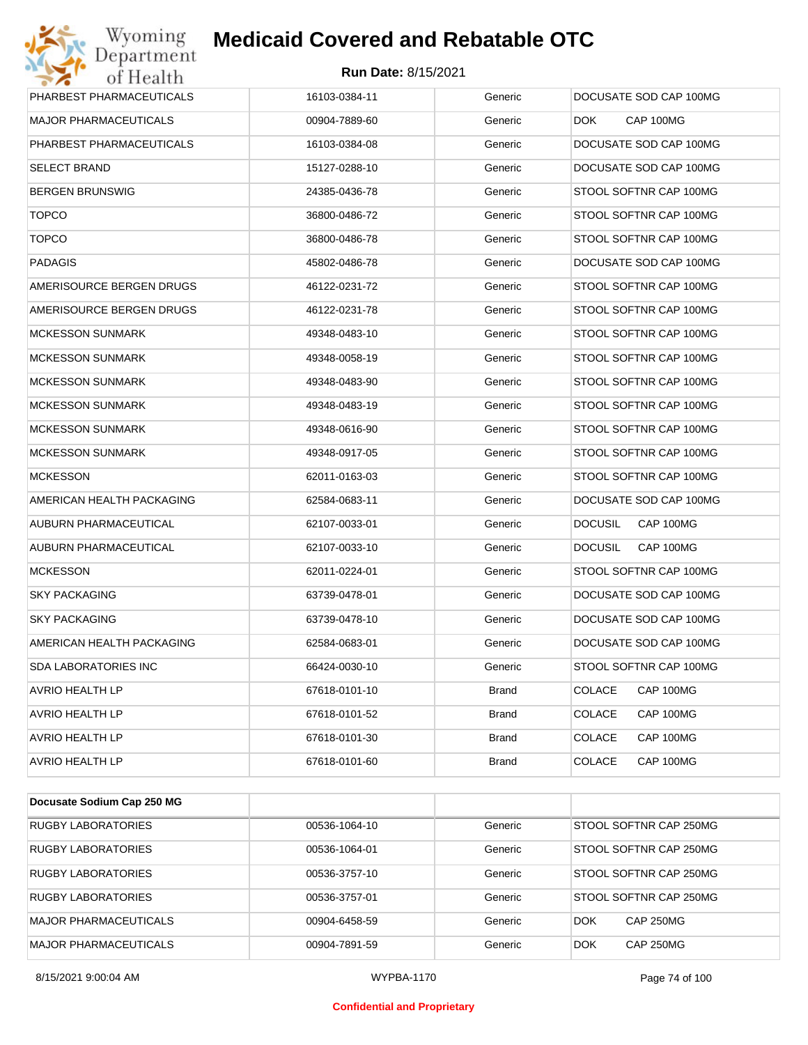

| MAJOR PHARMACEUTICALS<br>Generic<br>DOK.<br>CAP 100MG<br>00904-7889-60<br>PHARBEST PHARMACEUTICALS<br>DOCUSATE SOD CAP 100MG<br>16103-0384-08<br>Generic<br><b>SELECT BRAND</b><br>Generic<br>DOCUSATE SOD CAP 100MG<br>15127-0288-10<br><b>BERGEN BRUNSWIG</b><br>24385-0436-78<br>STOOL SOFTNR CAP 100MG<br>Generic<br><b>TOPCO</b><br>Generic<br>STOOL SOFTNR CAP 100MG<br>36800-0486-72<br><b>TOPCO</b><br>STOOL SOFTNR CAP 100MG<br>36800-0486-78<br>Generic<br><b>PADAGIS</b><br>Generic<br>DOCUSATE SOD CAP 100MG<br>45802-0486-78<br>AMERISOURCE BERGEN DRUGS<br>46122-0231-72<br>STOOL SOFTNR CAP 100MG<br>Generic<br>AMERISOURCE BERGEN DRUGS<br>46122-0231-78<br>Generic<br>STOOL SOFTNR CAP 100MG<br><b>MCKESSON SUNMARK</b><br>STOOL SOFTNR CAP 100MG<br>49348-0483-10<br>Generic<br><b>MCKESSON SUNMARK</b><br>Generic<br>STOOL SOFTNR CAP 100MG<br>49348-0058-19<br><b>MCKESSON SUNMARK</b><br>STOOL SOFTNR CAP 100MG<br>49348-0483-90<br>Generic<br><b>MCKESSON SUNMARK</b><br>Generic<br>STOOL SOFTNR CAP 100MG<br>49348-0483-19<br><b>MCKESSON SUNMARK</b><br>STOOL SOFTNR CAP 100MG<br>49348-0616-90<br>Generic<br>MCKESSON SUNMARK<br>Generic<br>STOOL SOFTNR CAP 100MG<br>49348-0917-05<br><b>MCKESSON</b><br>STOOL SOFTNR CAP 100MG<br>62011-0163-03<br>Generic<br>AMERICAN HEALTH PACKAGING<br>Generic<br>DOCUSATE SOD CAP 100MG<br>62584-0683-11<br>CAP 100MG<br>AUBURN PHARMACEUTICAL<br><b>DOCUSIL</b><br>62107-0033-01<br>Generic<br>AUBURN PHARMACEUTICAL<br>CAP 100MG<br>Generic<br><b>DOCUSIL</b><br>62107-0033-10<br><b>MCKESSON</b><br>62011-0224-01<br>STOOL SOFTNR CAP 100MG<br>Generic<br>DOCUSATE SOD CAP 100MG<br><b>SKY PACKAGING</b><br>63739-0478-01<br>Generic<br><b>SKY PACKAGING</b><br>63739-0478-10<br>DOCUSATE SOD CAP 100MG<br>Generic<br>DOCUSATE SOD CAP 100MG<br>AMERICAN HEALTH PACKAGING<br>62584-0683-01<br>Generic<br>SDA LABORATORIES INC<br>66424-0030-10<br>STOOL SOFTNR CAP 100MG<br>Generic<br>AVRIO HEALTH LP<br>67618-0101-10<br><b>COLACE</b><br>CAP 100MG<br>Brand<br>COLACE<br><b>AVRIO HEALTH LP</b><br><b>Brand</b><br>CAP 100MG<br>67618-0101-52<br><b>AVRIO HEALTH LP</b><br><b>Brand</b><br><b>COLACE</b><br>CAP 100MG<br>67618-0101-30<br>AVRIO HEALTH LP<br><b>Brand</b><br><b>COLACE</b><br>CAP 100MG<br>67618-0101-60 | PHARBEST PHARMACEUTICALS | 16103-0384-11 | Generic | DOCUSATE SOD CAP 100MG |
|------------------------------------------------------------------------------------------------------------------------------------------------------------------------------------------------------------------------------------------------------------------------------------------------------------------------------------------------------------------------------------------------------------------------------------------------------------------------------------------------------------------------------------------------------------------------------------------------------------------------------------------------------------------------------------------------------------------------------------------------------------------------------------------------------------------------------------------------------------------------------------------------------------------------------------------------------------------------------------------------------------------------------------------------------------------------------------------------------------------------------------------------------------------------------------------------------------------------------------------------------------------------------------------------------------------------------------------------------------------------------------------------------------------------------------------------------------------------------------------------------------------------------------------------------------------------------------------------------------------------------------------------------------------------------------------------------------------------------------------------------------------------------------------------------------------------------------------------------------------------------------------------------------------------------------------------------------------------------------------------------------------------------------------------------------------------------------------------------------------------------------------------------------------------------------------------------------------------------------------------------------------------------------------------|--------------------------|---------------|---------|------------------------|
|                                                                                                                                                                                                                                                                                                                                                                                                                                                                                                                                                                                                                                                                                                                                                                                                                                                                                                                                                                                                                                                                                                                                                                                                                                                                                                                                                                                                                                                                                                                                                                                                                                                                                                                                                                                                                                                                                                                                                                                                                                                                                                                                                                                                                                                                                                |                          |               |         |                        |
|                                                                                                                                                                                                                                                                                                                                                                                                                                                                                                                                                                                                                                                                                                                                                                                                                                                                                                                                                                                                                                                                                                                                                                                                                                                                                                                                                                                                                                                                                                                                                                                                                                                                                                                                                                                                                                                                                                                                                                                                                                                                                                                                                                                                                                                                                                |                          |               |         |                        |
|                                                                                                                                                                                                                                                                                                                                                                                                                                                                                                                                                                                                                                                                                                                                                                                                                                                                                                                                                                                                                                                                                                                                                                                                                                                                                                                                                                                                                                                                                                                                                                                                                                                                                                                                                                                                                                                                                                                                                                                                                                                                                                                                                                                                                                                                                                |                          |               |         |                        |
|                                                                                                                                                                                                                                                                                                                                                                                                                                                                                                                                                                                                                                                                                                                                                                                                                                                                                                                                                                                                                                                                                                                                                                                                                                                                                                                                                                                                                                                                                                                                                                                                                                                                                                                                                                                                                                                                                                                                                                                                                                                                                                                                                                                                                                                                                                |                          |               |         |                        |
|                                                                                                                                                                                                                                                                                                                                                                                                                                                                                                                                                                                                                                                                                                                                                                                                                                                                                                                                                                                                                                                                                                                                                                                                                                                                                                                                                                                                                                                                                                                                                                                                                                                                                                                                                                                                                                                                                                                                                                                                                                                                                                                                                                                                                                                                                                |                          |               |         |                        |
|                                                                                                                                                                                                                                                                                                                                                                                                                                                                                                                                                                                                                                                                                                                                                                                                                                                                                                                                                                                                                                                                                                                                                                                                                                                                                                                                                                                                                                                                                                                                                                                                                                                                                                                                                                                                                                                                                                                                                                                                                                                                                                                                                                                                                                                                                                |                          |               |         |                        |
|                                                                                                                                                                                                                                                                                                                                                                                                                                                                                                                                                                                                                                                                                                                                                                                                                                                                                                                                                                                                                                                                                                                                                                                                                                                                                                                                                                                                                                                                                                                                                                                                                                                                                                                                                                                                                                                                                                                                                                                                                                                                                                                                                                                                                                                                                                |                          |               |         |                        |
|                                                                                                                                                                                                                                                                                                                                                                                                                                                                                                                                                                                                                                                                                                                                                                                                                                                                                                                                                                                                                                                                                                                                                                                                                                                                                                                                                                                                                                                                                                                                                                                                                                                                                                                                                                                                                                                                                                                                                                                                                                                                                                                                                                                                                                                                                                |                          |               |         |                        |
|                                                                                                                                                                                                                                                                                                                                                                                                                                                                                                                                                                                                                                                                                                                                                                                                                                                                                                                                                                                                                                                                                                                                                                                                                                                                                                                                                                                                                                                                                                                                                                                                                                                                                                                                                                                                                                                                                                                                                                                                                                                                                                                                                                                                                                                                                                |                          |               |         |                        |
|                                                                                                                                                                                                                                                                                                                                                                                                                                                                                                                                                                                                                                                                                                                                                                                                                                                                                                                                                                                                                                                                                                                                                                                                                                                                                                                                                                                                                                                                                                                                                                                                                                                                                                                                                                                                                                                                                                                                                                                                                                                                                                                                                                                                                                                                                                |                          |               |         |                        |
|                                                                                                                                                                                                                                                                                                                                                                                                                                                                                                                                                                                                                                                                                                                                                                                                                                                                                                                                                                                                                                                                                                                                                                                                                                                                                                                                                                                                                                                                                                                                                                                                                                                                                                                                                                                                                                                                                                                                                                                                                                                                                                                                                                                                                                                                                                |                          |               |         |                        |
|                                                                                                                                                                                                                                                                                                                                                                                                                                                                                                                                                                                                                                                                                                                                                                                                                                                                                                                                                                                                                                                                                                                                                                                                                                                                                                                                                                                                                                                                                                                                                                                                                                                                                                                                                                                                                                                                                                                                                                                                                                                                                                                                                                                                                                                                                                |                          |               |         |                        |
|                                                                                                                                                                                                                                                                                                                                                                                                                                                                                                                                                                                                                                                                                                                                                                                                                                                                                                                                                                                                                                                                                                                                                                                                                                                                                                                                                                                                                                                                                                                                                                                                                                                                                                                                                                                                                                                                                                                                                                                                                                                                                                                                                                                                                                                                                                |                          |               |         |                        |
|                                                                                                                                                                                                                                                                                                                                                                                                                                                                                                                                                                                                                                                                                                                                                                                                                                                                                                                                                                                                                                                                                                                                                                                                                                                                                                                                                                                                                                                                                                                                                                                                                                                                                                                                                                                                                                                                                                                                                                                                                                                                                                                                                                                                                                                                                                |                          |               |         |                        |
|                                                                                                                                                                                                                                                                                                                                                                                                                                                                                                                                                                                                                                                                                                                                                                                                                                                                                                                                                                                                                                                                                                                                                                                                                                                                                                                                                                                                                                                                                                                                                                                                                                                                                                                                                                                                                                                                                                                                                                                                                                                                                                                                                                                                                                                                                                |                          |               |         |                        |
|                                                                                                                                                                                                                                                                                                                                                                                                                                                                                                                                                                                                                                                                                                                                                                                                                                                                                                                                                                                                                                                                                                                                                                                                                                                                                                                                                                                                                                                                                                                                                                                                                                                                                                                                                                                                                                                                                                                                                                                                                                                                                                                                                                                                                                                                                                |                          |               |         |                        |
|                                                                                                                                                                                                                                                                                                                                                                                                                                                                                                                                                                                                                                                                                                                                                                                                                                                                                                                                                                                                                                                                                                                                                                                                                                                                                                                                                                                                                                                                                                                                                                                                                                                                                                                                                                                                                                                                                                                                                                                                                                                                                                                                                                                                                                                                                                |                          |               |         |                        |
|                                                                                                                                                                                                                                                                                                                                                                                                                                                                                                                                                                                                                                                                                                                                                                                                                                                                                                                                                                                                                                                                                                                                                                                                                                                                                                                                                                                                                                                                                                                                                                                                                                                                                                                                                                                                                                                                                                                                                                                                                                                                                                                                                                                                                                                                                                |                          |               |         |                        |
|                                                                                                                                                                                                                                                                                                                                                                                                                                                                                                                                                                                                                                                                                                                                                                                                                                                                                                                                                                                                                                                                                                                                                                                                                                                                                                                                                                                                                                                                                                                                                                                                                                                                                                                                                                                                                                                                                                                                                                                                                                                                                                                                                                                                                                                                                                |                          |               |         |                        |
|                                                                                                                                                                                                                                                                                                                                                                                                                                                                                                                                                                                                                                                                                                                                                                                                                                                                                                                                                                                                                                                                                                                                                                                                                                                                                                                                                                                                                                                                                                                                                                                                                                                                                                                                                                                                                                                                                                                                                                                                                                                                                                                                                                                                                                                                                                |                          |               |         |                        |
|                                                                                                                                                                                                                                                                                                                                                                                                                                                                                                                                                                                                                                                                                                                                                                                                                                                                                                                                                                                                                                                                                                                                                                                                                                                                                                                                                                                                                                                                                                                                                                                                                                                                                                                                                                                                                                                                                                                                                                                                                                                                                                                                                                                                                                                                                                |                          |               |         |                        |
|                                                                                                                                                                                                                                                                                                                                                                                                                                                                                                                                                                                                                                                                                                                                                                                                                                                                                                                                                                                                                                                                                                                                                                                                                                                                                                                                                                                                                                                                                                                                                                                                                                                                                                                                                                                                                                                                                                                                                                                                                                                                                                                                                                                                                                                                                                |                          |               |         |                        |
|                                                                                                                                                                                                                                                                                                                                                                                                                                                                                                                                                                                                                                                                                                                                                                                                                                                                                                                                                                                                                                                                                                                                                                                                                                                                                                                                                                                                                                                                                                                                                                                                                                                                                                                                                                                                                                                                                                                                                                                                                                                                                                                                                                                                                                                                                                |                          |               |         |                        |
|                                                                                                                                                                                                                                                                                                                                                                                                                                                                                                                                                                                                                                                                                                                                                                                                                                                                                                                                                                                                                                                                                                                                                                                                                                                                                                                                                                                                                                                                                                                                                                                                                                                                                                                                                                                                                                                                                                                                                                                                                                                                                                                                                                                                                                                                                                |                          |               |         |                        |
|                                                                                                                                                                                                                                                                                                                                                                                                                                                                                                                                                                                                                                                                                                                                                                                                                                                                                                                                                                                                                                                                                                                                                                                                                                                                                                                                                                                                                                                                                                                                                                                                                                                                                                                                                                                                                                                                                                                                                                                                                                                                                                                                                                                                                                                                                                |                          |               |         |                        |
|                                                                                                                                                                                                                                                                                                                                                                                                                                                                                                                                                                                                                                                                                                                                                                                                                                                                                                                                                                                                                                                                                                                                                                                                                                                                                                                                                                                                                                                                                                                                                                                                                                                                                                                                                                                                                                                                                                                                                                                                                                                                                                                                                                                                                                                                                                |                          |               |         |                        |
|                                                                                                                                                                                                                                                                                                                                                                                                                                                                                                                                                                                                                                                                                                                                                                                                                                                                                                                                                                                                                                                                                                                                                                                                                                                                                                                                                                                                                                                                                                                                                                                                                                                                                                                                                                                                                                                                                                                                                                                                                                                                                                                                                                                                                                                                                                |                          |               |         |                        |
|                                                                                                                                                                                                                                                                                                                                                                                                                                                                                                                                                                                                                                                                                                                                                                                                                                                                                                                                                                                                                                                                                                                                                                                                                                                                                                                                                                                                                                                                                                                                                                                                                                                                                                                                                                                                                                                                                                                                                                                                                                                                                                                                                                                                                                                                                                |                          |               |         |                        |

| Docusate Sodium Cap 250 MG   |               |         |                                |
|------------------------------|---------------|---------|--------------------------------|
| RUGBY LABORATORIES           | 00536-1064-10 | Generic | STOOL SOFTNR CAP 250MG         |
| <b>RUGBY LABORATORIES</b>    | 00536-1064-01 | Generic | STOOL SOFTNR CAP 250MG         |
| <b>RUGBY LABORATORIES</b>    | 00536-3757-10 | Generic | STOOL SOFTNR CAP 250MG         |
| <b>RUGBY LABORATORIES</b>    | 00536-3757-01 | Generic | STOOL SOFTNR CAP 250MG         |
| <b>MAJOR PHARMACEUTICALS</b> | 00904-6458-59 | Generic | <b>DOK</b><br><b>CAP 250MG</b> |
| <b>MAJOR PHARMACEUTICALS</b> | 00904-7891-59 | Generic | <b>CAP 250MG</b><br><b>DOK</b> |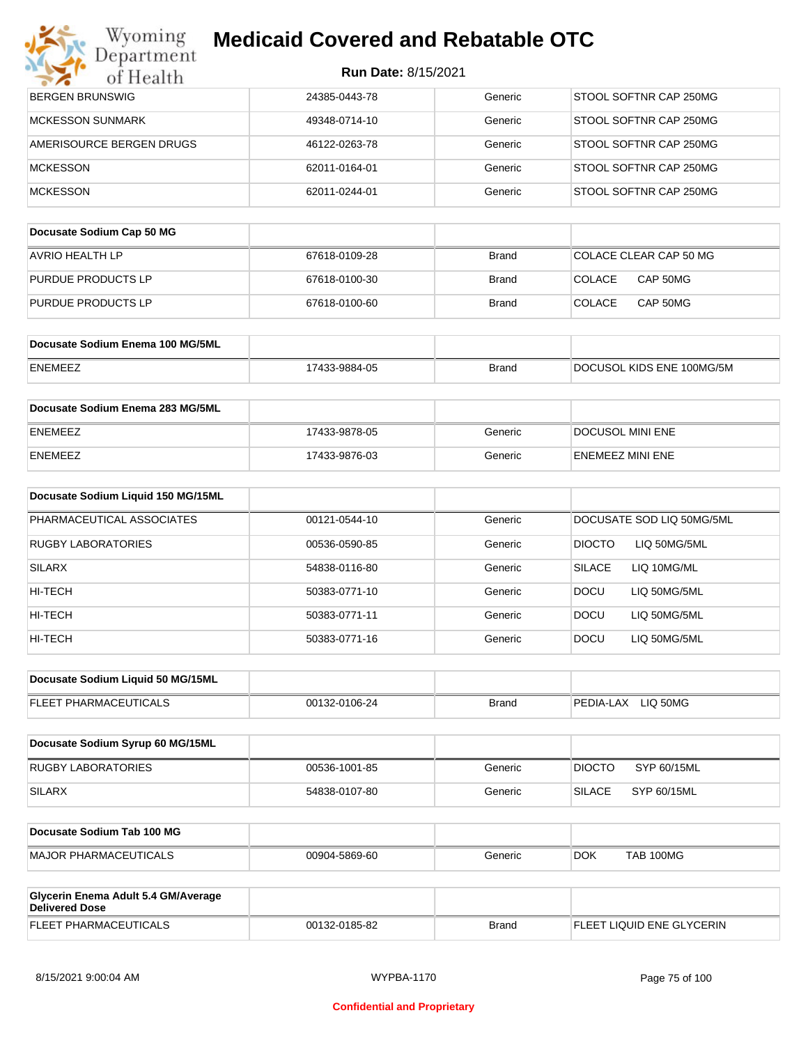| Department                                                   |                            |              |                                |
|--------------------------------------------------------------|----------------------------|--------------|--------------------------------|
| of Health                                                    | <b>Run Date: 8/15/2021</b> |              |                                |
| <b>BERGEN BRUNSWIG</b>                                       | 24385-0443-78              | Generic      | STOOL SOFTNR CAP 250MG         |
| <b>MCKESSON SUNMARK</b>                                      | 49348-0714-10              | Generic      | STOOL SOFTNR CAP 250MG         |
| AMERISOURCE BERGEN DRUGS                                     | 46122-0263-78              | Generic      | STOOL SOFTNR CAP 250MG         |
| <b>MCKESSON</b>                                              | 62011-0164-01              | Generic      | STOOL SOFTNR CAP 250MG         |
| <b>MCKESSON</b>                                              | 62011-0244-01              | Generic      | STOOL SOFTNR CAP 250MG         |
| Docusate Sodium Cap 50 MG                                    |                            |              |                                |
| <b>AVRIO HEALTH LP</b>                                       | 67618-0109-28              | <b>Brand</b> | COLACE CLEAR CAP 50 MG         |
| PURDUE PRODUCTS LP                                           | 67618-0100-30              | Brand        | COLACE<br>CAP 50MG             |
| PURDUE PRODUCTS LP                                           | 67618-0100-60              | Brand        | <b>COLACE</b><br>CAP 50MG      |
| Docusate Sodium Enema 100 MG/5ML                             |                            |              |                                |
| <b>ENEMEEZ</b>                                               | 17433-9884-05              | <b>Brand</b> | DOCUSOL KIDS ENE 100MG/5M      |
| Docusate Sodium Enema 283 MG/5ML                             |                            |              |                                |
| <b>ENEMEEZ</b>                                               | 17433-9878-05              | Generic      | <b>DOCUSOL MINI ENE</b>        |
| ENEMEEZ                                                      | 17433-9876-03              | Generic      | ENEMEEZ MINI ENE               |
| Docusate Sodium Liquid 150 MG/15ML                           |                            |              |                                |
| PHARMACEUTICAL ASSOCIATES                                    | 00121-0544-10              | Generic      | DOCUSATE SOD LIQ 50MG/5ML      |
| RUGBY LABORATORIES                                           | 00536-0590-85              | Generic      | <b>DIOCTO</b><br>LIQ 50MG/5ML  |
| <b>SILARX</b>                                                | 54838-0116-80              | Generic      | <b>SILACE</b><br>LIQ 10MG/ML   |
| HI-TECH                                                      | 50383-0771-10              | Generic      | <b>DOCU</b><br>LIQ 50MG/5ML    |
| HI-TECH                                                      | 50383-0771-11              | Generic      | DOCU<br>LIQ 50MG/5ML           |
| HI-TECH                                                      | 50383-0771-16              | Generic      | <b>DOCU</b><br>LIQ 50MG/5ML    |
| Docusate Sodium Liquid 50 MG/15ML                            |                            |              |                                |
| FLEET PHARMACEUTICALS                                        | 00132-0106-24              | <b>Brand</b> | PEDIA-LAX LIQ 50MG             |
| Docusate Sodium Syrup 60 MG/15ML                             |                            |              |                                |
| <b>RUGBY LABORATORIES</b>                                    | 00536-1001-85              | Generic      | SYP 60/15ML<br><b>DIOCTO</b>   |
| <b>SILARX</b>                                                | 54838-0107-80              | Generic      | <b>SILACE</b><br>SYP 60/15ML   |
| Docusate Sodium Tab 100 MG                                   |                            |              |                                |
| <b>MAJOR PHARMACEUTICALS</b>                                 | 00904-5869-60              | Generic      | <b>TAB 100MG</b><br><b>DOK</b> |
| Glycerin Enema Adult 5.4 GM/Average<br><b>Delivered Dose</b> |                            |              |                                |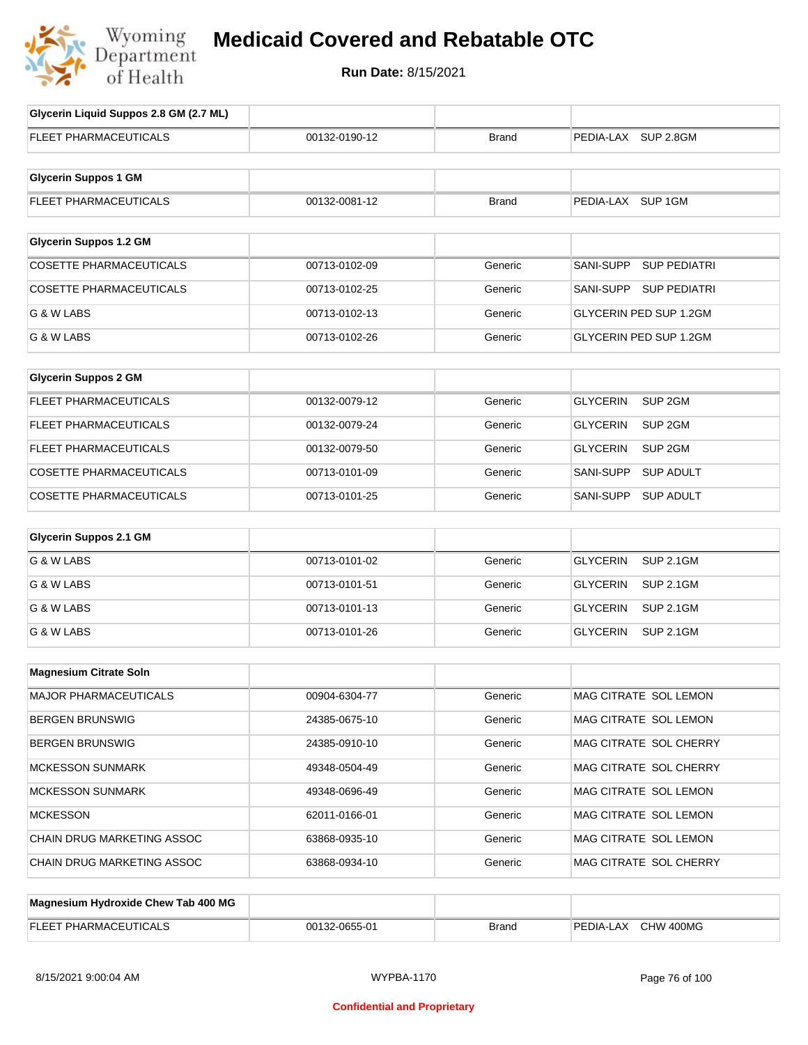

## **Medicaid Covered and Rebatable OTC**

**Run Date:** 8/15/2021

| Glycerin Liquid Suppos 2.8 GM (2.7 ML) |               |              |                                       |
|----------------------------------------|---------------|--------------|---------------------------------------|
| <b>FLEET PHARMACEUTICALS</b>           | 00132-0190-12 | Brand        | PEDIA-LAX SUP 2.8GM                   |
|                                        |               |              |                                       |
| <b>Glycerin Suppos 1 GM</b>            |               |              |                                       |
| FLEET PHARMACEUTICALS                  | 00132-0081-12 | <b>Brand</b> | PEDIA-LAX SUP 1GM                     |
|                                        |               |              |                                       |
| <b>Glycerin Suppos 1.2 GM</b>          |               |              |                                       |
| <b>COSETTE PHARMACEUTICALS</b>         | 00713-0102-09 | Generic      | SANI-SUPP<br><b>SUP PEDIATRI</b>      |
| <b>COSETTE PHARMACEUTICALS</b>         | 00713-0102-25 | Generic      | SANI-SUPP SUP PEDIATRI                |
| G & W LABS                             | 00713-0102-13 | Generic      | <b>GLYCERIN PED SUP 1.2GM</b>         |
| G & W LABS                             | 00713-0102-26 | Generic      | GLYCERIN PED SUP 1.2GM                |
|                                        |               |              |                                       |
| <b>Glycerin Suppos 2 GM</b>            |               |              |                                       |
| FLEET PHARMACEUTICALS                  | 00132-0079-12 | Generic      | <b>GLYCERIN</b><br>SUP <sub>2GM</sub> |
| <b>FLEET PHARMACEUTICALS</b>           | 00132-0079-24 | Generic      | <b>GLYCERIN</b><br>SUP 2GM            |
| <b>FLEET PHARMACEUTICALS</b>           | 00132-0079-50 | Generic      | <b>GLYCERIN</b><br>SUP 2GM            |
| COSETTE PHARMACEUTICALS                | 00713-0101-09 | Generic      | SANI-SUPP<br><b>SUP ADULT</b>         |
| <b>COSETTE PHARMACEUTICALS</b>         | 00713-0101-25 | Generic      | SANI-SUPP<br><b>SUP ADULT</b>         |
| <b>Glycerin Suppos 2.1 GM</b>          |               |              |                                       |
| G & W LABS                             | 00713-0101-02 | Generic      | <b>GLYCERIN</b><br><b>SUP 2.1GM</b>   |
|                                        |               |              |                                       |
| G & W LABS                             | 00713-0101-51 | Generic      | <b>GLYCERIN</b><br><b>SUP 2.1GM</b>   |
| G & W LABS                             | 00713-0101-13 | Generic      | <b>GLYCERIN</b><br><b>SUP 2.1GM</b>   |
| G & W LABS                             | 00713-0101-26 | Generic      | <b>GLYCERIN</b><br><b>SUP 2.1GM</b>   |
| <b>Magnesium Citrate Soln</b>          |               |              |                                       |
| MAJOR PHARMACEUTICALS                  | 00904-6304-77 | Generic      | MAG CITRATE SOL LEMON                 |
|                                        |               |              |                                       |
| <b>BERGEN BRUNSWIG</b>                 | 24385-0675-10 | Generic      | MAG CITRATE SOL LEMON                 |
| <b>BERGEN BRUNSWIG</b>                 | 24385-0910-10 | Generic      | MAG CITRATE SOL CHERRY                |
| <b>MCKESSON SUNMARK</b>                | 49348-0504-49 | Generic      | MAG CITRATE SOL CHERRY                |
| <b>MCKESSON SUNMARK</b>                | 49348-0696-49 | Generic      | MAG CITRATE SOL LEMON                 |
| <b>MCKESSON</b>                        | 62011-0166-01 | Generic      | MAG CITRATE SOL LEMON                 |
| CHAIN DRUG MARKETING ASSOC             | 63868-0935-10 | Generic      | MAG CITRATE SOL LEMON                 |
| CHAIN DRUG MARKETING ASSOC             | 63868-0934-10 | Generic      | MAG CITRATE SOL CHERRY                |
|                                        |               |              |                                       |
| Magnesium Hydroxide Chew Tab 400 MG    |               |              |                                       |
| FLEET PHARMACEUTICALS                  | 00132-0655-01 | <b>Brand</b> | PEDIA-LAX CHW 400MG                   |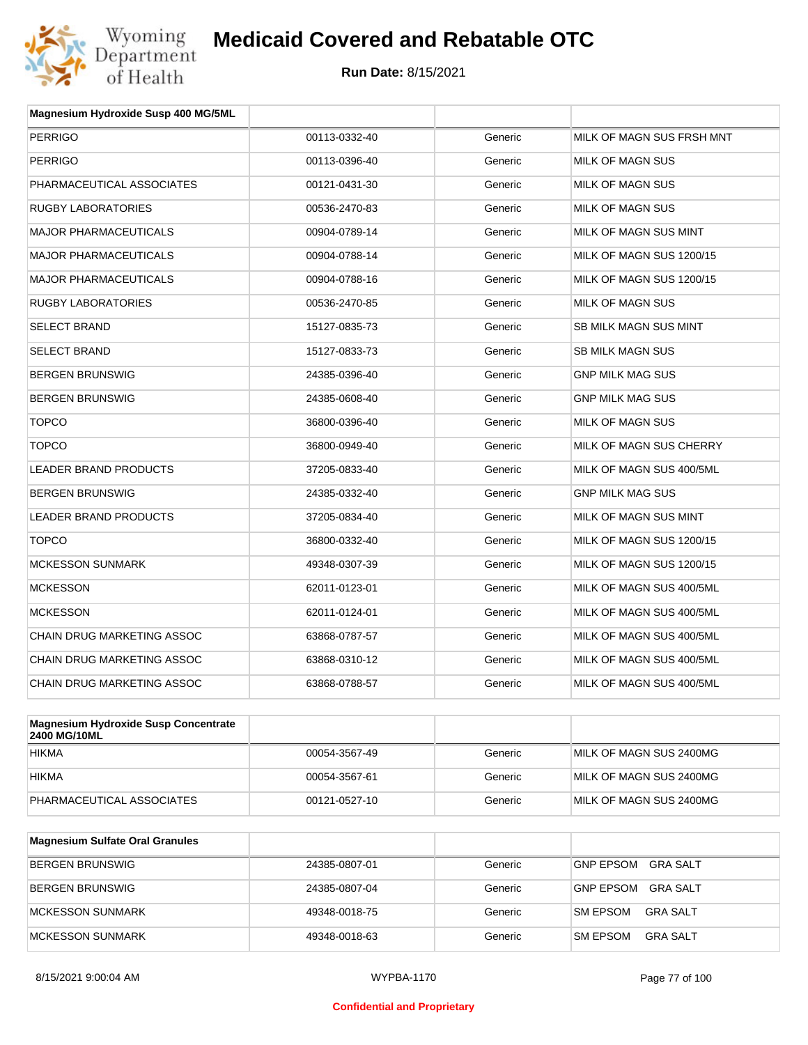

| Magnesium Hydroxide Susp 400 MG/5ML                |               |         |                           |
|----------------------------------------------------|---------------|---------|---------------------------|
| <b>PERRIGO</b>                                     | 00113-0332-40 | Generic | MILK OF MAGN SUS FRSH MNT |
| <b>PERRIGO</b>                                     | 00113-0396-40 | Generic | <b>MILK OF MAGN SUS</b>   |
| PHARMACEUTICAL ASSOCIATES                          | 00121-0431-30 | Generic | MILK OF MAGN SUS          |
| <b>RUGBY LABORATORIES</b>                          | 00536-2470-83 | Generic | MILK OF MAGN SUS          |
| <b>MAJOR PHARMACEUTICALS</b>                       | 00904-0789-14 | Generic | MILK OF MAGN SUS MINT     |
| <b>MAJOR PHARMACEUTICALS</b>                       | 00904-0788-14 | Generic | MILK OF MAGN SUS 1200/15  |
| <b>MAJOR PHARMACEUTICALS</b>                       | 00904-0788-16 | Generic | MILK OF MAGN SUS 1200/15  |
| <b>RUGBY LABORATORIES</b>                          | 00536-2470-85 | Generic | MILK OF MAGN SUS          |
| <b>SELECT BRAND</b>                                | 15127-0835-73 | Generic | SB MILK MAGN SUS MINT     |
| <b>SELECT BRAND</b>                                | 15127-0833-73 | Generic | <b>SB MILK MAGN SUS</b>   |
| <b>BERGEN BRUNSWIG</b>                             | 24385-0396-40 | Generic | <b>GNP MILK MAG SUS</b>   |
| <b>BERGEN BRUNSWIG</b>                             | 24385-0608-40 | Generic | <b>GNP MILK MAG SUS</b>   |
| <b>TOPCO</b>                                       | 36800-0396-40 | Generic | MILK OF MAGN SUS          |
| <b>TOPCO</b>                                       | 36800-0949-40 | Generic | MILK OF MAGN SUS CHERRY   |
| <b>LEADER BRAND PRODUCTS</b>                       | 37205-0833-40 | Generic | MILK OF MAGN SUS 400/5ML  |
| <b>BERGEN BRUNSWIG</b>                             | 24385-0332-40 | Generic | <b>GNP MILK MAG SUS</b>   |
| <b>LEADER BRAND PRODUCTS</b>                       | 37205-0834-40 | Generic | MILK OF MAGN SUS MINT     |
| <b>TOPCO</b>                                       | 36800-0332-40 | Generic | MILK OF MAGN SUS 1200/15  |
| <b>MCKESSON SUNMARK</b>                            | 49348-0307-39 | Generic | MILK OF MAGN SUS 1200/15  |
| <b>MCKESSON</b>                                    | 62011-0123-01 | Generic | MILK OF MAGN SUS 400/5ML  |
| <b>MCKESSON</b>                                    | 62011-0124-01 | Generic | MILK OF MAGN SUS 400/5ML  |
| <b>CHAIN DRUG MARKETING ASSOC</b>                  | 63868-0787-57 | Generic | MILK OF MAGN SUS 400/5ML  |
| CHAIN DRUG MARKETING ASSOC                         | 63868-0310-12 | Generic | MILK OF MAGN SUS 400/5ML  |
| CHAIN DRUG MARKETING ASSOC                         | 63868-0788-57 | Generic | MILK OF MAGN SUS 400/5ML  |
| advance in the collection of the collection of the |               |         |                           |

| Magnesium Hydroxide Susp Concentrate<br>2400 MG/10ML |               |         |                         |
|------------------------------------------------------|---------------|---------|-------------------------|
| <b>HIKMA</b>                                         | 00054-3567-49 | Generic | MILK OF MAGN SUS 2400MG |
| <b>HIKMA</b>                                         | 00054-3567-61 | Generic | MILK OF MAGN SUS 2400MG |
| PHARMACEUTICAL ASSOCIATES                            | 00121-0527-10 | Generic | MILK OF MAGN SUS 2400MG |

| <b>Magnesium Sulfate Oral Granules</b> |               |         |                                    |
|----------------------------------------|---------------|---------|------------------------------------|
| BERGEN BRUNSWIG                        | 24385-0807-01 | Generic | <b>GNP EPSOM</b><br>GRA SALT       |
| BERGEN BRUNSWIG                        | 24385-0807-04 | Generic | GRA SALT<br>GNP EPSOM              |
| <b>IMCKESSON SUNMARK</b>               | 49348-0018-75 | Generic | <b>SM EPSOM</b><br>GRA SALT        |
| MCKESSON SUNMARK                       | 49348-0018-63 | Generic | <b>SM EPSOM</b><br><b>GRA SALT</b> |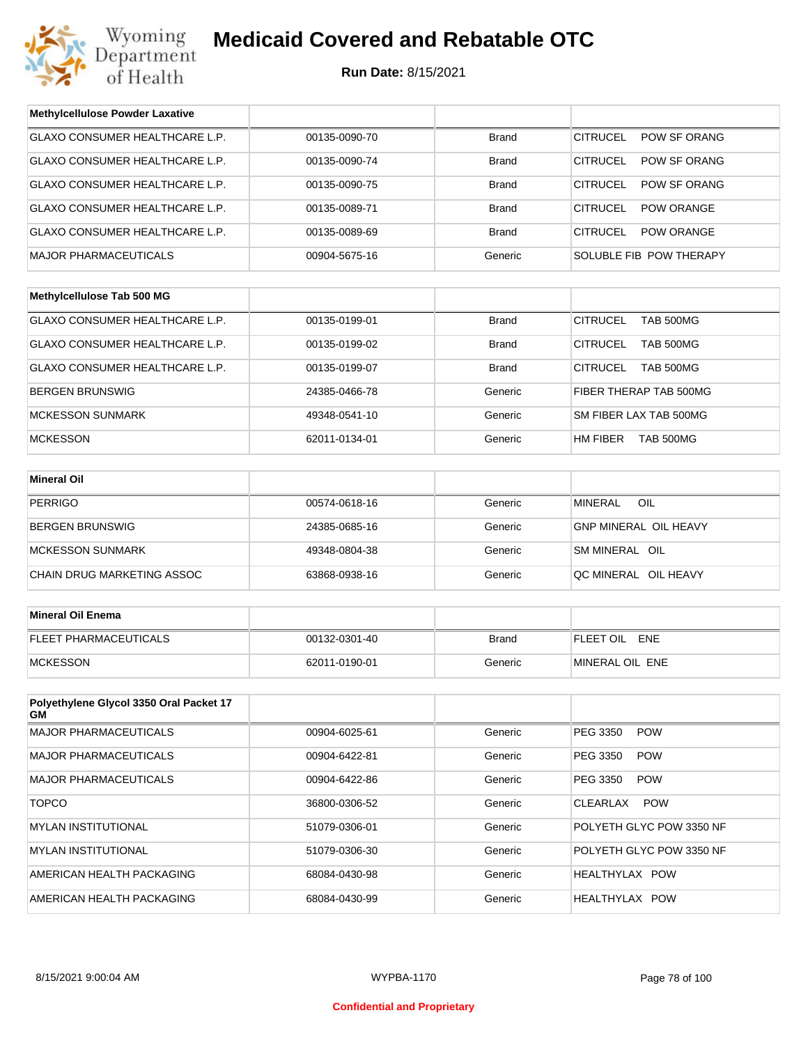

| <b>Methylcellulose Powder Laxative</b>        |               |              |                                     |
|-----------------------------------------------|---------------|--------------|-------------------------------------|
| GLAXO CONSUMER HEALTHCARE L.P.                | 00135-0090-70 | <b>Brand</b> | <b>CITRUCEL</b><br>POW SF ORANG     |
| GLAXO CONSUMER HEALTHCARE L.P.                | 00135-0090-74 | <b>Brand</b> | <b>CITRUCEL</b><br>POW SF ORANG     |
| GLAXO CONSUMER HEALTHCARE L.P.                | 00135-0090-75 | <b>Brand</b> | <b>CITRUCEL</b><br>POW SF ORANG     |
| GLAXO CONSUMER HEALTHCARE L.P.                | 00135-0089-71 | <b>Brand</b> | <b>CITRUCEL</b><br>POW ORANGE       |
| GLAXO CONSUMER HEALTHCARE L.P.                | 00135-0089-69 | <b>Brand</b> | <b>CITRUCEL</b><br>POW ORANGE       |
| <b>MAJOR PHARMACEUTICALS</b>                  | 00904-5675-16 | Generic      | SOLUBLE FIB POW THERAPY             |
|                                               |               |              |                                     |
| Methylcellulose Tab 500 MG                    |               |              |                                     |
| GLAXO CONSUMER HEALTHCARE L.P.                | 00135-0199-01 | <b>Brand</b> | <b>CITRUCEL</b><br><b>TAB 500MG</b> |
| GLAXO CONSUMER HEALTHCARE L.P.                | 00135-0199-02 | <b>Brand</b> | <b>CITRUCEL</b><br>TAB 500MG        |
| <b>GLAXO CONSUMER HEALTHCARE L.P.</b>         | 00135-0199-07 | <b>Brand</b> | <b>CITRUCEL</b><br><b>TAB 500MG</b> |
| BERGEN BRUNSWIG                               | 24385-0466-78 | Generic      | FIBER THERAP TAB 500MG              |
| <b>MCKESSON SUNMARK</b>                       | 49348-0541-10 | Generic      | SM FIBER LAX TAB 500MG              |
| <b>MCKESSON</b>                               | 62011-0134-01 | Generic      | HM FIBER<br>TAB 500MG               |
|                                               |               |              |                                     |
| <b>Mineral Oil</b>                            |               |              |                                     |
| <b>PERRIGO</b>                                | 00574-0618-16 | Generic      | <b>MINERAL</b><br>OIL               |
| BERGEN BRUNSWIG                               | 24385-0685-16 | Generic      | <b>GNP MINERAL OIL HEAVY</b>        |
| <b>MCKESSON SUNMARK</b>                       | 49348-0804-38 | Generic      | SM MINERAL OIL                      |
| CHAIN DRUG MARKETING ASSOC                    | 63868-0938-16 | Generic      | QC MINERAL OIL HEAVY                |
|                                               |               |              |                                     |
| <b>Mineral Oil Enema</b>                      |               |              |                                     |
| FLEET PHARMACEUTICALS                         | 00132-0301-40 | <b>Brand</b> | FLEET OIL ENE                       |
| <b>MCKESSON</b>                               | 62011-0190-01 | Generic      | MINERAL OIL ENE                     |
|                                               |               |              |                                     |
| Polyethylene Glycol 3350 Oral Packet 17<br>GМ |               |              |                                     |
| <b>MAJOR PHARMACEUTICALS</b>                  | 00904-6025-61 | Generic      | PEG 3350<br><b>POW</b>              |
| <b>MAJOR PHARMACEUTICALS</b>                  | 00904-6422-81 | Generic      | PEG 3350<br><b>POW</b>              |
| <b>MAJOR PHARMACEUTICALS</b>                  | 00904-6422-86 | Generic      | PEG 3350<br><b>POW</b>              |
| <b>TOPCO</b>                                  | 36800-0306-52 | Generic      | CLEARLAX<br><b>POW</b>              |
| <b>MYLAN INSTITUTIONAL</b>                    | 51079-0306-01 | Generic      | POLYETH GLYC POW 3350 NF            |
| <b>MYLAN INSTITUTIONAL</b>                    | 51079-0306-30 | Generic      | POLYETH GLYC POW 3350 NF            |
| AMERICAN HEALTH PACKAGING                     | 68084-0430-98 | Generic      | HEALTHYLAX POW                      |
| AMERICAN HEALTH PACKAGING                     | 68084-0430-99 | Generic      | HEALTHYLAX POW                      |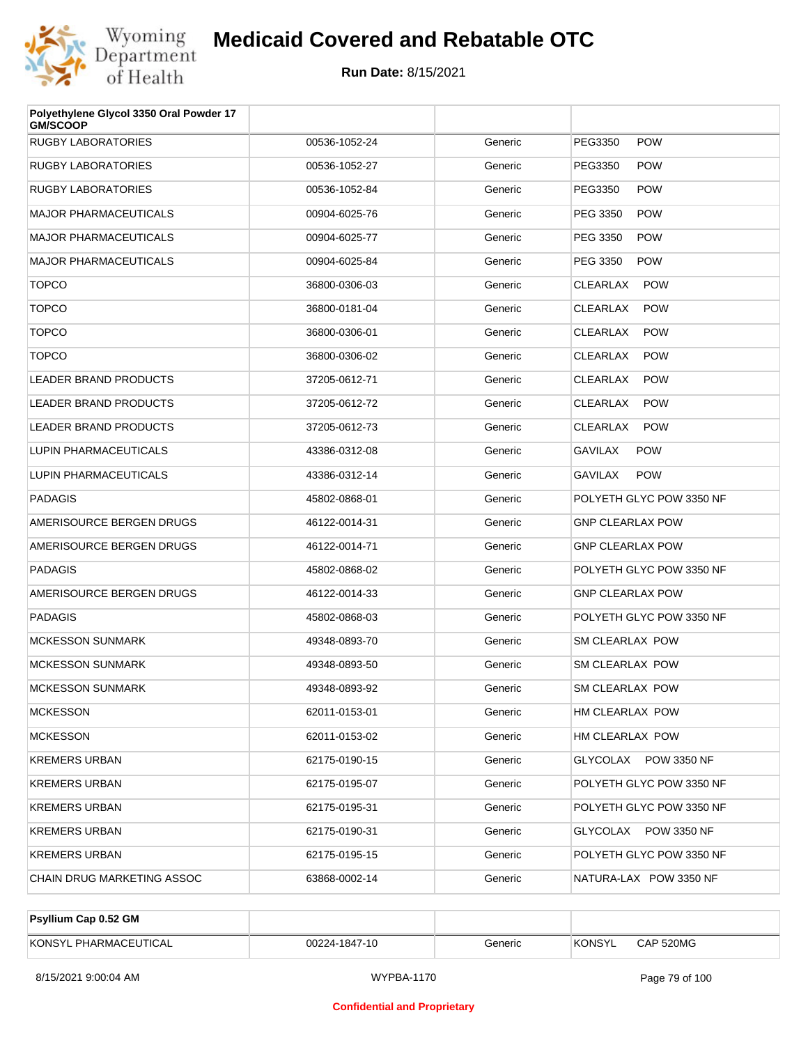

| Polyethylene Glycol 3350 Oral Powder 17<br><b>GM/SCOOP</b> |               |         |                               |
|------------------------------------------------------------|---------------|---------|-------------------------------|
| <b>RUGBY LABORATORIES</b>                                  | 00536-1052-24 | Generic | PEG3350<br><b>POW</b>         |
| <b>RUGBY LABORATORIES</b>                                  | 00536-1052-27 | Generic | PEG3350<br><b>POW</b>         |
| <b>RUGBY LABORATORIES</b>                                  | 00536-1052-84 | Generic | PEG3350<br><b>POW</b>         |
| <b>MAJOR PHARMACEUTICALS</b>                               | 00904-6025-76 | Generic | PEG 3350<br><b>POW</b>        |
| <b>MAJOR PHARMACEUTICALS</b>                               | 00904-6025-77 | Generic | PEG 3350<br><b>POW</b>        |
| <b>MAJOR PHARMACEUTICALS</b>                               | 00904-6025-84 | Generic | PEG 3350<br><b>POW</b>        |
| <b>TOPCO</b>                                               | 36800-0306-03 | Generic | CLEARLAX<br><b>POW</b>        |
| <b>TOPCO</b>                                               | 36800-0181-04 | Generic | <b>CLEARLAX</b><br><b>POW</b> |
| <b>TOPCO</b>                                               | 36800-0306-01 | Generic | CLEARLAX<br><b>POW</b>        |
| <b>TOPCO</b>                                               | 36800-0306-02 | Generic | CLEARLAX<br><b>POW</b>        |
| LEADER BRAND PRODUCTS                                      | 37205-0612-71 | Generic | CLEARLAX<br><b>POW</b>        |
| <b>LEADER BRAND PRODUCTS</b>                               | 37205-0612-72 | Generic | CLEARLAX<br><b>POW</b>        |
| <b>LEADER BRAND PRODUCTS</b>                               | 37205-0612-73 | Generic | CLEARLAX<br><b>POW</b>        |
| LUPIN PHARMACEUTICALS                                      | 43386-0312-08 | Generic | <b>GAVILAX</b><br><b>POW</b>  |
| LUPIN PHARMACEUTICALS                                      | 43386-0312-14 | Generic | <b>GAVILAX</b><br><b>POW</b>  |
| <b>PADAGIS</b>                                             | 45802-0868-01 | Generic | POLYETH GLYC POW 3350 NF      |
| AMERISOURCE BERGEN DRUGS                                   | 46122-0014-31 | Generic | <b>GNP CLEARLAX POW</b>       |
| AMERISOURCE BERGEN DRUGS                                   | 46122-0014-71 | Generic | <b>GNP CLEARLAX POW</b>       |
| <b>PADAGIS</b>                                             | 45802-0868-02 | Generic | POLYETH GLYC POW 3350 NF      |
| AMERISOURCE BERGEN DRUGS                                   | 46122-0014-33 | Generic | <b>GNP CLEARLAX POW</b>       |
| <b>PADAGIS</b>                                             | 45802-0868-03 | Generic | POLYETH GLYC POW 3350 NF      |
| <b>MCKESSON SUNMARK</b>                                    | 49348-0893-70 | Generic | <b>SM CLEARLAX POW</b>        |
| <b>MCKESSON SUNMARK</b>                                    | 49348-0893-50 | Generic | SM CLEARLAX POW               |
| <b>MCKESSON SUNMARK</b>                                    | 49348-0893-92 | Generic | SM CLEARLAX POW               |
| <b>MCKESSON</b>                                            | 62011-0153-01 | Generic | HM CLEARLAX POW               |
| <b>MCKESSON</b>                                            | 62011-0153-02 | Generic | HM CLEARLAX POW               |
| <b>KREMERS URBAN</b>                                       | 62175-0190-15 | Generic | GLYCOLAX POW 3350 NF          |
| <b>KREMERS URBAN</b>                                       | 62175-0195-07 | Generic | POLYETH GLYC POW 3350 NF      |
| <b>KREMERS URBAN</b>                                       | 62175-0195-31 | Generic | POLYETH GLYC POW 3350 NF      |
| <b>KREMERS URBAN</b>                                       | 62175-0190-31 | Generic | GLYCOLAX POW 3350 NF          |
| <b>KREMERS URBAN</b>                                       | 62175-0195-15 | Generic | POLYETH GLYC POW 3350 NF      |
| CHAIN DRUG MARKETING ASSOC                                 | 63868-0002-14 | Generic | NATURA-LAX POW 3350 NF        |

| Psyllium Cap 0.52 GM  |               |         |        |           |
|-----------------------|---------------|---------|--------|-----------|
| KONSYL PHARMACEUTICAL | 00224-1847-10 | Generic | KONSYL | CAP 520MG |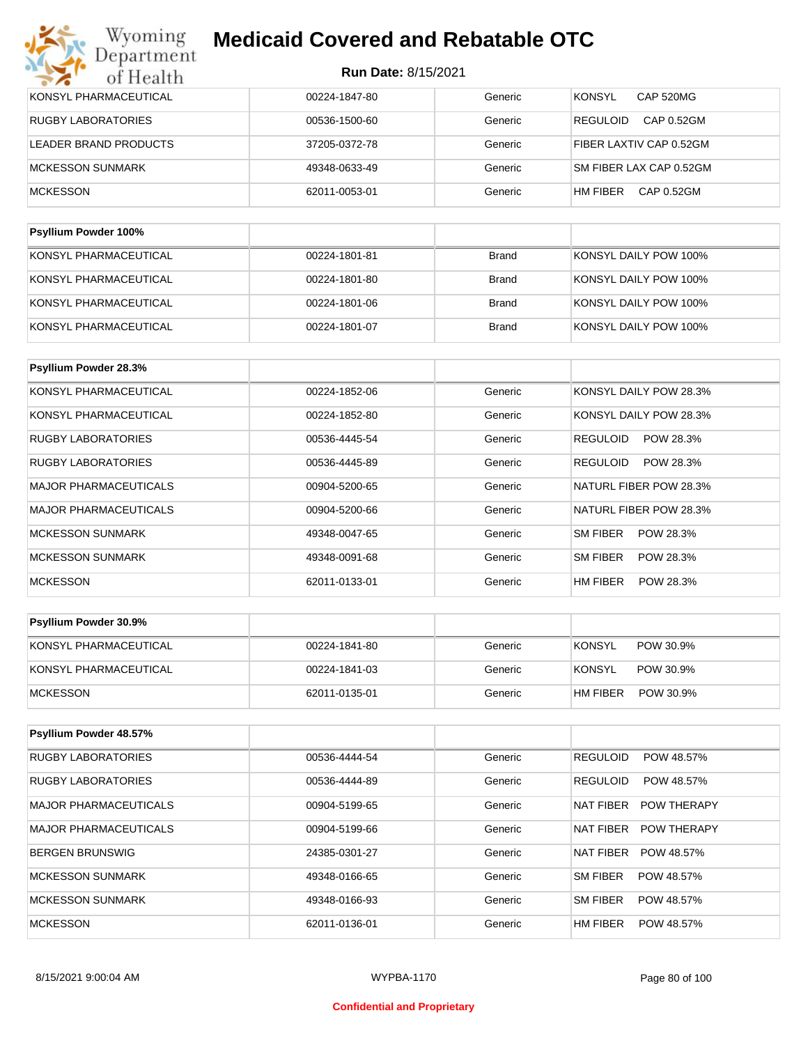| KONSYL PHARMACEUTICAL     | 00224-1847-80 | Generic      | <b>CAP 520MG</b><br><b>KONSYL</b> |
|---------------------------|---------------|--------------|-----------------------------------|
| <b>RUGBY LABORATORIES</b> | 00536-1500-60 | Generic      | CAP 0.52GM<br><b>REGULOID</b>     |
| LEADER BRAND PRODUCTS     | 37205-0372-78 | Generic      | FIBER LAXTIV CAP 0.52GM           |
| MCKESSON SUNMARK          | 49348-0633-49 | Generic      | SM FIBER LAX CAP 0.52GM           |
| <b>MCKESSON</b>           | 62011-0053-01 | Generic      | CAP 0.52GM<br>HM FIBER            |
|                           |               |              |                                   |
| Psyllium Powder 100%      |               |              |                                   |
| KONSYL PHARMACEUTICAL     | 00224-1801-81 | <b>Brand</b> | KONSYL DAILY POW 100%             |

| KONSYL PHARMACEUTICAL | 00224-1801-80 | Brand | KONSYL DAILY POW 100% |
|-----------------------|---------------|-------|-----------------------|
| KONSYL PHARMACEUTICAL | 00224-1801-06 | Brand | KONSYL DAILY POW 100% |
| KONSYL PHARMACEUTICAL | 00224-1801-07 | Brand | KONSYL DAILY POW 100% |

| Psyllium Powder 28.3%        |               |         |                              |
|------------------------------|---------------|---------|------------------------------|
| KONSYL PHARMACEUTICAL        | 00224-1852-06 | Generic | KONSYL DAILY POW 28.3%       |
| KONSYL PHARMACEUTICAL        | 00224-1852-80 | Generic | KONSYL DAILY POW 28.3%       |
| <b>RUGBY LABORATORIES</b>    | 00536-4445-54 | Generic | POW 28.3%<br><b>REGULOID</b> |
| <b>RUGBY LABORATORIES</b>    | 00536-4445-89 | Generic | <b>REGULOID</b><br>POW 28.3% |
| <b>MAJOR PHARMACEUTICALS</b> | 00904-5200-65 | Generic | NATURL FIBER POW 28.3%       |
| <b>MAJOR PHARMACEUTICALS</b> | 00904-5200-66 | Generic | NATURL FIBER POW 28.3%       |
| <b>MCKESSON SUNMARK</b>      | 49348-0047-65 | Generic | SM FIBER<br>POW 28.3%        |
| <b>MCKESSON SUNMARK</b>      | 49348-0091-68 | Generic | SM FIBER<br>POW 28.3%        |
| <b>MCKESSON</b>              | 62011-0133-01 | Generic | HM FIBER<br>POW 28.3%        |

| <b>Psyllium Powder 30.9%</b> |               |         |                       |
|------------------------------|---------------|---------|-----------------------|
| KONSYL PHARMACEUTICAL        | 00224-1841-80 | Generic | KONSYL<br>POW 30.9%   |
| KONSYL PHARMACEUTICAL        | 00224-1841-03 | Generic | KONSYL<br>POW 30.9%   |
| <b>IMCKESSON</b>             | 62011-0135-01 | Generic | HM FIBER<br>POW 30.9% |

| <b>Psyllium Powder 48.57%</b> |               |         |                                 |
|-------------------------------|---------------|---------|---------------------------------|
| <b>RUGBY LABORATORIES</b>     | 00536-4444-54 | Generic | <b>REGULOID</b><br>POW 48.57%   |
| <b>RUGBY LABORATORIES</b>     | 00536-4444-89 | Generic | <b>REGULOID</b><br>POW 48.57%   |
| <b>MAJOR PHARMACEUTICALS</b>  | 00904-5199-65 | Generic | NAT FIBER<br><b>POW THERAPY</b> |
| <b>MAJOR PHARMACEUTICALS</b>  | 00904-5199-66 | Generic | NAT FIBER<br><b>POW THERAPY</b> |
| <b>BERGEN BRUNSWIG</b>        | 24385-0301-27 | Generic | <b>NAT FIBER</b><br>POW 48.57%  |
| <b>MCKESSON SUNMARK</b>       | 49348-0166-65 | Generic | SM FIBER<br>POW 48.57%          |
| <b>MCKESSON SUNMARK</b>       | 49348-0166-93 | Generic | SM FIBER<br>POW 48.57%          |
| <b>MCKESSON</b>               | 62011-0136-01 | Generic | HM FIBER<br>POW 48.57%          |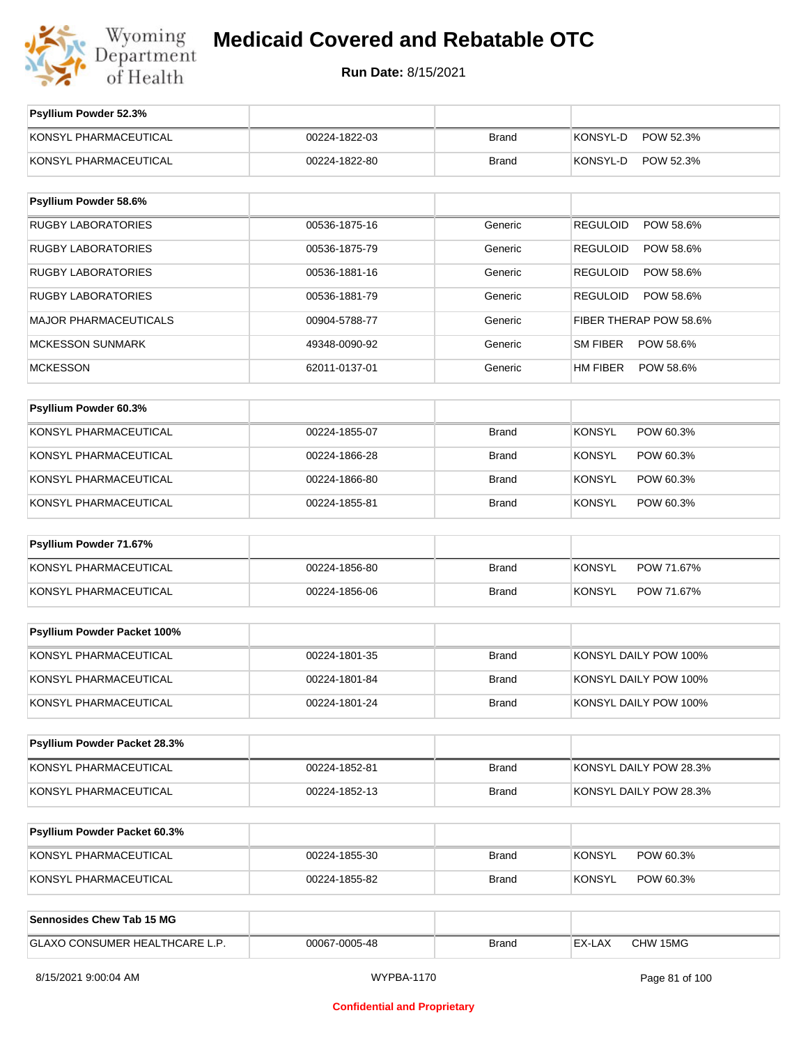

| Psyllium Powder 52.3%          |               |              |                              |
|--------------------------------|---------------|--------------|------------------------------|
| KONSYL PHARMACEUTICAL          | 00224-1822-03 | <b>Brand</b> | KONSYL-D<br>POW 52.3%        |
| KONSYL PHARMACEUTICAL          | 00224-1822-80 | <b>Brand</b> | KONSYL-D<br>POW 52.3%        |
| Psyllium Powder 58.6%          |               |              |                              |
| <b>RUGBY LABORATORIES</b>      | 00536-1875-16 | Generic      | <b>REGULOID</b><br>POW 58.6% |
| <b>RUGBY LABORATORIES</b>      | 00536-1875-79 | Generic      | <b>REGULOID</b><br>POW 58.6% |
| <b>RUGBY LABORATORIES</b>      | 00536-1881-16 | Generic      | <b>REGULOID</b><br>POW 58.6% |
| RUGBY LABORATORIES             | 00536-1881-79 | Generic      | <b>REGULOID</b><br>POW 58.6% |
| MAJOR PHARMACEUTICALS          | 00904-5788-77 | Generic      | FIBER THERAP POW 58.6%       |
| <b>MCKESSON SUNMARK</b>        | 49348-0090-92 | Generic      | SM FIBER<br>POW 58.6%        |
| <b>MCKESSON</b>                | 62011-0137-01 | Generic      | HM FIBER<br>POW 58.6%        |
| Psyllium Powder 60.3%          |               |              |                              |
|                                |               |              |                              |
| KONSYL PHARMACEUTICAL          | 00224-1855-07 | <b>Brand</b> | <b>KONSYL</b><br>POW 60.3%   |
| KONSYL PHARMACEUTICAL          | 00224-1866-28 | <b>Brand</b> | <b>KONSYL</b><br>POW 60.3%   |
| KONSYL PHARMACEUTICAL          | 00224-1866-80 | <b>Brand</b> | <b>KONSYL</b><br>POW 60.3%   |
| KONSYL PHARMACEUTICAL          | 00224-1855-81 | <b>Brand</b> | <b>KONSYL</b><br>POW 60.3%   |
| Psyllium Powder 71.67%         |               |              |                              |
| KONSYL PHARMACEUTICAL          | 00224-1856-80 | <b>Brand</b> | <b>KONSYL</b><br>POW 71.67%  |
| KONSYL PHARMACEUTICAL          | 00224-1856-06 | <b>Brand</b> | <b>KONSYL</b><br>POW 71.67%  |
|                                |               |              |                              |
| Psyllium Powder Packet 100%    |               |              |                              |
| KONSYL PHARMACEUTICAL          | 00224-1801-35 | <b>Brand</b> | KONSYL DAILY POW 100%        |
| KONSYL PHARMACEUTICAL          | 00224-1801-84 | <b>Brand</b> | KONSYL DAILY POW 100%        |
| KONSYL PHARMACEUTICAL          | 00224-1801-24 | <b>Brand</b> | KONSYL DAILY POW 100%        |
| Psyllium Powder Packet 28.3%   |               |              |                              |
| KONSYL PHARMACEUTICAL          | 00224-1852-81 | <b>Brand</b> | KONSYL DAILY POW 28.3%       |
|                                |               |              |                              |
| KONSYL PHARMACEUTICAL          | 00224-1852-13 | <b>Brand</b> | KONSYL DAILY POW 28.3%       |
| Psyllium Powder Packet 60.3%   |               |              |                              |
| KONSYL PHARMACEUTICAL          | 00224-1855-30 | <b>Brand</b> | <b>KONSYL</b><br>POW 60.3%   |
| KONSYL PHARMACEUTICAL          | 00224-1855-82 | <b>Brand</b> | <b>KONSYL</b><br>POW 60.3%   |
|                                |               |              |                              |
| Sennosides Chew Tab 15 MG      |               |              |                              |
| GLAXO CONSUMER HEALTHCARE L.P. | 00067-0005-48 | <b>Brand</b> | EX-LAX<br>CHW 15MG           |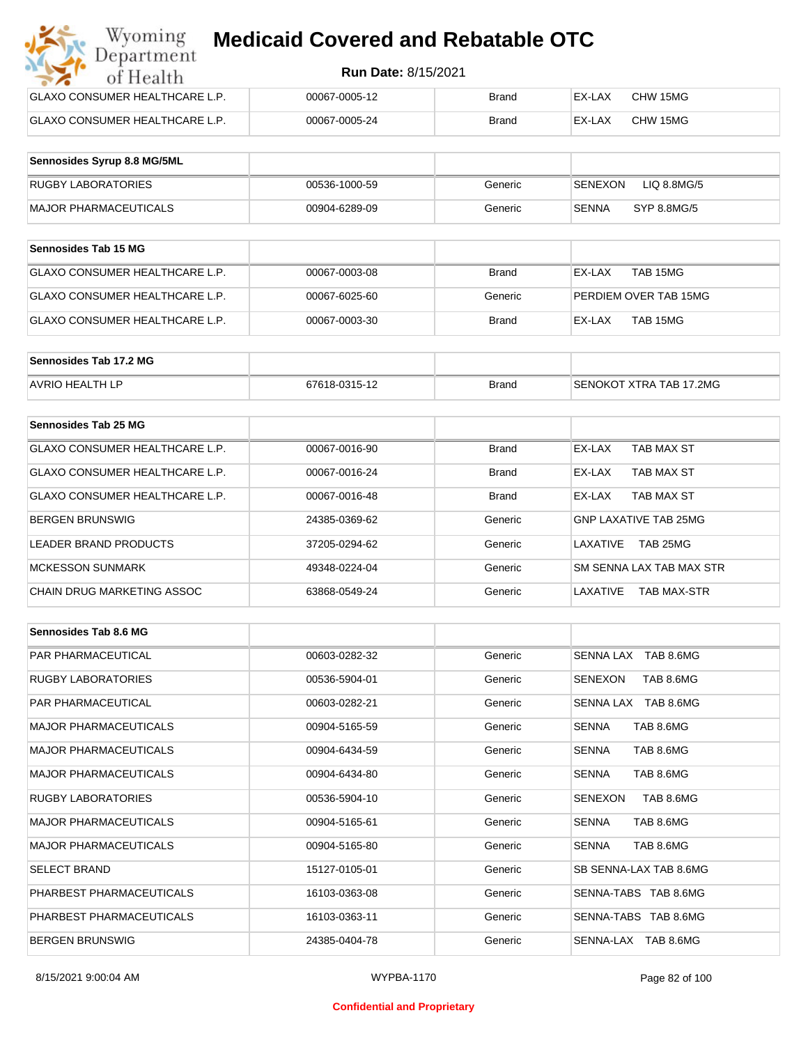| Wyoming<br><b>Medicaid Covered and Rebatable OTC</b><br>Department |               |              |        |          |  |
|--------------------------------------------------------------------|---------------|--------------|--------|----------|--|
| <b>Run Date: 8/15/2021</b><br>of Health                            |               |              |        |          |  |
| <b>GLAXO CONSUMER HEALTHCARE L.P.</b>                              | 00067-0005-12 | Brand        | EX-LAX | CHW 15MG |  |
| <b>GLAXO CONSUMER HEALTHCARE L.P.</b>                              | 00067-0005-24 | <b>Brand</b> | EX-LAX | CHW 15MG |  |

| Sennosides Syrup 8.8 MG/5ML |               |         |                                |
|-----------------------------|---------------|---------|--------------------------------|
| <b>RUGBY LABORATORIES</b>   | 00536-1000-59 | Generic | LIQ 8.8MG/5<br><b>ISENEXON</b> |
| MAJOR PHARMACEUTICALS       | 00904-6289-09 | Generic | SYP 8.8MG/5<br>SENNA           |

| <b>Sennosides Tab 15 MG</b>     |               |              |                       |
|---------------------------------|---------------|--------------|-----------------------|
| GLAXO CONSUMER HEALTHCARE L.P.  | 00067-0003-08 | Brand        | TAB 15MG<br>EX-LAX    |
| GLAXO CONSUMER HEALTHCARE L.P.  | 00067-6025-60 | Generic      | PERDIEM OVER TAB 15MG |
| IGLAXO CONSUMER HEALTHCARE L.P. | 00067-0003-30 | <b>Brand</b> | TAB 15MG<br>EX-LAX    |

| Sennosides Tab 17.2 MG |               |              |                         |
|------------------------|---------------|--------------|-------------------------|
| <b>AVRIO HEALTH LP</b> | 67618-0315-12 | <b>Brand</b> | SENOKOT XTRA TAB 17.2MG |

| <b>Sennosides Tab 25 MG</b>    |               |              |                                |
|--------------------------------|---------------|--------------|--------------------------------|
| GLAXO CONSUMER HEALTHCARE L.P. | 00067-0016-90 | <b>Brand</b> | EX-LAX<br>TAB MAX ST           |
| GLAXO CONSUMER HEALTHCARE L.P. | 00067-0016-24 | <b>Brand</b> | TAB MAX ST<br>EX-LAX           |
| GLAXO CONSUMER HEALTHCARE L.P. | 00067-0016-48 | <b>Brand</b> | TAB MAX ST<br>EX-LAX           |
| <b>BERGEN BRUNSWIG</b>         | 24385-0369-62 | Generic      | <b>GNP LAXATIVE TAB 25MG</b>   |
| LEADER BRAND PRODUCTS          | 37205-0294-62 | Generic      | TAB 25MG<br>LAXATIVE           |
| <b>MCKESSON SUNMARK</b>        | 49348-0224-04 | Generic      | SM SENNA LAX TAB MAX STR       |
| CHAIN DRUG MARKETING ASSOC     | 63868-0549-24 | Generic      | LAXATIVE<br><b>TAB MAX-STR</b> |

| Sennosides Tab 8.6 MG        |               |         |                           |
|------------------------------|---------------|---------|---------------------------|
| <b>PAR PHARMACEUTICAL</b>    | 00603-0282-32 | Generic | SENNA LAX TAB 8.6MG       |
| <b>RUGBY LABORATORIES</b>    | 00536-5904-01 | Generic | SENEXON<br>TAB 8.6MG      |
| <b>PAR PHARMACEUTICAL</b>    | 00603-0282-21 | Generic | SENNA LAX TAB 8.6MG       |
| <b>MAJOR PHARMACEUTICALS</b> | 00904-5165-59 | Generic | TAB 8.6MG<br><b>SENNA</b> |
| <b>MAJOR PHARMACEUTICALS</b> | 00904-6434-59 | Generic | <b>SENNA</b><br>TAB 8.6MG |
| <b>MAJOR PHARMACEUTICALS</b> | 00904-6434-80 | Generic | TAB 8.6MG<br><b>SENNA</b> |
| <b>RUGBY LABORATORIES</b>    | 00536-5904-10 | Generic | TAB 8.6MG<br>SENEXON      |
| <b>MAJOR PHARMACEUTICALS</b> | 00904-5165-61 | Generic | <b>SENNA</b><br>TAB 8.6MG |
| <b>MAJOR PHARMACEUTICALS</b> | 00904-5165-80 | Generic | <b>SENNA</b><br>TAB 8.6MG |
| <b>SELECT BRAND</b>          | 15127-0105-01 | Generic | SB SENNA-LAX TAB 8.6MG    |
| PHARBEST PHARMACEUTICALS     | 16103-0363-08 | Generic | SENNA-TABS TAB 8.6MG      |
| PHARBEST PHARMACEUTICALS     | 16103-0363-11 | Generic | SENNA-TABS TAB 8.6MG      |
| <b>BERGEN BRUNSWIG</b>       | 24385-0404-78 | Generic | SENNA-LAX TAB 8.6MG       |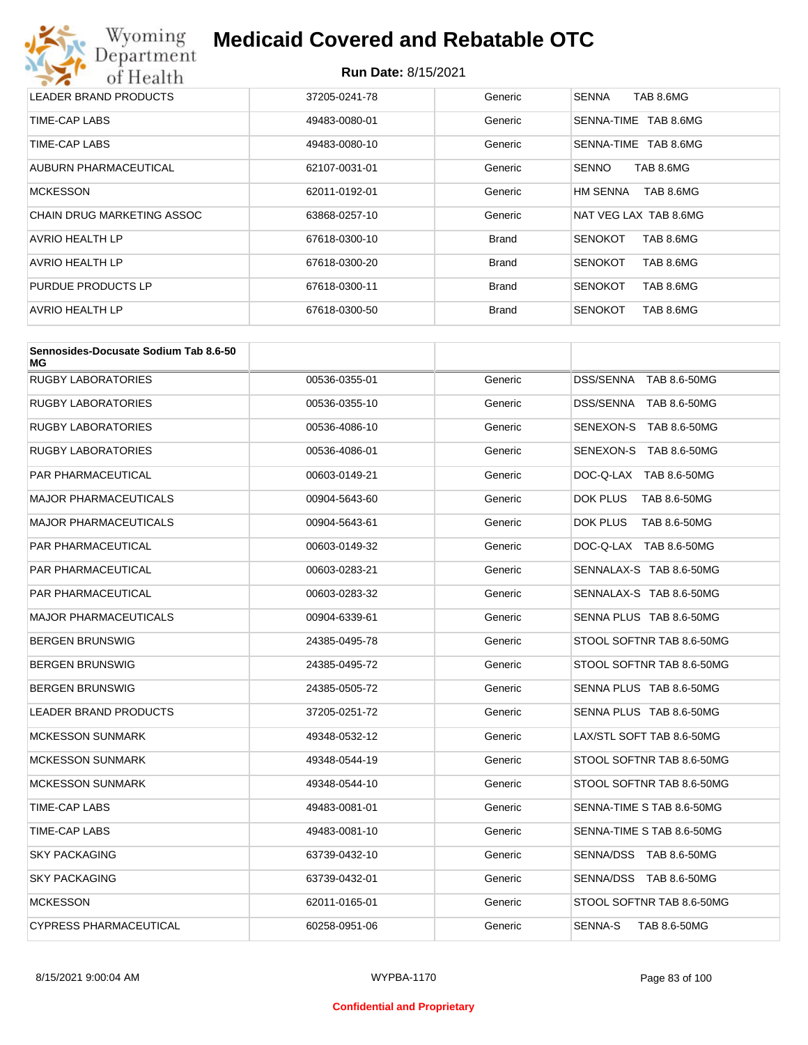

| LEADER BRAND PRODUCTS      | 37205-0241-78 | Generic      | TAB 8.6MG<br><b>SENNA</b>   |
|----------------------------|---------------|--------------|-----------------------------|
| TIME-CAP LABS              | 49483-0080-01 | Generic      | TAB 8.6MG<br>SENNA-TIME     |
| TIME-CAP LABS              | 49483-0080-10 | Generic      | TAB 8.6MG<br>SENNA-TIME     |
| AUBURN PHARMACEUTICAL      | 62107-0031-01 | Generic      | <b>SENNO</b><br>TAB 8.6MG   |
| <b>MCKESSON</b>            | 62011-0192-01 | Generic      | TAB 8.6MG<br>HM SENNA       |
| CHAIN DRUG MARKETING ASSOC | 63868-0257-10 | Generic      | NAT VEG LAX TAB 8.6MG       |
| AVRIO HEALTH LP            | 67618-0300-10 | <b>Brand</b> | TAB 8.6MG<br><b>SENOKOT</b> |
| AVRIO HEALTH LP            | 67618-0300-20 | <b>Brand</b> | TAB 8.6MG<br><b>SENOKOT</b> |
| PURDUE PRODUCTS LP         | 67618-0300-11 | <b>Brand</b> | <b>SENOKOT</b><br>TAB 8.6MG |
| AVRIO HEALTH LP            | 67618-0300-50 | <b>Brand</b> | <b>SENOKOT</b><br>TAB 8.6MG |

| Sennosides-Docusate Sodium Tab 8.6-50<br>МG |               |         |                           |
|---------------------------------------------|---------------|---------|---------------------------|
| <b>RUGBY LABORATORIES</b>                   | 00536-0355-01 | Generic | DSS/SENNA TAB 8.6-50MG    |
| RUGBY LABORATORIES                          | 00536-0355-10 | Generic | DSS/SENNA TAB 8.6-50MG    |
| RUGBY LABORATORIES                          | 00536-4086-10 | Generic | SENEXON-S TAB 8.6-50MG    |
| RUGBY LABORATORIES                          | 00536-4086-01 | Generic | SENEXON-S TAB 8.6-50MG    |
| PAR PHARMACEUTICAL                          | 00603-0149-21 | Generic | DOC-Q-LAX TAB 8.6-50MG    |
| MAJOR PHARMACEUTICALS                       | 00904-5643-60 | Generic | DOK PLUS<br>TAB 8.6-50MG  |
| <b>MAJOR PHARMACEUTICALS</b>                | 00904-5643-61 | Generic | DOK PLUS<br>TAB 8.6-50MG  |
| PAR PHARMACEUTICAL                          | 00603-0149-32 | Generic | DOC-Q-LAX TAB 8.6-50MG    |
| PAR PHARMACEUTICAL                          | 00603-0283-21 | Generic | SENNALAX-S TAB 8.6-50MG   |
| PAR PHARMACEUTICAL                          | 00603-0283-32 | Generic | SENNALAX-S TAB 8.6-50MG   |
| MAJOR PHARMACEUTICALS                       | 00904-6339-61 | Generic | SENNA PLUS TAB 8.6-50MG   |
| BERGEN BRUNSWIG                             | 24385-0495-78 | Generic | STOOL SOFTNR TAB 8.6-50MG |
| BERGEN BRUNSWIG                             | 24385-0495-72 | Generic | STOOL SOFTNR TAB 8.6-50MG |
| BERGEN BRUNSWIG                             | 24385-0505-72 | Generic | SENNA PLUS TAB 8.6-50MG   |
| LEADER BRAND PRODUCTS                       | 37205-0251-72 | Generic | SENNA PLUS TAB 8.6-50MG   |
| <b>MCKESSON SUNMARK</b>                     | 49348-0532-12 | Generic | LAX/STL SOFT TAB 8.6-50MG |
| <b>MCKESSON SUNMARK</b>                     | 49348-0544-19 | Generic | STOOL SOFTNR TAB 8.6-50MG |
| <b>MCKESSON SUNMARK</b>                     | 49348-0544-10 | Generic | STOOL SOFTNR TAB 8.6-50MG |
| TIME-CAP LABS                               | 49483-0081-01 | Generic | SENNA-TIME S TAB 8.6-50MG |
| TIME-CAP LABS                               | 49483-0081-10 | Generic | SENNA-TIME S TAB 8.6-50MG |
| <b>SKY PACKAGING</b>                        | 63739-0432-10 | Generic | SENNA/DSS TAB 8.6-50MG    |
| <b>SKY PACKAGING</b>                        | 63739-0432-01 | Generic | SENNA/DSS TAB 8.6-50MG    |
| <b>MCKESSON</b>                             | 62011-0165-01 | Generic | STOOL SOFTNR TAB 8.6-50MG |
| CYPRESS PHARMACEUTICAL                      | 60258-0951-06 | Generic | SENNA-S<br>TAB 8.6-50MG   |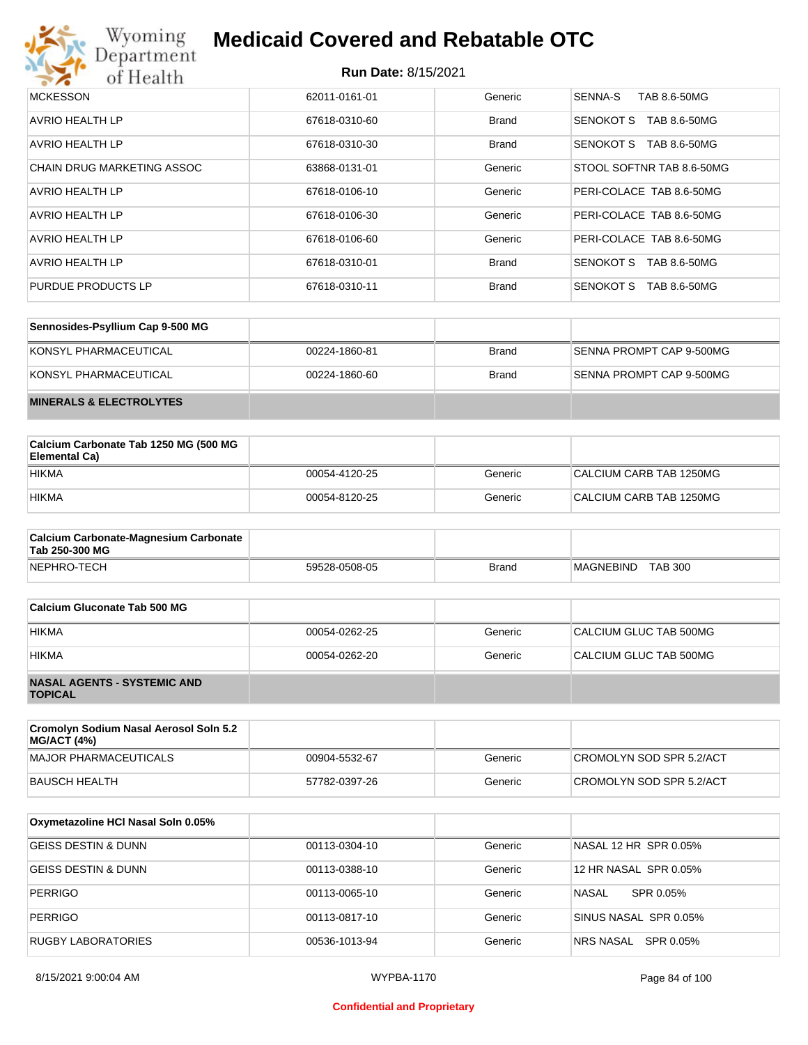

| <b>MCKESSON</b>                   | 62011-0161-01 | Generic      | SENNA-S<br>TAB 8.6-50MG          |
|-----------------------------------|---------------|--------------|----------------------------------|
| <b>AVRIO HEALTH LP</b>            | 67618-0310-60 | <b>Brand</b> | <b>SENOKOT S</b><br>TAB 8.6-50MG |
| AVRIO HEALTH LP                   | 67618-0310-30 | <b>Brand</b> | SENOKOT S<br>TAB 8.6-50MG        |
| <b>CHAIN DRUG MARKETING ASSOC</b> | 63868-0131-01 | Generic      | STOOL SOFTNR TAB 8.6-50MG        |
| AVRIO HEALTH LP                   | 67618-0106-10 | Generic      | PERI-COLACE TAB 8.6-50MG         |
| <b>AVRIO HEALTH LP</b>            | 67618-0106-30 | Generic      | PERI-COLACE TAB 8.6-50MG         |
| AVRIO HEALTH LP                   | 67618-0106-60 | Generic      | PERI-COLACE TAB 8.6-50MG         |
| AVRIO HEALTH LP                   | 67618-0310-01 | <b>Brand</b> | SENOKOT S<br>TAB 8.6-50MG        |
| PURDUE PRODUCTS LP                | 67618-0310-11 | <b>Brand</b> | <b>SENOKOT S</b><br>TAB 8.6-50MG |

| Sennosides-Psyllium Cap 9-500 MG   |               |              |                          |
|------------------------------------|---------------|--------------|--------------------------|
| KONSYL PHARMACEUTICAL              | 00224-1860-81 | <b>Brand</b> | SENNA PROMPT CAP 9-500MG |
| KONSYL PHARMACEUTICAL              | 00224-1860-60 | <b>Brand</b> | SENNA PROMPT CAP 9-500MG |
| <b>MINERALS &amp; ELECTROLYTES</b> |               |              |                          |

| Calcium Carbonate Tab 1250 MG (500 MG<br>Elemental Ca) |               |         |                         |
|--------------------------------------------------------|---------------|---------|-------------------------|
| <b>HIKMA</b>                                           | 00054-4120-25 | Generic | CALCIUM CARB TAB 1250MG |
| <b>HIKMA</b>                                           | 00054-8120-25 | Generic | CALCIUM CARB TAB 1250MG |

| <b>Calcium Carbonate-Magnesium Carbonate</b><br>Tab 250-300 MG |               |              |                             |
|----------------------------------------------------------------|---------------|--------------|-----------------------------|
| NEPHRO-TECH                                                    | 59528-0508-05 | <b>Brand</b> | <b>TAB 300</b><br>MAGNEBIND |

| Calcium Gluconate Tab 500 MG                         |               |         |                        |
|------------------------------------------------------|---------------|---------|------------------------|
| <b>HIKMA</b>                                         | 00054-0262-25 | Generic | CALCIUM GLUC TAB 500MG |
| <b>HIKMA</b>                                         | 00054-0262-20 | Generic | CALCIUM GLUC TAB 500MG |
| <b>NASAL AGENTS - SYSTEMIC AND</b><br><b>TOPICAL</b> |               |         |                        |

| Cromolyn Sodium Nasal Aerosol Soln 5.2<br><b>MG/ACT (4%)</b> |               |         |                          |
|--------------------------------------------------------------|---------------|---------|--------------------------|
| MAJOR PHARMACEUTICALS                                        | 00904-5532-67 | Generic | CROMOLYN SOD SPR 5.2/ACT |
| BAUSCH HEALTH                                                | 57782-0397-26 | Generic | CROMOLYN SOD SPR 5.2/ACT |

| Oxymetazoline HCI Nasal Soln 0.05% |               |         |                        |
|------------------------------------|---------------|---------|------------------------|
| GEISS DESTIN & DUNN                | 00113-0304-10 | Generic | NASAL 12 HR SPR 0.05%  |
| GEISS DESTIN & DUNN                | 00113-0388-10 | Generic | 12 HR NASAL SPR 0.05%  |
| <b>PERRIGO</b>                     | 00113-0065-10 | Generic | NASAL<br>SPR 0.05%     |
| <b>PERRIGO</b>                     | 00113-0817-10 | Generic | SINUS NASAL SPR 0.05%  |
| RUGBY LABORATORIES                 | 00536-1013-94 | Generic | SPR 0.05%<br>NRS NASAL |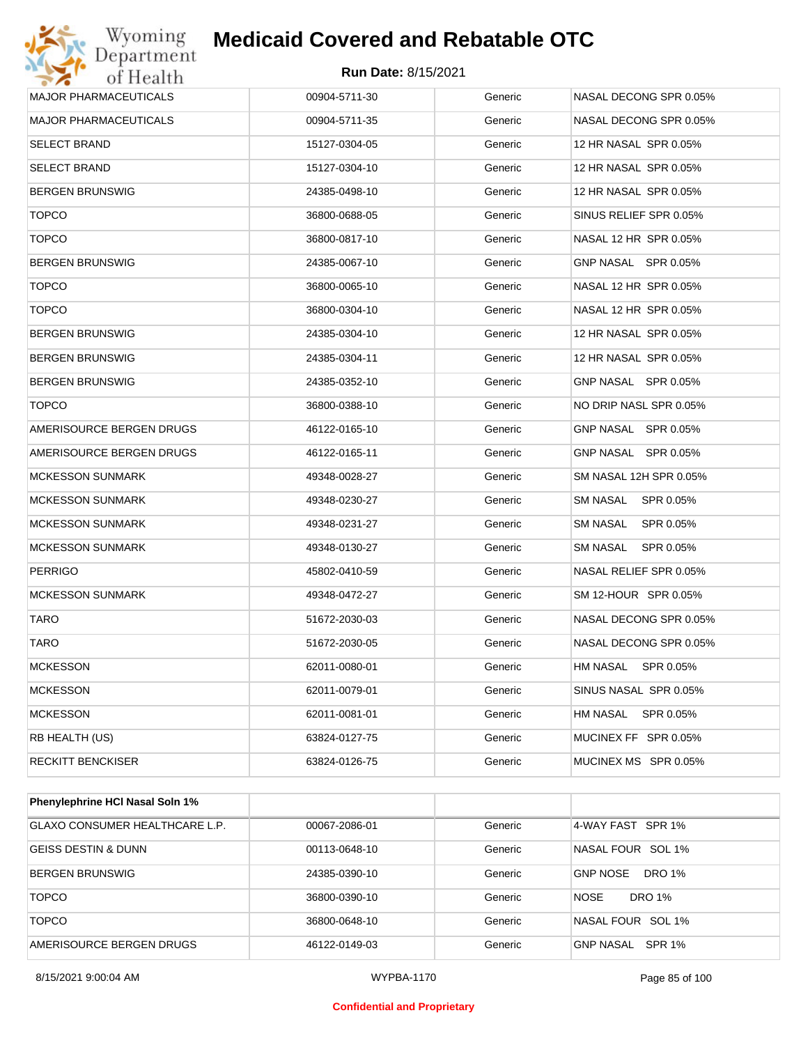

| <b>Run Date: 8/15/2021</b><br>00904-5711-30<br>Generic<br>00904-5711-35<br>Generic<br>15127-0304-05<br>Generic<br>15127-0304-10<br>Generic<br>24385-0498-10<br>Generic | NASAL DECONG SPR 0.05%<br>NASAL DECONG SPR 0.05%<br>12 HR NASAL SPR 0.05%<br>12 HR NASAL SPR 0.05%<br>12 HR NASAL SPR 0.05%                                                                                                                                                                                                                                                                                                     |
|------------------------------------------------------------------------------------------------------------------------------------------------------------------------|---------------------------------------------------------------------------------------------------------------------------------------------------------------------------------------------------------------------------------------------------------------------------------------------------------------------------------------------------------------------------------------------------------------------------------|
|                                                                                                                                                                        |                                                                                                                                                                                                                                                                                                                                                                                                                                 |
|                                                                                                                                                                        |                                                                                                                                                                                                                                                                                                                                                                                                                                 |
|                                                                                                                                                                        |                                                                                                                                                                                                                                                                                                                                                                                                                                 |
|                                                                                                                                                                        |                                                                                                                                                                                                                                                                                                                                                                                                                                 |
|                                                                                                                                                                        |                                                                                                                                                                                                                                                                                                                                                                                                                                 |
|                                                                                                                                                                        |                                                                                                                                                                                                                                                                                                                                                                                                                                 |
|                                                                                                                                                                        | SINUS RELIEF SPR 0.05%                                                                                                                                                                                                                                                                                                                                                                                                          |
| Generic                                                                                                                                                                | NASAL 12 HR SPR 0.05%                                                                                                                                                                                                                                                                                                                                                                                                           |
| Generic                                                                                                                                                                | GNP NASAL SPR 0.05%                                                                                                                                                                                                                                                                                                                                                                                                             |
| Generic                                                                                                                                                                | NASAL 12 HR SPR 0.05%                                                                                                                                                                                                                                                                                                                                                                                                           |
| Generic                                                                                                                                                                | NASAL 12 HR SPR 0.05%                                                                                                                                                                                                                                                                                                                                                                                                           |
| Generic                                                                                                                                                                | 12 HR NASAL SPR 0.05%                                                                                                                                                                                                                                                                                                                                                                                                           |
| Generic                                                                                                                                                                | 12 HR NASAL SPR 0.05%                                                                                                                                                                                                                                                                                                                                                                                                           |
| Generic                                                                                                                                                                | GNP NASAL SPR 0.05%                                                                                                                                                                                                                                                                                                                                                                                                             |
| Generic                                                                                                                                                                | NO DRIP NASL SPR 0.05%                                                                                                                                                                                                                                                                                                                                                                                                          |
| Generic                                                                                                                                                                | GNP NASAL SPR 0.05%                                                                                                                                                                                                                                                                                                                                                                                                             |
| Generic                                                                                                                                                                | GNP NASAL SPR 0.05%                                                                                                                                                                                                                                                                                                                                                                                                             |
| Generic                                                                                                                                                                | SM NASAL 12H SPR 0.05%                                                                                                                                                                                                                                                                                                                                                                                                          |
| Generic                                                                                                                                                                | <b>SM NASAL</b><br>SPR 0.05%                                                                                                                                                                                                                                                                                                                                                                                                    |
| Generic                                                                                                                                                                | SM NASAL<br>SPR 0.05%                                                                                                                                                                                                                                                                                                                                                                                                           |
| Generic                                                                                                                                                                | SM NASAL<br>SPR 0.05%                                                                                                                                                                                                                                                                                                                                                                                                           |
| Generic                                                                                                                                                                | NASAL RELIEF SPR 0.05%                                                                                                                                                                                                                                                                                                                                                                                                          |
| Generic                                                                                                                                                                | SM 12-HOUR SPR 0.05%                                                                                                                                                                                                                                                                                                                                                                                                            |
| Generic                                                                                                                                                                | NASAL DECONG SPR 0.05%                                                                                                                                                                                                                                                                                                                                                                                                          |
| Generic                                                                                                                                                                | NASAL DECONG SPR 0.05%                                                                                                                                                                                                                                                                                                                                                                                                          |
| Generic                                                                                                                                                                | <b>HM NASAL</b><br>SPR 0.05%                                                                                                                                                                                                                                                                                                                                                                                                    |
| Generic                                                                                                                                                                | SINUS NASAL SPR 0.05%                                                                                                                                                                                                                                                                                                                                                                                                           |
| Generic                                                                                                                                                                | <b>HM NASAL</b><br>SPR 0.05%                                                                                                                                                                                                                                                                                                                                                                                                    |
| Generic                                                                                                                                                                | MUCINEX FF SPR 0.05%                                                                                                                                                                                                                                                                                                                                                                                                            |
| Generic                                                                                                                                                                | MUCINEX MS SPR 0.05%                                                                                                                                                                                                                                                                                                                                                                                                            |
|                                                                                                                                                                        | 36800-0688-05<br>Generic<br>36800-0817-10<br>24385-0067-10<br>36800-0065-10<br>36800-0304-10<br>24385-0304-10<br>24385-0304-11<br>24385-0352-10<br>36800-0388-10<br>46122-0165-10<br>46122-0165-11<br>49348-0028-27<br>49348-0230-27<br>49348-0231-27<br>49348-0130-27<br>45802-0410-59<br>49348-0472-27<br>51672-2030-03<br>51672-2030-05<br>62011-0080-01<br>62011-0079-01<br>62011-0081-01<br>63824-0127-75<br>63824-0126-75 |

| <b>Phenylephrine HCI Nasal Soln 1%</b> |               |         |                            |
|----------------------------------------|---------------|---------|----------------------------|
| GLAXO CONSUMER HEALTHCARE L.P.         | 00067-2086-01 | Generic | 4-WAY FAST SPR 1%          |
| GEISS DESTIN & DUNN                    | 00113-0648-10 | Generic | NASAL FOUR SOL 1%          |
| <b>BERGEN BRUNSWIG</b>                 | 24385-0390-10 | Generic | <b>GNP NOSE</b><br>DRO 1%  |
| <b>TOPCO</b>                           | 36800-0390-10 | Generic | <b>NOSE</b><br>DRO 1%      |
| <b>TOPCO</b>                           | 36800-0648-10 | Generic | NASAL FOUR SOL 1%          |
| AMERISOURCE BERGEN DRUGS               | 46122-0149-03 | Generic | <b>SPR 1%</b><br>GNP NASAL |

#### **Confidential and Proprietary**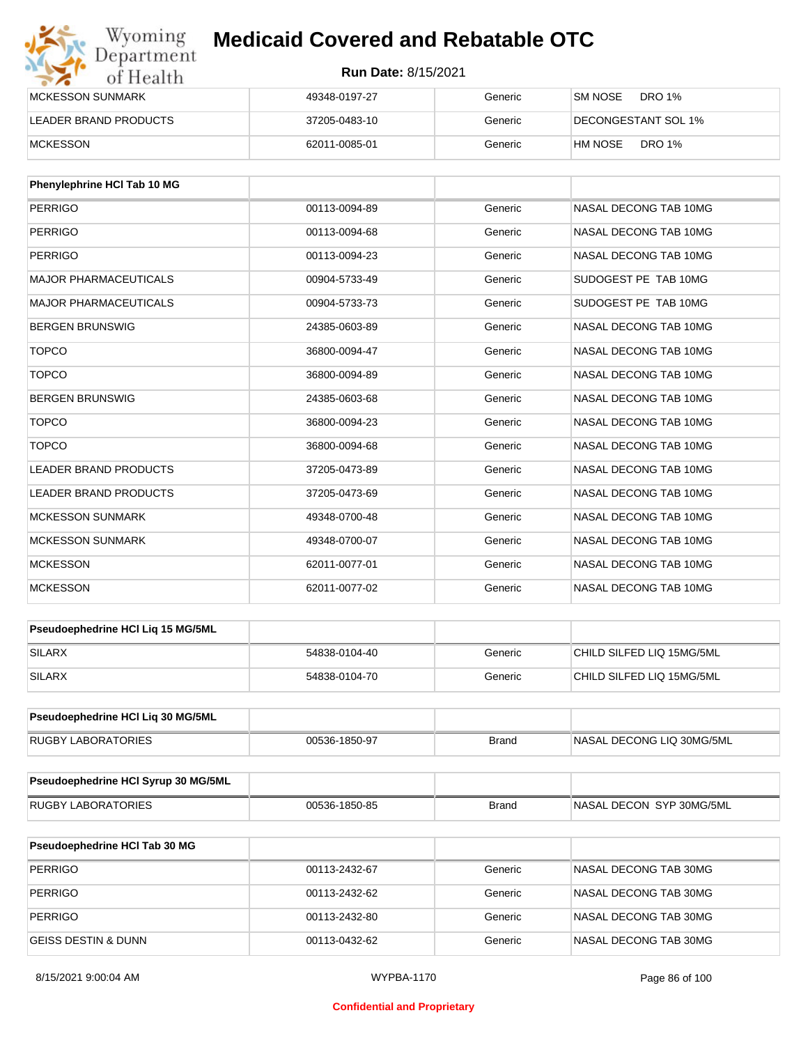## Wyoming<br>Department<br>of Health

## **Medicaid Covered and Rebatable OTC**

| <b>IMCKESSON SUNMARK</b> | 49348-0197-27 | Generic | <b>SM NOSE</b><br>DRO 1%    |
|--------------------------|---------------|---------|-----------------------------|
| LEADER BRAND PRODUCTS    | 37205-0483-10 | Generic | <b>IDECONGESTANT SOL 1%</b> |
| MCKESSON                 | 62011-0085-01 | Generic | DRO 1%<br>HM NOSE           |

| Phenylephrine HCI Tab 10 MG  |               |         |                       |
|------------------------------|---------------|---------|-----------------------|
| <b>PERRIGO</b>               | 00113-0094-89 | Generic | NASAL DECONG TAB 10MG |
| <b>PERRIGO</b>               | 00113-0094-68 | Generic | NASAL DECONG TAB 10MG |
| <b>PERRIGO</b>               | 00113-0094-23 | Generic | NASAL DECONG TAB 10MG |
| <b>MAJOR PHARMACEUTICALS</b> | 00904-5733-49 | Generic | SUDOGEST PE TAB 10MG  |
| <b>MAJOR PHARMACEUTICALS</b> | 00904-5733-73 | Generic | SUDOGEST PE TAB 10MG  |
| <b>BERGEN BRUNSWIG</b>       | 24385-0603-89 | Generic | NASAL DECONG TAB 10MG |
| <b>TOPCO</b>                 | 36800-0094-47 | Generic | NASAL DECONG TAB 10MG |
| <b>TOPCO</b>                 | 36800-0094-89 | Generic | NASAL DECONG TAB 10MG |
| <b>BERGEN BRUNSWIG</b>       | 24385-0603-68 | Generic | NASAL DECONG TAB 10MG |
| <b>TOPCO</b>                 | 36800-0094-23 | Generic | NASAL DECONG TAB 10MG |
| <b>TOPCO</b>                 | 36800-0094-68 | Generic | NASAL DECONG TAB 10MG |
| <b>LEADER BRAND PRODUCTS</b> | 37205-0473-89 | Generic | NASAL DECONG TAB 10MG |
| <b>LEADER BRAND PRODUCTS</b> | 37205-0473-69 | Generic | NASAL DECONG TAB 10MG |
| <b>MCKESSON SUNMARK</b>      | 49348-0700-48 | Generic | NASAL DECONG TAB 10MG |
| <b>MCKESSON SUNMARK</b>      | 49348-0700-07 | Generic | NASAL DECONG TAB 10MG |
| <b>MCKESSON</b>              | 62011-0077-01 | Generic | NASAL DECONG TAB 10MG |
| <b>MCKESSON</b>              | 62011-0077-02 | Generic | NASAL DECONG TAB 10MG |

| <b>Pseudoephedrine HCI Lig 15 MG/5ML</b> |               |         |                           |
|------------------------------------------|---------------|---------|---------------------------|
| SILARX                                   | 54838-0104-40 | Generic | CHILD SILFED LIQ 15MG/5ML |
| <b>SILARX</b>                            | 54838-0104-70 | Generic | CHILD SILFED LIQ 15MG/5ML |

| <b>Pseudoephedrine HCI Lig 30 MG/5ML</b> |               |       |                            |
|------------------------------------------|---------------|-------|----------------------------|
| RUGBY LABORATORIES                       | 00536-1850-97 | Brand | INASAL DECONG LIQ 30MG/5ML |

| <b>Pseudoephedrine HCI Syrup 30 MG/5ML</b> |               |       |                          |
|--------------------------------------------|---------------|-------|--------------------------|
| RUGBY LABORATORIES                         | 00536-1850-85 | Brand | NASAL DECON SYP 30MG/5ML |

| <b>Pseudoephedrine HCI Tab 30 MG</b> |               |         |                       |
|--------------------------------------|---------------|---------|-----------------------|
| <b>PERRIGO</b>                       | 00113-2432-67 | Generic | NASAL DECONG TAB 30MG |
| <b>PERRIGO</b>                       | 00113-2432-62 | Generic | NASAL DECONG TAB 30MG |
| <b>PERRIGO</b>                       | 00113-2432-80 | Generic | NASAL DECONG TAB 30MG |
| IGEISS DESTIN & DUNN                 | 00113-0432-62 | Generic | NASAL DECONG TAB 30MG |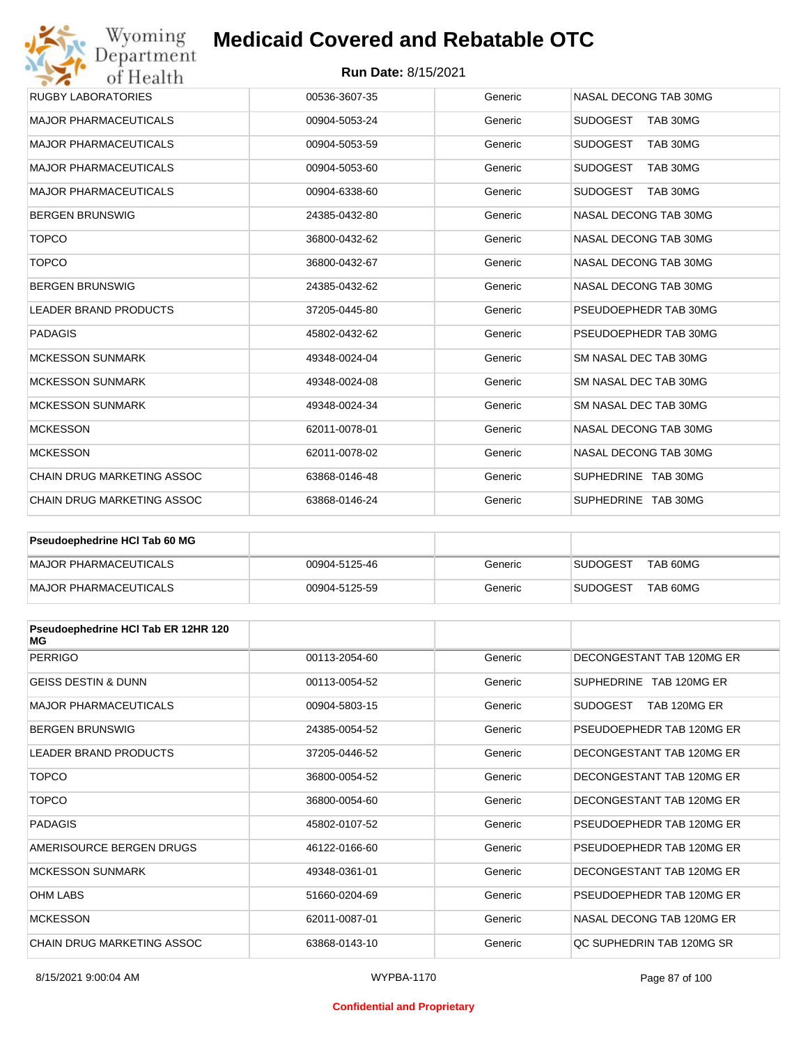#### **Run Date:** 8/15/2021

| Wyoming<br>Department             | <b>Medicaid Covered and Rebatable OTC</b> |         |                             |
|-----------------------------------|-------------------------------------------|---------|-----------------------------|
| of Health                         | <b>Run Date: 8/15/2021</b>                |         |                             |
| <b>RUGBY LABORATORIES</b>         | 00536-3607-35                             | Generic | NASAL DECONG TAB 30MG       |
| <b>MAJOR PHARMACEUTICALS</b>      | 00904-5053-24                             | Generic | <b>SUDOGEST</b><br>TAB 30MG |
| <b>MAJOR PHARMACEUTICALS</b>      | 00904-5053-59                             | Generic | <b>SUDOGEST</b><br>TAB 30MG |
| <b>MAJOR PHARMACEUTICALS</b>      | 00904-5053-60                             | Generic | <b>SUDOGEST</b><br>TAB 30MG |
| <b>MAJOR PHARMACEUTICALS</b>      | 00904-6338-60                             | Generic | <b>SUDOGEST</b><br>TAB 30MG |
| <b>BERGEN BRUNSWIG</b>            | 24385-0432-80                             | Generic | NASAL DECONG TAB 30MG       |
| <b>TOPCO</b>                      | 36800-0432-62                             | Generic | NASAL DECONG TAB 30MG       |
| <b>TOPCO</b>                      | 36800-0432-67                             | Generic | NASAL DECONG TAB 30MG       |
| <b>BERGEN BRUNSWIG</b>            | 24385-0432-62                             | Generic | NASAL DECONG TAB 30MG       |
| <b>LEADER BRAND PRODUCTS</b>      | 37205-0445-80                             | Generic | PSEUDOEPHEDR TAB 30MG       |
| <b>PADAGIS</b>                    | 45802-0432-62                             | Generic | PSEUDOEPHEDR TAB 30MG       |
| <b>MCKESSON SUNMARK</b>           | 49348-0024-04                             | Generic | SM NASAL DEC TAB 30MG       |
| <b>MCKESSON SUNMARK</b>           | 49348-0024-08                             | Generic | SM NASAL DEC TAB 30MG       |
| <b>MCKESSON SUNMARK</b>           | 49348-0024-34                             | Generic | SM NASAL DEC TAB 30MG       |
| <b>MCKESSON</b>                   | 62011-0078-01                             | Generic | NASAL DECONG TAB 30MG       |
| <b>MCKESSON</b>                   | 62011-0078-02                             | Generic | NASAL DECONG TAB 30MG       |
| CHAIN DRUG MARKETING ASSOC        | 63868-0146-48                             | Generic | SUPHEDRINE TAB 30MG         |
| <b>CHAIN DRUG MARKETING ASSOC</b> | 63868-0146-24                             | Generic | SUPHEDRINE TAB 30MG         |

| <b>Pseudoephedrine HCI Tab 60 MG</b> |               |         |                             |
|--------------------------------------|---------------|---------|-----------------------------|
| <b>IMAJOR PHARMACEUTICALS</b>        | 00904-5125-46 | Generic | TAB 60MG<br><b>SUDOGEST</b> |
| MAJOR PHARMACEUTICALS                | 00904-5125-59 | Generic | TAB 60MG<br><b>SUDOGEST</b> |

| Pseudoephedrine HCI Tab ER 12HR 120<br>MG |               |         |                                 |
|-------------------------------------------|---------------|---------|---------------------------------|
| <b>PERRIGO</b>                            | 00113-2054-60 | Generic | DECONGESTANT TAB 120MG ER       |
| <b>GEISS DESTIN &amp; DUNN</b>            | 00113-0054-52 | Generic | SUPHEDRINE TAB 120MG ER         |
| <b>MAJOR PHARMACEUTICALS</b>              | 00904-5803-15 | Generic | <b>SUDOGEST</b><br>TAB 120MG ER |
| <b>BERGEN BRUNSWIG</b>                    | 24385-0054-52 | Generic | PSEUDOEPHEDR TAB 120MG ER       |
| <b>LEADER BRAND PRODUCTS</b>              | 37205-0446-52 | Generic | DECONGESTANT TAB 120MG ER       |
| <b>TOPCO</b>                              | 36800-0054-52 | Generic | DECONGESTANT TAB 120MG ER       |
| <b>TOPCO</b>                              | 36800-0054-60 | Generic | DECONGESTANT TAB 120MG ER       |
| <b>PADAGIS</b>                            | 45802-0107-52 | Generic | PSEUDOEPHEDR TAB 120MG ER       |
| AMERISOURCE BERGEN DRUGS                  | 46122-0166-60 | Generic | PSEUDOEPHEDR TAB 120MG ER       |
| <b>MCKESSON SUNMARK</b>                   | 49348-0361-01 | Generic | DECONGESTANT TAB 120MG ER       |
| <b>OHM LABS</b>                           | 51660-0204-69 | Generic | PSEUDOEPHEDR TAB 120MG ER       |
| <b>MCKESSON</b>                           | 62011-0087-01 | Generic | NASAL DECONG TAB 120MG FR       |
| CHAIN DRUG MARKETING ASSOC                | 63868-0143-10 | Generic | OC SUPHEDRIN TAB 120MG SR       |

#### **Confidential and Proprietary**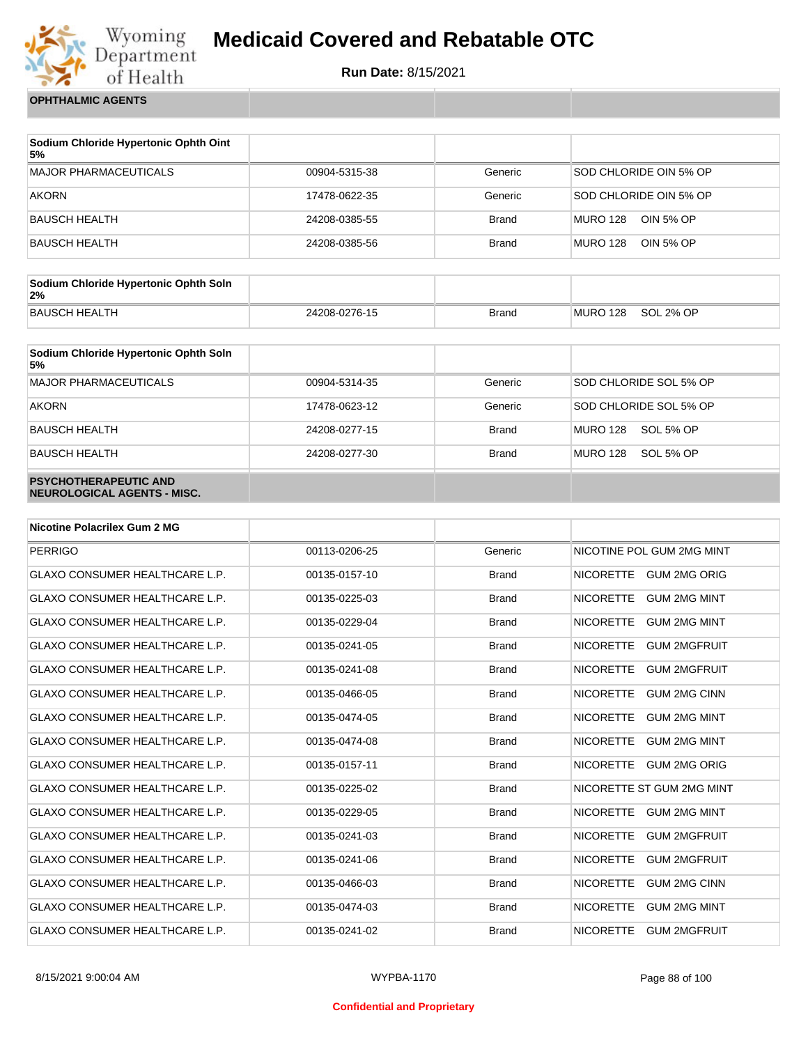

**Run Date:** 8/15/2021

**OPHTHALMIC AGENTS**

| Sodium Chloride Hypertonic Ophth Oint<br>5% |               |              |                              |
|---------------------------------------------|---------------|--------------|------------------------------|
| MAJOR PHARMACEUTICALS                       | 00904-5315-38 | Generic      | SOD CHLORIDE OIN 5% OP       |
| <b>AKORN</b>                                | 17478-0622-35 | Generic      | SOD CHLORIDE OIN 5% OP       |
| BAUSCH HEALTH                               | 24208-0385-55 | <b>Brand</b> | MURO 128<br>OIN 5% OP        |
| BAUSCH HEALTH                               | 24208-0385-56 | <b>Brand</b> | OIN 5% OP<br><b>MURO 128</b> |

| Sodium Chloride Hypertonic Ophth Soln<br>2% |               |              |          |           |
|---------------------------------------------|---------------|--------------|----------|-----------|
| BAUSCH HEALTH                               | 24208-0276-15 | <b>Brand</b> | MURO 128 | SOL 2% OP |

| Sodium Chloride Hypertonic Ophth Soln<br>5%                 |               |              |                        |
|-------------------------------------------------------------|---------------|--------------|------------------------|
| <b>MAJOR PHARMACEUTICALS</b>                                | 00904-5314-35 | Generic      | SOD CHLORIDE SOL 5% OP |
| <b>AKORN</b>                                                | 17478-0623-12 | Generic      | SOD CHLORIDE SOL 5% OP |
| <b>BAUSCH HEALTH</b>                                        | 24208-0277-15 | <b>Brand</b> | MURO 128<br>SOL 5% OP  |
| <b>BAUSCH HEALTH</b>                                        | 24208-0277-30 | <b>Brand</b> | MURO 128<br>SOL 5% OP  |
| <b>PSYCHOTHERAPEUTIC AND</b><br>NEUROLOGICAL AGENTS - MISC. |               |              |                        |

| <b>Nicotine Polacrilex Gum 2 MG</b>   |               |              |                                         |
|---------------------------------------|---------------|--------------|-----------------------------------------|
| <b>PERRIGO</b>                        | 00113-0206-25 | Generic      | NICOTINE POL GUM 2MG MINT               |
| <b>GLAXO CONSUMER HEALTHCARE L.P.</b> | 00135-0157-10 | <b>Brand</b> | <b>NICORETTE</b><br><b>GUM 2MG ORIG</b> |
| <b>GLAXO CONSUMER HEALTHCARE L.P.</b> | 00135-0225-03 | <b>Brand</b> | <b>NICORETTE</b><br><b>GUM 2MG MINT</b> |
| <b>GLAXO CONSUMER HEALTHCARE L.P.</b> | 00135-0229-04 | <b>Brand</b> | <b>NICORETTE</b><br><b>GUM 2MG MINT</b> |
| <b>GLAXO CONSUMER HEALTHCARE L.P.</b> | 00135-0241-05 | <b>Brand</b> | <b>NICORETTE</b><br><b>GUM 2MGFRUIT</b> |
| <b>GLAXO CONSUMER HEALTHCARE L.P.</b> | 00135-0241-08 | <b>Brand</b> | <b>NICORETTE</b><br><b>GUM 2MGFRUIT</b> |
| <b>GLAXO CONSUMER HEALTHCARE L.P.</b> | 00135-0466-05 | <b>Brand</b> | <b>NICORETTE</b><br><b>GUM 2MG CINN</b> |
| <b>GLAXO CONSUMER HEALTHCARE L.P.</b> | 00135-0474-05 | <b>Brand</b> | <b>NICORETTE</b><br><b>GUM 2MG MINT</b> |
| <b>GLAXO CONSUMER HEALTHCARE L.P.</b> | 00135-0474-08 | <b>Brand</b> | <b>NICORETTE</b><br><b>GUM 2MG MINT</b> |
| <b>GLAXO CONSUMER HEALTHCARE L.P.</b> | 00135-0157-11 | <b>Brand</b> | <b>NICORETTE</b><br><b>GUM 2MG ORIG</b> |
| <b>GLAXO CONSUMER HEALTHCARE L.P.</b> | 00135-0225-02 | <b>Brand</b> | NICORETTE ST GUM 2MG MINT               |
| <b>GLAXO CONSUMER HEALTHCARE L.P.</b> | 00135-0229-05 | <b>Brand</b> | <b>NICORETTE</b><br><b>GUM 2MG MINT</b> |
| <b>GLAXO CONSUMER HEALTHCARE L.P.</b> | 00135-0241-03 | <b>Brand</b> | <b>NICORETTE</b><br><b>GUM 2MGFRUIT</b> |
| <b>GLAXO CONSUMER HEALTHCARE L.P.</b> | 00135-0241-06 | <b>Brand</b> | <b>NICORETTE</b><br><b>GUM 2MGFRUIT</b> |
| <b>GLAXO CONSUMER HEALTHCARE L.P.</b> | 00135-0466-03 | <b>Brand</b> | <b>NICORETTE</b><br><b>GUM 2MG CINN</b> |
| <b>GLAXO CONSUMER HEALTHCARE L.P.</b> | 00135-0474-03 | <b>Brand</b> | <b>NICORETTE</b><br><b>GUM 2MG MINT</b> |
| <b>GLAXO CONSUMER HEALTHCARE L.P.</b> | 00135-0241-02 | <b>Brand</b> | <b>NICORETTE</b><br><b>GUM 2MGFRUIT</b> |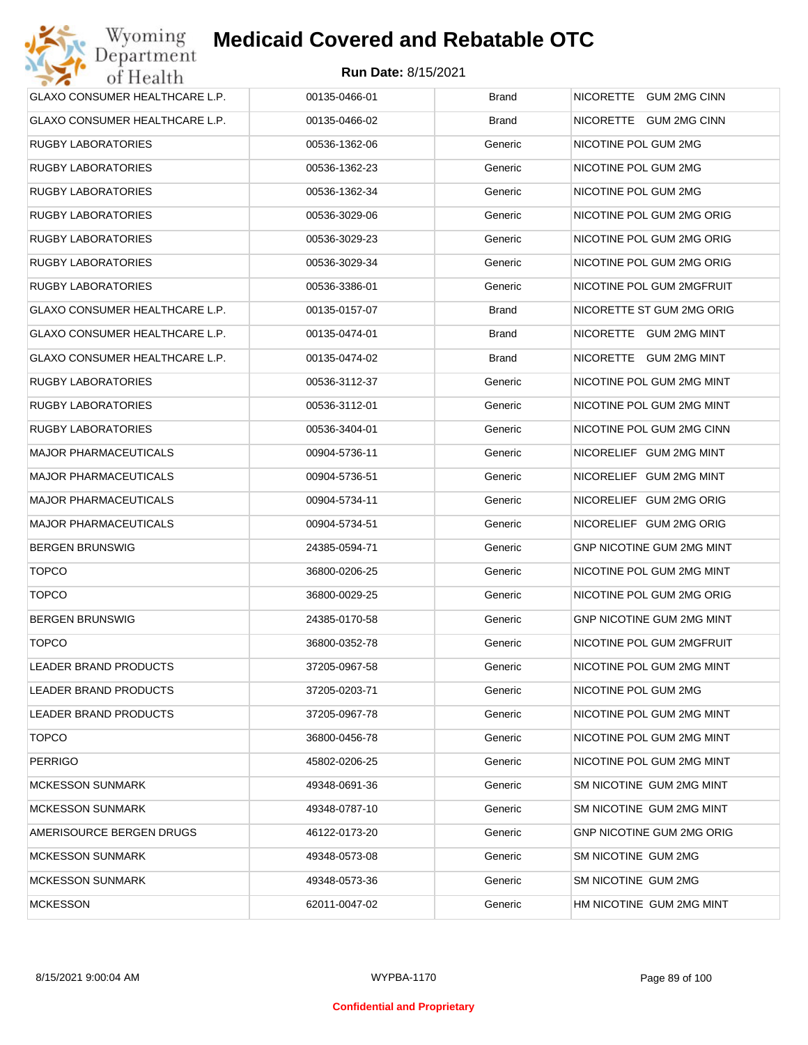| GLAXO CONSUMER HEALTHCARE L.P.        | 00135-0466-01 | <b>Brand</b> | NICORETTE GUM 2MG CINN           |
|---------------------------------------|---------------|--------------|----------------------------------|
| <b>GLAXO CONSUMER HEALTHCARE L.P.</b> | 00135-0466-02 | <b>Brand</b> | NICORETTE GUM 2MG CINN           |
| <b>RUGBY LABORATORIES</b>             | 00536-1362-06 | Generic      | NICOTINE POL GUM 2MG             |
| <b>RUGBY LABORATORIES</b>             | 00536-1362-23 | Generic      | NICOTINE POL GUM 2MG             |
| <b>RUGBY LABORATORIES</b>             | 00536-1362-34 | Generic      | NICOTINE POL GUM 2MG             |
| <b>RUGBY LABORATORIES</b>             | 00536-3029-06 | Generic      | NICOTINE POL GUM 2MG ORIG        |
| <b>RUGBY LABORATORIES</b>             | 00536-3029-23 | Generic      | NICOTINE POL GUM 2MG ORIG        |
| <b>RUGBY LABORATORIES</b>             | 00536-3029-34 | Generic      | NICOTINE POL GUM 2MG ORIG        |
| <b>RUGBY LABORATORIES</b>             | 00536-3386-01 | Generic      | NICOTINE POL GUM 2MGFRUIT        |
| GLAXO CONSUMER HEALTHCARE L.P.        | 00135-0157-07 | <b>Brand</b> | NICORETTE ST GUM 2MG ORIG        |
| GLAXO CONSUMER HEALTHCARE L.P.        | 00135-0474-01 | <b>Brand</b> | NICORETTE GUM 2MG MINT           |
| GLAXO CONSUMER HEALTHCARE L.P.        | 00135-0474-02 | <b>Brand</b> | NICORETTE GUM 2MG MINT           |
| <b>RUGBY LABORATORIES</b>             | 00536-3112-37 | Generic      | NICOTINE POL GUM 2MG MINT        |
| <b>RUGBY LABORATORIES</b>             | 00536-3112-01 | Generic      | NICOTINE POL GUM 2MG MINT        |
| <b>RUGBY LABORATORIES</b>             | 00536-3404-01 | Generic      | NICOTINE POL GUM 2MG CINN        |
| <b>MAJOR PHARMACEUTICALS</b>          | 00904-5736-11 | Generic      | NICORELIEF GUM 2MG MINT          |
| <b>MAJOR PHARMACEUTICALS</b>          | 00904-5736-51 | Generic      | NICORELIEF GUM 2MG MINT          |
| <b>MAJOR PHARMACEUTICALS</b>          | 00904-5734-11 | Generic      | NICORELIEF GUM 2MG ORIG          |
| <b>MAJOR PHARMACEUTICALS</b>          | 00904-5734-51 | Generic      | NICORELIEF GUM 2MG ORIG          |
| <b>BERGEN BRUNSWIG</b>                | 24385-0594-71 | Generic      | GNP NICOTINE GUM 2MG MINT        |
| <b>TOPCO</b>                          | 36800-0206-25 | Generic      | NICOTINE POL GUM 2MG MINT        |
| <b>TOPCO</b>                          | 36800-0029-25 | Generic      | NICOTINE POL GUM 2MG ORIG        |
| <b>BERGEN BRUNSWIG</b>                | 24385-0170-58 | Generic      | <b>GNP NICOTINE GUM 2MG MINT</b> |
| <b>TOPCO</b>                          | 36800-0352-78 | Generic      | NICOTINE POL GUM 2MGFRUIT        |
| LEADER BRAND PRODUCTS                 | 37205-0967-58 | Generic      | NICOTINE POL GUM 2MG MINT        |
| LEADER BRAND PRODUCTS                 | 37205-0203-71 | Generic      | NICOTINE POL GUM 2MG             |
| LEADER BRAND PRODUCTS                 | 37205-0967-78 | Generic      | NICOTINE POL GUM 2MG MINT        |
| <b>TOPCO</b>                          | 36800-0456-78 | Generic      | NICOTINE POL GUM 2MG MINT        |
| <b>PERRIGO</b>                        | 45802-0206-25 | Generic      | NICOTINE POL GUM 2MG MINT        |
| <b>MCKESSON SUNMARK</b>               | 49348-0691-36 | Generic      | SM NICOTINE GUM 2MG MINT         |
| <b>MCKESSON SUNMARK</b>               | 49348-0787-10 | Generic      | SM NICOTINE GUM 2MG MINT         |
| AMERISOURCE BERGEN DRUGS              | 46122-0173-20 | Generic      | <b>GNP NICOTINE GUM 2MG ORIG</b> |
| <b>MCKESSON SUNMARK</b>               | 49348-0573-08 | Generic      | SM NICOTINE GUM 2MG              |
| <b>MCKESSON SUNMARK</b>               | 49348-0573-36 | Generic      | SM NICOTINE GUM 2MG              |
| <b>MCKESSON</b>                       | 62011-0047-02 | Generic      | HM NICOTINE GUM 2MG MINT         |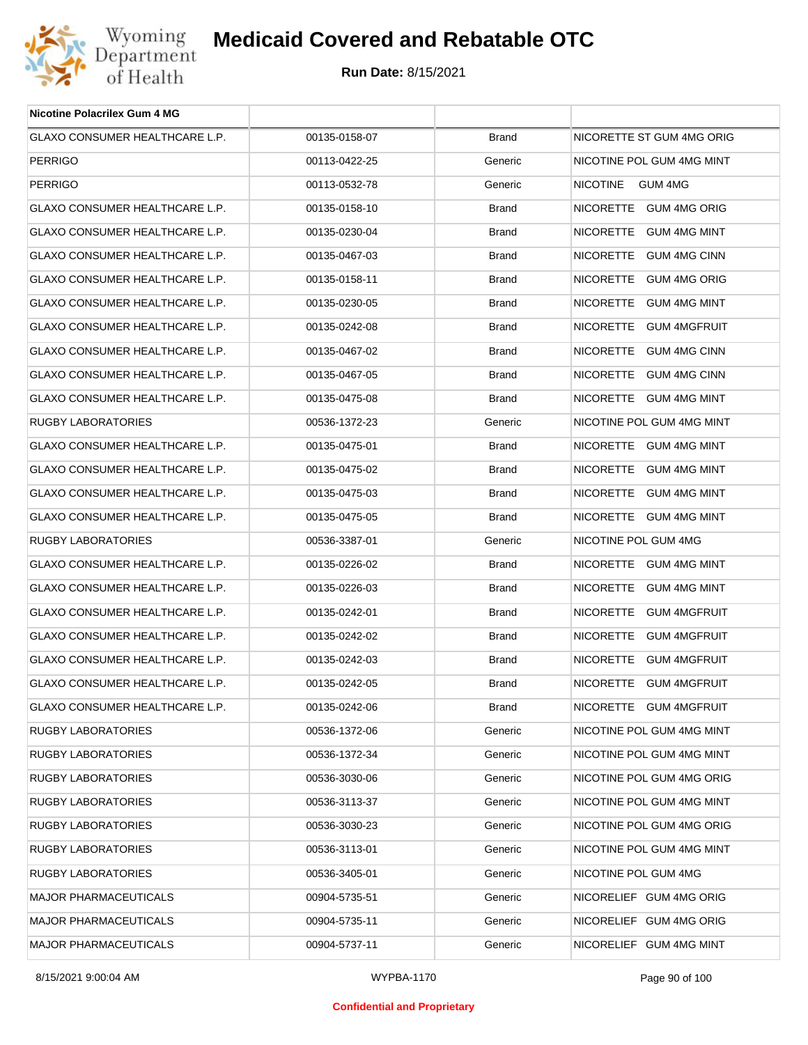

| <b>Nicotine Polacrilex Gum 4 MG</b>   |               |              |                           |
|---------------------------------------|---------------|--------------|---------------------------|
| GLAXO CONSUMER HEALTHCARE L.P.        | 00135-0158-07 | <b>Brand</b> | NICORETTE ST GUM 4MG ORIG |
| <b>PERRIGO</b>                        | 00113-0422-25 | Generic      | NICOTINE POL GUM 4MG MINT |
| <b>PERRIGO</b>                        | 00113-0532-78 | Generic      | NICOTINE GUM 4MG          |
| GLAXO CONSUMER HEALTHCARE L.P.        | 00135-0158-10 | <b>Brand</b> | NICORETTE GUM 4MG ORIG    |
| GLAXO CONSUMER HEALTHCARE L.P.        | 00135-0230-04 | <b>Brand</b> | NICORETTE GUM 4MG MINT    |
| GLAXO CONSUMER HEALTHCARE L.P.        | 00135-0467-03 | <b>Brand</b> | NICORETTE GUM 4MG CINN    |
| <b>GLAXO CONSUMER HEALTHCARE L.P.</b> | 00135-0158-11 | <b>Brand</b> | NICORETTE GUM 4MG ORIG    |
| GLAXO CONSUMER HEALTHCARE L.P.        | 00135-0230-05 | <b>Brand</b> | NICORETTE GUM 4MG MINT    |
| GLAXO CONSUMER HEALTHCARE L.P.        | 00135-0242-08 | <b>Brand</b> | NICORETTE GUM 4MGFRUIT    |
| GLAXO CONSUMER HEALTHCARE L.P.        | 00135-0467-02 | <b>Brand</b> | NICORETTE GUM 4MG CINN    |
| GLAXO CONSUMER HEALTHCARE L.P.        | 00135-0467-05 | <b>Brand</b> | NICORETTE GUM 4MG CINN    |
| GLAXO CONSUMER HEALTHCARE L.P.        | 00135-0475-08 | <b>Brand</b> | NICORETTE GUM 4MG MINT    |
| RUGBY LABORATORIES                    | 00536-1372-23 | Generic      | NICOTINE POL GUM 4MG MINT |
| <b>GLAXO CONSUMER HEALTHCARE L.P.</b> | 00135-0475-01 | <b>Brand</b> | NICORETTE GUM 4MG MINT    |
| GLAXO CONSUMER HEALTHCARE L.P.        | 00135-0475-02 | <b>Brand</b> | NICORETTE GUM 4MG MINT    |
| GLAXO CONSUMER HEALTHCARE L.P.        | 00135-0475-03 | <b>Brand</b> | NICORETTE GUM 4MG MINT    |
| GLAXO CONSUMER HEALTHCARE L.P.        | 00135-0475-05 | <b>Brand</b> | NICORETTE GUM 4MG MINT    |
| RUGBY LABORATORIES                    | 00536-3387-01 | Generic      | NICOTINE POL GUM 4MG      |
| GLAXO CONSUMER HEALTHCARE L.P.        | 00135-0226-02 | <b>Brand</b> | NICORETTE GUM 4MG MINT    |
| GLAXO CONSUMER HEALTHCARE L.P.        | 00135-0226-03 | <b>Brand</b> | NICORETTE GUM 4MG MINT    |
| GLAXO CONSUMER HEALTHCARE L.P.        | 00135-0242-01 | <b>Brand</b> | NICORETTE GUM 4MGFRUIT    |
| GLAXO CONSUMER HEALTHCARE L.P.        | 00135-0242-02 | <b>Brand</b> | NICORETTE GUM 4MGFRUIT    |
| GLAXO CONSUMER HEALTHCARE L.P.        | 00135-0242-03 | <b>Brand</b> | NICORETTE GUM 4MGFRUIT    |
| GLAXO CONSUMER HEALTHCARE L.P.        | 00135-0242-05 | <b>Brand</b> | NICORETTE GUM 4MGFRUIT    |
| GLAXO CONSUMER HEALTHCARE L.P.        | 00135-0242-06 | <b>Brand</b> | NICORETTE GUM 4MGFRUIT    |
| RUGBY LABORATORIES                    | 00536-1372-06 | Generic      | NICOTINE POL GUM 4MG MINT |
| <b>RUGBY LABORATORIES</b>             | 00536-1372-34 | Generic      | NICOTINE POL GUM 4MG MINT |
| <b>RUGBY LABORATORIES</b>             | 00536-3030-06 | Generic      | NICOTINE POL GUM 4MG ORIG |
| <b>RUGBY LABORATORIES</b>             | 00536-3113-37 | Generic      | NICOTINE POL GUM 4MG MINT |
| <b>RUGBY LABORATORIES</b>             | 00536-3030-23 | Generic      | NICOTINE POL GUM 4MG ORIG |
| <b>RUGBY LABORATORIES</b>             | 00536-3113-01 | Generic      | NICOTINE POL GUM 4MG MINT |
| <b>RUGBY LABORATORIES</b>             | 00536-3405-01 | Generic      | NICOTINE POL GUM 4MG      |
| <b>MAJOR PHARMACEUTICALS</b>          | 00904-5735-51 | Generic      | NICORELIEF GUM 4MG ORIG   |
| <b>MAJOR PHARMACEUTICALS</b>          | 00904-5735-11 | Generic      | NICORELIEF GUM 4MG ORIG   |
| <b>MAJOR PHARMACEUTICALS</b>          | 00904-5737-11 | Generic      | NICORELIEF GUM 4MG MINT   |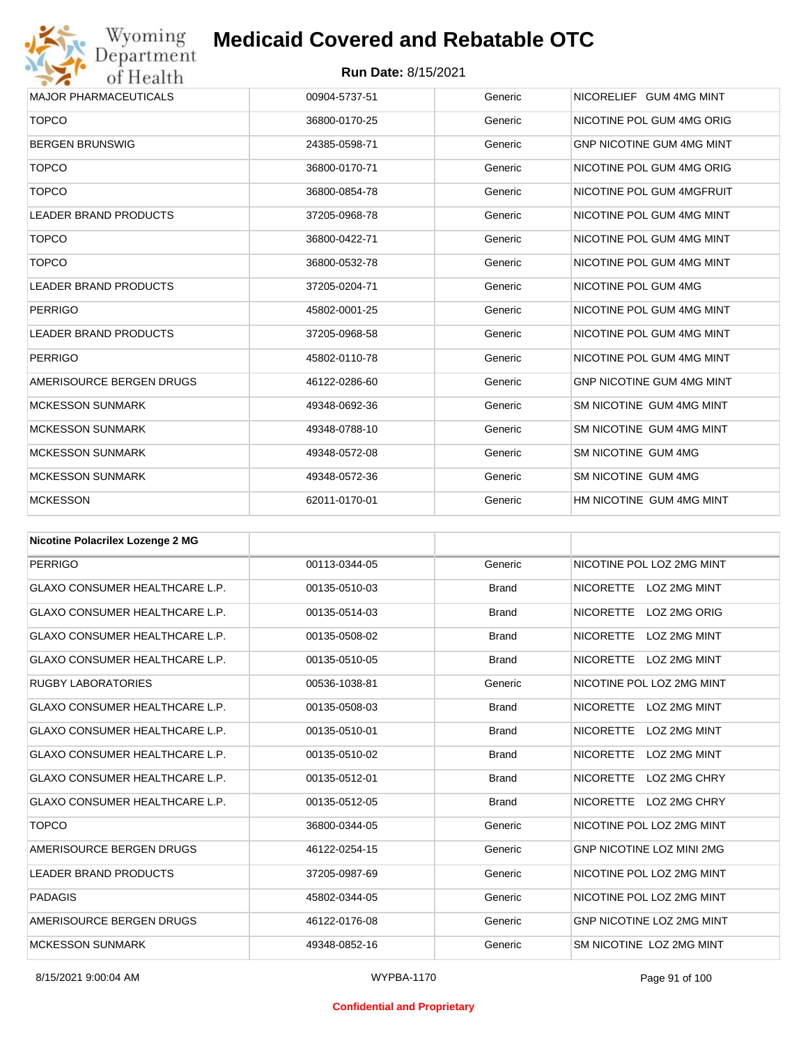

| <b>MAJOR PHARMACEUTICALS</b> | 00904-5737-51 | Generic | NICORELIEF GUM 4MG MINT          |
|------------------------------|---------------|---------|----------------------------------|
| <b>TOPCO</b>                 | 36800-0170-25 | Generic | NICOTINE POL GUM 4MG ORIG        |
| <b>BERGEN BRUNSWIG</b>       | 24385-0598-71 | Generic | <b>GNP NICOTINE GUM 4MG MINT</b> |
| <b>TOPCO</b>                 | 36800-0170-71 | Generic | NICOTINE POL GUM 4MG ORIG        |
| <b>TOPCO</b>                 | 36800-0854-78 | Generic | NICOTINE POL GUM 4MGFRUIT        |
| <b>LEADER BRAND PRODUCTS</b> | 37205-0968-78 | Generic | NICOTINE POL GUM 4MG MINT        |
| <b>TOPCO</b>                 | 36800-0422-71 | Generic | NICOTINE POL GUM 4MG MINT        |
| <b>TOPCO</b>                 | 36800-0532-78 | Generic | NICOTINE POL GUM 4MG MINT        |
| <b>LEADER BRAND PRODUCTS</b> | 37205-0204-71 | Generic | NICOTINE POL GUM 4MG             |
| <b>PERRIGO</b>               | 45802-0001-25 | Generic | NICOTINE POL GUM 4MG MINT        |
| <b>LEADER BRAND PRODUCTS</b> | 37205-0968-58 | Generic | NICOTINE POL GUM 4MG MINT        |
| <b>PERRIGO</b>               | 45802-0110-78 | Generic | NICOTINE POL GUM 4MG MINT        |
| AMERISOURCE BERGEN DRUGS     | 46122-0286-60 | Generic | <b>GNP NICOTINE GUM 4MG MINT</b> |
| <b>MCKESSON SUNMARK</b>      | 49348-0692-36 | Generic | SM NICOTINE GUM 4MG MINT         |
| <b>MCKESSON SUNMARK</b>      | 49348-0788-10 | Generic | SM NICOTINE GUM 4MG MINT         |
| <b>MCKESSON SUNMARK</b>      | 49348-0572-08 | Generic | SM NICOTINE GUM 4MG              |
| <b>MCKESSON SUNMARK</b>      | 49348-0572-36 | Generic | SM NICOTINE GUM 4MG              |
| <b>MCKESSON</b>              | 62011-0170-01 | Generic | HM NICOTINE GUM 4MG MINT         |

| <b>Nicotine Polacrilex Lozenge 2 MG</b> |               |              |                                  |
|-----------------------------------------|---------------|--------------|----------------------------------|
| <b>PERRIGO</b>                          | 00113-0344-05 | Generic      | NICOTINE POL LOZ 2MG MINT        |
| GLAXO CONSUMER HEALTHCARE L.P.          | 00135-0510-03 | <b>Brand</b> | NICORETTE LOZ 2MG MINT           |
| <b>GLAXO CONSUMER HEALTHCARE L.P.</b>   | 00135-0514-03 | <b>Brand</b> | <b>NICORETTE</b><br>LOZ 2MG ORIG |
| <b>GLAXO CONSUMER HEALTHCARE L.P.</b>   | 00135-0508-02 | <b>Brand</b> | <b>NICORETTE</b><br>LOZ 2MG MINT |
| <b>GLAXO CONSUMER HEALTHCARE L.P.</b>   | 00135-0510-05 | <b>Brand</b> | NICORETTE LOZ 2MG MINT           |
| <b>RUGBY LABORATORIES</b>               | 00536-1038-81 | Generic      | NICOTINE POL LOZ 2MG MINT        |
| <b>GLAXO CONSUMER HEALTHCARE L.P.</b>   | 00135-0508-03 | <b>Brand</b> | <b>NICORETTE</b><br>LOZ 2MG MINT |
| <b>GLAXO CONSUMER HEALTHCARE L.P.</b>   | 00135-0510-01 | <b>Brand</b> | <b>NICORETTE</b><br>LOZ 2MG MINT |
| <b>GLAXO CONSUMER HEALTHCARE L.P.</b>   | 00135-0510-02 | <b>Brand</b> | <b>NICORETTE</b><br>LOZ 2MG MINT |
| <b>GLAXO CONSUMER HEALTHCARE L.P.</b>   | 00135-0512-01 | <b>Brand</b> | <b>NICORETTE</b><br>LOZ 2MG CHRY |
| <b>GLAXO CONSUMER HEALTHCARE L.P.</b>   | 00135-0512-05 | <b>Brand</b> | <b>NICORETTE</b><br>LOZ 2MG CHRY |
| <b>TOPCO</b>                            | 36800-0344-05 | Generic      | NICOTINE POL LOZ 2MG MINT        |
| AMERISOURCE BERGEN DRUGS                | 46122-0254-15 | Generic      | <b>GNP NICOTINE LOZ MINI 2MG</b> |
| <b>LEADER BRAND PRODUCTS</b>            | 37205-0987-69 | Generic      | NICOTINE POL LOZ 2MG MINT        |
| <b>PADAGIS</b>                          | 45802-0344-05 | Generic      | NICOTINE POL LOZ 2MG MINT        |
| AMERISOURCE BERGEN DRUGS                | 46122-0176-08 | Generic      | <b>GNP NICOTINE LOZ 2MG MINT</b> |
| <b>MCKESSON SUNMARK</b>                 | 49348-0852-16 | Generic      | SM NICOTINE LOZ 2MG MINT         |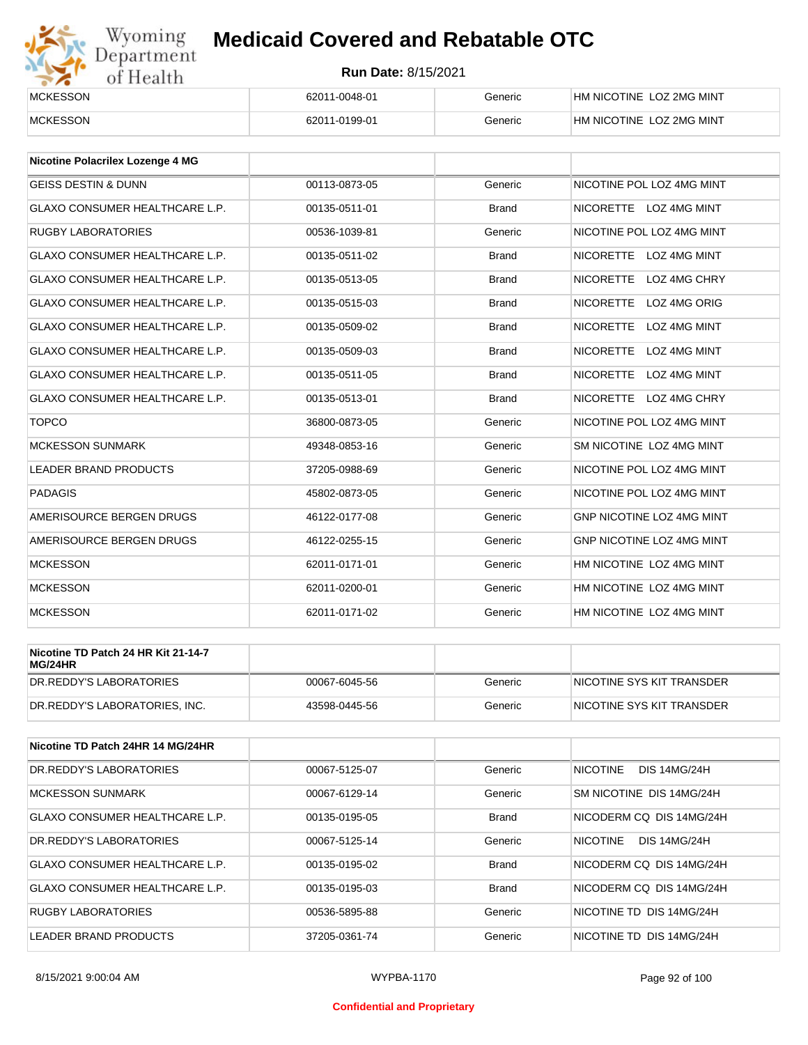# Wyoming<br>Department<br>of Health

## **Medicaid Covered and Rebatable OTC**

| <b>MCKESSON</b> | 62011-0048-01 | Generic | HM NICOTINE LOZ 2MG MINT |
|-----------------|---------------|---------|--------------------------|
| <b>MCKESSON</b> | 62011-0199-01 | Generic | HM NICOTINE LOZ 2MG MINT |

| <b>Nicotine Polacrilex Lozenge 4 MG</b> |               |              |                                         |
|-----------------------------------------|---------------|--------------|-----------------------------------------|
| <b>GEISS DESTIN &amp; DUNN</b>          | 00113-0873-05 | Generic      | NICOTINE POL LOZ 4MG MINT               |
| <b>GLAXO CONSUMER HEALTHCARE L.P.</b>   | 00135-0511-01 | <b>Brand</b> | NICORETTE LOZ 4MG MINT                  |
| <b>RUGBY LABORATORIES</b>               | 00536-1039-81 | Generic      | NICOTINE POL LOZ 4MG MINT               |
| <b>GLAXO CONSUMER HEALTHCARE L.P.</b>   | 00135-0511-02 | <b>Brand</b> | <b>NICORETTE</b><br>LOZ 4MG MINT        |
| <b>GLAXO CONSUMER HEALTHCARE L.P.</b>   | 00135-0513-05 | <b>Brand</b> | <b>NICORETTE</b><br>LOZ 4MG CHRY        |
| <b>GLAXO CONSUMER HEALTHCARE L.P.</b>   | 00135-0515-03 | <b>Brand</b> | LOZ 4MG ORIG<br><b>NICORETTE</b>        |
| <b>GLAXO CONSUMER HEALTHCARE L.P.</b>   | 00135-0509-02 | <b>Brand</b> | <b>NICORETTE</b><br>LOZ 4MG MINT        |
| <b>GLAXO CONSUMER HEALTHCARE L.P.</b>   | 00135-0509-03 | <b>Brand</b> | <b>NICORETTE</b><br><b>LOZ 4MG MINT</b> |
| <b>GLAXO CONSUMER HEALTHCARE L.P.</b>   | 00135-0511-05 | <b>Brand</b> | <b>NICORETTE</b><br>LOZ 4MG MINT        |
| <b>GLAXO CONSUMER HEALTHCARE L.P.</b>   | 00135-0513-01 | <b>Brand</b> | NICORETTE LOZ 4MG CHRY                  |
| <b>TOPCO</b>                            | 36800-0873-05 | Generic      | NICOTINE POL LOZ 4MG MINT               |
| <b>MCKESSON SUNMARK</b>                 | 49348-0853-16 | Generic      | SM NICOTINE LOZ 4MG MINT                |
| <b>LEADER BRAND PRODUCTS</b>            | 37205-0988-69 | Generic      | NICOTINE POL LOZ 4MG MINT               |
| <b>PADAGIS</b>                          | 45802-0873-05 | Generic      | NICOTINE POL LOZ 4MG MINT               |
| AMERISOURCE BERGEN DRUGS                | 46122-0177-08 | Generic      | GNP NICOTINE LOZ 4MG MINT               |
| AMERISOURCE BERGEN DRUGS                | 46122-0255-15 | Generic      | <b>GNP NICOTINE LOZ 4MG MINT</b>        |
| <b>MCKESSON</b>                         | 62011-0171-01 | Generic      | HM NICOTINE LOZ 4MG MINT                |
| <b>MCKESSON</b>                         | 62011-0200-01 | Generic      | HM NICOTINE LOZ 4MG MINT                |
| <b>MCKESSON</b>                         | 62011-0171-02 | Generic      | HM NICOTINE LOZ 4MG MINT                |

| Nicotine TD Patch 24 HR Kit 21-14-7<br>MG/24HR |               |         |                           |
|------------------------------------------------|---------------|---------|---------------------------|
| IDR.REDDY'S LABORATORIES                       | 00067-6045-56 | Generic | NICOTINE SYS KIT TRANSDER |
| DR.REDDY'S LABORATORIES. INC.                  | 43598-0445-56 | Generic | NICOTINE SYS KIT TRANSDER |

| Nicotine TD Patch 24HR 14 MG/24HR     |               |              |                                        |
|---------------------------------------|---------------|--------------|----------------------------------------|
| DR. REDDY'S LABORATORIES              | 00067-5125-07 | Generic      | <b>NICOTINE</b><br><b>DIS 14MG/24H</b> |
| <b>MCKESSON SUNMARK</b>               | 00067-6129-14 | Generic      | SM NICOTINE DIS 14MG/24H               |
| <b>GLAXO CONSUMER HEALTHCARE L.P.</b> | 00135-0195-05 | <b>Brand</b> | NICODERM CO DIS 14MG/24H               |
| DR. REDDY'S LABORATORIES              | 00067-5125-14 | Generic      | <b>NICOTINE</b><br><b>DIS 14MG/24H</b> |
| <b>GLAXO CONSUMER HEALTHCARE L.P.</b> | 00135-0195-02 | <b>Brand</b> | NICODERM CO DIS 14MG/24H               |
| <b>GLAXO CONSUMER HEALTHCARE L.P.</b> | 00135-0195-03 | <b>Brand</b> | NICODERM CO DIS 14MG/24H               |
| <b>RUGBY LABORATORIES</b>             | 00536-5895-88 | Generic      | NICOTINE TD DIS 14MG/24H               |
| <b>LEADER BRAND PRODUCTS</b>          | 37205-0361-74 | Generic      | NICOTINE TD DIS 14MG/24H               |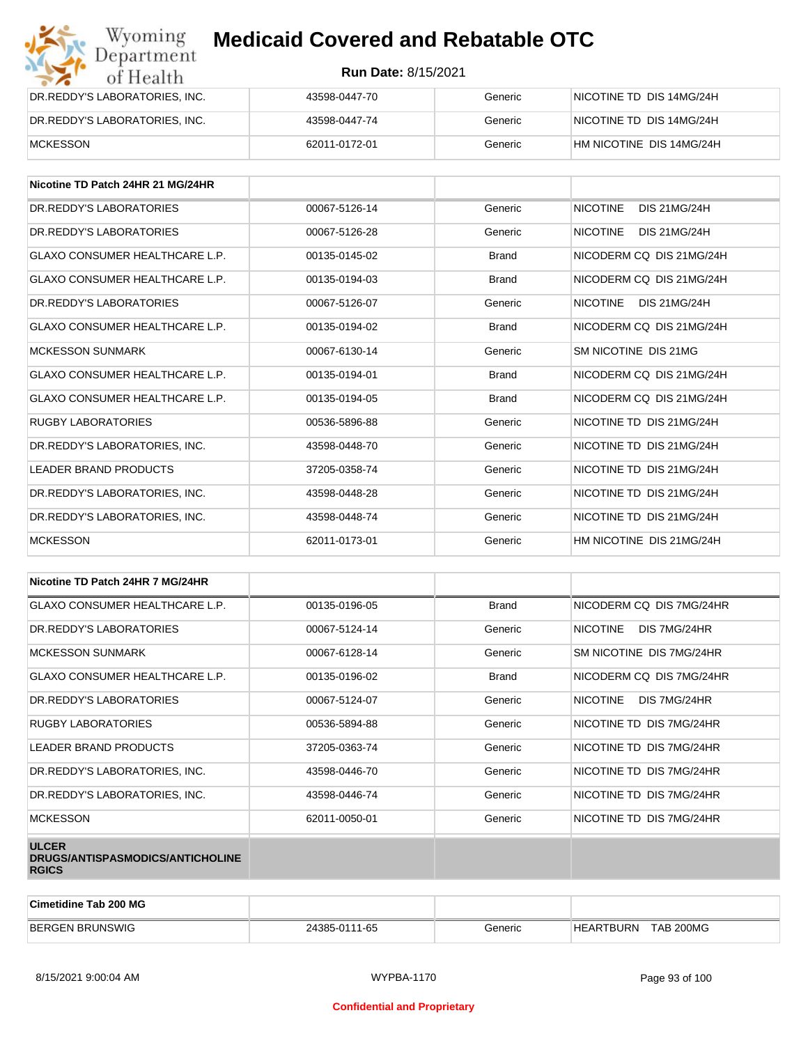| Wyoming<br>Department         | <b>Medicaid Covered and Rebatable OTC</b> |         |                          |  |
|-------------------------------|-------------------------------------------|---------|--------------------------|--|
| of Health                     | <b>Run Date: 8/15/2021</b>                |         |                          |  |
| DR.REDDY'S LABORATORIES, INC. | 43598-0447-70                             | Generic | NICOTINE TD DIS 14MG/24H |  |
| DR.REDDY'S LABORATORIES, INC. | 43598-0447-74                             | Generic | NICOTINE TD DIS 14MG/24H |  |
| <b>MCKESSON</b>               | 62011-0172-01                             | Generic | HM NICOTINE DIS 14MG/24H |  |

| Nicotine TD Patch 24HR 21 MG/24HR     |               |              |                                        |
|---------------------------------------|---------------|--------------|----------------------------------------|
| DR.REDDY'S LABORATORIES               | 00067-5126-14 | Generic      | <b>NICOTINE</b><br><b>DIS 21MG/24H</b> |
| DR. REDDY'S LABORATORIES              | 00067-5126-28 | Generic      | <b>NICOTINE</b><br><b>DIS 21MG/24H</b> |
| <b>GLAXO CONSUMER HEALTHCARE L.P.</b> | 00135-0145-02 | <b>Brand</b> | NICODERM CO DIS 21MG/24H               |
| GLAXO CONSUMER HEALTHCARE L.P.        | 00135-0194-03 | <b>Brand</b> | NICODERM CO DIS 21MG/24H               |
| DR. REDDY'S LABORATORIES              | 00067-5126-07 | Generic      | <b>NICOTINE</b><br>DIS 21MG/24H        |
| GLAXO CONSUMER HEALTHCARE L.P.        | 00135-0194-02 | <b>Brand</b> | NICODERM CO DIS 21MG/24H               |
| <b>MCKESSON SUNMARK</b>               | 00067-6130-14 | Generic      | SM NICOTINE DIS 21MG                   |
| <b>GLAXO CONSUMER HEALTHCARE L.P.</b> | 00135-0194-01 | <b>Brand</b> | NICODERM CQ DIS 21MG/24H               |
| <b>GLAXO CONSUMER HEALTHCARE L.P.</b> | 00135-0194-05 | <b>Brand</b> | NICODERM CQ DIS 21MG/24H               |
| <b>RUGBY LABORATORIES</b>             | 00536-5896-88 | Generic      | NICOTINE TD DIS 21MG/24H               |
| DR. REDDY'S LABORATORIES. INC.        | 43598-0448-70 | Generic      | NICOTINE TD DIS 21MG/24H               |
| <b>LEADER BRAND PRODUCTS</b>          | 37205-0358-74 | Generic      | NICOTINE TD DIS 21MG/24H               |
| DR.REDDY'S LABORATORIES, INC.         | 43598-0448-28 | Generic      | NICOTINE TD DIS 21MG/24H               |
| DR.REDDY'S LABORATORIES, INC.         | 43598-0448-74 | Generic      | NICOTINE TD DIS 21MG/24H               |
| <b>MCKESSON</b>                       | 62011-0173-01 | Generic      | HM NICOTINE DIS 21MG/24H               |

| Nicotine TD Patch 24HR 7 MG/24HR                                 |               |              |                                 |
|------------------------------------------------------------------|---------------|--------------|---------------------------------|
| <b>GLAXO CONSUMER HEALTHCARE L.P.</b>                            | 00135-0196-05 | <b>Brand</b> | NICODERM CQ DIS 7MG/24HR        |
| DR. REDDY'S LABORATORIES                                         | 00067-5124-14 | Generic      | <b>NICOTINE</b><br>DIS 7MG/24HR |
| <b>MCKESSON SUNMARK</b>                                          | 00067-6128-14 | Generic      | SM NICOTINE DIS 7MG/24HR        |
| GLAXO CONSUMER HEALTHCARE L.P.                                   | 00135-0196-02 | <b>Brand</b> | NICODERM CQ DIS 7MG/24HR        |
| DR. REDDY'S LABORATORIES                                         | 00067-5124-07 | Generic      | NICOTINE<br>DIS 7MG/24HR        |
| <b>RUGBY LABORATORIES</b>                                        | 00536-5894-88 | Generic      | NICOTINE TD DIS 7MG/24HR        |
| <b>LEADER BRAND PRODUCTS</b>                                     | 37205-0363-74 | Generic      | NICOTINE TD DIS 7MG/24HR        |
| DR.REDDY'S LABORATORIES, INC.                                    | 43598-0446-70 | Generic      | NICOTINE TD DIS 7MG/24HR        |
| DR.REDDY'S LABORATORIES, INC.                                    | 43598-0446-74 | Generic      | NICOTINE TD DIS 7MG/24HR        |
| <b>MCKESSON</b>                                                  | 62011-0050-01 | Generic      | NICOTINE TD DIS 7MG/24HR        |
| <b>ULCER</b><br>DRUGS/ANTISPASMODICS/ANTICHOLINE<br><b>RGICS</b> |               |              |                                 |

| <b>Cimetidine Tab 200 MG</b> |               |         |                          |
|------------------------------|---------------|---------|--------------------------|
| <b>BERGEN</b><br>! BRUNSWIG  | 24385-0111-65 | Generic | TAB 200MG<br>`BURN<br>НF |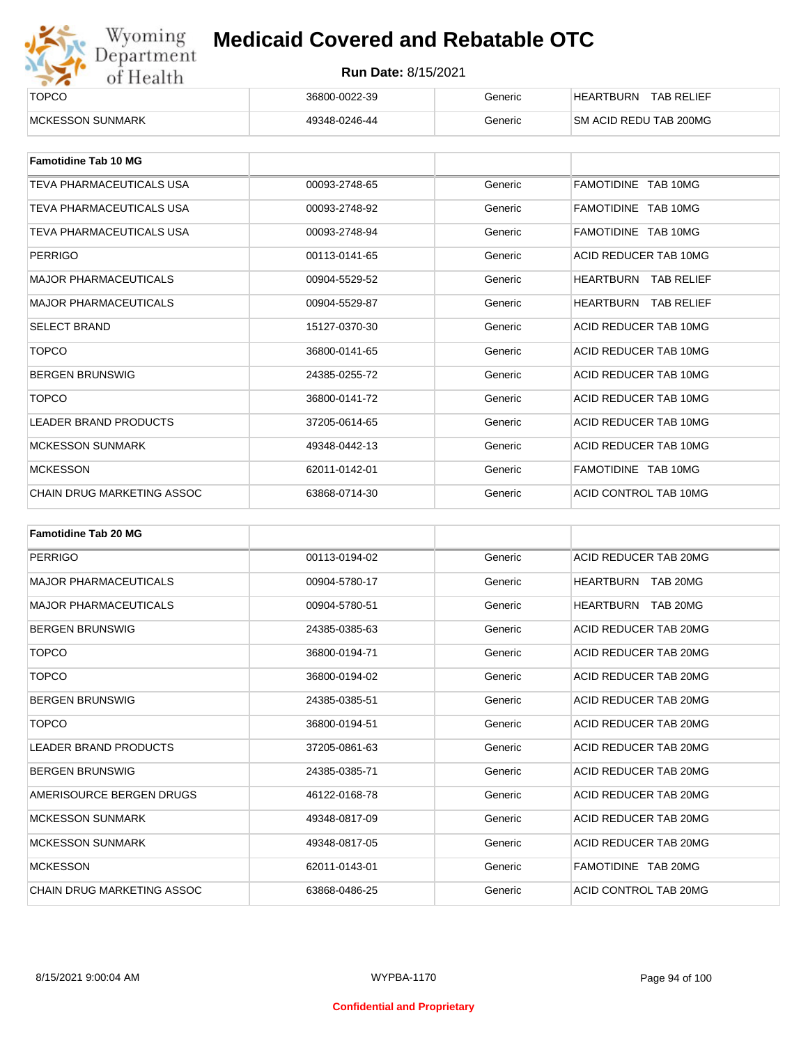

| ______                   |               |         |                                       |
|--------------------------|---------------|---------|---------------------------------------|
| <b>TOPCO</b>             | 36800-0022-39 | Generic | <b>TAB RELIEF</b><br><b>HEARTBURN</b> |
| <b>IMCKESSON SUNMARK</b> | 49348-0246-44 | Generic | <b>SM ACID REDU TAB 200MG</b>         |

| <b>Famotidine Tab 10 MG</b>  |               |         |                                |
|------------------------------|---------------|---------|--------------------------------|
| TEVA PHARMACEUTICALS USA     | 00093-2748-65 | Generic | FAMOTIDINE TAB 10MG            |
| TEVA PHARMACEUTICALS USA     | 00093-2748-92 | Generic | FAMOTIDINE TAB 10MG            |
| TEVA PHARMACEUTICALS USA     | 00093-2748-94 | Generic | FAMOTIDINE TAB 10MG            |
| <b>PERRIGO</b>               | 00113-0141-65 | Generic | ACID REDUCER TAB 10MG          |
| <b>MAJOR PHARMACEUTICALS</b> | 00904-5529-52 | Generic | HEARTBURN<br><b>TAB RELIEF</b> |
| <b>MAJOR PHARMACEUTICALS</b> | 00904-5529-87 | Generic | <b>HEARTBURN TAB RELIEF</b>    |
| <b>SELECT BRAND</b>          | 15127-0370-30 | Generic | ACID REDUCER TAB 10MG          |
| <b>TOPCO</b>                 | 36800-0141-65 | Generic | ACID REDUCER TAB 10MG          |
| <b>BERGEN BRUNSWIG</b>       | 24385-0255-72 | Generic | ACID REDUCER TAB 10MG          |
| <b>TOPCO</b>                 | 36800-0141-72 | Generic | ACID REDUCER TAB 10MG          |
| <b>LEADER BRAND PRODUCTS</b> | 37205-0614-65 | Generic | ACID REDUCER TAB 10MG          |
| <b>MCKESSON SUNMARK</b>      | 49348-0442-13 | Generic | ACID REDUCER TAB 10MG          |
| <b>MCKESSON</b>              | 62011-0142-01 | Generic | FAMOTIDINE TAB 10MG            |
| CHAIN DRUG MARKETING ASSOC   | 63868-0714-30 | Generic | ACID CONTROL TAB 10MG          |

| <b>Famotidine Tab 20 MG</b>  |               |         |                              |
|------------------------------|---------------|---------|------------------------------|
| <b>PERRIGO</b>               | 00113-0194-02 | Generic | ACID REDUCER TAB 20MG        |
| <b>MAJOR PHARMACEUTICALS</b> | 00904-5780-17 | Generic | HEARTBURN TAB 20MG           |
| <b>MAJOR PHARMACEUTICALS</b> | 00904-5780-51 | Generic | <b>HEARTBURN</b><br>TAB 20MG |
| <b>BERGEN BRUNSWIG</b>       | 24385-0385-63 | Generic | ACID REDUCER TAB 20MG        |
| <b>TOPCO</b>                 | 36800-0194-71 | Generic | ACID REDUCER TAB 20MG        |
| <b>TOPCO</b>                 | 36800-0194-02 | Generic | ACID REDUCER TAB 20MG        |
| <b>BERGEN BRUNSWIG</b>       | 24385-0385-51 | Generic | ACID REDUCER TAB 20MG        |
| <b>TOPCO</b>                 | 36800-0194-51 | Generic | ACID REDUCER TAB 20MG        |
| <b>LEADER BRAND PRODUCTS</b> | 37205-0861-63 | Generic | ACID REDUCER TAB 20MG        |
| <b>BERGEN BRUNSWIG</b>       | 24385-0385-71 | Generic | ACID REDUCER TAB 20MG        |
| AMERISOURCE BERGEN DRUGS     | 46122-0168-78 | Generic | ACID REDUCER TAB 20MG        |
| <b>MCKESSON SUNMARK</b>      | 49348-0817-09 | Generic | ACID REDUCER TAB 20MG        |
| <b>MCKESSON SUNMARK</b>      | 49348-0817-05 | Generic | ACID REDUCER TAB 20MG        |
| <b>MCKESSON</b>              | 62011-0143-01 | Generic | FAMOTIDINE TAB 20MG          |
| CHAIN DRUG MARKETING ASSOC   | 63868-0486-25 | Generic | ACID CONTROL TAB 20MG        |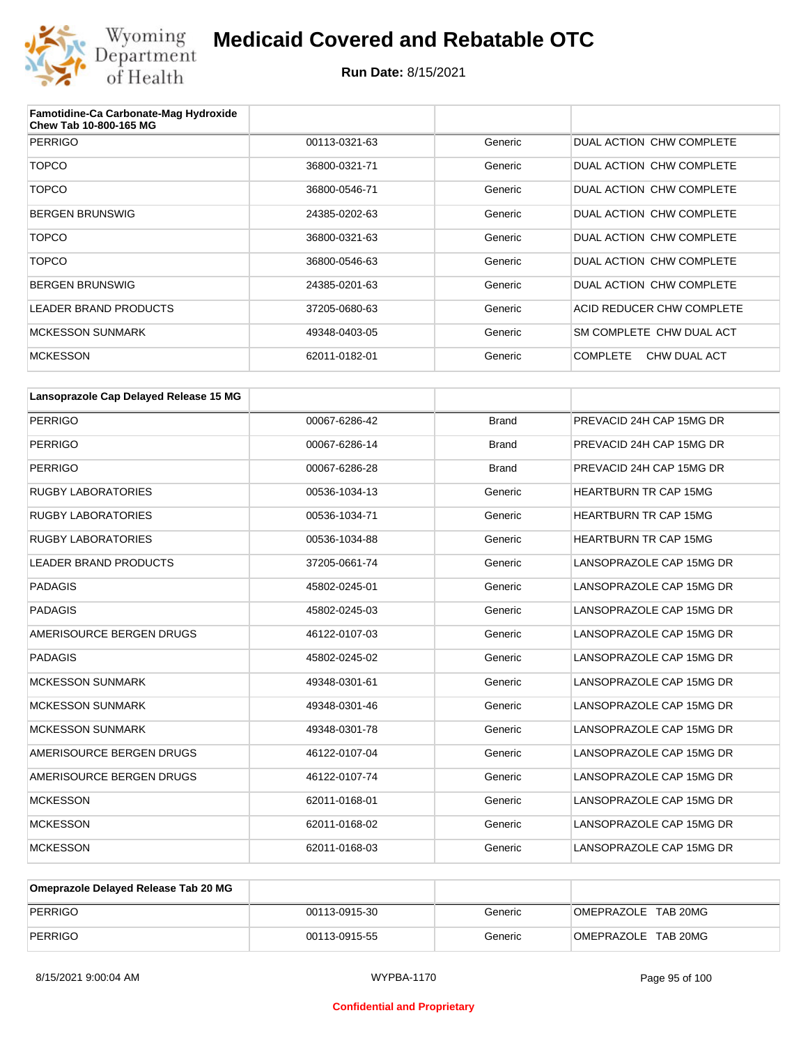

| Famotidine-Ca Carbonate-Mag Hydroxide<br>Chew Tab 10-800-165 MG |               |         |                                 |
|-----------------------------------------------------------------|---------------|---------|---------------------------------|
| <b>PERRIGO</b>                                                  | 00113-0321-63 | Generic | DUAL ACTION CHW COMPLETE        |
| <b>TOPCO</b>                                                    | 36800-0321-71 | Generic | DUAL ACTION CHW COMPLETE        |
| <b>TOPCO</b>                                                    | 36800-0546-71 | Generic | DUAL ACTION CHW COMPLETE        |
| <b>BERGEN BRUNSWIG</b>                                          | 24385-0202-63 | Generic | DUAL ACTION CHW COMPLETE        |
| <b>TOPCO</b>                                                    | 36800-0321-63 | Generic | DUAL ACTION CHW COMPLETE        |
| <b>TOPCO</b>                                                    | 36800-0546-63 | Generic | DUAL ACTION CHW COMPLETE        |
| <b>BERGEN BRUNSWIG</b>                                          | 24385-0201-63 | Generic | DUAL ACTION CHW COMPLETE        |
| LEADER BRAND PRODUCTS                                           | 37205-0680-63 | Generic | ACID REDUCER CHW COMPLETE       |
| <b>MCKESSON SUNMARK</b>                                         | 49348-0403-05 | Generic | SM COMPLETE CHW DUAL ACT        |
| <b>MCKESSON</b>                                                 | 62011-0182-01 | Generic | <b>COMPLETE</b><br>CHW DUAL ACT |

| Lansoprazole Cap Delayed Release 15 MG |               |              |                              |
|----------------------------------------|---------------|--------------|------------------------------|
| <b>PERRIGO</b>                         | 00067-6286-42 | <b>Brand</b> | PREVACID 24H CAP 15MG DR     |
| <b>PERRIGO</b>                         | 00067-6286-14 | <b>Brand</b> | PREVACID 24H CAP 15MG DR     |
| <b>PERRIGO</b>                         | 00067-6286-28 | <b>Brand</b> | PREVACID 24H CAP 15MG DR     |
| <b>RUGBY LABORATORIES</b>              | 00536-1034-13 | Generic      | <b>HEARTBURN TR CAP 15MG</b> |
| <b>RUGBY LABORATORIES</b>              | 00536-1034-71 | Generic      | <b>HEARTBURN TR CAP 15MG</b> |
| <b>RUGBY LABORATORIES</b>              | 00536-1034-88 | Generic      | <b>HEARTBURN TR CAP 15MG</b> |
| <b>LEADER BRAND PRODUCTS</b>           | 37205-0661-74 | Generic      | LANSOPRAZOLE CAP 15MG DR     |
| <b>PADAGIS</b>                         | 45802-0245-01 | Generic      | LANSOPRAZOLE CAP 15MG DR     |
| <b>PADAGIS</b>                         | 45802-0245-03 | Generic      | LANSOPRAZOLE CAP 15MG DR     |
| AMERISOURCE BERGEN DRUGS               | 46122-0107-03 | Generic      | LANSOPRAZOLE CAP 15MG DR     |
| <b>PADAGIS</b>                         | 45802-0245-02 | Generic      | LANSOPRAZOLE CAP 15MG DR     |
| <b>MCKESSON SUNMARK</b>                | 49348-0301-61 | Generic      | LANSOPRAZOLE CAP 15MG DR     |
| <b>MCKESSON SUNMARK</b>                | 49348-0301-46 | Generic      | LANSOPRAZOLE CAP 15MG DR     |
| <b>MCKESSON SUNMARK</b>                | 49348-0301-78 | Generic      | LANSOPRAZOLE CAP 15MG DR     |
| AMERISOURCE BERGEN DRUGS               | 46122-0107-04 | Generic      | LANSOPRAZOLE CAP 15MG DR     |
| AMERISOURCE BERGEN DRUGS               | 46122-0107-74 | Generic      | LANSOPRAZOLE CAP 15MG DR     |
| <b>MCKESSON</b>                        | 62011-0168-01 | Generic      | LANSOPRAZOLE CAP 15MG DR     |
| <b>MCKESSON</b>                        | 62011-0168-02 | Generic      | LANSOPRAZOLE CAP 15MG DR     |
| <b>MCKESSON</b>                        | 62011-0168-03 | Generic      | LANSOPRAZOLE CAP 15MG DR     |

| Omeprazole Delayed Release Tab 20 MG |               |         |                     |
|--------------------------------------|---------------|---------|---------------------|
| PERRIGO                              | 00113-0915-30 | Generic | OMEPRAZOLE TAB 20MG |
| PERRIGO                              | 00113-0915-55 | Generic | OMEPRAZOLE TAB 20MG |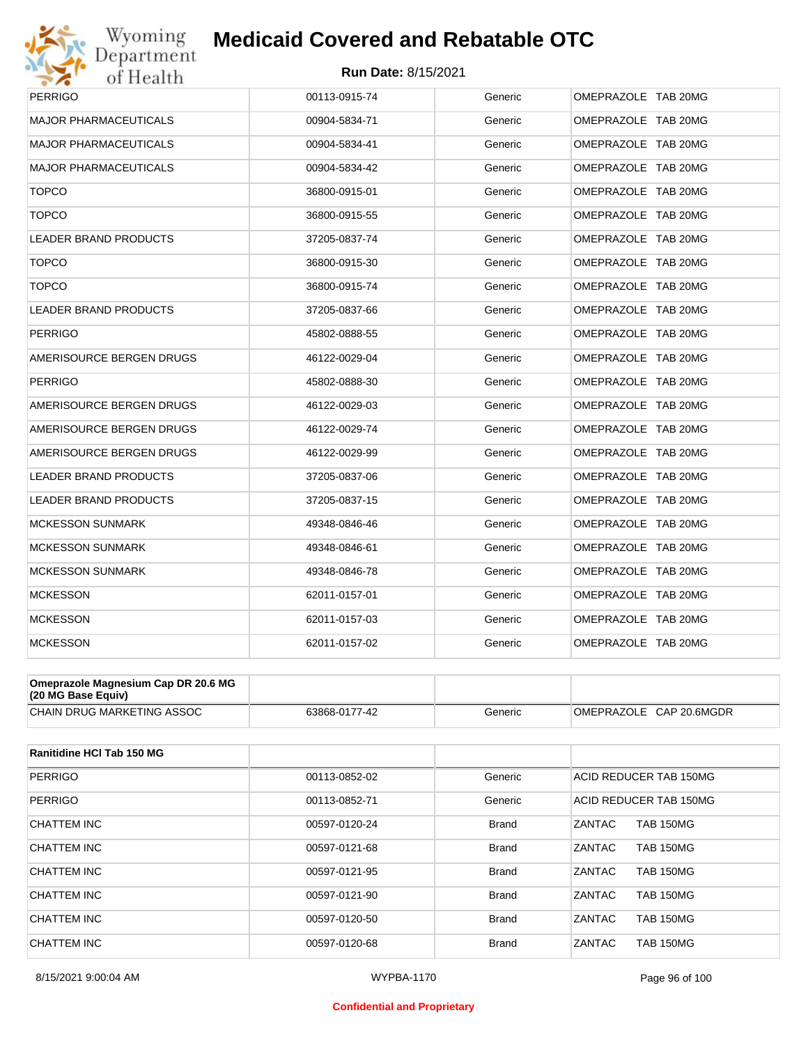

| Department<br>of Health      | <b>Run Date: 8/15/2021</b> |         |                     |
|------------------------------|----------------------------|---------|---------------------|
| <b>PERRIGO</b>               | 00113-0915-74              | Generic | OMEPRAZOLE TAB 20MG |
| <b>MAJOR PHARMACEUTICALS</b> | 00904-5834-71              | Generic | OMEPRAZOLE TAB 20MG |
| <b>MAJOR PHARMACEUTICALS</b> | 00904-5834-41              | Generic | OMEPRAZOLE TAB 20MG |
| <b>MAJOR PHARMACEUTICALS</b> | 00904-5834-42              | Generic | OMEPRAZOLE TAB 20MG |
| <b>TOPCO</b>                 | 36800-0915-01              | Generic | OMEPRAZOLE TAB 20MG |
| <b>TOPCO</b>                 | 36800-0915-55              | Generic | OMEPRAZOLE TAB 20MG |
| <b>LEADER BRAND PRODUCTS</b> | 37205-0837-74              | Generic | OMEPRAZOLE TAB 20MG |
| <b>TOPCO</b>                 | 36800-0915-30              | Generic | OMEPRAZOLE TAB 20MG |
| <b>TOPCO</b>                 | 36800-0915-74              | Generic | OMEPRAZOLE TAB 20MG |
| LEADER BRAND PRODUCTS        | 37205-0837-66              | Generic | OMEPRAZOLE TAB 20MG |
| <b>PERRIGO</b>               | 45802-0888-55              | Generic | OMEPRAZOLE TAB 20MG |
| AMERISOURCE BERGEN DRUGS     | 46122-0029-04              | Generic | OMEPRAZOLE TAB 20MG |
| <b>PERRIGO</b>               | 45802-0888-30              | Generic | OMEPRAZOLE TAB 20MG |
| AMERISOURCE BERGEN DRUGS     | 46122-0029-03              | Generic | OMEPRAZOLE TAB 20MG |
| AMERISOURCE BERGEN DRUGS     | 46122-0029-74              | Generic | OMEPRAZOLE TAB 20MG |
| AMERISOURCE BERGEN DRUGS     | 46122-0029-99              | Generic | OMEPRAZOLE TAB 20MG |
| LEADER BRAND PRODUCTS        | 37205-0837-06              | Generic | OMEPRAZOLE TAB 20MG |
| <b>LEADER BRAND PRODUCTS</b> | 37205-0837-15              | Generic | OMEPRAZOLE TAB 20MG |
| <b>MCKESSON SUNMARK</b>      | 49348-0846-46              | Generic | OMEPRAZOLE TAB 20MG |
| MCKESSON SUNMARK             | 49348-0846-61              | Generic | OMEPRAZOLE TAB 20MG |
| <b>MCKESSON SUNMARK</b>      | 49348-0846-78              | Generic | OMEPRAZOLE TAB 20MG |
| <b>MCKESSON</b>              | 62011-0157-01              | Generic | OMEPRAZOLE TAB 20MG |
| <b>MCKESSON</b>              | 62011-0157-03              | Generic | OMEPRAZOLE TAB 20MG |
| <b>MCKESSON</b>              | 62011-0157-02              | Generic | OMEPRAZOLE TAB 20MG |

| (20 MG Base Equiv)          |                               |         |                            |
|-----------------------------|-------------------------------|---------|----------------------------|
| ICHAIN DRUG MARKETING ASSOC | 77-42<br>3868-01 <sup>-</sup> | Beneric | CAP 20.6MGDR<br>OMEPRAZOLE |

| Ranitidine HCI Tab 150 MG |               |              |                                   |
|---------------------------|---------------|--------------|-----------------------------------|
| PERRIGO                   | 00113-0852-02 | Generic      | <b>ACID REDUCER TAB 150MG</b>     |
| PERRIGO                   | 00113-0852-71 | Generic      | ACID REDUCER TAB 150MG            |
| CHATTEM INC               | 00597-0120-24 | <b>Brand</b> | ZANTAC<br><b>TAB 150MG</b>        |
| CHATTEM INC               | 00597-0121-68 | <b>Brand</b> | ZANTAC<br><b>TAB 150MG</b>        |
| CHATTEM INC               | 00597-0121-95 | <b>Brand</b> | ZANTAC<br><b>TAB 150MG</b>        |
| CHATTEM INC               | 00597-0121-90 | <b>Brand</b> | ZANTAC<br><b>TAB 150MG</b>        |
| CHATTEM INC               | 00597-0120-50 | <b>Brand</b> | <b>ZANTAC</b><br><b>TAB 150MG</b> |
| CHATTEM INC               | 00597-0120-68 | <b>Brand</b> | ZANTAC<br><b>TAB 150MG</b>        |

#### **Confidential and Proprietary**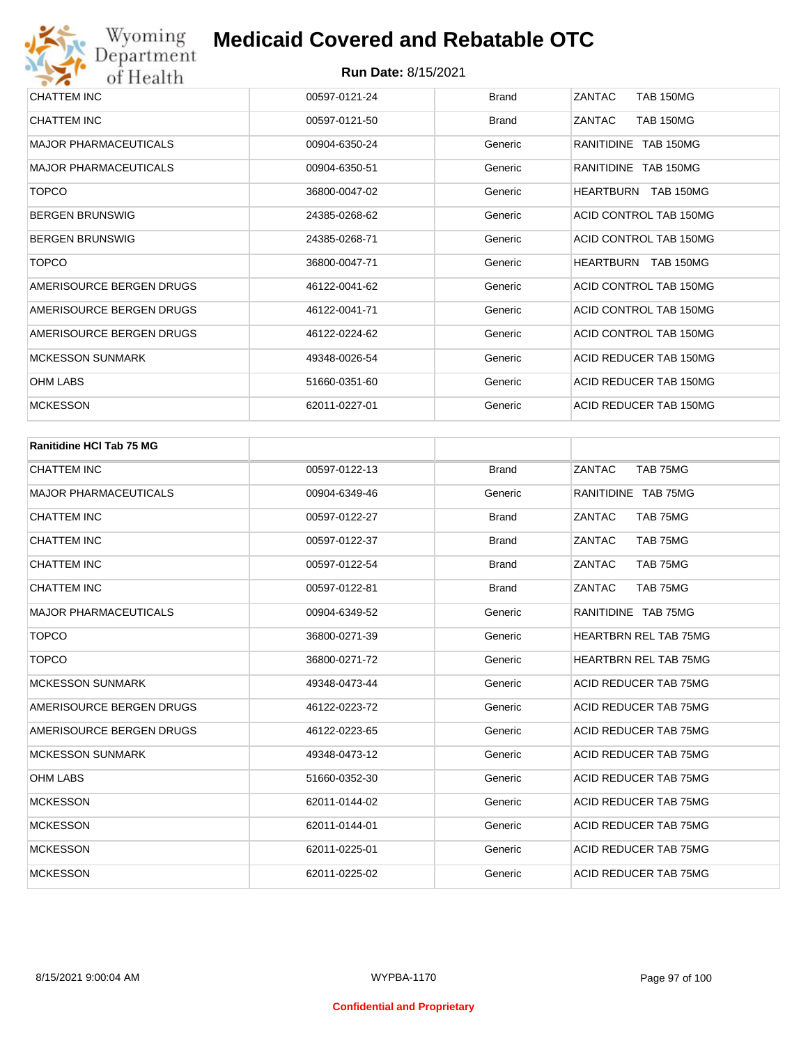| CHATTEM INC                  | 00597-0121-24 | <b>Brand</b> | ZANTAC<br><b>TAB 150MG</b> |
|------------------------------|---------------|--------------|----------------------------|
| CHATTEM INC                  | 00597-0121-50 | <b>Brand</b> | ZANTAC<br><b>TAB 150MG</b> |
| <b>MAJOR PHARMACEUTICALS</b> | 00904-6350-24 | Generic      | RANITIDINE TAB 150MG       |
| <b>MAJOR PHARMACEUTICALS</b> | 00904-6350-51 | Generic      | RANITIDINE TAB 150MG       |
| <b>TOPCO</b>                 | 36800-0047-02 | Generic      | HEARTBURN TAB 150MG        |
| <b>BERGEN BRUNSWIG</b>       | 24385-0268-62 | Generic      | ACID CONTROL TAB 150MG     |
| <b>BERGEN BRUNSWIG</b>       | 24385-0268-71 | Generic      | ACID CONTROL TAB 150MG     |
| <b>TOPCO</b>                 | 36800-0047-71 | Generic      | HEARTBURN TAB 150MG        |
| AMERISOURCE BERGEN DRUGS     | 46122-0041-62 | Generic      | ACID CONTROL TAB 150MG     |
| AMERISOURCE BERGEN DRUGS     | 46122-0041-71 | Generic      | ACID CONTROL TAB 150MG     |
| AMERISOURCE BERGEN DRUGS     | 46122-0224-62 | Generic      | ACID CONTROL TAB 150MG     |
| <b>MCKESSON SUNMARK</b>      | 49348-0026-54 | Generic      | ACID REDUCER TAB 150MG     |
| <b>OHM LABS</b>              | 51660-0351-60 | Generic      | ACID REDUCER TAB 150MG     |
| <b>MCKESSON</b>              | 62011-0227-01 | Generic      | ACID REDUCER TAB 150MG     |
|                              |               |              |                            |

| <b>Ranitidine HCI Tab 75 MG</b> |               |              |                              |
|---------------------------------|---------------|--------------|------------------------------|
| CHATTEM INC                     | 00597-0122-13 | <b>Brand</b> | ZANTAC<br>TAB 75MG           |
| <b>MAJOR PHARMACEUTICALS</b>    | 00904-6349-46 | Generic      | RANITIDINE TAB 75MG          |
| <b>CHATTEM INC</b>              | 00597-0122-27 | <b>Brand</b> | ZANTAC<br>TAB 75MG           |
| CHATTEM INC                     | 00597-0122-37 | <b>Brand</b> | ZANTAC<br>TAB 75MG           |
| <b>CHATTEM INC</b>              | 00597-0122-54 | <b>Brand</b> | ZANTAC<br>TAB 75MG           |
| <b>CHATTEM INC</b>              | 00597-0122-81 | <b>Brand</b> | ZANTAC<br>TAB 75MG           |
| <b>MAJOR PHARMACEUTICALS</b>    | 00904-6349-52 | Generic      | RANITIDINE TAB 75MG          |
| <b>TOPCO</b>                    | 36800-0271-39 | Generic      | <b>HEARTBRN REL TAB 75MG</b> |
| <b>TOPCO</b>                    | 36800-0271-72 | Generic      | <b>HEARTBRN REL TAB 75MG</b> |
| <b>MCKESSON SUNMARK</b>         | 49348-0473-44 | Generic      | <b>ACID REDUCER TAB 75MG</b> |
| AMERISOURCE BERGEN DRUGS        | 46122-0223-72 | Generic      | <b>ACID REDUCER TAB 75MG</b> |
| AMERISOURCE BERGEN DRUGS        | 46122-0223-65 | Generic      | <b>ACID REDUCER TAB 75MG</b> |
| <b>MCKESSON SUNMARK</b>         | 49348-0473-12 | Generic      | ACID REDUCER TAB 75MG        |
| <b>OHM LABS</b>                 | 51660-0352-30 | Generic      | ACID REDUCER TAB 75MG        |
| <b>MCKESSON</b>                 | 62011-0144-02 | Generic      | ACID REDUCER TAB 75MG        |
| <b>MCKESSON</b>                 | 62011-0144-01 | Generic      | ACID REDUCER TAB 75MG        |
| <b>MCKESSON</b>                 | 62011-0225-01 | Generic      | <b>ACID REDUCER TAB 75MG</b> |
| <b>MCKESSON</b>                 | 62011-0225-02 | Generic      | ACID REDUCER TAB 75MG        |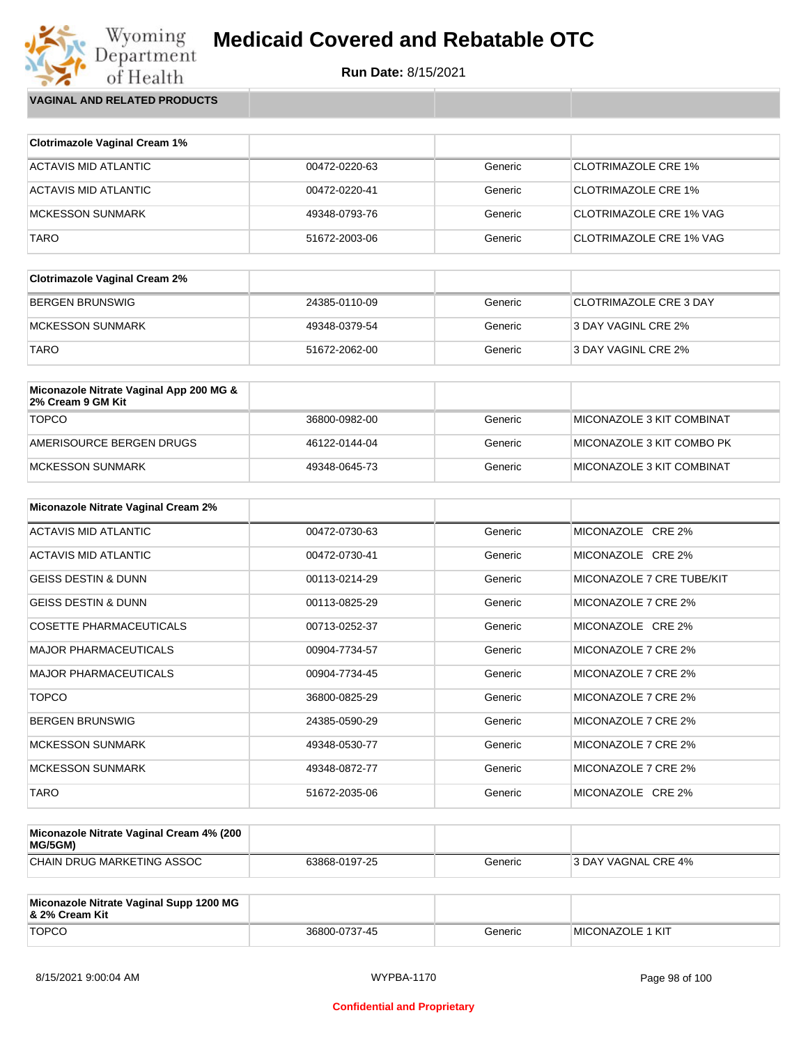

Wyoming<br>Department<br>of Health **VAGINAL AND RELATED PRODUCTS**

| <b>Clotrimazole Vaginal Cream 1%</b> |               |         |                                |
|--------------------------------------|---------------|---------|--------------------------------|
| ACTAVIS MID ATLANTIC                 | 00472-0220-63 | Generic | CLOTRIMAZOLE CRE 1%            |
| ACTAVIS MID ATLANTIC                 | 00472-0220-41 | Generic | CLOTRIMAZOLE CRE 1%            |
| <b>MCKESSON SUNMARK</b>              | 49348-0793-76 | Generic | <b>CLOTRIMAZOLE CRE 1% VAG</b> |
| TARO                                 | 51672-2003-06 | Generic | CLOTRIMAZOLE CRE 1% VAG        |

| <b>Clotrimazole Vaginal Cream 2%</b> |               |         |                        |
|--------------------------------------|---------------|---------|------------------------|
| BERGEN BRUNSWIG                      | 24385-0110-09 | Generic | CLOTRIMAZOLE CRE 3 DAY |
| MCKESSON SUNMARK                     | 49348-0379-54 | Generic | 3 DAY VAGINL CRE 2%    |
| <b>TARO</b>                          | 51672-2062-00 | Generic | 3 DAY VAGINL CRE 2%    |

| Miconazole Nitrate Vaginal App 200 MG &<br>2% Cream 9 GM Kit |               |         |                           |
|--------------------------------------------------------------|---------------|---------|---------------------------|
| <b>TOPCO</b>                                                 | 36800-0982-00 | Generic | MICONAZOLE 3 KIT COMBINAT |
| AMERISOURCE BERGEN DRUGS                                     | 46122-0144-04 | Generic | MICONAZOLE 3 KIT COMBO PK |
| MCKESSON SUNMARK                                             | 49348-0645-73 | Generic | MICONAZOLE 3 KIT COMBINAT |

| <b>Miconazole Nitrate Vaginal Cream 2%</b> |               |         |                           |
|--------------------------------------------|---------------|---------|---------------------------|
| ACTAVIS MID ATLANTIC                       | 00472-0730-63 | Generic | MICONAZOLE CRE 2%         |
| ACTAVIS MID ATLANTIC                       | 00472-0730-41 | Generic | MICONAZOLE CRE 2%         |
| <b>GEISS DESTIN &amp; DUNN</b>             | 00113-0214-29 | Generic | MICONAZOLE 7 CRE TUBE/KIT |
| <b>GEISS DESTIN &amp; DUNN</b>             | 00113-0825-29 | Generic | MICONAZOLE 7 CRE 2%       |
| <b>COSETTE PHARMACEUTICALS</b>             | 00713-0252-37 | Generic | MICONAZOLE CRE 2%         |
| <b>MAJOR PHARMACEUTICALS</b>               | 00904-7734-57 | Generic | MICONAZOLE 7 CRE 2%       |
| <b>MAJOR PHARMACEUTICALS</b>               | 00904-7734-45 | Generic | MICONAZOLE 7 CRE 2%       |
| <b>TOPCO</b>                               | 36800-0825-29 | Generic | MICONAZOLE 7 CRE 2%       |
| <b>BERGEN BRUNSWIG</b>                     | 24385-0590-29 | Generic | MICONAZOLE 7 CRE 2%       |
| <b>MCKESSON SUNMARK</b>                    | 49348-0530-77 | Generic | MICONAZOLE 7 CRE 2%       |
| <b>MCKESSON SUNMARK</b>                    | 49348-0872-77 | Generic | MICONAZOLE 7 CRE 2%       |
| <b>TARO</b>                                | 51672-2035-06 | Generic | MICONAZOLE CRE 2%         |

| Miconazole Nitrate Vaginal Cream 4% (200<br>MG/5GM) |               |         |                            |
|-----------------------------------------------------|---------------|---------|----------------------------|
| CHAIN DRUG MARKETING ASSOC                          | 63868-0197-25 | Generic | <b>3 DAY VAGNAL CRE 4%</b> |

| Miconazole Nitrate Vaginal Supp 1200 MG<br>8. 2% Cream Kit |               |         |                         |
|------------------------------------------------------------|---------------|---------|-------------------------|
| <b>TOPCO</b>                                               | 36800-0737-45 | Generic | <b>MICONAZOLE 1 KIT</b> |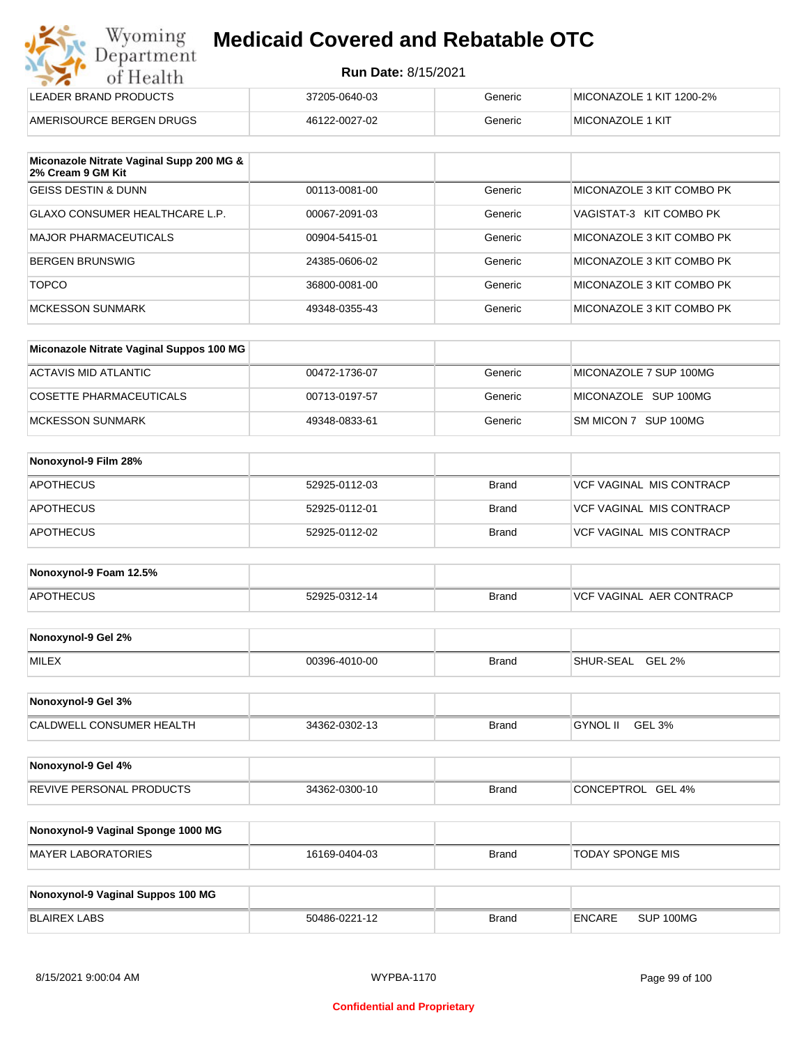| Wyoming    |
|------------|
| Department |
| of Health  |
|            |

| LEADER BRAND PRODUCTS    | 37205-0640-03 | Generic | MICONAZOLE 1 KIT 1200-2% |
|--------------------------|---------------|---------|--------------------------|
| AMERISOURCE BERGEN DRUGS | 46122-0027-02 | Generic | <b>IMICONAZOLE 1 KIT</b> |

| Miconazole Nitrate Vaginal Supp 200 MG &<br>2% Cream 9 GM Kit |               |         |                           |
|---------------------------------------------------------------|---------------|---------|---------------------------|
| IGEISS DESTIN & DUNN                                          | 00113-0081-00 | Generic | MICONAZOLE 3 KIT COMBO PK |
| GLAXO CONSUMER HEALTHCARE L.P.                                | 00067-2091-03 | Generic | VAGISTAT-3 KIT COMBO PK   |
| <b>MAJOR PHARMACEUTICALS</b>                                  | 00904-5415-01 | Generic | MICONAZOLE 3 KIT COMBO PK |
| <b>BERGEN BRUNSWIG</b>                                        | 24385-0606-02 | Generic | MICONAZOLE 3 KIT COMBO PK |
| <b>TOPCO</b>                                                  | 36800-0081-00 | Generic | MICONAZOLE 3 KIT COMBO PK |
| MCKESSON SUNMARK                                              | 49348-0355-43 | Generic | MICONAZOLE 3 KIT COMBO PK |

| Miconazole Nitrate Vaginal Suppos 100 MG |               |         |                        |
|------------------------------------------|---------------|---------|------------------------|
| ACTAVIS MID ATLANTIC                     | 00472-1736-07 | Generic | MICONAZOLE 7 SUP 100MG |
| COSETTE PHARMACEUTICALS                  | 00713-0197-57 | Generic | MICONAZOLE SUP 100MG   |
| IMCKESSON SUNMARK                        | 49348-0833-61 | Generic | SM MICON 7 SUP 100MG   |

| Nonoxynol-9 Film 28% |               |              |                          |
|----------------------|---------------|--------------|--------------------------|
| APOTHECUS            | 52925-0112-03 | <b>Brand</b> | VCF VAGINAL MIS CONTRACP |
| <b>APOTHECUS</b>     | 52925-0112-01 | Brand        | VCF VAGINAL MIS CONTRACP |
| <b>APOTHECUS</b>     | 52925-0112-02 | Brand        | VCF VAGINAL MIS CONTRACP |

| Nonoxynol-9 Foam 12.5% |               |              |                                  |
|------------------------|---------------|--------------|----------------------------------|
| <b>APOTHECUS</b>       | 52925-0312-14 | <b>Brand</b> | <b>IVCF VAGINAL AER CONTRACP</b> |

| Nonoxynol-9 Gel 2% |               |       |                                        |
|--------------------|---------------|-------|----------------------------------------|
| <b>MILEX</b>       | 00396-4010-00 | Brand | <b>GEL</b><br>L 2%<br><b>SHUR-SEAL</b> |

| Nonoxynol-9 Gel 3%       |               |              |                           |  |
|--------------------------|---------------|--------------|---------------------------|--|
| CALDWELL CONSUMER HEALTH | 34362-0302-13 | <b>Brand</b> | GEL 3%<br><b>GYNOL II</b> |  |

| Nonoxynol-9 Gel 4%              |               |              |                   |
|---------------------------------|---------------|--------------|-------------------|
| <b>REVIVE PERSONAL PRODUCTS</b> | 34362-0300-10 | <b>Brand</b> | CONCEPTROL GEL 4% |

| Nonoxynol-9 Vaginal Sponge 1000 MG |               |       |                  |
|------------------------------------|---------------|-------|------------------|
| MAYER LABORATORIES                 | 16169-0404-03 | Brand | TODAY SPONGE MIS |

| Nonoxynol-9 Vaginal Suppos 100 MG |               |              |               |           |
|-----------------------------------|---------------|--------------|---------------|-----------|
| BLAIREX LABS                      | 50486-0221-12 | <b>Brand</b> | <b>ENCARE</b> | SUP 100MG |